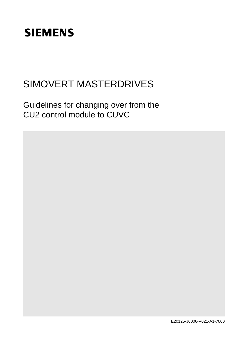# **SIEMENS**

## SIMOVERT MASTERDRIVES

Guidelines for changing over from the CU2 control module to CUVC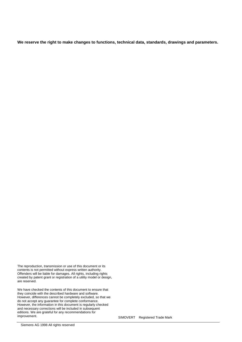**We reserve the right to make changes to functions, technical data, standards, drawings and parameters.**

The reproduction, transmission or use of this document or its contents is not permitted without express written authority. Offenders will be liable for damages. All rights, including rights created by patent grant or registration of a utility model or design, are reserved.

We have checked the contents of this document to ensure that they coincide with the described hardware and software. However, differences cannot be completely excluded, so that we do not accept any guarantee for complete conformance. However, the information in this document is regularly checked and necessary corrections will be included in subsequent editions. We are grateful for any recommendations for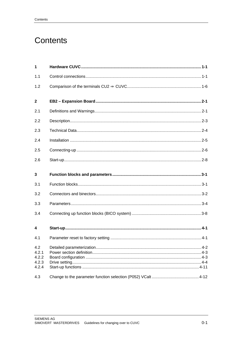## **Contents**

| $\mathbf 1$                                    |  |
|------------------------------------------------|--|
| 1.1                                            |  |
| 1.2                                            |  |
| $\mathbf{2}$                                   |  |
| 2.1                                            |  |
| 2.2                                            |  |
| 2.3                                            |  |
| 2.4                                            |  |
| 2.5                                            |  |
| 2.6                                            |  |
| 3                                              |  |
| 3.1                                            |  |
|                                                |  |
| 3.2                                            |  |
| 3.3                                            |  |
| 3.4                                            |  |
| 4                                              |  |
| 4.1                                            |  |
| 4.2<br>4.2.1<br>4.2.2<br>4.2.3<br>4.2.4<br>4.3 |  |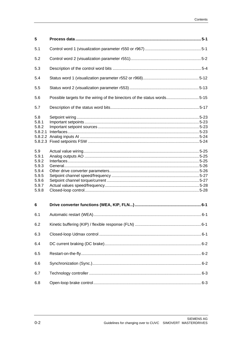| 5                                                                           |                                                                          |  |
|-----------------------------------------------------------------------------|--------------------------------------------------------------------------|--|
| 5.1                                                                         |                                                                          |  |
| 5.2                                                                         |                                                                          |  |
| 5.3                                                                         |                                                                          |  |
| 5.4                                                                         |                                                                          |  |
| 5.5                                                                         |                                                                          |  |
| 5.6                                                                         | Possible targets for the wiring of the binectors of the status words5-15 |  |
| 5.7                                                                         |                                                                          |  |
| 5.8<br>5.8.1<br>5.8.2<br>5.8.2.1                                            |                                                                          |  |
| 5.9<br>5.9.1<br>5.9.2<br>5.9.3<br>5.9.4<br>5.9.5<br>5.9.6<br>5.9.7<br>5.9.8 |                                                                          |  |
| 6                                                                           |                                                                          |  |
| 6.1                                                                         |                                                                          |  |
| 6.2                                                                         |                                                                          |  |
| 6.3                                                                         |                                                                          |  |
| 6.4                                                                         |                                                                          |  |
| 6.5                                                                         |                                                                          |  |
| 6.6                                                                         |                                                                          |  |
| 6.7                                                                         |                                                                          |  |
| 6.8                                                                         |                                                                          |  |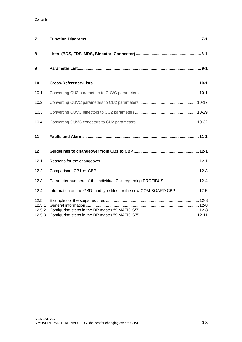| $\overline{7}$                     |                                                                       |  |
|------------------------------------|-----------------------------------------------------------------------|--|
| 8                                  |                                                                       |  |
| 9                                  |                                                                       |  |
| 10                                 |                                                                       |  |
| 10.1                               |                                                                       |  |
| 10.2                               |                                                                       |  |
| 10.3                               |                                                                       |  |
| 10.4                               |                                                                       |  |
| 11                                 |                                                                       |  |
| 12                                 |                                                                       |  |
| 12.1                               |                                                                       |  |
| 12.2                               |                                                                       |  |
| 12.3                               | Parameter numbers of the individual CUs regarding PROFIBUS  12-4      |  |
| 12.4                               | Information on the GSD- and type files for the new COM-BOARD CBP 12-5 |  |
| 12.5<br>12.5.1<br>12.5.2<br>12.5.3 |                                                                       |  |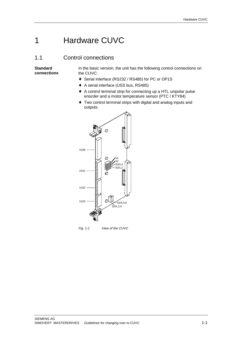## 1 Hardware CUVC

### 1.1 Control connections

**Standard connections** In the basic version, the unit has the following control connections on the CUVC:

- ♦ Serial interface (RS232 / RS485) for PC or OP1S
- ♦ A serial interface (USS bus, RS485)
- ♦ A control terminal strip for connecting up a HTL unipolar pulse enocder and a motor temperature sensor (PTC / KTY84)
- ♦ Two control terminal strips with digital and analog inputs and outputs.



Fig. 1-1 View of the CUVC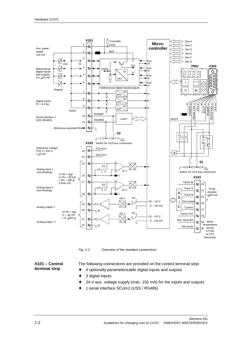

Fig. 1-2 Overview of the standard connections

#### **X101 – Control terminal strip**

The following connections are provided on the control terminal strip:

- 4 optionally parameterizable digital inputs and outputs
- ♦ 3 digital inputs
- 24 V aux. voltage supply (max. 150 mA) for the inputs and outputs
- 1 serial interface SCom2 (USS / RS485)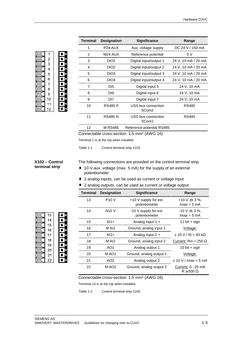| 1                                          |  |
|--------------------------------------------|--|
|                                            |  |
| $\begin{array}{c} 2 \\ 3 \\ 4 \end{array}$ |  |
|                                            |  |
| 5<br>6                                     |  |
|                                            |  |
| 7                                          |  |
| 8                                          |  |
| 9                                          |  |
| 10                                         |  |
| 11                                         |  |
| 12                                         |  |

| <b>Terminal</b> | <b>Designation</b>  | <b>Significance</b>                     | Range               |
|-----------------|---------------------|-----------------------------------------|---------------------|
| 1               | P <sub>24</sub> AUX | Aux. voltage supply                     | DC 24 V / 150 mA    |
| 2               | M <sub>24</sub> AUX | Reference potential                     | 0 V                 |
| 3               | DIO1                | Digital input/output 1                  | 24 V, 10 mA / 20 mA |
| 4               | DIO <sub>2</sub>    | Digital input/output 2                  | 24 V, 10 mA / 20 mA |
| 5               | DIO3                | Digital input/output 3                  | 24 V, 10 mA / 20 mA |
| 6               | DIO <sub>4</sub>    | Digital input/output 4                  | 24 V, 10 mA / 20 mA |
| 7               | D <sub>15</sub>     | Digital input 5                         | 24 V, 10 mA         |
| 8               | DI <sub>6</sub>     | Digital input 6                         | 24 V, 10 mA         |
| 9               | DI7                 | Digital input 7                         | 24 V, 10 mA         |
| 10              | <b>RS485 P</b>      | USS bus connection<br>SCom <sub>2</sub> | <b>RS485</b>        |
| 11              | <b>RS485 N</b>      | USS bus connection<br>SCom <sub>2</sub> | RS485               |
| 12              | M RS485             | Reference potential RS485               |                     |

Connectable cross-section: 1.5 mm² (AWG 16)

Terminal 1 is at the top when installed.

Table 1-1 Control terminal strip X101

**X102 – Control terminal strip**

The following connections are provided on the control terminal strip:

- ♦ 10 V aux. voltage (max. 5 mA) for the supply of an external potentiometer
- ♦ 2 analog inputs, can be used as current or voltage input
- ♦ 2 analog outputs, can be used as current or voltage output

| <b>Terminal</b> | <b>Designation</b> | <b>Significance</b>                    | Range                                  |
|-----------------|--------------------|----------------------------------------|----------------------------------------|
| 13              | <b>P10 V</b>       | +10 V supply for ext.<br>potentiometer | +10 V $\pm$ 1.3 %,<br>$lmax = 5 mA$    |
| 14              | <b>N10 V</b>       | -10 V supply for ext.<br>potentiometer | $-10$ V $\pm$ 1.3 %,<br>$lmax = 5 mA$  |
| 15              | $AI1+$             | Analog input $1 +$                     | 11 bit + sign                          |
| 16              | M AI1              | Ground, analog input 1                 | Voltage:                               |
| 17              | $AI2+$             | Analog input $2 +$                     | $\pm$ 10 V / Ri = 60 kΩ                |
| 18              | M AI2              | Ground, analog input 2                 | Current: Rin = 250 $\Omega$            |
| 19              | AO1                | Analog output 1                        | 10 bit $+$ sign                        |
| 20              | M AO1              | Ground, analog output 1                | Voltage:                               |
| 21              | AO <sub>2</sub>    | Analog output 2                        | $\pm$ 10 V / lmax = 5 mA               |
| 22              | M AO <sub>2</sub>  | Ground, analog output 2                | Current: 020 mA<br>$R \geq 500 \Omega$ |

Connectable cross-section: 1.5 mm² (AWG 16)

Terminal 13 is at the top when installed.

Table 1-2 Control terminal strip X102

| 1              | P <sub>24</sub> AUX |
|----------------|---------------------|
| $\overline{2}$ | M24 AUX             |
| 3              | DIO <sub>1</sub>    |
| 4              | DIO <sub>2</sub>    |
| 5              | DIO <sub>3</sub>    |
| 6              | DIO <sub>4</sub>    |
| $\overline{7}$ | D <sub>15</sub>     |
| 8              | D <sub>16</sub>     |
| 9              | DI <sub>7</sub>     |
| 10             | <b>RS485 P</b>      |
| 11             | <b>RS485 N</b>      |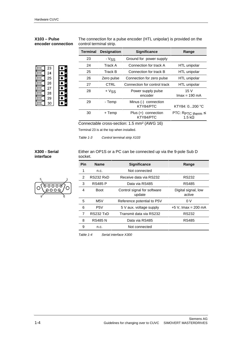#### **X103 – Pulse encoder connection**

The connection for a pulse encoder (HTL unipolar) is provided on the control terminal strip.

| 23 |  |
|----|--|
| 24 |  |
| 25 |  |
| 26 |  |
| 27 |  |
| 28 |  |
| 29 |  |
| 30 |  |

| <b>Terminal</b> | <b>Designation</b> | <b>Significance</b>               | Range                                    |
|-----------------|--------------------|-----------------------------------|------------------------------------------|
| 23              | - V <sub>SS</sub>  | Ground for power supply           |                                          |
| 24              | Track A            | Connection for track A            | HTL unipolar                             |
| 25              | Track B            | Connection for track B            | HTL unipolar                             |
| 26              | Zero pulse         | Connection for zero pulse         | HTL unipolar                             |
| 27              | <b>CTRL</b>        | Connection for control track      | HTL unipolar                             |
| 28              | + V <sub>SS</sub>  | Power supply pulse<br>encoder     | 15V<br>$\text{Imax} = 190 \text{ mA}$    |
| 29              | - Temp             | Minus (-) connection<br>KTY84/PTC | KTY84: 0200 °C                           |
| 30              | + Temp             | Plus (+) connection<br>KTY84/PTC  | PTC: RPTC therm $\leq$<br>1.5 k $\Omega$ |

Connectable cross-section: 1.5 mm² (AWG 16)

Terminal 23 is at the top when installed.

socket.

Table 1-3 Control terminal strip X103

**X300 - Serial interface**

#### 5 1  $\overline{\circ}$ 000  $0000$ 9 6

| <b>Pin</b> | <b>Name</b>      | <b>Significance</b>                   | Range                         |
|------------|------------------|---------------------------------------|-------------------------------|
| 1          | n.c.             | Not connected                         |                               |
| 2          | <b>RS232 RxD</b> | Receive data via RS232                | RS232                         |
| 3          | <b>RS485 P</b>   | Data via RS485                        | RS485                         |
| 4          | <b>Boot</b>      | Control signal for software<br>update | Digital signal, low<br>active |
| 5          | M <sub>5</sub> V | Reference potential to P5V            | 0 V                           |
| 6          | P <sub>5</sub> V | 5 V aux. voltage supply               | +5 V, Imax = 200 mA           |
| 7          | <b>RS232 TxD</b> | Transmit data via RS232               | RS232                         |
| 8          | <b>RS485 N</b>   | Data via RS485                        | RS485                         |
| 9          | n.c.             | Not connected                         |                               |

Either an OP1S or a PC can be connected up via the 9-pole Sub D

Table 1-4 Serial interface X300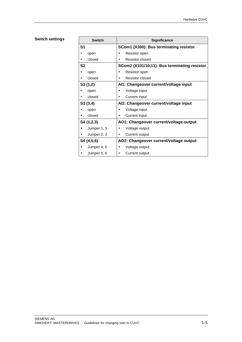#### **Switch settings**

| <b>Switch</b>  | <b>Significance</b>                          |
|----------------|----------------------------------------------|
| S <sub>1</sub> | SCom1 (X300): Bus terminating resistor       |
| open           | Resistor open<br>$\bullet$                   |
| closed         | Resistor closed                              |
| S <sub>2</sub> | SCom2 (X101/10,11): Bus terminating resistor |
| open           | Resistor open<br>٠                           |
| closed         | Resistor closed<br>$\bullet$                 |
| S3(1,2)        | Al1: Changeover current/voltage input        |
| open           | Voltage input<br>٠                           |
| closed         | <b>Current input</b><br>٠                    |
| S3(3,4)        | Al2: Changeover current/voltage input        |
| open           | Voltage input<br>$\bullet$                   |
| closed         | <b>Current input</b><br>$\bullet$            |
| S4 (1,2,3)     | AO1: Changeover current/voltage output       |
| Jumper 1, 3    | Voltage output<br>$\bullet$                  |
| Jumper 2, 3    | Current output<br>٠                          |
| S4 (4,5,6)     | AO2: Changeover current/voltage output       |
| Jumper 4, 6    | Voltage output<br>٠                          |
| Jumper 5, 6    | Current output                               |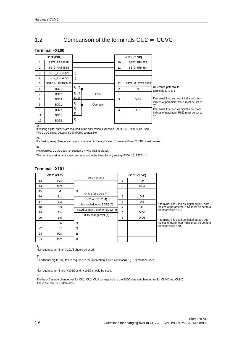## 1.2 Comparison of the terminals  $CU2 \Rightarrow CUVC$

#### **Terminal –X100**

|                | -X100 (CU2)     |        |           |                 | -X101 (CUVC)     |                                                                                          |
|----------------|-----------------|--------|-----------|-----------------|------------------|------------------------------------------------------------------------------------------|
|                | SST2 RRS485P    |        |           | 10 <sup>°</sup> | SST2 RR485P      |                                                                                          |
| $\overline{2}$ | SST2 RRS485N    |        |           | 11              | SST2_RR485N      |                                                                                          |
| 3              | SST2 TRS485N    | 3)     |           |                 |                  |                                                                                          |
| 4              | SST2 TRS485N    | 3)     |           |                 |                  |                                                                                          |
| 5              | SST2 M EXTRS485 |        |           | 12              | SST2 M EXTRS485  |                                                                                          |
| 6              | <b>BO11</b>     | 1), 2) |           | $\overline{2}$  | м                | Reference potential to<br>terminals $3, 4, 5, 6$                                         |
| $\overline{7}$ | <b>BO12</b>     | 1), 2) | Fault     |                 |                  |                                                                                          |
| 8              | <b>BO13</b>     | 1), 2) |           | 3               | DIO <sub>1</sub> | If terminal 3 is used as digital input, both<br>indices of parameter P651 must be set to |
| 9              | <b>BO21</b>     |        | Operation |                 |                  | '0'.                                                                                     |
| 10             | BO22            |        |           | 4               | DIO <sub>2</sub> | If terminal 4 is used as digital input, both<br>indices of parameter P652 must be set to |
| 11             | <b>BO31</b>     |        |           |                 |                  | '0'.                                                                                     |
| 12             | <b>BO32</b>     | 1)     |           |                 |                  |                                                                                          |

1)

If floating digital outputs are required in the application, Extension Board 2 (EB2) must be used. The CUVC digital outputs are SIMATIC compatible.

2)

If a floating relay changeover output is required in the application, Extension Board 2 (EB2) must be used.

3)

Not required, CUVC does not support a 4-wire USS protocol.

The terminal assignment shown corresponds to the basic factory setting (P366 = 0; P970 = 1).

#### **Terminal –X101**

| -X101 (CU2) |                 | -X101 (CUVC)                      |                |                  |                                               |
|-------------|-----------------|-----------------------------------|----------------|------------------|-----------------------------------------------|
| 13          | P <sub>24</sub> | 24V / 150mA                       |                | P <sub>24</sub>  |                                               |
| 14          | M24             |                                   | $\overline{2}$ | M24              |                                               |
| 15          | M               | 1)<br>On/off for BDS2 (4)         |                |                  |                                               |
| 16          | B <sub>1</sub>  |                                   | 9              | DI7              |                                               |
| 17          | B <sub>12</sub> | Off2 for BDS2 (4)                 | 8              | D <sub>16</sub>  | If terminal 4 is used as digital output, both |
| 18          | B <sub>13</sub> | Acknowledge for BDS2 (4)          | 7              | D <sub>15</sub>  | indices of parameter P654 must be set to a    |
| 19          | BI4             | Fixed setpoint, Bit0 for BDS2 (4) | 6              | DIO <sub>4</sub> | binector value $\leq 0$                       |
| 20          | B <sub>I5</sub> | BDS changeover (4)                | 5              | DIO <sub>3</sub> | If terminal 3 is used as digital output, both |
| 21          | BI <sub>6</sub> | 2)                                |                |                  | indices of parameter P653 must be set to a    |
| 22          | BI7             | 2)                                |                |                  | binector value <> 0                           |
| 23          | P <sub>24</sub> | 3)                                |                |                  |                                               |
| 24          | M24             | 3)                                |                |                  |                                               |

1)

Not required, terminal -X101/2 should be used.

2)

If additional digital inputs are required in the application, Extension Board 2 (EB2) must be used.

3) Not required, terminals -X101/1 and -X101/2 should be used.

4)

The basic/reserve changeover for CU1, CU2, CU3 corresponds to the BICO data set changeover for CUVC and CUMC. There are two BICO data sets.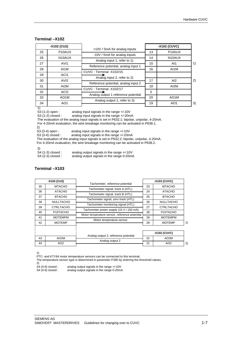| -X102 (CU2) |                     | +10V / 5mA for analog inputs        |    | -X102 (CUVC)        |    |
|-------------|---------------------|-------------------------------------|----|---------------------|----|
| 25          | P <sub>10</sub> AUX |                                     |    | P <sub>10</sub> AUX |    |
| 26          | N <sub>10</sub> AUX | -10V / 5mA for analog inputs        | 14 | N <sub>10</sub> AUX |    |
|             |                     | Analog input 1, refer to 1)         |    |                     |    |
| 27          | AVI1                | Reference potential, analog input 1 | 15 | AI1                 | 1) |
| 28          | AI1M                |                                     | 16 | AI1M                |    |
| 29          | AC <sub>11</sub>    | CUVC: Terminal -X102/15             |    |                     |    |
| 30          | AVI <sub>2</sub>    | Analog input 2, refer to 2)         | 17 | AI2                 | 2) |
|             |                     | Reference potential, analog input 2 |    |                     |    |
| 31          | AI2M                | CUVC: Terminal -X102/17             | 18 | AI2M                |    |
| 32          | AC <sub>12</sub>    |                                     | 5  |                     |    |
| 33          | AO <sub>1</sub> M   | Analog output 1 reference potential | 20 | AO1M                |    |
| 34          | AO <sub>1</sub>     | Analog output 1, refer to 3)        | 19 | AO <sub>1</sub>     | 3) |
|             |                     |                                     |    |                     |    |

#### **Terminal –X102**

S3 (1-2) open : analog input signals in the range +/-10V<br>S3 (1-2) closed : analog input signals in the range +/-20m.

analog input signals in the range +/-20mA

The evaluation of the analog input signals is set in P632.1: bipolar, unipolar, 4-20mA.

For 4-20mA evaluation, the wire breakage monitoring can be activated in P638.1.

2)<br>S3 (3-4) open :  $\overline{S3}$  (3-4) open : analog input signals in the range +/-10V  $\overline{S3}$  (3-4) closed : analog input signals in the range +/-20m

analog input signals in the range +/-20mA

The evaluation of the analog input signals is set in P632.2: bipolar, unipolar, 4-20mA. For 4-20mA evaluation, the wire breakage monitoring can be activated in P638.2.

#### 3)

| S4 (1-3) closed : | analog output signals in the range $+/-10V$ |
|-------------------|---------------------------------------------|
| S4 (2-3) closed : | analog output signals in the range 0-20mA   |

#### **Terminal –X103**

|    | -X103 (CU2)           |                                               |    | -X103 (CUVC)                      |    |
|----|-----------------------|-----------------------------------------------|----|-----------------------------------|----|
| 35 | <b>MTACHO</b>         | Tachometer, reference potential               |    | <b>MTACHO</b>                     |    |
| 36 | <b>ATACHO</b>         | Tachometer signal, track A (HTL)              | 24 | <b>ATACHO</b>                     |    |
| 37 | <b>BTACHO</b>         | Tachometer signal, track B (HTL)              | 25 | <b>BTACHO</b>                     |    |
|    |                       | Tachometer signal, zero track (HTL)           |    |                                   |    |
| 38 | <b>NULLTACHO</b>      | Tachometer monitoring signal (HTL)            | 26 | <b>NULLTACHO</b>                  |    |
| 39 | <b>CTRLTACHO</b>      | Tachometer power supply (15 V / 150 mA)       | 27 | <b>CTRLTACHO</b>                  |    |
| 40 | P <sub>15</sub> TACHO | Motor temperature sensor, reference potential | 28 | P <sub>15</sub> T <sub>ACHO</sub> |    |
| 41 | <b>MOTEMPM</b>        |                                               | 29 | <b>MOTEMPM</b>                    |    |
| 42 | <b>MOTEMP</b>         | Motor temperature sensor                      | 29 | <b>MOTEMP</b>                     | 1) |
|    |                       |                                               |    |                                   |    |
|    |                       |                                               |    | -X102 (CUVC)                      |    |
| 43 | AO <sub>2</sub> M     | Analog output 2, reference potential          | 22 | AO <sub>2</sub> M                 |    |
| 44 | AO <sub>2</sub>       | Analog output 2                               | 21 | AO <sub>2</sub>                   | 2) |

1)

PTC- and KTY84 motor temperature sensors can be connected to this terminal.

The temperature sensor type is determined in parameter P380 by entering the threshold values.

 $\overline{S4}$  (4-6) closed : analog output signals in the range +/-10V<br>S4 (5-6) closed : analog output signals in the range 0-20m/

analog output signals in the range 0-20mA

<sup>2)&</sup>lt;br>S4 (4-6) closed :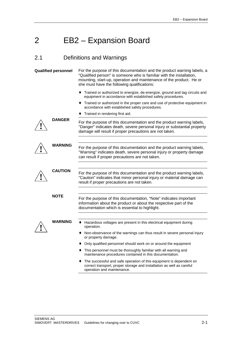## 2 EB2 – Expansion Board

## 2.1 Definitions and Warnings

| <b>Qualified personnel</b> |                | For the purpose of this documentation and the product warning labels, a<br>"Qualified person" is someone who is familiar with the installation,<br>mounting, start-up, operation and maintenance of the product. He or<br>she must have the following qualifications: |  |  |
|----------------------------|----------------|-----------------------------------------------------------------------------------------------------------------------------------------------------------------------------------------------------------------------------------------------------------------------|--|--|
|                            |                | Trained or authorized to energize, de-energize, ground and tag circuits and<br>equipment in accordance with established safety procedures.                                                                                                                            |  |  |
|                            |                | Trained or authorized in the proper care and use of protective equipment in<br>accordance with established safety procedures.                                                                                                                                         |  |  |
|                            |                | Trained in rendering first aid.                                                                                                                                                                                                                                       |  |  |
|                            | <b>DANGER</b>  | For the purpose of this documentation and the product warning labels,<br>"Danger" indicates death, severe personal injury or substantial property<br>damage will result if proper precautions are not taken.                                                          |  |  |
|                            | WARNING        | For the purpose of this documentation and the product warning labels,<br>"Warning" indicates death, severe personal injury or property damage<br>can result if proper precautions are not taken.                                                                      |  |  |
|                            | <b>CAUTION</b> | For the purpose of this documentation and the product warning labels,<br>"Caution" indicates that minor personal injury or material damage can<br>result if proper precautions are not taken.                                                                         |  |  |
|                            | <b>NOTE</b>    | For the purpose of this documentation, "Note" indicates important<br>information about the product or about the respective part of the<br>documentation which is essential to highlight.                                                                              |  |  |
|                            | WARNING        | • Hazardous voltages are present in this electrical equipment during<br>operation.<br>• Non-observance of the warnings can thus result in severe personal injury                                                                                                      |  |  |
|                            |                | or property damage.                                                                                                                                                                                                                                                   |  |  |
|                            |                | Only qualified personnel should work on or around the equipment                                                                                                                                                                                                       |  |  |
|                            |                | • This personnel must be thoroughly familiar with all warning and<br>maintenance procedures contained in this documentation.                                                                                                                                          |  |  |
|                            |                | The successful and safe operation of this equipment is dependent on<br>correct transport, proper storage and installation as well as careful<br>operation and maintenance.                                                                                            |  |  |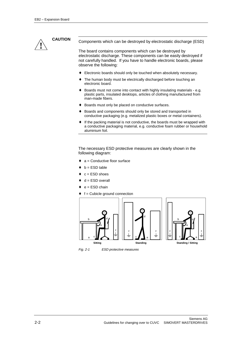

**CAUTION** Components which can be destroyed by electrostatic discharge (ESD)

The board contains components which can be destroyed by electrostatic discharge. These components can be easily destroyed if not carefully handled. If you have to handle electronic boards, please observe the following:

- ♦ Electronic boards should only be touched when absolutely necessary.
- The human body must be electrically discharged before touching an electronic board.
- ♦ Boards must not come into contact with highly insulating materials e.g. plastic parts, insulated desktops, articles of clothing manufactured from man-made fibers.
- Boards must only be placed on conductive surfaces.
- Boards and components should only be stored and transported in conductive packaging (e.g. metalized plastic boxes or metal containers).
- ♦ If the packing material is not conductive, the boards must be wrapped with a conductive packaging material, e.g. conductive foam rubber or household aluminium foil.

The necessary ESD protective measures are clearly shown in the following diagram:

- a = Conductive floor surface
- $b = FSD$  table
- $c = ESD$  shoes
- $d = ESD$  overall
- $e = ESD$  chain
- $f =$  Cubicle ground connection



Fig. 2-1 ESD protective measures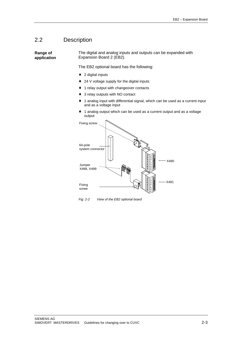### 2.2 Description

**Range of application** The digital and analog inputs and outputs can be expanded with Expansion Board 2 (EB2).

The EB2 optional board has the following:

- ♦ 2 digital inputs
- ♦ 24 V voltage supply for the digital inputs
- ♦ 1 relay output with changeover contacts
- 3 relay outputs with NO contact
- ♦ 1 analog input with differential signal, which can be used as a current input and as a voltage input
- ♦ 1 analog output which can be used as a current output and as a voltage output



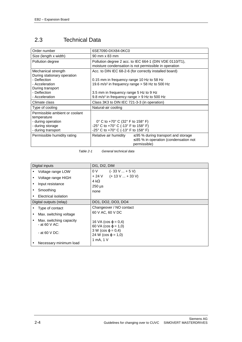## 2.3 Technical Data

| Order number                                                                                                  | 6SE7090-0XX84-0KC0                                                                                                              |  |  |
|---------------------------------------------------------------------------------------------------------------|---------------------------------------------------------------------------------------------------------------------------------|--|--|
| Size (length x width)                                                                                         | 90 mm x 83 mm                                                                                                                   |  |  |
| Pollution degree                                                                                              | Pollution degree 2 acc. to IEC 664-1 (DIN VDE 0110/T1),<br>moisture condensation is not permissible in operation                |  |  |
| Mechanical strength<br>During stationary operation                                                            | Acc. to DIN IEC 68-2-6 (for correctly installed board)                                                                          |  |  |
| - Deflection<br>- Acceleration<br>During transport                                                            | 0.15 mm in frequency range 10 Hz to 58 Hz<br>19.6 m/s <sup>2</sup> in frequency range > 58 Hz to 500 Hz                         |  |  |
| - Deflection<br>- Acceleration                                                                                | 3.5 mm in frequency range 5 Hz to 9 Hz<br>9.8 m/s <sup>2</sup> in frequency range $>$ 9 Hz to 500 Hz                            |  |  |
| Climate class                                                                                                 | Class 3K3 to DIN IEC 721-3-3 (in operation)                                                                                     |  |  |
| Type of cooling                                                                                               | Natural-air cooling                                                                                                             |  |  |
| Permissible ambient or coolant<br>temperature<br>- during operation<br>- during storage<br>- during transport | 0° C to +70° C (32° F to 158° F)<br>-25° C to +70° C (-13° F to 158° F)<br>-25° C to +70° C (-13° F to 158° F)                  |  |  |
| Permissible humidity rating                                                                                   | $\leq$ 95 % during transport and storage<br>Relative air humidity<br>$\leq$ 85 % in operation (condensation not<br>permissible) |  |  |

Table 2-1 General technical data

|                         | Digital inputs                                                                                   | DI1, DI2, DIM                                                                                                               |
|-------------------------|--------------------------------------------------------------------------------------------------|-----------------------------------------------------------------------------------------------------------------------------|
|                         | Voltage range LOW<br>Voltage range HIGH<br>Input resistance<br>Smoothing<br>Electrical isolation | 0 V<br>$(-33 \text{ V}  + 5 \text{ V})$<br>$+24$ V $(+13$ V $ + 33$ V)<br>4 k $\Omega$<br>$250 \text{ }\mu\text{s}$<br>none |
| Digital outputs (relay) |                                                                                                  | DO1, DO2, DO3, DO4                                                                                                          |
|                         | Type of contact                                                                                  | Changeover / NO contact                                                                                                     |
|                         | Max. switching voltage                                                                           | 60 V AC, 60 V DC                                                                                                            |
|                         | Max. switching capacity<br>- at 60 V AC:<br>- at 60 V DC:                                        | 16 VA (cos $φ = 0,4$ )<br>60 VA ( $\cos \varphi = 1,0$ )<br>$3 W (cos \varphi = 0,4)$<br>24 W ( $\cos \varphi = 1,0$ )      |
|                         | Necessary minimum load                                                                           | 1 mA, 1 V                                                                                                                   |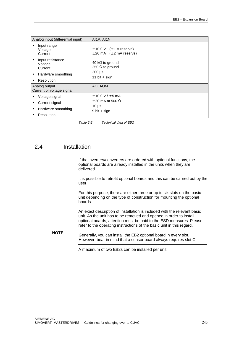| Analog input (differential input)          |                                        | AI1P, AI1N                                                            |
|--------------------------------------------|----------------------------------------|-----------------------------------------------------------------------|
|                                            | Input range<br>Voltage<br>Current      | $\pm$ 10.0 V ( $\pm$ 1 V reserve)<br>$\pm 20$ mA $(\pm 2$ mA reserve) |
|                                            | Input resistance<br>Voltage<br>Current | 40 k $\Omega$ to ground<br>250 $\Omega$ to ground<br>$200 \mu s$      |
| ٠                                          | Hardware smoothing<br>Resolution       | 11 bit $+$ sign                                                       |
|                                            |                                        | AO, AOM                                                               |
| Analog output<br>Current or voltage signal |                                        |                                                                       |
|                                            | Voltage signal                         | $\pm$ 10.0 V / $\pm$ 5 mA                                             |
|                                            | Current signal                         | $\pm$ 20 mA at 500 $\Omega$                                           |
|                                            | Hardware smoothing                     | $10 \mu s$                                                            |
|                                            | Resolution                             | $9 \text{ bit} + \text{sign}$                                         |

Table 2-2 Technical data of EB2

### 2.4 Installation

If the inverters/converters are ordered with optional functions, the optional boards are already installed in the units when they are delivered.

It is possible to retrofit optional boards and this can be carried out by the user.

For this purpose, there are either three or up to six slots on the basic unit depending on the type of construction for mounting the optional boards.

An exact description of installation is included with the relevant basic unit. As the unit has to be removed and opened in order to install optional boards, attention must be paid to the ESD measures. Please refer to the operating instructions of the basic unit in this regard.

**NOTE** Generally, you can install the EB2 optional board in every slot. However, bear in mind that a sensor board always requires slot C.

A maximum of two EB2s can be installed per unit.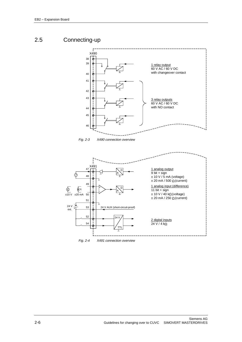## 2.5 Connecting-up





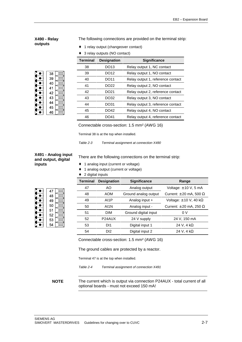#### **X490 - Relay outputs**

The following connections are provided on the terminal strip:

- ♦ 1 relay output (changeover contact)
- 3 relay outputs (NO contact)

| 38 |  |
|----|--|
| 39 |  |
| 40 |  |
| 41 |  |
| 42 |  |
| 43 |  |
| 44 |  |
| 45 |  |
| 46 |  |

| <b>Terminal</b> | <b>Designation</b> | <b>Significance</b>               |
|-----------------|--------------------|-----------------------------------|
| 38              | DO13               | Relay output 1, NC contact        |
| 39              | DO12               | Relay output 1, NO contact        |
| 40              | DO11               | Relay output 1, reference contact |
| 41              | DO <sub>22</sub>   | Relay output 2, NO contact        |
| 42              | DO21               | Relay output 2, reference contact |
| 43              | DO32               | Relay output 3, NO contact        |
| 44              | DO31               | Relay output 3, reference contact |
| 45              | DO42               | Relay output 4, NO contact        |
| 46              | I IO 141           | Relay output 4, reference contact |

Connectable cross-section: 1.5 mm² (AWG 16)

Terminal 38 is at the top when installed.

Table 2-3 Terminal assignment at connection X490

#### **X491 - Analog input and output, digital inputs**

47

48

49

50

 $\bullet$  $\bullet$ 

 $\bullet$ 

 $\bullet$ 

 $\bullet$ 

There are the following connections on the terminal strip:

- ♦ 1 analog input (current or voltage)
- ♦ 1 analog output (current or voltage)
- ♦ 2 digital inputs

| <b>Terminal</b> | <b>Designation</b>  | <b>Significance</b>  | Range                              |
|-----------------|---------------------|----------------------|------------------------------------|
| 47              | AΟ                  | Analog output        | Voltage: $\pm$ 10 V, 5 mA          |
| 48              | <b>AOM</b>          | Ground analog output | Current: $\pm$ 20 mA, 500 $\Omega$ |
| 49              | AI1P                | Analog input +       | Voltage: $\pm$ 10 V, 40 k $\Omega$ |
| 50              | AI1N                | Analog input -       | Current: $\pm$ 20 mA, 250 $\Omega$ |
| 51              | <b>DIM</b>          | Ground digital input | 0 V                                |
| 52              | P <sub>24</sub> AUX | 24 V supply          | 24 V, 150 mA                       |
| 53              | D <sub>1</sub>      | Digital input 1      | 24 V, 4 k $\Omega$                 |
| 54              | DI <sub>2</sub>     | Digital input 2      | 24 V. 4 k $\Omega$                 |

Connectable cross-section: 1.5 mm² (AWG 16)

The ground cables are protected by a reactor.

Terminal 47 is at the top when installed.

Table 2-4 Terminal assignment of connection X491

**NOTE** The current which is output via connection P24AUX - total current of all optional boards - must not exceed 150 mA!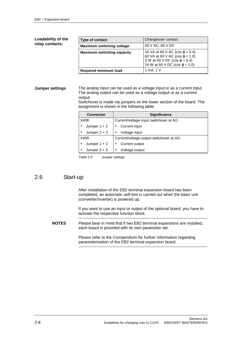#### **Loadability of the relay contacts:**

| Type of contact                   | Changeover contact                                                                                                                                                      |
|-----------------------------------|-------------------------------------------------------------------------------------------------------------------------------------------------------------------------|
| <b>Maximum switching voltage</b>  | 60 V AC, 60 V DC                                                                                                                                                        |
| <b>Maximum switching capacity</b> | 16 VA at 60 V AC (cos $\varphi$ = 0.4)<br>60 VA at 60 V AC ( $\cos \varphi = 1.0$ )<br>3 W at 60 V DC (cos $\varphi$ = 0.4)<br>24 W at 60 V DC ( $\cos \varphi = 1.0$ ) |
| <b>Required minimum load</b>      | 1 mA, 1 V                                                                                                                                                               |

#### **Jumper settings**

The analog input can be used as a voltage input or as a current input. The analog output can be used as a voltage output or as a current output.

Switchover is made via jumpers on the lower section of the board. The assignment is shown in the following table:

| <b>Connector</b> | <b>Significance</b>                     |  |  |  |  |  |
|------------------|-----------------------------------------|--|--|--|--|--|
| X498             | Current/voltage input switchover at AI1 |  |  |  |  |  |
| Jumper $1 + 2$   | Current input                           |  |  |  |  |  |
| Jumper $2 + 3$   | Voltage input<br>٠                      |  |  |  |  |  |
| X499             | Current/voltage output switchover at AO |  |  |  |  |  |
| Jumper $1 + 2$   | Current output                          |  |  |  |  |  |
| Jumper $2 + 3$   | Voltage output                          |  |  |  |  |  |

Table 2-5 Jumper settings

#### 2.6 Start-up

After installation of the EB2 terminal expansion board has been completed, an automatic self-test is carried out when the basic unit (converter/inverter) is powered up.

If you want to use an input or output of the optional board, you have to activate the respective function block.

**NOTES** Please bear in mind that if two EB2 terminal expansions are installed, each board is provided with its own parameter set.

> Please refer to the Compendium for further information regarding parameterization of the EB2 terminal expansion board.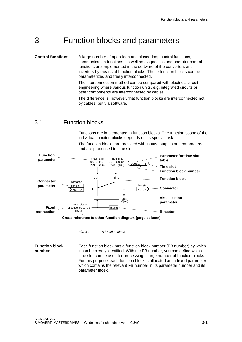## 3 Function blocks and parameters

A large number of open-loop and closed-loop control functions, communication functions, as well as diagnostics and operator control functions are implemented in the software of the converters and inverters by means of function blocks. These function blocks can be parameterized and freely interconnected. **Control functions**

> The interconnection method can be compared with electrical circuit engineering where various function units, e.g. integrated circuits or other components are interconnected by cables.

The difference is, however, that function blocks are interconnected not by cables, but via software.

### 3.1 Function blocks

Functions are implemented in function blocks. The function scope of the individual function blocks depends on its special task.

The function blocks are provided with inputs, outputs and parameters and are processed in time slots.



Fig. 3-1 A function block

Each function block has a function block number (FB number) by which it can be clearly identified. With the FB number, you can define which time slot can be used for processing a large number of function blocks. For this purpose, each function block is allocated an indexed parameter which contains the relevant FB number in its parameter number and its parameter index. **Function block number**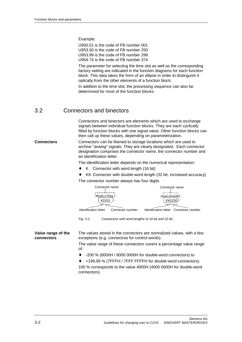Example:

U950.01 is the code of FB number 001 U953.50 is the code of FB number 250 U953.99 is the code of FB number 299 U954.74 is the code of FB number 374

The parameter for selecting the time slot as well as the corresponding factory setting are indicated in the function diagrams for each function block. This data takes the form of an ellipse in order to distinguish it optically from the other elements of a function block.

In addition to the time slot, the processing sequence can also be determined for most of the function blocks.

### 3.2 Connectors and binectors

Connectors and binectors are elements which are used to exchange signals between individual function blocks. They are each cyclically filled by function blocks with one signal value. Other function blocks can then call up these values, depending on parameterization.

#### Connectors can be likened to storage locations which are used to archive "analog" signals. They are clearly designated. Each connector designation comprises the connector name, the connector number and an identification letter. **Connectors**

The identification letter depends on the numerical representation:

- ♦ K Connector with word length (16 bit)
- KK Connector with double-word length (32 bit, increased accuracy) The connector number always has four digits.



- ♦ -200 % (8000H / 8000 0000H for double-word connectors) to
- +199,99 % (7FFFH / 7FFF FFFFH for double-word connectors).

100 % corresponds to the value 4000H (4000 0000H for double-word connectors).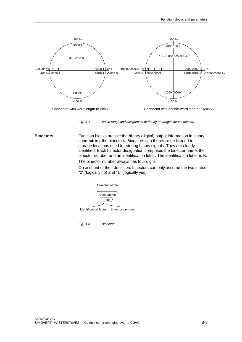

Connector with word length (Kxxxx) Connector with double-word length (KKxxxx)



Function blocks archive the **bi**nary (digital) output information in binary con**nectors**, the binectors. Binectors can therefore be likened to storage locations used for storing binary signals. They are clearly identified. Each binector designation comprises the binector name, the binector number and an identification letter. The identification letter is B. **Binectors**

The binector number always has four digits.

On account of their definition, binectors can only assume the two states "0" (logically no) and "1" (logically yes).

Binector name Identification letter Binector number Accel active B0201

Fig. 3-4 Binectors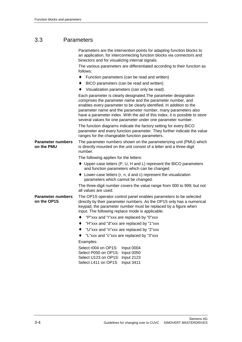## 3.3 Parameters

|                                         | Parameters are the intervention points for adapting function blocks to<br>an application, for interconnecting function blocks via connectors and<br>binectors and for visualizing internal signals.                                                                                                                                                                                                                   |  |  |  |  |  |  |  |
|-----------------------------------------|-----------------------------------------------------------------------------------------------------------------------------------------------------------------------------------------------------------------------------------------------------------------------------------------------------------------------------------------------------------------------------------------------------------------------|--|--|--|--|--|--|--|
|                                         | The various parameters are differentiated according to their function as<br>follows:                                                                                                                                                                                                                                                                                                                                  |  |  |  |  |  |  |  |
|                                         | Function parameters (can be read and written)<br>$\bullet$                                                                                                                                                                                                                                                                                                                                                            |  |  |  |  |  |  |  |
|                                         | BICO parameters (can be read and written)<br>٠                                                                                                                                                                                                                                                                                                                                                                        |  |  |  |  |  |  |  |
|                                         | Visualization parameters (can only be read).                                                                                                                                                                                                                                                                                                                                                                          |  |  |  |  |  |  |  |
|                                         | Each parameter is clearly designated. The parameter designation<br>comprises the parameter name and the parameter number, and<br>enables every parameter to be clearly identified. In addition to the<br>parameter name and the parameter number, many parameters also<br>have a parameter index. With the aid of this index, it is possible to store<br>several values for one parameter under one parameter number. |  |  |  |  |  |  |  |
|                                         | The function diagrams indicate the factory setting for every BICO<br>parameter and every function parameter. They further indicate the value<br>ranges for the changeable function parameters.                                                                                                                                                                                                                        |  |  |  |  |  |  |  |
| <b>Parameter numbers</b><br>on the PMU  | The parameter numbers shown on the parameterizing unit (PMU) which<br>is directly mounted on the unit consist of a letter and a three-digit<br>number.                                                                                                                                                                                                                                                                |  |  |  |  |  |  |  |
|                                         | The following applies for the letters:                                                                                                                                                                                                                                                                                                                                                                                |  |  |  |  |  |  |  |
|                                         | $\bullet$ Upper-case letters (P, U, H and L) represent the BICO parameters<br>and function parameters which can be changed                                                                                                                                                                                                                                                                                            |  |  |  |  |  |  |  |
|                                         | $\bullet$ Lower-case letters (r, n, d and c) represent the visualization<br>parameters which cannot be changed.                                                                                                                                                                                                                                                                                                       |  |  |  |  |  |  |  |
|                                         | The three-digit number covers the value range from 000 to 999; but not<br>all values are used.                                                                                                                                                                                                                                                                                                                        |  |  |  |  |  |  |  |
| <b>Parameter numbers</b><br>on the OP1S | The OP1S operator control panel enables parameters to be selected<br>directly by their parameter numbers. As the OP1S only has a numerical<br>keypad, the parameter number must be replaced by a figure when<br>input. The following replace mode is applicable:                                                                                                                                                      |  |  |  |  |  |  |  |
|                                         | "P"xxx and "r"xxx are replaced by "0"xxx<br>٠                                                                                                                                                                                                                                                                                                                                                                         |  |  |  |  |  |  |  |
|                                         | "H"xxx and "d"xxx are replaced by "1"xxx                                                                                                                                                                                                                                                                                                                                                                              |  |  |  |  |  |  |  |
|                                         | "U"xxx and "n"xxx are replaced by "2"xxx                                                                                                                                                                                                                                                                                                                                                                              |  |  |  |  |  |  |  |
|                                         | "L"xxx and "c"xxx are replaced by "3"xxx"                                                                                                                                                                                                                                                                                                                                                                             |  |  |  |  |  |  |  |
|                                         | Examples:                                                                                                                                                                                                                                                                                                                                                                                                             |  |  |  |  |  |  |  |
|                                         | Select r004 on OP1S:<br>Input 0004<br>Input 0050<br>Select P050 on OP1S:                                                                                                                                                                                                                                                                                                                                              |  |  |  |  |  |  |  |
|                                         | Select U123 on OP1S: Input 2123                                                                                                                                                                                                                                                                                                                                                                                       |  |  |  |  |  |  |  |
|                                         | Select L411 on OP1S<br>Input 3411                                                                                                                                                                                                                                                                                                                                                                                     |  |  |  |  |  |  |  |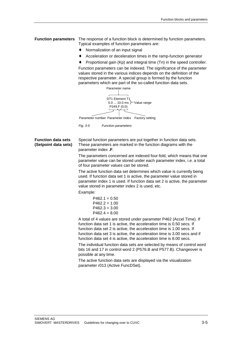**Function parameters** The response of a function block is determined by function parameters. Typical examples of function parameters are:

- Normalization of an input signal
- ♦ Acceleration or deceleration times in the ramp-function generator
- Proportional gain (Kp) and integral time (Tn) in the speed controller.

Function parameters can be indexed. The significance of the parameter values stored in the various indices depends on the definition of the respective parameter. A special group is formed by the function parameters which are part of the so-called function data sets.

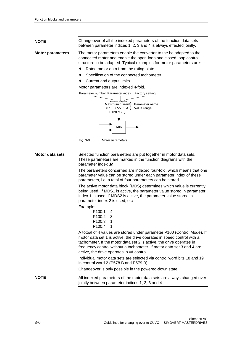| <b>NOTE</b>             | Changeover of all the indexed parameters of the function data sets<br>between parameter indices 1, 2, 3 and 4 is always effected jointly.                                                                                                                                                                                                        |  |  |  |  |  |  |  |
|-------------------------|--------------------------------------------------------------------------------------------------------------------------------------------------------------------------------------------------------------------------------------------------------------------------------------------------------------------------------------------------|--|--|--|--|--|--|--|
| <b>Motor parameters</b> | The motor parameters enable the converter to the be adapted to the<br>connected motor and enable the open-loop and closed-loop control<br>structure to be adapted. Typical examples for motor parameters are:<br>Rated motor data from the rating plate                                                                                          |  |  |  |  |  |  |  |
|                         | Specification of the connected tachometer<br>Current and output limits<br>٠                                                                                                                                                                                                                                                                      |  |  |  |  |  |  |  |
|                         | Motor parameters are indexed 4-fold.                                                                                                                                                                                                                                                                                                             |  |  |  |  |  |  |  |
|                         | Parameter number Parameter index Factory setting                                                                                                                                                                                                                                                                                                 |  |  |  |  |  |  |  |
|                         | Maximum current } Parameter name<br>0.1  6553.5 A $\}$ Value range<br>$P128.M (-)$<br>MIN                                                                                                                                                                                                                                                        |  |  |  |  |  |  |  |
|                         | Fig. 3-6<br>Motor parameters                                                                                                                                                                                                                                                                                                                     |  |  |  |  |  |  |  |
| Motor data sets         | Selected function parameters are put together in motor data sets.<br>These parameters are marked in the function diagrams with the<br>parameter index .M<br>The parameters concerned are indexed four-fold, which means that one                                                                                                                 |  |  |  |  |  |  |  |
|                         | parameter value can be stored under each parameter index of these<br>parameters, i.e. a total of four parameters can be stored.                                                                                                                                                                                                                  |  |  |  |  |  |  |  |
|                         | The active motor data block (MDS) determines which value is currently<br>being used. If MDS1 is active, the parameter value stored in parameter<br>index 1 is used, if MDS2 is active, the parameter value stored in<br>parameter index 2 is used, etc                                                                                           |  |  |  |  |  |  |  |
|                         | Example:<br>$P100.1 = 4$<br>$P100.2 = 3$<br>$P100.3 = 1$<br>$P100.4 = 1$                                                                                                                                                                                                                                                                         |  |  |  |  |  |  |  |
|                         | A totoal of 4 values are stored under parameter P100 (Control Mode). If<br>motor data set 1 is active, the drive operates in speed control with a<br>tachometer. If the motor data set 2 is active, the drive operates in<br>frequency control without a tachometer. If motor data set 3 and 4 are<br>active, the drive operates in v/f control. |  |  |  |  |  |  |  |
|                         | Individual motor data sets are selected via control word bits 18 and 19<br>in control word 2 (P578.B and P579.B).                                                                                                                                                                                                                                |  |  |  |  |  |  |  |
|                         | Changeover is only possible in the powered-down state.                                                                                                                                                                                                                                                                                           |  |  |  |  |  |  |  |
| <b>NOTE</b>             | All indexed parameters of the motor data sets are always changed over<br>jointly between parameter indices 1, 2, 3 and 4.                                                                                                                                                                                                                        |  |  |  |  |  |  |  |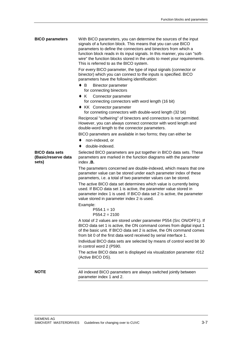| <b>BICO parameters</b>                                | With BICO parameters, you can determine the sources of the input<br>signals of a function block. This means that you can use BICO<br>parameters to define the connectors and binectors from which a<br>function block reads in its input signals. In this manner, you can "soft-<br>wire" the function blocks stored in the units to meet your requirements.<br>This is referred to as the BICO system.<br>For every BICO parameter, the type of input signals (connector or<br>binector) which you can connect to the inputs is specified. BICO<br>parameters have the following identification:<br>$\bullet$ B<br>Binector parameter<br>for connecting binectors<br>• K Connector parameter<br>for connecting connectors with word length (16 bit)<br>• KK Connector parameter<br>for conneting connectors with double-word length (32 bit)<br>Reciprocal "softwiring" of binectors and connectors is not permitted.<br>However, you can always connect connector with word length and<br>double-word length to the connector parameters.<br>BICO parameters are available in two forms; they can either be |  |  |  |  |  |  |  |
|-------------------------------------------------------|---------------------------------------------------------------------------------------------------------------------------------------------------------------------------------------------------------------------------------------------------------------------------------------------------------------------------------------------------------------------------------------------------------------------------------------------------------------------------------------------------------------------------------------------------------------------------------------------------------------------------------------------------------------------------------------------------------------------------------------------------------------------------------------------------------------------------------------------------------------------------------------------------------------------------------------------------------------------------------------------------------------------------------------------------------------------------------------------------------------|--|--|--|--|--|--|--|
|                                                       | non-indexed, or<br>٠                                                                                                                                                                                                                                                                                                                                                                                                                                                                                                                                                                                                                                                                                                                                                                                                                                                                                                                                                                                                                                                                                          |  |  |  |  |  |  |  |
|                                                       | double-indexed.<br>٠                                                                                                                                                                                                                                                                                                                                                                                                                                                                                                                                                                                                                                                                                                                                                                                                                                                                                                                                                                                                                                                                                          |  |  |  |  |  |  |  |
| <b>BICO data sets</b><br>(Basic/reserve data<br>sets) | Selected BICO parameters are put together in BICO data sets. These<br>parameters are marked in the function diagrams with the parameter<br>index . <b>B.</b>                                                                                                                                                                                                                                                                                                                                                                                                                                                                                                                                                                                                                                                                                                                                                                                                                                                                                                                                                  |  |  |  |  |  |  |  |
|                                                       | The parameters concerned are double-indexed, which means that one<br>parameter value can be stored under each parameter index of these<br>parameters, i.e. a total of two parameter values can be stored.                                                                                                                                                                                                                                                                                                                                                                                                                                                                                                                                                                                                                                                                                                                                                                                                                                                                                                     |  |  |  |  |  |  |  |
|                                                       | The active BICO data set determines which value is currently being<br>used. If BICO data set 1 is active, the parameter value stored in<br>parameter index 1 is used. If BICO data set 2 is active, the parameter<br>value stored in parameter index 2 is used.                                                                                                                                                                                                                                                                                                                                                                                                                                                                                                                                                                                                                                                                                                                                                                                                                                               |  |  |  |  |  |  |  |
|                                                       | Example:<br>$P554.1 = 10$<br>$P554.2 = 2100$                                                                                                                                                                                                                                                                                                                                                                                                                                                                                                                                                                                                                                                                                                                                                                                                                                                                                                                                                                                                                                                                  |  |  |  |  |  |  |  |
|                                                       | A total of 2 values are stored under parameter P554 (Src ON/OFF1). If<br>BICO data set 1 is active, the ON command comes from digital input 1<br>of the basic unit. If BICO data set 2 is active, the ON command comes<br>from bit 0 of the first data word received by serial interface 1.<br>Individual BICO data sets are selected by means of control word bit 30                                                                                                                                                                                                                                                                                                                                                                                                                                                                                                                                                                                                                                                                                                                                         |  |  |  |  |  |  |  |
|                                                       | in control word 2 (P590.                                                                                                                                                                                                                                                                                                                                                                                                                                                                                                                                                                                                                                                                                                                                                                                                                                                                                                                                                                                                                                                                                      |  |  |  |  |  |  |  |
|                                                       | The active BICO data set is displayed via visualization parameter r012<br>(Active BICO DS).                                                                                                                                                                                                                                                                                                                                                                                                                                                                                                                                                                                                                                                                                                                                                                                                                                                                                                                                                                                                                   |  |  |  |  |  |  |  |
| <b>NOTE</b>                                           | All indexed BICO parameters are always switched jointly between<br>parameter index 1 and 2.                                                                                                                                                                                                                                                                                                                                                                                                                                                                                                                                                                                                                                                                                                                                                                                                                                                                                                                                                                                                                   |  |  |  |  |  |  |  |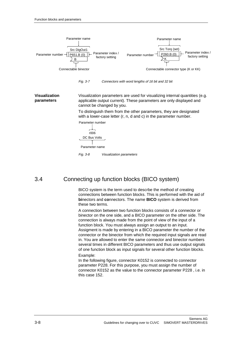

### 3.4 Connecting up function blocks (BICO system)

BICO system is the term used to descrbe the method of creating connections between function blocks. This is performed with the aid of **bi**nectors and **co**nnectors. The name **BICO** system is derived from these two terms.

A connection between two function blocks consists of a connector or binector on the one side, and a BICO parameter on the other side. The connection is always made from the point of view of the input of a function block. You must always assign an output to an input. Assigment is made by entering in a BICO parameter the number of the connector or the binector from which the required input signals are read in. You are allowed to enter the same connector and binector numbers several times in different BICO parameters and thus use output signals of one function block as input signals for several other function blocks. Example:

In the following figure, connector K0152 is connected to connector parameter P228. For this purpose, you must assign the number of connector K0152 as the value to the connector parameter P228 , i.e. in this case 152.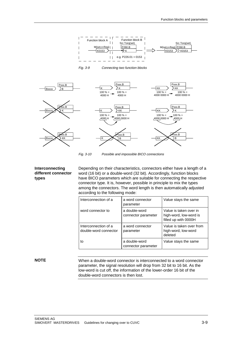

Fig. 3-9 Connecting two function blocks



Fig. 3-10 Possible and impossible BICO connections

#### **Interconnecting different connector types**

Depending on their characteristics, connectors either have a length of a word (16 bit) or a double-word (32 bit). Accordingly, function blocks have BICO parameters which are suitable for connecting the respective connector type. It is, however, possible in principle to mix the types among the connectors. The word length is then automatically adjusted according to the following mode:

| Interconnection of a                          | a word connector<br>parameter        | Value stays the same                                                     |  |  |  |
|-----------------------------------------------|--------------------------------------|--------------------------------------------------------------------------|--|--|--|
| word connector to                             | a double-word<br>connector parameter | Value is taken over in<br>high-word, low-word is<br>filled up with 0000H |  |  |  |
| Interconnection of a<br>double-word connector | a word connector<br>parameter        | Value is taken over from<br>high-word, low-word<br>deleted               |  |  |  |
| to                                            | a double-word<br>connector parameter | Value stays the same                                                     |  |  |  |

#### **NOTE**

When a double-word connector is interconnected to a word connector parameter, the signal resolution will drop from 32 bit to 16 bit. As the low-word is cut off, the information of the lower-order 16 bit of the double-word connectors is then lost.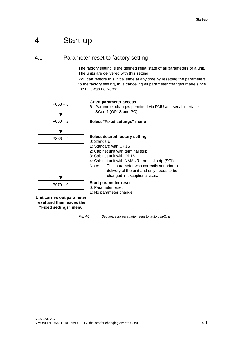## 4 Start-up

4.1 Parameter reset to factory setting

The factory setting is the defined initial state of all parameters of a unit. The units are delivered with this setting.

You can restore this initial state at any time by resetting the parameters to the factory setting, thus canceling all parameter changes made since the unit was delivered.



**reset and then leaves the "Fixed settings" menu**

Fig. 4-1 Sequence for parameter reset to factory setting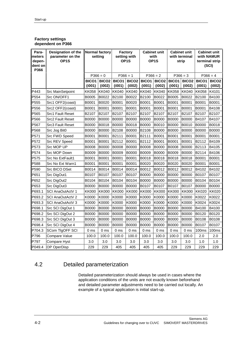#### **Factory settings dependent on P366**

| Para-<br>meters<br>depen-<br>dent on<br>P366 | Designation of the<br>parameter on the<br>OP <sub>1</sub> S | <b>Normal factory</b><br>setting |                             | <b>Factory</b><br>setting with<br>OP <sub>1</sub> S |                        | <b>Cabinet unit</b><br>with<br>OP <sub>1</sub> S |                        | <b>Cabinet unit</b><br>with terminal<br>strip |                        | <b>Cabinet unit</b><br>with NAMUR<br>terminal strip<br>(SCI) |                        |
|----------------------------------------------|-------------------------------------------------------------|----------------------------------|-----------------------------|-----------------------------------------------------|------------------------|--------------------------------------------------|------------------------|-----------------------------------------------|------------------------|--------------------------------------------------------------|------------------------|
|                                              |                                                             | $P366 = 0$                       |                             | $P366 = 1$                                          |                        | $P366 = 2$                                       |                        | $P366 = 3$                                    |                        | $P366 = 4$                                                   |                        |
|                                              |                                                             | <b>BICO1</b><br>(i001)           | BICO <sub>2</sub><br>(i002) | <b>BICO1</b><br>(i001)                              | <b>BICO2</b><br>(i002) | BICO1<br>(i001)                                  | <b>BICO2</b><br>(i002) | BICO1<br>(i001)                               | <b>BICO2</b><br>(i002) | BICO <sub>1</sub><br>(i001)                                  | <b>BICO2</b><br>(i002) |
| P443                                         | <b>Src MainSetpoint</b>                                     | KK058                            | <b>KK040</b>                | KK040                                               | <b>KK040</b>           | KK040                                            | <b>KK040</b>           | <b>KK058</b>                                  | <b>KK040</b>           | <b>KK058</b>                                                 | K4101                  |
| P554                                         | Src ON/OFF1                                                 | B0005                            | B0022                       | B2100                                               | B0022                  | B2100                                            | B0022                  | B0005                                         | B0022                  | B2100                                                        | B4100                  |
| P555                                         | Src1 OFF2(coast)                                            | B0001                            | B0020                       | B0001                                               | B0020                  | B0001                                            | B0001                  | B0001                                         | B0001                  | B0001                                                        | B0001                  |
| P556                                         | Src2 OFF2(coast)                                            | B0001                            | B0001                       | B0001                                               | B0001                  | B0001                                            | B0001                  | B0001                                         | B0001                  | B0001                                                        | B4108                  |
| P565                                         | Src1 Fault Reset                                            | B2107                            | B2107                       | B2107                                               | B2107                  | B2107                                            | B2107                  | B2107                                         | B2107                  | B2107                                                        | B2107                  |
| P566                                         | Src2 Fault Reset                                            | B0000                            | <b>B0000</b>                | <b>B0000</b>                                        | <b>B0000</b>           | <b>B0000</b>                                     | <b>B0000</b>           | <b>B0000</b>                                  | <b>B0000</b>           | B4107                                                        | B4107                  |
| P567                                         | Src3 Fault Reset                                            | B0000                            | B0018                       | <b>B0000</b>                                        | B0018                  | B0000                                            | B0010                  | <b>B0000</b>                                  | B0010                  | <b>B0000</b>                                                 | B0018                  |
| P568                                         | Src Jog Bit0                                                | <b>B0000</b>                     | <b>B0000</b>                | B2108                                               | <b>B0000</b>           | B2108                                            | <b>B0000</b>           | <b>B0000</b>                                  | <b>B0000</b>           | <b>B0000</b>                                                 | <b>B0000</b>           |
| P571                                         | Src FWD Speed                                               | B0001                            | B0001                       | B2111                                               | B0001                  | B2111                                            | B0001                  | B0001                                         | B0001                  | B0001                                                        | B0001                  |
| P572                                         | Src REV Speed                                               | B0001                            | B0001                       | B2112                                               | B0001                  | B2112                                            | B0001                  | B0001                                         | B0001                  | B2112                                                        | B4109                  |
| P573                                         | Src MOP UP                                                  | <b>B0008</b>                     | <b>B0000</b>                | <b>B0008</b>                                        | <b>B0000</b>           | <b>B0008</b>                                     | <b>B0000</b>           | <b>B0008</b>                                  | <b>B0000</b>           | B2113                                                        | B4105                  |
| P574                                         | Src MOP Down                                                | B0009                            | <b>B0000</b>                | B0009                                               | <b>B0000</b>           | B0009                                            | <b>B0000</b>           | B0009                                         | <b>B0000</b>           | B2114                                                        | B4106                  |
| P575                                         | Src No ExtFault1                                            | B0001                            | B0001                       | B0001                                               | B0001                  | B0018                                            | B0018                  | B0018                                         | B0018                  | B0001                                                        | B0001                  |
| P588                                         | Src No Ext Warn1                                            | B0001                            | B0001                       | B0001                                               | B0001                  | B0020                                            | B0020                  | B0020                                         | B0020                  | B0001                                                        | B0001                  |
| P590                                         | Src BICO DSet                                               | B0014                            | B0014                       | B0014                                               | B0014                  | B0012                                            | B0012                  | B0012                                         | B0012                  | B4102                                                        | B4102                  |
| P651                                         | Src DigOut1                                                 | B0107                            | B0107                       | B0107                                               | B0107                  | <b>B0000</b>                                     | <b>B0000</b>           | <b>B0000</b>                                  | <b>B0000</b>           | B0107                                                        | B0107                  |
| P652                                         | Src DigOut2                                                 | B0104                            | B0104                       | B0104                                               | B0104                  | B0000                                            | <b>B0000</b>           | B0000                                         | <b>B0000</b>           | B0104                                                        | B0104                  |
| P653                                         | Src DigOut3                                                 | B0000                            | <b>B0000</b>                | B0000                                               | <b>B0000</b>           | B0107                                            | B0107                  | B0107                                         | B0107                  | B0000                                                        | <b>B0000</b>           |
| P693.1                                       | SCI AnaOutActV 1                                            | KK000                            | <b>KK000</b>                | <b>KK000</b>                                        | <b>KK000</b>           | <b>KK000</b>                                     | <b>KK000</b>           | <b>KK000</b>                                  | <b>KK000</b>           | <b>KK020</b>                                                 | <b>KK020</b>           |
| P693.2                                       | SCI AnaOutActV 2                                            | K0000                            | K0000                       | K0000                                               | K0000                  | K0000                                            | K0000                  | K0000                                         | K0000                  | K0022                                                        | K0022                  |
| P693.3                                       | SCI AnaOutActV 3                                            | K0000                            | K0000                       | K0000                                               | K0000                  | K0000                                            | K0000                  | K0000                                         | K0000                  | K0024                                                        | K0024                  |
| P698.1                                       | Src SCI DigOut 1                                            | <b>B0000</b>                     | <b>B0000</b>                | <b>B0000</b>                                        | <b>B0000</b>           | B0000                                            | <b>B0000</b>           | <b>B0000</b>                                  | B0000                  | B4100                                                        | B4100                  |
| P698.2                                       | Src SCI DigOut 2                                            | B0000                            | <b>B0000</b>                | <b>B0000</b>                                        | <b>B0000</b>           | <b>B0000</b>                                     | <b>B0000</b>           | <b>B0000</b>                                  | <b>B0000</b>           | B0120                                                        | B0120                  |
| P698.3                                       | Src SCI DigOut 3                                            | B0000                            | <b>B0000</b>                | <b>B0000</b>                                        | <b>B0000</b>           | <b>B0000</b>                                     | <b>B0000</b>           | <b>B0000</b>                                  | <b>B0000</b>           | B0108                                                        | B0108                  |
| P698.4                                       | Src SCI DigOut 4                                            | <b>B0000</b>                     | <b>B0000</b>                | <b>B0000</b>                                        | B0000                  | <b>B0000</b>                                     | <b>B0000</b>           | B0000                                         | <b>B0000</b>           | B0107                                                        | B0107                  |
| P704.3                                       | SCom TIgOFF SCI                                             | 0 <sub>ms</sub>                  | 0 <sub>ms</sub>             | 0 ms                                                | 0 <sub>ms</sub>        | 0 ms                                             | 0 <sub>ms</sub>        | 0 <sub>ms</sub>                               | 0 <sub>ms</sub>        | 100 <sub>ms</sub>                                            | 100 <sub>ms</sub>      |
| P796                                         | Compare Value                                               | 100.0                            | 100.0                       | 100.0                                               | 100.0                  | 100.0                                            | 100.0                  | 100.0                                         | 100.0                  | 2.0                                                          | 2.0                    |
| P797                                         | Compare Hyst                                                | 3.0                              | 3.0                         | 3.0                                                 | 3.0                    | 3.0                                              | 3.0                    | 3.0                                           | 3.0                    | 1.0                                                          | 1.0                    |
| P049.4                                       | OP OperDisp                                                 | 229                              | 229                         | 405                                                 | 405                    | 405                                              | 405                    | 229                                           | 229                    | 229                                                          | 229                    |

### 4.2 Detailed parameterization

Detailed parameterization should always be used in cases where the application conditions of the units are not exactly known beforehand and detailed parameter adjustments need to be carried out locally. An example of a typical application is initial start-up.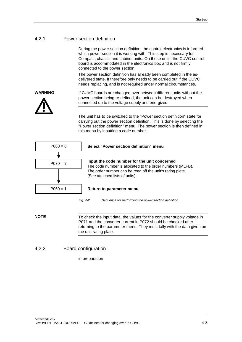#### 4.2.1 Power section definition

During the power section definition, the control electronics is informed which power section it is working with. This step is necessary for Compact, chassis and cabinet units. On these units, the CUVC control board is accommodated in the electronics box and is not firmly connected to the power section.

The power section definition has already been completed in the asdelivered state. It therefore only needs to be carried out if the CUVC needs replacing, and is not required under normal circumstances.

#### **WARNING**



If CUVC boards are changed over between different units without the power section being re-defined, the unit can be destroyed when connected up to the voltage supply and energized.

The unit has to be switched to the "Power section definition" state for carrying out the power section definition. This is done by selecting the "Power section definition" menu. The power section is then defined in this menu by inputting a code number.



#### **Select "Power section definition" menu**

**Input the code number for the unit concerned** The code number is allocated to the order numbers (MLFB). The order number can be read off the unit's rating plate. (See attached lists of units).

#### P060 = 1 **Return to parameter menu**

Fig. 4-2 Sequence for performing the power section definition

To check the input data, the values for the converter supply voltage in P071 and the converter current in P072 should be checked after returning to the parameter menu. They must tally with the data given on the unit rating plate. **NOTE**

#### 4.2.2 Board configuration

in preparation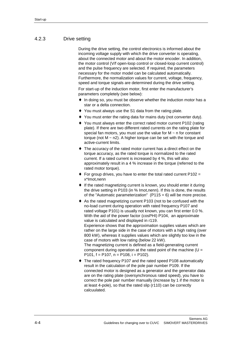#### 4.2.3 Drive setting

During the drive setting, the control electronics is informed about the incoming voltage supply with which the drive converter is operating, about the connected motor and about the motor encoder. In addition, the motor control (V/f open-loop control or closed-loop current control) and the pulse frequency are selected. If required, the parameters necessary for the motor model can be calculated automatically. Furthermore, the normalization values for current, voltage, frequency, speed and torque signals are determined during the drive setting.

For start-up of the induction motor, first enter the manufacturer's parameters completely (see below):

- In doing so, you must be observe whether the induction motor has a star or a delta connection.
- ♦ You must always use the S1 data from the rating plate.
- You must enter the rating data for mains duty (not converter duty).
- ♦ You must always enter the correct rated motor current P102 (rating plate). If there are two different rated currents on the rating plate for special fan motors, you must use the value for  $M \sim n$  for constant torque (not  $M \sim n2$ ). A higher torque can be set with the torque and active-current limits.
- ♦ The accuracy of the rated motor current has a direct effect on the torque accuracy, as the rated torque is normalized to the rated current. If a rated current is increased by 4 %, this will also approximately result in a 4 % increase in the torque (referred to the rated motor torque).
- $\bullet$  For group drives, you have to enter the total rated current P102 = x\*Imot,nenn
- ♦ If the rated magnetizing current is known, you should enter it during the drive setting in P103 (in % Imot,nenn). If this is done, the results of the "Automatic parameterization"  $(P115 = 6)$  will be more precise.
- ♦ As the rated magnetizing current P103 (not to be confused with the no-load current during operation with rated frequency P107 and rated voltage P101) is usually not known, you can first enter 0.0 %. With the aid of the power factor (cosPHI) P104, an approximate value is calculated and displayed in r119.

Experience shows that the approximation supplies values which are rather on the large side in the case of motors with a high rating (over 800 kW), whereas it supplies values which are slightly too low in the case of motors with low rating (below 22 kW).

The magnetizing current is defined as a field-generating current component during operation at the rated point of the machine  $(U =$ P101, f = P107, n = P108, i = P102).

The rated frequency P107 and the rated speed P108 automatically result in the calculation of the pole pair number P109. If the connected motor is designed as a generator and the generator data are on the rating plate (oversynchronous rated speed), you have to correct the pole pair number manually (increase by 1 if the motor is at least 4-pole), so that the rated slip (r110) can be correctly calcuulated.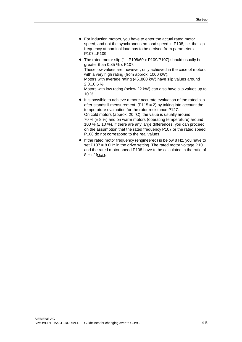- ♦ For induction motors, you have to enter the actual rated motor speed, and not the synchronous no-load speed in P108, i.e. the slip frequency at nominal load has to be derived from parameters P107...P109.
- ♦ The rated motor slip (1 P108/60 x P109/P107) should usually be greater than 0.35 % x P107. These low values are, however, only achieved in the case of motors with a very high rating (from approx. 1000 kW). Motors with average rating (45..800 kW) have slip values around 2.0...0.6 %.

Motors with low rating (below 22 kW) can also have slip values up to 10 %.

- ♦ It is possible to achieve a more accurate evaluation of the rated slip after standstill measurement ( $P115 = 2$ ) by taking into account the temperature evaluation for the rotor resistance P127. On cold motors (approx. 20 °C), the value is usually around 70 % ( $\pm$  8 %) and on warm motors (operating temperature) around 100 % (± 10 %). If there are any large differences, you can proceed on the assumption that the rated frequency P107 or the rated speed P108 do not correspond to the real values.
- ♦ If the rated motor frequency (engineered) is below 8 Hz, you have to set P107 = 8.0Hz in the drive setting. The rated motor voltage P101 and the rated motor speed P108 have to be calculated in the ratio of  $8$  Hz / f<sub>Mot, N</sub>.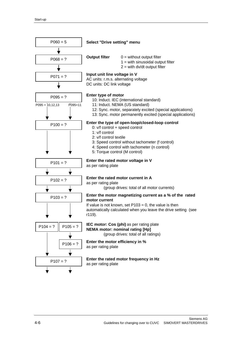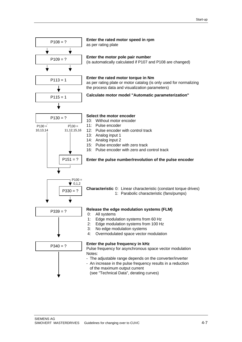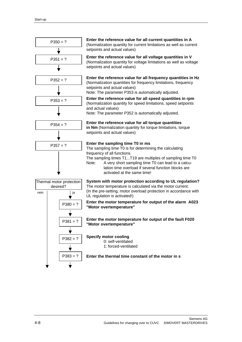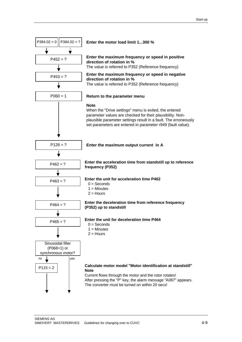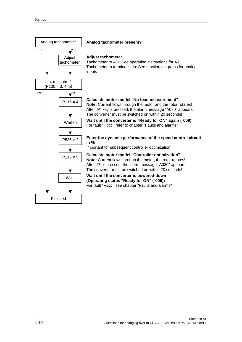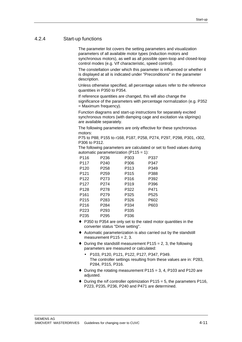#### 4.2.4 Start-up functions

The parameter list covers the setting parameters and visualization parameters of all available motor types (induction motors and synchronous motors), as well as all possible open-loop and closed-loop control modes (e.g. V/f characteristic, speed control).

The constellation under which this parameter is influenced or whether it is displayed at all is indicated under "Preconditions" in the parameter description.

Unless otherwise specified, all percentage values refer to the reference quantities in P350 to P354.

If reference quantities are changed, this will also change the significance of the parameters with percentage normalization (e.g. P352 = Maximum frequency).

Function diagrams and start-up instructions for separately excited synchronous motors (with damping cage and excitation via sliprings) are available separately.

The following parameters are only effective for these synchronous motors:

P75 to P88; P155 to r168, P187, P258, P274, P297, P298, P301, r302, P306 to P312.

The following parameters are calculated or set to fixed values during automatic parameterization (P115 = 1):

| P116             | P236             | P303 | P337 |
|------------------|------------------|------|------|
| P117             | P240             | P306 | P347 |
| P <sub>120</sub> | P258             | P313 | P349 |
| P <sub>121</sub> | P <sub>259</sub> | P315 | P388 |
| P122             | P273             | P316 | P392 |
| P127             | P274             | P319 | P396 |
| P128             | P278             | P322 | P471 |
| P161             | P <sub>279</sub> | P325 | P525 |
| P215             | P283             | P326 | P602 |
| P216             | P284             | P334 | P603 |
| P223             | P <sub>293</sub> | P335 |      |
| P235             | P295             | P336 |      |

- ♦ P350 to P354 are only set to the rated motor quantities in the converter status "Drive setting".
- ♦ Automatic parameterization is also carried out by the standstill measurement  $P115 = 2, 3$ .
- $\bullet$  During the standstill measurement P115 = 2, 3, the following parameters are measured or calculated:
	- P103, P120, P121, P122, P127, P347, P349. The controller settings resulting from these values are in: P283, P284, P315, P316.
- $\bullet$  During the rotating measurement P115 = 3, 4, P103 and P120 are adiusted.
- $\bullet$  During the n/f controller optimization P115 = 5, the parameters P116, P223, P235, P236, P240 and P471 are determined.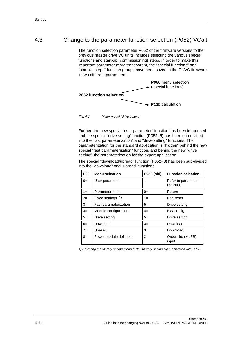## 4.3 Change to the parameter function selection (P052) VCalt

The function selection parameter P052 of the firmware versions to the previous master drive VC units includes selecting the various special functions and start-up (commissioning) steps. In order to make this important parameter more transparent, the "special functions" and "start-up steps" function groups have been saved in the CUVC firmware in two different parameters.



Fig. 4-2 Motor model (drive setting

Further, the new special "user parameter" function has been introduced and the special "drive setting"function (P052=5) has been sub-divided into the "fast parameterization" and "drive setting" functions. The parameterization for the standard application is "hidden" behind the new special "fast parameterization" function, and behind the new "drive setting", the parameterization for the expert application.

The special "download/upread" function (P052=3) has been sub-divided into the "download" and "upread" functions.

| <b>P60</b> | <b>Menu selection</b>   | P052 (old) | <b>Function selection</b>       |
|------------|-------------------------|------------|---------------------------------|
| $0=$       | User parameter          |            | Refer to parameter<br>list P060 |
| $1 =$      | Parameter menu          | $0=$       | Return                          |
| $2=$       | Fixed settings 1)       | $1 =$      | Par. reset                      |
| $3=$       | Fast parameterization   | $5=$       | Drive setting                   |
| $4=$       | Module configuration    | $4=$       | HW config.                      |
| $5=$       | Drive setting           | $5=$       | Drive setting                   |
| $6=$       | Download                | $3=$       | Download                        |
| $7=$       | Upread                  | $3=$       | Download                        |
| $8=$       | Power module definition | $2=$       | Order No. (MLFB)<br>input       |

1) Selecting the factory setting menu (P366 factory setting type, activated with P970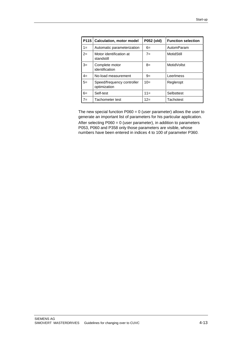| P <sub>115</sub> | <b>Calculation, motor model</b>            | P052 (old) | <b>Function selection</b> |
|------------------|--------------------------------------------|------------|---------------------------|
| $1 =$            | Automatic parameterization                 | $6=$       | AutomParam                |
| $2=$             | Motor identification at<br>standstill      | $7=$       | MotidStill                |
| $3=$             | Complete motor<br>identification           | $8=$       | MotidVollst               |
| $4=$             | No-load measurement                        | $9=$       | Leerlmess                 |
| $5=$             | Speed/frequency controller<br>optimization | $10=$      | Regleropt                 |
| $6=$             | Self-test                                  | $11 =$     | Selbsttest                |
| $7 =$            | Tachometer test                            | $12=$      | Tachotest                 |

The new special function  $P060 = 0$  (user parameter) allows the user to generate an important list of parameters for his particular application. After selecting P060 = 0 (user parameter), in addition to parameters P053, P060 and P358 only those parameters are visible, whose numbers have been entered in indices 4 to 100 of parameter P360.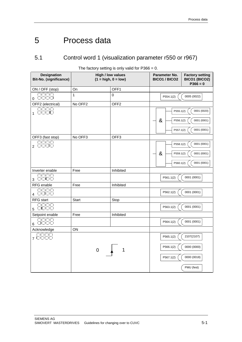# 5 Process data

## 5.1 Control word 1 (visualization parameter r550 or r967)

| <b>Designation</b><br><b>Bit-No. (significance)</b>                                                                                                                                                                                                                                                                                           | <b>High / low values</b><br>$(1 = high, 0 = low)$ |                  | Parameter No.<br><b>BICO1 / BICO2</b>    | <b>Factory setting</b><br>BICO1 (BICO2)<br>$P366 = 0$  |
|-----------------------------------------------------------------------------------------------------------------------------------------------------------------------------------------------------------------------------------------------------------------------------------------------------------------------------------------------|---------------------------------------------------|------------------|------------------------------------------|--------------------------------------------------------|
| ON / OFF (stop)                                                                                                                                                                                                                                                                                                                               | On                                                | OFF1             |                                          |                                                        |
| $\begin{picture}(40,40) \put(0,0){\line(1,0){155}} \put(15,0){\line(1,0){155}} \put(15,0){\line(1,0){155}} \put(15,0){\line(1,0){155}} \put(15,0){\line(1,0){155}} \put(15,0){\line(1,0){155}} \put(15,0){\line(1,0){155}} \put(15,0){\line(1,0){155}} \put(15,0){\line(1,0){155}} \put(15,0){\line(1,0){155}} \put(15,0){\line(1,0){155}} \$ | $\overline{1}$                                    | 0                | P554.1(2)                                | 0005 (0022)                                            |
| OFF2 (electrical)                                                                                                                                                                                                                                                                                                                             | No OFF <sub>2</sub>                               | OFF <sub>2</sub> |                                          |                                                        |
| oooo<br>$_1$ docid                                                                                                                                                                                                                                                                                                                            |                                                   |                  | P555.1(2)<br>&<br>P556.1(2)<br>P557.1(2) | 0001 (0020)<br>0001 (0001)<br>0001 (0001)              |
| OFF3 (fast stop)                                                                                                                                                                                                                                                                                                                              | No OFF3                                           | OFF <sub>3</sub> |                                          |                                                        |
| $_2$ 8860                                                                                                                                                                                                                                                                                                                                     |                                                   |                  | P558.1(2)<br>&<br>P559.1(2)<br>P560.1(2) | 0001 (0001)<br>0001 (0001)<br>0001 (0001)              |
| Inverter enable                                                                                                                                                                                                                                                                                                                               | Free                                              | Inhibited        |                                          |                                                        |
| பய<br>أتانتانتانتا<br>3                                                                                                                                                                                                                                                                                                                       |                                                   |                  | P561.1(2)                                | 0001 (0001)                                            |
| RFG enable                                                                                                                                                                                                                                                                                                                                    | Free                                              | Inhibited        |                                          |                                                        |
| $\overline{4}$ $\overline{11}$ $\overline{11}$ $\overline{11}$ $\overline{11}$                                                                                                                                                                                                                                                                |                                                   |                  | P562.1(2)                                | 0001 (0001)                                            |
| <b>RFG</b> start                                                                                                                                                                                                                                                                                                                              | Start                                             | Stop             |                                          |                                                        |
| OOOO<br><b>HOLORING</b><br>5                                                                                                                                                                                                                                                                                                                  |                                                   |                  | P563.1(2)                                | 0001 (0001)                                            |
| Setpoint enable                                                                                                                                                                                                                                                                                                                               | Free                                              | Inhibited        |                                          |                                                        |
| OCIOO<br>أحانجاتها المار<br>6                                                                                                                                                                                                                                                                                                                 |                                                   |                  | P564.1(2)                                | 0001 (0001)                                            |
| Acknowledge                                                                                                                                                                                                                                                                                                                                   | ON                                                |                  |                                          |                                                        |
| بكيبكيتك<br>7 OCIOO                                                                                                                                                                                                                                                                                                                           | $\mathbf 0$                                       | 1                | P565.1(2)<br>P566.1(2)<br>P567.1(2)      | 2107(2107)<br>0000 (0000)<br>0000 (0018)<br>PMU (fest) |

The factory setting is only valid for  $P366 = 0$ .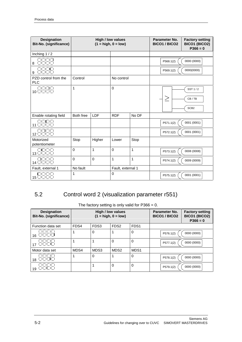| <b>Designation</b><br><b>Bit-No. (significance)</b> |             |                | <b>High / low values</b><br>$(1 = high, 0 = low)$ |       | Parameter No.<br><b>BICO1 / BICO2</b> | <b>Factory setting</b><br>BICO1 (BICO2)<br>$P366 = 0$ |
|-----------------------------------------------------|-------------|----------------|---------------------------------------------------|-------|---------------------------------------|-------------------------------------------------------|
| Inching $1/2$                                       |             |                |                                                   |       |                                       |                                                       |
| 8888<br>8                                           |             |                |                                                   |       | P568.1(2)                             | 0000 (0000)                                           |
| 8888<br>9                                           |             |                |                                                   |       | P569.1(2)                             | 0000(0000)                                            |
| PZD control from the<br><b>PLC</b>                  | Control     |                | No control                                        |       |                                       |                                                       |
| 10 8888                                             | 1           |                | $\mathbf 0$                                       |       |                                       | SST 1/2                                               |
|                                                     |             |                |                                                   |       | ╱                                     | CB/TB                                                 |
|                                                     |             |                |                                                   |       |                                       | SCB <sub>2</sub>                                      |
| Enable rotating field                               | Both free   | LDF            | <b>RDF</b>                                        | No DF |                                       |                                                       |
| 11 8888                                             |             |                |                                                   |       | P571.1(2)                             | 0001 (0001)                                           |
| 12 BUDER                                            |             |                |                                                   |       | P572.1(2)                             | 0001 (0001)                                           |
| Motorized<br>potentiometer                          | Stop        | Higher         | Lower                                             | Stop  |                                       |                                                       |
|                                                     | $\mathbf 0$ | 1              | $\Omega$                                          | 1     | P573.1(2)                             | 0008 (0008)                                           |
| 14 8888                                             | $\mathbf 0$ | $\overline{0}$ | 1                                                 | 1     | P574.1(2)                             | 0009 (0009)                                           |
| Fault, external 1                                   | No fault    |                | Fault, external 1                                 |       |                                       |                                                       |
| 白口口口<br>$15$ $\Box$ $\Box$ $\Box$ $\Box$            | 1           |                | $\mathbf 0$                                       |       | P575.1(2)                             | 0001 (0001)                                           |

## 5.2 Control word 2 (visualization parameter r551)

| <b>Designation</b><br>Bit-No. (significance) | High / low values<br>$(1 = high, 0 = low)$ |      |                  | Parameter No.<br><b>BICO1 / BICO2</b> | <b>Factory setting</b><br>BICO1 (BICO2)<br>$P366 = 0$ |             |
|----------------------------------------------|--------------------------------------------|------|------------------|---------------------------------------|-------------------------------------------------------|-------------|
| Function data set                            | FDS4                                       | FDS3 | FDS <sub>2</sub> | FDS <sub>1</sub>                      |                                                       |             |
| הורורור<br>الوابي الوالي<br>16               |                                            | 0    |                  | 0                                     | P576.1(2)                                             | 0000 (0000) |
| $   \cdot    \cdot   $<br>3000               |                                            |      | $\Omega$         | 0                                     | P577.1(2)                                             | 0000 (0000) |
| Motor data set                               | MDS4                                       | MDS3 | MDS <sub>2</sub> | MDS1                                  |                                                       |             |
| - 11 - 11 - 1<br>18                          |                                            | 0    |                  | 0                                     | P578.1(2)                                             | 0000 (0000) |
| كالكالكات<br>19                              |                                            |      | $\Omega$         | 0                                     | P579.1(2)                                             | 0000 (0000) |

The factory setting is only valid for  $P366 = 0$ .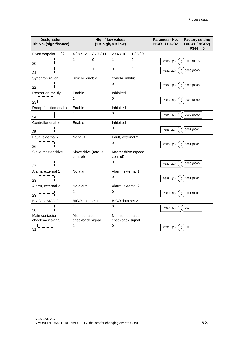| <b>Designation</b><br>Bit-No. (significance) | <b>High / low values</b><br>$(1 = high, 0 = low)$ |              | Parameter No.<br><b>BICO1 / BICO2</b> | <b>Factory setting</b><br>BICO1 (BICO2)<br>$P366 = 0$ |           |             |
|----------------------------------------------|---------------------------------------------------|--------------|---------------------------------------|-------------------------------------------------------|-----------|-------------|
| 1)<br><b>Fixed setpoint</b>                  | 4/8/12                                            | 3/7/11       | 2/6/10                                | 1/5/9                                                 |           |             |
| ت ات ات ات<br>$_{20}$ ciclicia               | $\mathbf{1}$                                      | $\Omega$     | $\mathbf{1}$                          | $\Omega$                                              | P580.1(2) | 0000 (0016) |
| اترات اترات<br>21 OCIOID                     | 1                                                 | $\mathbf{1}$ | 0                                     | $\mathbf 0$                                           | P581.1(2) | 0000 (0000) |
| Synchronization                              | Synchr. enable                                    |              | Synchr. inhibit                       |                                                       |           |             |
| 22 EILIEIE                                   | 1                                                 |              | $\Omega$                              |                                                       | P582.1(2) | 0000 (0000) |
| Restart-on-the-fly                           | Enable                                            |              | Inhibited                             |                                                       |           |             |
| اتا اتا اتا ات<br>$_{23}$ Cicles $\Box$      | 1                                                 |              | $\Omega$                              |                                                       | P583.1(2) | 0000 (0000) |
| Droop function enable                        | Enable                                            |              | Inhibited                             |                                                       |           |             |
| ووات<br>24 CIOCIDI                           | 1                                                 |              | $\Omega$                              |                                                       | P584.1(2) | 0000 (0000) |
| Controller enable                            | Enable                                            |              | Inhibited                             |                                                       |           |             |
| $25$ $\Box$                                  | 1                                                 |              | 0                                     |                                                       | P585.1(2) | 0001 (0001) |
| Fault, external 2                            | No fault                                          |              | Fault, external 2                     |                                                       |           |             |
| ت التابات<br>26 CIOICIO                      | 1                                                 |              | $\Omega$                              |                                                       | P586.1(2) | 0001 (0001) |
| Slave/master drive                           | Slave drive (torque<br>control)                   |              | Master drive (speed<br>control)       |                                                       |           |             |
| 27                                           | 1                                                 |              | $\Omega$                              |                                                       | P587.1(2) | 0000 (0000) |
| Alarm, external 1                            | No alarm                                          |              | Alarm, external 1                     |                                                       |           |             |
| 28 889                                       | 1                                                 |              | $\Omega$                              |                                                       | P588.1(2) | 0001 (0001) |
| Alarm, external 2                            | No alarm                                          |              | Alarm, external 2                     |                                                       |           |             |
| ا کا ایک ایک<br>$29$ iniciiciici             | 1                                                 |              | 0                                     |                                                       | P589.1(2) | 0001 (0001) |
| BICO1 / BICO 2                               | BICO data set 1                                   |              | BICO data set 2                       |                                                       |           |             |
|                                              | 1                                                 |              | 0                                     |                                                       | P590.1(2) | 0014        |
| Main contactor<br>checkback signal           | Main contactor<br>checkback signal                |              | No main contactor<br>checkback signal |                                                       |           |             |
| بكايكاتها<br>31 LILILI                       | 1                                                 |              | $\Omega$                              |                                                       | P591.1(2) | 0000        |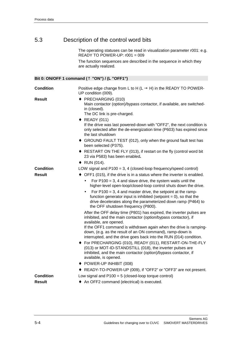## 5.3 Description of the control word bits

The operating statuses can be read in visualization parameter r001: e.g. READY TO POWER-UP: r001 = 009

The function sequences are described in the sequence in which they are actually realized.

#### **Bit 0: ON/OFF 1 command (**↑ **"ON") / (L "OFF1")**

| <b>Condition</b> | Positive edge change from L to H (L $\rightarrow$ H) in the READY TO POWER-<br>UP condition (009).                                                                                                                                                         |  |  |  |  |
|------------------|------------------------------------------------------------------------------------------------------------------------------------------------------------------------------------------------------------------------------------------------------------|--|--|--|--|
| Result           | ◆ PRECHARGING (010)<br>Main contactor (option)/bypass contactor, if available, are switched-<br>in (closed).<br>The DC link is pre-charged.<br>◆ READY (011)                                                                                               |  |  |  |  |
|                  | If the drive was last powered-down with "OFF2", the next condition is<br>only selected after the de-energization time (P603) has expired since<br>the last shutdown                                                                                        |  |  |  |  |
|                  | ♦ GROUND FAULT TEST (012), only when the ground fault test has<br>been selected (P375).                                                                                                                                                                    |  |  |  |  |
|                  | ◆ RESTART ON THE FLY (013), if restart on the fly (control word bit<br>23 via P583) has been enabled.                                                                                                                                                      |  |  |  |  |
|                  | ◆ RUN $(014)$ .                                                                                                                                                                                                                                            |  |  |  |  |
| <b>Condition</b> | LOW signal and $P100 = 3$ , 4 (closed-loop frequency/speed control)                                                                                                                                                                                        |  |  |  |  |
| Result           | $\bullet$ OFF1 (015), if the drive is in a status where the inverter is enabled.                                                                                                                                                                           |  |  |  |  |
|                  | For $P100 = 3$ , 4 and slave drive, the system waits until the<br>$\bullet$<br>higher-level open-loop/closed-loop control shuts down the drive.                                                                                                            |  |  |  |  |
|                  | For $P100 = 3$ , 4 and master drive, the setpoint at the ramp-<br>$\bullet$<br>function generator input is inhibited (setpoint $= 0$ ), so that the<br>drive decelerates along the parameterized down ramp (P464) to<br>the OFF shutdown frequency (P800). |  |  |  |  |
|                  | After the OFF delay time (P801) has expired, the inverter pulses are<br>inhibited, and the main contactor (option/bypass contactor), if<br>available, are opened.                                                                                          |  |  |  |  |
|                  | If the OFF1 command is withdrawn again when the drive is ramping-<br>down, (e.g. as the result of an ON command), ramp-down is<br>interrupted, and the drive goes back into the RUN (014) condition.                                                       |  |  |  |  |
|                  | ◆ For PRECHARGING (010), READY (011), RESTART-ON-THE-FLY<br>(013) or MOT-ID-STANDSTILL (018), the inverter pulses are<br>inhibited, and the main contactor (option)/bypass contactor, if<br>available, is opened.                                          |  |  |  |  |
|                  | ♦ POWER-UP INHIBIT (008)                                                                                                                                                                                                                                   |  |  |  |  |
|                  | ◆ READY-TO-POWER-UP (009), if "OFF2" or "OFF3" are not present.                                                                                                                                                                                            |  |  |  |  |
| <b>Condition</b> | Low signal and $P100 = 5$ (closed-loop torque control)                                                                                                                                                                                                     |  |  |  |  |
| Result           | An OFF2 command (electrical) is executed.                                                                                                                                                                                                                  |  |  |  |  |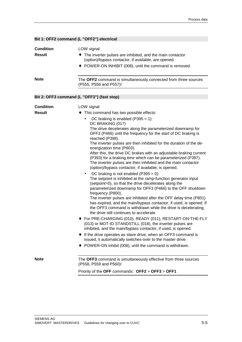#### **Bit 1: OFF2 command (L "OFF2") electrical** LOW signal ♦ The inverter pulses are inhibited, and the main contactor (option)/bypass contactor, if available, are opened. ♦ POWER-ON INHIBIT (008), until the command is removed. The **OFF2** command is simultaneously connected from three sources (P555, P556 and P557)! **Bit 2: OFF3 command (L "OFF3") (fast stop)** LOW signal ♦ This command has two possible effects: DC braking is enabled  $(P395 = 1)$ : DC BRAKING (017) The drive decelerates along the parameterized downramp for OFF3 (P466) until the frequency for the start of DC braking is reached (P398). The inverter pulses are then inhibited for the duration of the deenergization time (P603). After this, the drive DC brakes with an adjustable braking current (P393) for a braking time which can be parameterized (P397). The inverter pulses are then inhibited and the main contactor (option)/bypass contactor, if available, is opened. DC braking is not enabled  $(P395 = 0)$ : The setpoint is inhibited at the ramp-function generator input (setpoint=0), so that the drive decelerates along the parameterized downramp for OFF3 (P466) to the OFF shutdown frequency (P800). The inverter pulses are inhibited after the OFF delay time (P801) has expired, and the main/bypass contactor, if used, is opened. If the OFF3 command is withdrawn while the drive is decelerating, the drive still continues to accelerate. ♦ For PRE-CHARGING (010), READY (011), RESTART-ON-THE-FLY (013) or MOT-ID STANDSTILL (018), the inverter pulses are inhibited, and the main/bypass contactor, if used, is opened. ♦ If the drive operates as slave drive, when an OFF3 command is issued, it automatically switches-over to the master drive. POWER-ON inhibit (008), until the command is withdrawn. The **OFF3** command is simultaneously effective from three sources (P558, P559 and P560)! Priority of the **OFF** commands: **OFF2** > **OFF3** > **OFF1 Condition Result Note Condition Result Note**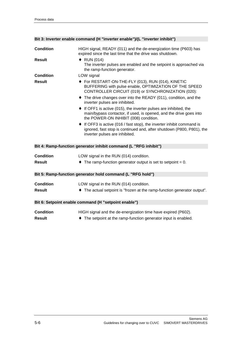| <b>Condition</b> | HIGH signal, READY (011) and the de-energization time (P603) has<br>expired since the last time that the drive was shutdown.                                                              |
|------------------|-------------------------------------------------------------------------------------------------------------------------------------------------------------------------------------------|
| <b>Result</b>    | $\bullet$ RUN (014)                                                                                                                                                                       |
|                  | The inverter pulses are enabled and the setpoint is approached via<br>the ramp-function generator.                                                                                        |
| <b>Condition</b> | LOW signal                                                                                                                                                                                |
| <b>Result</b>    | ◆ For RESTART-ON-THE-FLY (013), RUN (014), KINETIC<br>BUFFERING with pulse enable, OPTIMIZATION OF THE SPEED<br>CONTROLLER CIRCUIT (019) or SYNCHRONIZATION (020):                        |
|                  | • The drive changes over into the READY (011), condition, and the<br>inverter pulses are inhibited.                                                                                       |
|                  | $\bullet$ If OFF1 is active (015), the inverter pulses are inhibited, the<br>main/bypass contactor, if used, is opened, and the drive goes into<br>the POWER-ON INHIBIT (008) condition.  |
|                  | $\bullet$ If OFF3 is active (016 / fast stop), the inverter inhibit command is<br>ignored, fast stop is continued and, after shutdown (P800, P801), the<br>inverter pulses are inhibited. |
|                  | Bit 4: Ramp-function generator inhibit command (L "RFG inhibit")                                                                                                                          |
|                  |                                                                                                                                                                                           |
| <b>Condition</b> | LOW signal in the RUN (014) condition.                                                                                                                                                    |
| <b>Result</b>    | The ramp-function generator output is set to setpoint $= 0$ .                                                                                                                             |
|                  | Bit 5: Ramp-function generator hold command (L "RFG hold")                                                                                                                                |
|                  |                                                                                                                                                                                           |
| <b>Condition</b> | LOW signal in the RUN (014) condition.                                                                                                                                                    |
| <b>Result</b>    | The actual setpoint is "frozen at the ramp-function generator output".                                                                                                                    |
|                  | Bit 6: Setpoint enable command (H "setpoint enable")                                                                                                                                      |
|                  |                                                                                                                                                                                           |
| <b>Condition</b> | HIGH signal and the de-energization time have expired (P602).                                                                                                                             |
| <b>Result</b>    | The setpoint at the ramp-function generator input is enabled.                                                                                                                             |

#### **Bit 3: Inverter enable command (H "inverter enable")/(L "inverter inhibit")**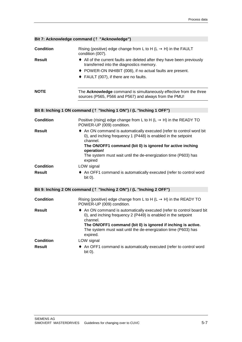| Bit 7: Acknowledge command ( <sup><math>\uparrow</math></sup> "Acknowledge") |                                                                                                                                                                           |  |  |  |  |
|------------------------------------------------------------------------------|---------------------------------------------------------------------------------------------------------------------------------------------------------------------------|--|--|--|--|
| <b>Condition</b><br><b>Result</b>                                            | Rising (positive) edge change from L to H (L $\rightarrow$ H) in the FAULT<br>condition (007).<br>• All of the current faults are deleted after they have been previously |  |  |  |  |
|                                                                              | transferred into the diagnostics memory.                                                                                                                                  |  |  |  |  |
|                                                                              | ◆ POWER-ON INHIBIT (008), if no actual faults are present.                                                                                                                |  |  |  |  |
|                                                                              | ◆ FAULT (007), if there are no faults.                                                                                                                                    |  |  |  |  |
|                                                                              |                                                                                                                                                                           |  |  |  |  |
| <b>NOTE</b>                                                                  | The Acknowledge command is simultaneously effective from the three<br>sources (P565, P566 and P567) and always from the PMU!                                              |  |  |  |  |
|                                                                              |                                                                                                                                                                           |  |  |  |  |
|                                                                              | Bit 8: Inching 1 ON command ( $\uparrow$ "Inching 1 ON") / (L "Inching 1 OFF")                                                                                            |  |  |  |  |
|                                                                              |                                                                                                                                                                           |  |  |  |  |
| <b>Condition</b>                                                             | Positive (rising) edge change from L to H (L $\rightarrow$ H) in the READY TO<br>POWER-UP (009) condition.                                                                |  |  |  |  |
| <b>Result</b>                                                                | • An ON command is automatically executed (refer to control word bit<br>0), and inching frequency 1 (P448) is enabled in the setpoint<br>channel.                         |  |  |  |  |
|                                                                              | The ON/OFF1 command (bit 0) is ignored for active inching<br>operation!                                                                                                   |  |  |  |  |
|                                                                              | The system must wait until the de-energization time (P603) has<br>expired                                                                                                 |  |  |  |  |
| <b>Condition</b>                                                             | LOW signal                                                                                                                                                                |  |  |  |  |
| <b>Result</b>                                                                | • An OFF1 command is automatically executed (refer to control word<br>bit 0).                                                                                             |  |  |  |  |
|                                                                              | Bit 9: Inching 2 ON command ( $\uparrow$ "Inching 2 ON") / (L "Inching 2 OFF")                                                                                            |  |  |  |  |
| <b>Condition</b>                                                             | Rising (positive) edge change from L to H (L $\rightarrow$ H) in the READY TO<br>POWER-UP (009) condition.                                                                |  |  |  |  |
| <b>Result</b>                                                                | • An ON command is automatically executed (refer to control board bit<br>0), and inching frequency 2 (P449) is enabled in the setpoint                                    |  |  |  |  |
|                                                                              | channel.<br>The ON/OFF1 command (bit 0) is ignored if inching is active.<br>The system must wait until the de-energization time (P603) has<br>expired.                    |  |  |  |  |
| <b>Condition</b>                                                             | LOW signal                                                                                                                                                                |  |  |  |  |
| <b>Result</b>                                                                | An OFF1 command is automatically executed (refer to control word<br>bit 0).                                                                                               |  |  |  |  |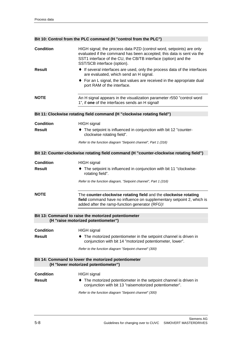#### **Bit 10: Control from the PLC command (H "control from the PLC")**

| <b>Condition</b> | HIGH signal; the process data PZD (control word, setpoints) are only<br>evaluated if the command has been accepted; this data is sent via the<br>SST1 interface of the CU, the CB/TB interface (option) and the<br>SST/SCB interface (option). |
|------------------|------------------------------------------------------------------------------------------------------------------------------------------------------------------------------------------------------------------------------------------------|
| Result           | • If several interfaces are used, only the process data of the interfaces<br>are evaluated, which send an H signal.                                                                                                                            |
|                  | • For an L signal, the last values are received in the appropriate dual<br>port RAM of the interface.                                                                                                                                          |
| <b>NOTE</b>      | An H signal appears in the visualization parameter r550 "control word<br>1", if one of the interfaces sends an H signal!                                                                                                                       |
|                  | Bit 11: Clockwise rotating field command (H "clockwise rotating field")                                                                                                                                                                        |
| <b>Condition</b> | <b>HIGH</b> signal                                                                                                                                                                                                                             |
| <b>Result</b>    | • The setpoint is influenced in conjunction with bit 12 "counter-<br>clockwise rotating field".                                                                                                                                                |
|                  | Refer to the function diagram "Setpoint channel", Part 1 (316)                                                                                                                                                                                 |
|                  | Bit 12: Counter-clockwise rotating field command (H "counter-clockwise rotating field")                                                                                                                                                        |
| <b>Condition</b> | <b>HIGH</b> signal                                                                                                                                                                                                                             |
| <b>Result</b>    | • The setpoint is influenced in conjunction with bit 11 "clockwise-<br>rotating field".                                                                                                                                                        |
|                  | Refer to the function diagram, "Setpoint channel", Part 1 (316)                                                                                                                                                                                |
| <b>NOTE</b>      | The counter-clockwise rotating field and the clockwise rotating<br>field command have no influence on supplementary setpoint 2, which is<br>added after the ramp-function generator (RFG)!                                                     |
|                  | Bit 13: Command to raise the motorized potentiometer<br>(H "raise motorized potentiometer")                                                                                                                                                    |
| <b>Condition</b> |                                                                                                                                                                                                                                                |
| <b>Result</b>    | <b>HIGH</b> signal<br>The motorized potentiometer in the setpoint channel is driven in                                                                                                                                                         |
|                  | conjunction with bit 14 "motorized potentiometer, lower".                                                                                                                                                                                      |
|                  | Refer to the function diagram "Setpoint channel" (300)                                                                                                                                                                                         |
|                  | Bit 14: Command to lower the motorized potentiometer<br>(H "lower motorized potentiometer")                                                                                                                                                    |
| <b>Condition</b> | <b>HIGH</b> signal                                                                                                                                                                                                                             |
| <b>Result</b>    | The motorized potentiometer in the setpoint channel is driven in<br>conjunction with bit 13 "raisemotorized potentiometer".                                                                                                                    |
|                  | Refer to the function diagram "Setpoint channel" (300)                                                                                                                                                                                         |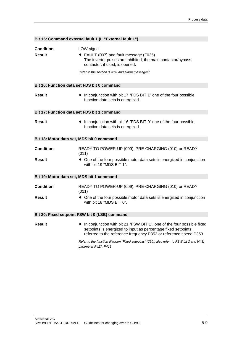|                                           | Bit 15: Command external fault 1 (L "External fault 1")                                                                                                                                                       |  |  |  |  |
|-------------------------------------------|---------------------------------------------------------------------------------------------------------------------------------------------------------------------------------------------------------------|--|--|--|--|
| <b>Condition</b><br><b>Result</b>         | LOW signal<br>FAULT (007) and fault message (F035).<br>The inverter pulses are inhibited, the main contactor/bypass<br>contactor, if used, is opened.<br>Refer to the section "Fault- and alarm messages"     |  |  |  |  |
|                                           | Bit 16: Function data set FDS bit 0 command                                                                                                                                                                   |  |  |  |  |
| <b>Result</b>                             | • In conjunction with bit 17 "FDS BIT 1" one of the four possible<br>function data sets is energized.                                                                                                         |  |  |  |  |
|                                           | Bit 17: Function data set FDS bit 1 command                                                                                                                                                                   |  |  |  |  |
| <b>Result</b>                             | • In conjunction with bit 16 "FDS BIT 0" one of the four possible<br>function data sets is energized.                                                                                                         |  |  |  |  |
| Bit 18: Motor data set, MDS bit 0 command |                                                                                                                                                                                                               |  |  |  |  |
| <b>Condition</b>                          | READY TO POWER-UP (009), PRE-CHARGING (010) or READY<br>(011)                                                                                                                                                 |  |  |  |  |
| <b>Result</b>                             | • One of the four possible motor data sets is energized in conjunction<br>with bit 19 "MDS BIT 1".                                                                                                            |  |  |  |  |
| Bit 19: Motor data set, MDS bit 1 command |                                                                                                                                                                                                               |  |  |  |  |
| <b>Condition</b>                          | READY TO POWER-UP (009), PRE-CHARGING (010) or READY<br>(011)                                                                                                                                                 |  |  |  |  |
| Result                                    | • One of the four possible motor data sets is energized in conjunction<br>with bit 18 "MDS BIT 0".                                                                                                            |  |  |  |  |
|                                           | Bit 20: Fixed setpoint FSW bit 0 (LSB) command                                                                                                                                                                |  |  |  |  |
| <b>Result</b>                             | In conjunction with bit 21 "FSW BIT 1", one of the four possible fixed<br>setpoints is energized to input as percentage fixed setpoints,<br>referred to the reference frequency P352 or reference speed P353. |  |  |  |  |
|                                           | Refer to the function diagram "Fixed setpoints" (290), also refer to FSW bit 2 and bit 3,<br>parameter P417, P418                                                                                             |  |  |  |  |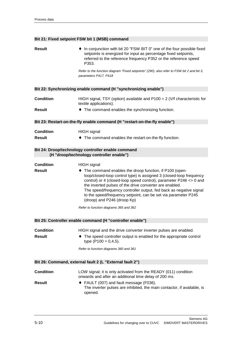#### **Bit 21: Fixed setpoint FSW bit 1 (MSB) command**

| <b>Result</b>    | • In conjunction with bit 20 "FSW BIT 0" one of the four possible fixed<br>setpoints is energized for input as percentage fixed setpoints,<br>referred to the reference frequency P352 or the reference speed<br>P353.                                                                                                                                                                                                                  |
|------------------|-----------------------------------------------------------------------------------------------------------------------------------------------------------------------------------------------------------------------------------------------------------------------------------------------------------------------------------------------------------------------------------------------------------------------------------------|
|                  | Refer to the function diagram "Fixed setpoints" (290), also refer to FSW bit 2 and bit 3,<br>parameters P417, P418                                                                                                                                                                                                                                                                                                                      |
|                  | Bit 22: Synchronizing enable command (H "synchronizing enable")                                                                                                                                                                                                                                                                                                                                                                         |
| <b>Condition</b> | HIGH signal, TSY (option) available and $P100 = 2$ (V/f characteristic for<br>textile applications).                                                                                                                                                                                                                                                                                                                                    |
| <b>Result</b>    | • The command enables the synchronizing function.                                                                                                                                                                                                                                                                                                                                                                                       |
|                  | Bit 23: Restart-on-the-fly enable command (H "restart-on-the-fly enable")                                                                                                                                                                                                                                                                                                                                                               |
| <b>Condition</b> | <b>HIGH</b> signal                                                                                                                                                                                                                                                                                                                                                                                                                      |
| <b>Result</b>    | • The command enables the restart-on-the-fly function.                                                                                                                                                                                                                                                                                                                                                                                  |
|                  | Bit 24: Droop/technology controller enable command<br>(H "droop/technology controller enable")                                                                                                                                                                                                                                                                                                                                          |
| <b>Condition</b> | <b>HIGH</b> signal                                                                                                                                                                                                                                                                                                                                                                                                                      |
| <b>Result</b>    | • The command enables the droop function, if P100 (open-<br>loop/closed-loop control type) is assigned 3 (closed-loop frequency<br>control) or 4 (closed-loop speed control), parameter P246 <> 0 and<br>the inverted pulses of the drive converter are enabled.<br>The speed/frequency controller output, fed back as negative signal<br>to the speed/frequency setpoint, can be set via parameter P245<br>(droop) and P246 (droop Kp) |
|                  | Refer to function diagrams 365 and 362                                                                                                                                                                                                                                                                                                                                                                                                  |
|                  | Bit 25: Controller enable command (H "controller enable")                                                                                                                                                                                                                                                                                                                                                                               |
| <b>Condition</b> | HIGH signal and the drive converter inverter pulses are enabled.                                                                                                                                                                                                                                                                                                                                                                        |
| <b>Result</b>    | • The speed controller output is enabled for the appropriate control<br>type $(P100 = 0, 4, 5)$ .                                                                                                                                                                                                                                                                                                                                       |
|                  | Refer to function diagrams 360 and 361                                                                                                                                                                                                                                                                                                                                                                                                  |
|                  | Bit 26: Command, external fault 2 (L "External fault 2")                                                                                                                                                                                                                                                                                                                                                                                |
| <b>Condition</b> | LOW signal; it is only activated from the READY (011) condition<br>onwards and after an additional time delay of 200 ms.                                                                                                                                                                                                                                                                                                                |
| <b>Result</b>    | ◆ FAULT (007) and fault message (F036).<br>The inverter pulses are inhibited, the main contactor, if available, is<br>opened.                                                                                                                                                                                                                                                                                                           |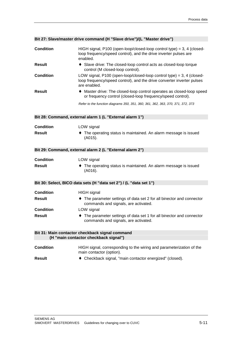| <b>Condition</b> | HIGH signal, P100 (open-loop/closed-loop control type) = $3, 4$ (closed-<br>loop frequency/speed control), and the drive inverter pulses are<br>enabled.          |
|------------------|-------------------------------------------------------------------------------------------------------------------------------------------------------------------|
| <b>Result</b>    | • Slave drive: The closed-loop control acts as closed-loop torque<br>control (M closed-loop control).                                                             |
| <b>Condition</b> | LOW signal, P100 (open-loop/closed-loop control type) = $3, 4$ (closed-<br>loop frequency/speed control), and the drive converter inverter pulses<br>are enabled. |
| <b>Result</b>    | • Master drive: The closed-loop control operates as closed-loop speed<br>or frequency control (closed-loop frequency/speed control).                              |
|                  | Refer to the function diagrams 350, 351, 360, 361, 362, 363, 370, 371, 372, 373                                                                                   |
|                  | Bit 28: Command, external alarm 1 (L "External alarm 1")                                                                                                          |
| <b>Condition</b> | LOW signal                                                                                                                                                        |
| <b>Result</b>    | The operating status is maintained. An alarm message is issued<br>(A015).                                                                                         |
|                  | Bit 29: Command, external alarm 2 (L "External alarm 2")                                                                                                          |
| <b>Condition</b> | LOW signal                                                                                                                                                        |
| <b>Result</b>    | The operating status is maintained. An alarm message is issued<br>(A016).                                                                                         |
|                  | Bit 30: Select, BICO data sets (H "data set 2") / (L "data set 1")                                                                                                |
| <b>Condition</b> | <b>HIGH</b> signal                                                                                                                                                |
| <b>Result</b>    | • The parameter settings of data set 2 for all binector and connector<br>commands and signals, are activated.                                                     |
| <b>Condition</b> | LOW signal                                                                                                                                                        |
| <b>Result</b>    | The parameter settings of data set 1 for all binector and connector<br>commands and signals, are activated.                                                       |
|                  | Bit 31: Main contactor checkback signal command<br>(H "main contactor checkback signal")                                                                          |
| <b>Condition</b> | HIGH signal, corresponding to the wiring and parameterization of the<br>main contactor (option).                                                                  |
| <b>Result</b>    | Checkback signal, "main contactor energized" (closed).                                                                                                            |

#### **Bit 27: Slave/master drive command (H "Slave drive")/(L "Master drive")**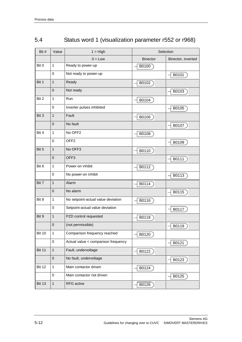| Bit #         | Value          | $1 = High$                          | Selection       |                    |
|---------------|----------------|-------------------------------------|-----------------|--------------------|
|               |                | $0 = Low$                           | <b>Binector</b> | Binector, inverted |
| Bit 0         | $\mathbf{1}$   | Ready to power-up                   | B0100           |                    |
|               | $\Omega$       | Not ready to power-up               |                 | B0101              |
| Bit 1         | $\mathbf{1}$   | Ready                               | B0102           |                    |
|               | $\mathbf 0$    | Not ready                           |                 | B0103              |
| Bit 2         | $\mathbf{1}$   | Run                                 | B0104           |                    |
|               | $\pmb{0}$      | Inverter pulses inhibited           |                 | B0105              |
| Bit 3         | $\mathbf{1}$   | Fault                               | B0106           |                    |
|               | $\overline{0}$ | No fault                            |                 | B0107              |
| Bit 4         | 1              | No OFF <sub>2</sub>                 | B0108           |                    |
|               | $\mathbf 0$    | OFF <sub>2</sub>                    |                 | B0109              |
| Bit 5         | $\mathbf{1}$   | No OFF3                             | B0110           |                    |
|               | $\mathbf{0}$   | OFF <sub>3</sub>                    |                 | B0111              |
| Bit 6         | $\mathbf{1}$   | Power-on inhibit                    | B0112           |                    |
|               | $\mathbf 0$    | No power-on inhibit                 |                 | B0113              |
| Bit 7         | $\mathbf{1}$   | Alarm                               | B0114           |                    |
|               | $\overline{0}$ | No alarm                            |                 | B0115              |
| Bit 8         | $\mathbf{1}$   | No setpoint-actual value deviation  | B0116           |                    |
|               | $\mathbf 0$    | Setpoint-actual value deviation     |                 | B0117              |
| Bit 9         | $\mathbf{1}$   | PZD control requested               | B0118           |                    |
|               | $\mathbf{0}$   | (not permissible)                   |                 | B0119              |
| <b>Bit 10</b> | $\mathbf{1}$   | Comparison frequency reached        | B0120           |                    |
|               | $\mathbf 0$    | Actual value < comparison frequency |                 | B0121              |
| <b>Bit 11</b> | $\mathbf{1}$   | Fault, undervoltage                 | B0122           |                    |
|               | $\pmb{0}$      | No fault, undervoltage              |                 | B0123              |
| <b>Bit 12</b> | $\mathbf 1$    | Main contactor driven               | B0124           |                    |
|               | 0              | Main contactor not driven           |                 | B0125              |
| <b>Bit 13</b> | $\mathbf{1}$   | RFG active                          | B0126           |                    |

## 5.4 Status word 1 (visualization parameter r552 or r968)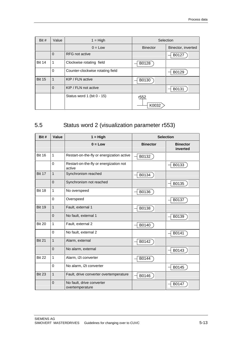| Bit $#$       | Value          | $1 = High$                       | Selection       |                    |
|---------------|----------------|----------------------------------|-----------------|--------------------|
|               |                | $0 = Low$                        | <b>Binector</b> | Binector, inverted |
|               | $\Omega$       | <b>RFG</b> not active            |                 | B0127              |
| <b>Bit 14</b> | 1              | Clockwise rotating field         | B0128           |                    |
|               | $\mathbf 0$    | Counter-clockwise rotating field |                 | B0129              |
| <b>Bit 15</b> | $\mathbf{1}$   | KIP / FLN active                 | B0130           |                    |
|               | $\overline{0}$ | KIP / FLN not active             |                 | B0131              |
|               |                | Status word 1 (bit 0 - 15)       | r552<br>K0032   |                    |

## 5.5 Status word 2 (visualization parameter r553)

| Bit #         | Value          | $1 = High$                                       |                 | <b>Selection</b>            |
|---------------|----------------|--------------------------------------------------|-----------------|-----------------------------|
|               |                | $0 = Low$                                        | <b>Binector</b> | <b>Binector</b><br>inverted |
| <b>Bit 16</b> | $\mathbf{1}$   | Restart-on-the-fly or energization active        | B0132           |                             |
|               | 0              | Restart-on-the-fly or energization not<br>active |                 | B0133                       |
| <b>Bit 17</b> | $\mathbf{1}$   | Synchronism reached                              | B0134           |                             |
|               | $\Omega$       | Synchronism not reached                          |                 | B0135                       |
| <b>Bit 18</b> | 1              | No overspeed                                     | B0136           |                             |
|               | $\Omega$       | Overspeed                                        |                 | B0137                       |
| <b>Bit 19</b> | $\mathbf{1}$   | Fault, external 1                                | B0138           |                             |
|               | $\Omega$       | No fault, external 1                             |                 | B0139                       |
| <b>Bit 20</b> | $\mathbf{1}$   | Fault, external 2                                | B0140           |                             |
|               | $\Omega$       | No fault, external 2                             |                 | B0141                       |
| <b>Bit 21</b> | $\mathbf{1}$   | Alarm, external                                  | B0142           |                             |
|               | $\Omega$       | No alarm, external                               |                 | B0143                       |
| <b>Bit 22</b> | $\mathbf{1}$   | Alarm, i2t converter                             | B0144           |                             |
|               | 0              | No alarm, i2t converter                          |                 | B0145                       |
| <b>Bit 23</b> | $\mathbf{1}$   | Fault, drive converter overtemperature           | B0146           |                             |
|               | $\overline{0}$ | No fault, drive converter<br>overtemperature     |                 | B0147                       |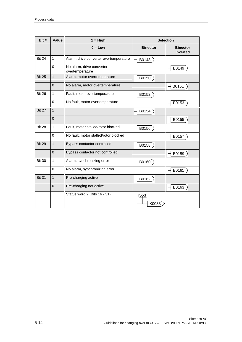| Bit #         | Value          | $1 = High$                                   | <b>Selection</b> |                             |
|---------------|----------------|----------------------------------------------|------------------|-----------------------------|
|               |                | $0 = Low$                                    | <b>Binector</b>  | <b>Binector</b><br>inverted |
| <b>Bit 24</b> | $\overline{1}$ | Alarm, drive converter overtemperature       | B0148            |                             |
|               | $\mathbf 0$    | No alarm, drive converter<br>overtemperature |                  | B0149                       |
| <b>Bit 25</b> | $\overline{1}$ | Alarm, motor overtemperature                 | B0150            |                             |
|               | $\mathbf{0}$   | No alarm, motor overtemperature              |                  | B0151                       |
| <b>Bit 26</b> | $\mathbf{1}$   | Fault, motor overtemperature                 | B0152            |                             |
|               | $\mathbf 0$    | No fault, motor overtemperature              |                  | B0153                       |
| <b>Bit 27</b> | $\overline{1}$ |                                              | B0154            |                             |
|               | $\overline{0}$ |                                              |                  | B0155                       |
| <b>Bit 28</b> | $\mathbf{1}$   | Fault, motor stalled/rotor blocked           | B0156            |                             |
|               | $\Omega$       | No fault, motor stalled/rotor blocked        |                  | B0157                       |
| <b>Bit 29</b> | $\overline{1}$ | Bypass contactor controlled                  | B0158            |                             |
|               | $\overline{0}$ | Bypass contactor not controlled              |                  | B0159                       |
| <b>Bit 30</b> | $\mathbf{1}$   | Alarm, synchronizing error                   | B0160            |                             |
|               | $\mathbf 0$    | No alarm, synchronizing error                |                  | B0161                       |
| <b>Bit 31</b> | $\overline{1}$ | Pre-charging active                          | B0162            |                             |
|               | $\Omega$       | Pre-charging not active                      |                  | B0163                       |
|               |                | Status word 2 (Bits 16 - 31)                 | r553<br>K0033    |                             |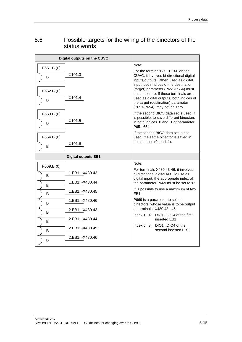## 5.6 Possible targets for the wiring of the binectors of the status words

|                 | Digital outputs on the CUVC |                                                                                                                                                                                                  |
|-----------------|-----------------------------|--------------------------------------------------------------------------------------------------------------------------------------------------------------------------------------------------|
| P651.B (0)      |                             | Note:                                                                                                                                                                                            |
| B               | $-X101.3$                   | For the terminals -X101.3-6 on the<br>CUVC, it involves bi-directional digital<br>inputs/outputs. When used as digital<br>input, both indices of the destination                                 |
| P652.B (0)<br>B | $-X101.4$                   | (target) parameter (P651-P654) must<br>be set to zero. If these terminals are<br>used as digital outputs, both indices of<br>the target (destination) parameter<br>(P651-P654), may not be zero. |
| P653.B (0)<br>B | $-X101.5$                   | If the second BICO data set is used, it<br>is possible, to save different binectors<br>in both indices .0 and .1 of parameter<br>P651-654.                                                       |
| P654.B (0)<br>B | $-X101.6$                   | If the second BICO data set is not<br>used, the same binector is saved in<br>both indices (0. and .1).                                                                                           |
|                 | <b>Digital outputs EB1</b>  |                                                                                                                                                                                                  |
| P669.B (0)      |                             | Note:                                                                                                                                                                                            |
| B               | 1.EB1: -X480.43             | For terminals X480.43-46, it involves<br>bi-directional digital I/O. To use as<br>digital input, the appropriate index of                                                                        |
| B               | 1.EB1: - X480.44            | the parameter P669 must be set to '0'.                                                                                                                                                           |
| B               | 1.EB1: - X480.45            | It is possible to use a maximum of two<br>EB <sub>1</sub>                                                                                                                                        |
| B               | 1.EB1: -X480.46             | P669 is a parameter to select<br>binectors, whose value is to be output                                                                                                                          |
| B               | 2.EB1: - X480.43            | at terminals -X480.4346.<br>Index 14: DIO1DIO4 of the first                                                                                                                                      |
| B               | 2.EB1: - X480.44            | inserted EB1                                                                                                                                                                                     |
| B               | 2.EB1: - X480.45            | Index 58: DIO1DIO4 of the<br>second inserted EB1                                                                                                                                                 |
| B               | 2.EB1: - X480.46            |                                                                                                                                                                                                  |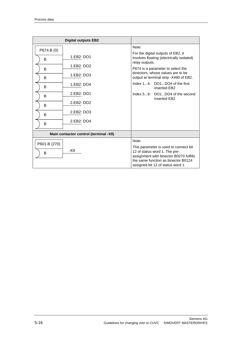|              | <b>Digital outputs EB2</b>            |                                                                                                                                                                                               |
|--------------|---------------------------------------|-----------------------------------------------------------------------------------------------------------------------------------------------------------------------------------------------|
| P674.B (0)   |                                       | Note:                                                                                                                                                                                         |
| B            | 1.EB2: DO1                            | For the digital outputs of EB2, it<br>involves floating (electrically isolated)<br>relay outputs.                                                                                             |
| B            | 1.EB2: DO2                            | P674 is a parameter to select the                                                                                                                                                             |
| B            | 1.EB2: DO3                            | binectors, whose values are to be<br>output at terminal strip -X490 of EB2.                                                                                                                   |
| B            | 1.EB2: DO4                            | Index 14: DO1DO4 of the first<br>inserted EB2                                                                                                                                                 |
| B            | 2.EB2: DO1                            | Index 58: DO1DO4 of the second<br>inserted EB2                                                                                                                                                |
| B            | 2.EB2: DO2                            |                                                                                                                                                                                               |
| B            | 2.EB2: DO3                            |                                                                                                                                                                                               |
| B            | 2.EB2: DO4                            |                                                                                                                                                                                               |
|              | Main contactor control (terminal -X9) |                                                                                                                                                                                               |
| P601.B (270) |                                       | Note:                                                                                                                                                                                         |
| в            | -X9                                   | This parameter is used to connect bit<br>12 of status word 1. The pre-<br>assignment with binector B0270 fulfills<br>the same function as binector B0124<br>assigned bit 12 of status word 1. |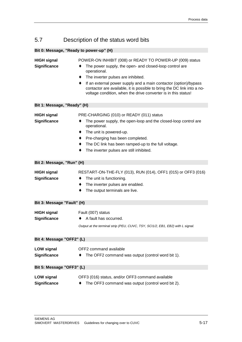## 5.7 Description of the status word bits

| Bit 0: Message, "Ready to power-up" (H)   |                                                                                                                                                                                                                                                                                                                                                                                                      |  |  |
|-------------------------------------------|------------------------------------------------------------------------------------------------------------------------------------------------------------------------------------------------------------------------------------------------------------------------------------------------------------------------------------------------------------------------------------------------------|--|--|
| <b>HIGH signal</b><br><b>Significance</b> | POWER-ON INHIBIT (008) or READY TO POWER-UP (009) status<br>The power supply, the open- and closed-loop control are<br>operational.<br>The inverter pulses are inhibited.<br>٠<br>If an external power supply and a main contactor (option)/bypass<br>٠<br>contactor are available, it is possible to bring the DC link into a no-<br>voltage condition, when the drive converter is in this status! |  |  |
| Bit 1: Message, "Ready" (H)               |                                                                                                                                                                                                                                                                                                                                                                                                      |  |  |
| <b>HIGH signal</b><br><b>Significance</b> | PRE-CHARGING (010) or READY (011) status<br>The power supply, the open-loop and the closed-loop control are<br>operational.<br>The unit is powered-up.<br>٠<br>Pre-charging has been completed.<br>٠<br>The DC link has been ramped-up to the full voltage.<br>The inverter pulses are still inhibited.                                                                                              |  |  |
| Bit 2: Message, "Run" (H)                 |                                                                                                                                                                                                                                                                                                                                                                                                      |  |  |
| <b>HIGH signal</b><br><b>Significance</b> | RESTART-ON-THE-FLY (013), RUN (014), OFF1 (015) or OFF3 (016)<br>The unit is functioning.<br>٠<br>The inverter pulses are enabled.<br>٠<br>The output terminals are live.                                                                                                                                                                                                                            |  |  |
| Bit 3: Message "Fault" (H)                |                                                                                                                                                                                                                                                                                                                                                                                                      |  |  |
| <b>HIGH signal</b><br><b>Significance</b> | Fault (007) status<br>A fault has occurred.<br>Output at the terminal strip (PEU, CUVC, TSY, SCI1/2, EB1, EB2) with L signal.                                                                                                                                                                                                                                                                        |  |  |
| Bit 4: Message "OFF2" (L)                 |                                                                                                                                                                                                                                                                                                                                                                                                      |  |  |
| <b>LOW signal</b><br><b>Significance</b>  | OFF2 command available<br>The OFF2 command was output (control word bit 1).                                                                                                                                                                                                                                                                                                                          |  |  |
| Bit 5: Message "OFF3" (L)                 |                                                                                                                                                                                                                                                                                                                                                                                                      |  |  |
| <b>LOW signal</b><br><b>Significance</b>  | OFF3 (016) status, and/or OFF3 command available<br>The OFF3 command was output (control word bit 2).                                                                                                                                                                                                                                                                                                |  |  |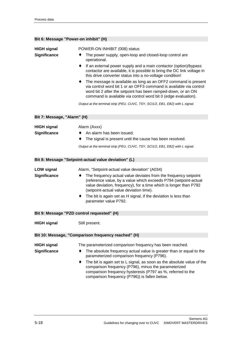| Bit 6: Message "Power-on inhibit" (H)      |                                                                                                                                                                                                                                                                                                                                                                                                                                                                                             |
|--------------------------------------------|---------------------------------------------------------------------------------------------------------------------------------------------------------------------------------------------------------------------------------------------------------------------------------------------------------------------------------------------------------------------------------------------------------------------------------------------------------------------------------------------|
|                                            |                                                                                                                                                                                                                                                                                                                                                                                                                                                                                             |
| <b>HIGH signal</b><br><b>Significance</b>  | POWER-ON INHIBIT (008) status<br>The power supply, open-loop and closed-loop control are<br>operational.                                                                                                                                                                                                                                                                                                                                                                                    |
|                                            | If an external power supply and a main contactor (option)/bypass<br>٠<br>contactor are available, it is possible to bring the DC link voltage in<br>this drive converter status into a no-voltage condition!<br>The message is available as long as an OFF2 command is present<br>٠<br>via control word bit 1 or an OFF3 command is available via control<br>word bit 2 after the setpoint has been ramped-down, or an ON<br>command is available via control word bit 0 (edge evaluation). |
|                                            | Output at the terminal strip (PEU, CUVC, TSY, SCI1/2, EB1, EB2) with L signal.                                                                                                                                                                                                                                                                                                                                                                                                              |
| Bit 7: Message, "Alarm" (H)                |                                                                                                                                                                                                                                                                                                                                                                                                                                                                                             |
| <b>HIGH signal</b>                         | Alarm (Axxx)                                                                                                                                                                                                                                                                                                                                                                                                                                                                                |
| <b>Significance</b>                        | An alarm has been issued.                                                                                                                                                                                                                                                                                                                                                                                                                                                                   |
|                                            | The signal is present until the cause has been resolved.                                                                                                                                                                                                                                                                                                                                                                                                                                    |
|                                            | Output at the terminal strip (PEU, CUVC, TSY, SCI1/2, EB1, EB2) with L signal.                                                                                                                                                                                                                                                                                                                                                                                                              |
|                                            | Bit 8: Message "Setpoint-actual value deviation" (L)                                                                                                                                                                                                                                                                                                                                                                                                                                        |
| <b>LOW signal</b>                          | Alarm, "Setpoint-actual value deviation" (A034)                                                                                                                                                                                                                                                                                                                                                                                                                                             |
| <b>Significance</b>                        | The frequency actual value deviates from the frequency setpoint<br>(reference value, by a value which exceeds P794 (setpoint-actual<br>value deviation, frequency), for a time which is longer than P792<br>(setpoint-actual value deviation time).                                                                                                                                                                                                                                         |
|                                            | The bit is again set as H signal, if the deviation is less than<br>٠<br>parameter value P792.                                                                                                                                                                                                                                                                                                                                                                                               |
| Bit 9: Message "PZD control requested" (H) |                                                                                                                                                                                                                                                                                                                                                                                                                                                                                             |
| <b>HIGH signal</b>                         | Still present.                                                                                                                                                                                                                                                                                                                                                                                                                                                                              |
|                                            | Bit 10: Message, "Comparison frequency reached" (H)                                                                                                                                                                                                                                                                                                                                                                                                                                         |
| <b>HIGH signal</b><br><b>Significance</b>  | The parameterized comparison frequency has been reached.<br>The absolute frequency actual value is greater than or equal to the                                                                                                                                                                                                                                                                                                                                                             |
|                                            | parameterized comparison frequency (P796).<br>The bit is again set to L signal, as soon as the absolute value of the<br>comparison frequency (P796), minus the parameterized<br>comparison frequency hysteresis (P797 as %, referred to the<br>comparison frequency (P796)) is fallen below.                                                                                                                                                                                                |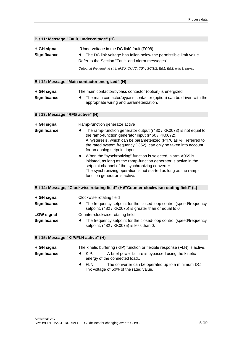|                                                                                       | Bit 11: Message "Fault, undervoltage" (H)                                                                                                                                                                                                                                                                                                                                                                                                                                                                                                                                                                                         |
|---------------------------------------------------------------------------------------|-----------------------------------------------------------------------------------------------------------------------------------------------------------------------------------------------------------------------------------------------------------------------------------------------------------------------------------------------------------------------------------------------------------------------------------------------------------------------------------------------------------------------------------------------------------------------------------------------------------------------------------|
| <b>HIGH signal</b><br><b>Significance</b>                                             | "Undervoltage in the DC link" fault (F008)<br>The DC link voltage has fallen below the permissible limit value.<br>Refer to the Section "Fault- and alarm messages"<br>Output at the terminal strip (PEU, CUVC, TSY, SCI1/2, EB1, EB2) with L signal.                                                                                                                                                                                                                                                                                                                                                                             |
|                                                                                       | Bit 12: Message "Main contactor energized" (H)                                                                                                                                                                                                                                                                                                                                                                                                                                                                                                                                                                                    |
| <b>HIGH signal</b><br><b>Significance</b>                                             | The main contactor/bypass contactor (option) is energized.<br>The main contactor/bypass contactor (option) can be driven with the<br>appropriate wiring and parameterization.                                                                                                                                                                                                                                                                                                                                                                                                                                                     |
| Bit 13: Message "RFG active" (H)                                                      |                                                                                                                                                                                                                                                                                                                                                                                                                                                                                                                                                                                                                                   |
| <b>HIGH signal</b><br><b>Significance</b>                                             | Ramp-function generator active<br>The ramp-function generator output (r480 / KK0073) is not equal to<br>the ramp-function generator input (r460 / KK0072).<br>A hysteresis, which can be parameterized (P476 as %, referred to<br>the rated system frequency P352), can only be taken into account<br>for an analog setpoint input.<br>When the "synchronizing" function is selected, alarm A069 is<br>initiated, as long as the ramp-function generator is active in the<br>setpoint channel of the synchronizing converter.<br>The synchronizing operation is not started as long as the ramp-<br>function generator is active. |
|                                                                                       | Bit 14: Message, "Clockwise rotating field" (H)/"Counter-clockwise rotating field" (L)                                                                                                                                                                                                                                                                                                                                                                                                                                                                                                                                            |
| <b>HIGH signal</b><br><b>Significance</b><br><b>LOW signal</b><br><b>Significance</b> | Clockwise rotating field<br>The frequency setpoint for the closed-loop control (speed/frequency<br>٠<br>setpoint, r482 / KK0075) is greater than or equal to 0.<br>Counter-clockwise rotating field<br>The frequency setpoint for the closed-loop control (speed/frequency                                                                                                                                                                                                                                                                                                                                                        |
| Bit 15: Message "KIP/FLN active" (H)                                                  | setpoint, r482 / KK0075) is less than 0.                                                                                                                                                                                                                                                                                                                                                                                                                                                                                                                                                                                          |
| <b>HIGH signal</b><br><b>Significance</b>                                             | The kinetic buffering (KIP) function or flexible response (FLN) is active.<br>$KIP$ :<br>A brief power failure is bypassed using the kinetic<br>energy of the connected load<br><b>CLAB</b><br>The converter can be eperated up to a minimum DC                                                                                                                                                                                                                                                                                                                                                                                   |

♦ FLN: The converter can be operated up to a minimum DC link voltage of 50% of the rated value.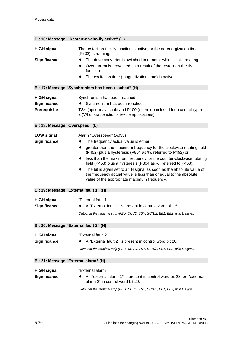|  | Bit 16: Message "Restart-on-the-fly active" (H) |  |  |
|--|-------------------------------------------------|--|--|
|--|-------------------------------------------------|--|--|

| <b>HIGH signal</b>                     | The restart-on-the-fly function is active, or the de-energization time<br>(P602) is running.                                                                                            |
|----------------------------------------|-----------------------------------------------------------------------------------------------------------------------------------------------------------------------------------------|
| <b>Significance</b>                    | The drive converter is switched to a motor which is still rotating.                                                                                                                     |
|                                        | Overcurrent is prevented as a result of the restart-on-the-fly<br>٠<br>function.                                                                                                        |
|                                        | The excitation time (magnetization time) is active.                                                                                                                                     |
|                                        | Bit 17: Message "Synchronism has been reached" (H)                                                                                                                                      |
| <b>HIGH signal</b><br>Significance     | Synchronism has been reached.<br>Synchronism has been reached.                                                                                                                          |
| Prerequisite                           | TSY (option) available and P100 (open-loop/closed-loop control type) =                                                                                                                  |
|                                        | 2 (V/f characteristic for textile applications).                                                                                                                                        |
| Bit 18: Message "Overspeed" (L)        |                                                                                                                                                                                         |
| <b>LOW signal</b>                      | Alarm "Overspeed" (A033)                                                                                                                                                                |
| Significance                           | The frequency actual value is either:<br>٠                                                                                                                                              |
|                                        | greater than the maximum frequency for the clockwise rotating field<br>٠<br>(P452) plus a hysteresis (P804 as %, referred to P452) or                                                   |
|                                        | less than the maximum frequency for the counter-clockwise rotating<br>٠<br>field (P453) plus a hysteresis (P804 as %, referred to P453).                                                |
|                                        | The bit is again set to an H signal as soon as the absolute value of<br>the frequency actual value is less than or equal to the absolute<br>value of the appropriate maximum frequency. |
| Bit 19: Message "External fault 1" (H) |                                                                                                                                                                                         |
| <b>HIGH signal</b>                     | "External fault 1"                                                                                                                                                                      |
| Significance                           | A "External fault 1" is present in control word, bit 15.                                                                                                                                |
|                                        | Output at the terminal strip (PEU, CUVC, TSY, SCI1/2, EB1, EB2) with L signal.                                                                                                          |
| Bit 20: Message "External fault 2" (H) |                                                                                                                                                                                         |
|                                        |                                                                                                                                                                                         |
| <b>HIGH signal</b>                     | "External fault 2"                                                                                                                                                                      |
| <b>Significance</b>                    | A "External fault 2" is present in control word bit 26.                                                                                                                                 |
|                                        | Output at the terminal strip (PEU, CUVC, TSY, SCI1/2, EB1, EB2) with L signal.                                                                                                          |
| Bit 21: Message "External alarm" (H)   |                                                                                                                                                                                         |
| <b>HIGH signal</b>                     | "External alarm"                                                                                                                                                                        |
| <b>Significance</b>                    | An "external alarm 1" is present in control word bit 28, or, "external<br>alarm 2" in control word bit 29.                                                                              |
|                                        | Output at the terminal strip (PEU, CUVC, TSY, SCI1/2, EB1, EB2) with L signal.                                                                                                          |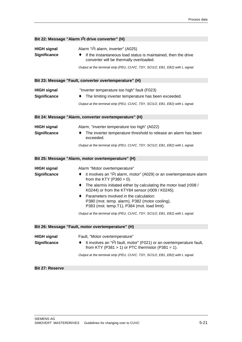|                                           | Bit 22: Message "Alarm i <sup>2</sup> t drive converter" (H)                                                                                                                                                                                                                                                                                                                                                                                                                                               |  |  |  |
|-------------------------------------------|------------------------------------------------------------------------------------------------------------------------------------------------------------------------------------------------------------------------------------------------------------------------------------------------------------------------------------------------------------------------------------------------------------------------------------------------------------------------------------------------------------|--|--|--|
| <b>HIGH signal</b><br>Significance        | Alarm "i <sup>2</sup> t alarm, inverter" (A025)<br>If the instantaneous load status is maintained, then the drive<br>converter will be thermally overloaded.<br>Output at the terminal strip (PEU, CUVC, TSY, SCI1/2, EB1, EB2) with L signal.                                                                                                                                                                                                                                                             |  |  |  |
|                                           | Bit 23: Message "Fault, converter overtemperature" (H)                                                                                                                                                                                                                                                                                                                                                                                                                                                     |  |  |  |
| <b>HIGH signal</b><br>Significance        | "Inverter temperature too high" fault (F023)<br>The limiting inverter temperature has been exceeded.<br>Output at the terminal strip (PEU, CUVC, TSY, SCI1/2, EB1, EB2) with L signal.                                                                                                                                                                                                                                                                                                                     |  |  |  |
|                                           | Bit 24: Message "Alarm, converter overtemperature" (H)                                                                                                                                                                                                                                                                                                                                                                                                                                                     |  |  |  |
| <b>HIGH signal</b><br>Significance        | Alarm, "inverter temperature too high" (A022)<br>The inverter temperature threshold to release an alarm has been<br>exceeded.<br>Output at the terminal strip (PEU, CUVC, TSY, SCI1/2, EB1, EB2) with L signal.                                                                                                                                                                                                                                                                                            |  |  |  |
|                                           |                                                                                                                                                                                                                                                                                                                                                                                                                                                                                                            |  |  |  |
|                                           | Bit 25: Message "Alarm, motor overtemperature" (H)                                                                                                                                                                                                                                                                                                                                                                                                                                                         |  |  |  |
| <b>HIGH signal</b><br>Significance        | Alarm "Motor overtemperature"<br>it involves an "I2t alarm, motor" (A029) or an overtemperature alarm<br>٠<br>from the KTY (P380 $>$ 0).<br>The alarmis initiated either by calculating the motor load (r008 /<br>٠<br>K0244) or from the KTY84 sensor (r009 / K0245).<br>Parameters involved in the calculation:<br>٠<br>P380 (mot. temp. alarm), P382 (motor cooling),<br>P383 (mot. temp.T1), P384 (mot. load limit).<br>Output at the terminal strip (PEU, CUVC, TSY, SCI1/2, EB1, EB2) with L signal. |  |  |  |
|                                           | Bit 26: Message "Fault, motor overtemperature" (H)                                                                                                                                                                                                                                                                                                                                                                                                                                                         |  |  |  |
| <b>HIGH signal</b><br><b>Significance</b> | Fault, "Motor overtemperature"<br>It involves an "I2t fault, motor" (F021) or an overtemperature fault,<br>from KTY (P381 $>$ 1) or PTC thermistor (P381 = 1).<br>Output at the terminal strip (PEU, CUVC, TSY, SCI1/2, EB1, EB2) with L signal.                                                                                                                                                                                                                                                           |  |  |  |
| <b>Bit 27: Reserve</b>                    |                                                                                                                                                                                                                                                                                                                                                                                                                                                                                                            |  |  |  |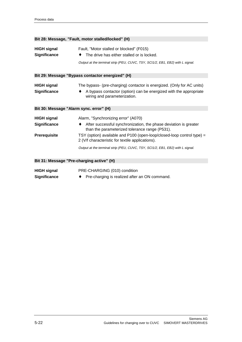|                                                                  | Bit 28: Message, "Fault, motor stalled/locked" (H)                                                                                                                                                                                                                                                   |
|------------------------------------------------------------------|------------------------------------------------------------------------------------------------------------------------------------------------------------------------------------------------------------------------------------------------------------------------------------------------------|
| <b>HIGH signal</b><br><b>Significance</b>                        | Fault, "Motor stalled or blocked" (F015)<br>The drive has either stalled or is locked.<br>Output at the terminal strip (PEU, CUVC, TSY, SCI1/2, EB1, EB2) with L signal.                                                                                                                             |
|                                                                  | Bit 29: Message "Bypass contactor energized" (H)                                                                                                                                                                                                                                                     |
| <b>HIGH signal</b><br><b>Significance</b>                        | The bypass- (pre-charging) contactor is energized. (Only for AC units)<br>A bypass contactor (option) can be energized with the appropriate<br>wiring and parameterization.                                                                                                                          |
| Bit 30: Message "Alarm sync. error" (H)                          |                                                                                                                                                                                                                                                                                                      |
| <b>HIGH signal</b><br><b>Significance</b><br><b>Prerequisite</b> | Alarm, "Synchronizing error" (A070)<br>After successful synchronization, the phase deviation is greater<br>$\bullet$<br>than the parameterized tolerance range (P531).<br>TSY (option) available and P100 (open-loop/closed-loop control type) =<br>2 (V/f characteristic for textile applications). |
|                                                                  | Output at the terminal strip (PEU, CUVC, TSY, SCI1/2, EB1, EB2) with L signal.                                                                                                                                                                                                                       |
|                                                                  | Bit 31: Message "Pre-charging active" (H)                                                                                                                                                                                                                                                            |
| <b>HIGH signal</b><br><b>Significance</b>                        | PRE-CHARGING (010) condition<br>Pre-charging is realized after an ON command.<br>$\bullet$                                                                                                                                                                                                           |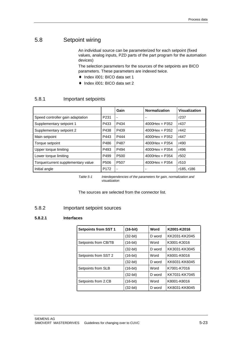## 5.8 Setpoint wiring

An individual source can be parameterized for each setpoint (fixed values, analog inputs, PZD parts of the part program for the automation devices)

The selection parameters for the sources of the setpoints are BICO parameters. These parameters are indexed twice.

- ♦ Index i001: BICO data set 1
- ♦ Index i001: BICO data set 2

#### 5.8.1 Important setpoints

|                                    |                  | Gain                     | <b>Normalization</b> | Visualization |
|------------------------------------|------------------|--------------------------|----------------------|---------------|
| Speed controller gain adaptation   | P <sub>231</sub> | $\overline{\phantom{a}}$ |                      | r237          |
| Supplementary setpoint 1           | P433             | P434                     | $4000$ Hex = P352    | r437          |
| Supplementary setpoint 2           | P438             | P439                     | $4000$ Hex = P352    | r442          |
| Main setpoint                      | P443             | P444                     | $4000$ Hex = P352    | r447          |
| Torque setpoint                    | P486             | P487                     | $4000$ Hex = P354    | r490          |
| Upper torque limiting              | P493             | P494                     | $4000$ Hex = P354    | r496          |
| Lower torque limiting              | P499             | P <sub>500</sub>         | $4000$ Hex = P354    | r502          |
| Torque/current supplementary value | P <sub>506</sub> | P <sub>50</sub> 7        | $4000$ Hex = P354    | r510          |
| Initial angle                      | P <sub>172</sub> | $\overline{\phantom{a}}$ |                      | r185, r186    |

Table 5-1 Interdependencies of the parameters for gain, normalization and visualization

The sources are selected from the connector list.

#### 5.8.2 Important setpoint sources

#### **5.8.2.1 Interfaces**

| <b>Setpoints from SST 1</b> | $(16-bit)$ | Word   | K2001-K2016   |
|-----------------------------|------------|--------|---------------|
|                             | $(32-bit)$ | D word | KK2031-KK2045 |
| Setpoints from CB/TB        | $(16-bit)$ | Word   | K3001-K3016   |
|                             | $(32-bit)$ | D word | KK3031-KK3045 |
| Setpoints from SST 2        | $(16-bit)$ | Word   | K6001-K6016   |
|                             | $(32-bit)$ | D word | KK6031-KK6045 |
| Setpoints from SLB          | $(16-bit)$ | Word   | K7001-K7016   |
|                             | $(32-bit)$ | D word | KK7031-KK7045 |
| Setpoints from 2.CB         | $(16-bit)$ | Word   | K8001-K8016   |
|                             | $(32-bit)$ | D word | KK8031-KK8045 |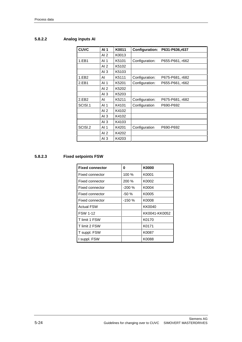#### **5.8.2.2 Analog inputs AI**

| <b>CUVC</b> | AI <sub>1</sub> | K0011 | <b>Configuration:</b> | P631-P636,r637  |
|-------------|-----------------|-------|-----------------------|-----------------|
|             | AI $2$          | K0013 |                       |                 |
| 1.EB1       | AI <sub>1</sub> | K5101 | Configuration:        | P655-P661, r662 |
|             | AI <sub>2</sub> | K5102 |                       |                 |
|             | AI $3$          | K5103 |                       |                 |
| 1.EB2       | AI              | K5111 | Configuration:        | P675-P681, r682 |
| 2.EB1       | AI 1            | K5201 | Configuration:        | P655-P661, r662 |
|             | AI $2$          | K5202 |                       |                 |
|             | AI $3$          | K5203 |                       |                 |
| 2.EB2       | AI              | K5211 | Configuration:        | P675-P681, r682 |
| SCISI.1     | AI <sub>1</sub> | K4101 | Configuration         | P690-P692       |
|             | AI $2$          | K4102 |                       |                 |
|             | AI3             | K4102 |                       |                 |
|             | AI $3$          | K4103 |                       |                 |
| SCISI.2     | AI <sub>1</sub> | K4201 | Configuration         | P690-P692       |
|             | AI <sub>2</sub> | K4202 |                       |                 |
|             | AI $3$          | K4203 |                       |                 |

#### **5.8.2.3 Fixed setpoints FSW**

| <b>Fixed connector</b> | 0       | K0000         |
|------------------------|---------|---------------|
| Fixed connector        | 100 %   | K0001         |
| Fixed connector        | 200 %   | K0002         |
| Fixed connector        | $-200%$ | K0004         |
| Fixed connector        | $-50%$  | K0005         |
| Fixed connector        | -150 %  | K0008         |
| <b>Actual FSW</b>      |         | KK0040        |
| <b>FSW 1-12</b>        |         | KK0041-KK0052 |
| T limit 1 FSW          |         | K0170         |
| T limit 2 FSW          |         | K0171         |
| T suppl. FSW           |         | K0087         |
| I suppl. FSW           |         | K0088         |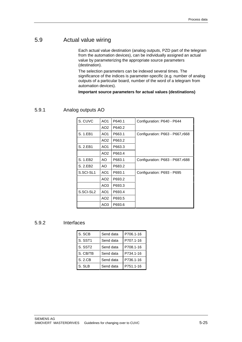### 5.9 Actual value wiring

Each actual value destination (analog outputs, PZD part of the telegram from the automation devices), can be individually assigned an actual value by parameterizing the appropriate source parameters (destination).

The selection parameters can be indexed several times. The significance of the indices is parameter-specific (e.g. number of analog outputs of a particular board, number of the word of a telegram from automation devices).

**Important source parameters for actual values (destinations)**

#### 5.9.1 Analog outputs AO

| S. CUVC   | AO <sub>1</sub> | P640.1 | Configuration: P640 - P644       |
|-----------|-----------------|--------|----------------------------------|
|           | AO <sub>2</sub> | P640.2 |                                  |
| S. 1.EB1  | AO <sub>1</sub> | P663.1 | Configuration: P663 - P667, r668 |
|           | AO <sub>2</sub> | P663.2 |                                  |
| S. 2.EB1  | AO <sub>1</sub> | P663.3 |                                  |
|           | AO <sub>2</sub> | P663.4 |                                  |
| S. 1.EB2  | AO              | P683.1 | Configuration: P683 - P687.r688  |
| S. 2.EB2  | AO.             | P683.2 |                                  |
| S.SCI-SL1 | AO <sub>1</sub> | P693.1 | Configuration: P693 - P695       |
|           | AO <sub>2</sub> | P693.2 |                                  |
|           | AO3             | P693.3 |                                  |
| S.SCI-SL2 | AO <sub>1</sub> | P693.4 |                                  |
|           | AO <sub>2</sub> | P693.5 |                                  |
|           | AO3             | P693.6 |                                  |

#### 5.9.2 Interfaces

| S. SCB              | Send data | P706.1-16 |
|---------------------|-----------|-----------|
| S. SST1             | Send data | P707.1-16 |
| S. SST <sub>2</sub> | Send data | P708.1-16 |
| S. CB/TB            | Send data | P734.1-16 |
| S. 2.CB             | Send data | P736.1-16 |
| S. SLB              | Send data | P751.1-16 |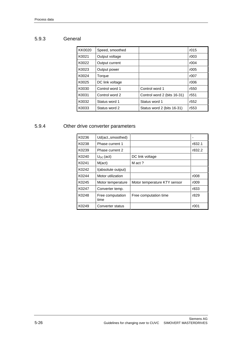### 5.9.3 General

| KK0020 | Speed, smoothed |                             | r015             |
|--------|-----------------|-----------------------------|------------------|
| K0021  | Output voltage  |                             | r003             |
| K0022  | Output current  |                             | r004             |
| K0023  | Output power    |                             | r005             |
| K0024  | Torque          |                             | r007             |
| K0025  | DC link voltage |                             | r006             |
| K0030  | Control word 1  | Control word 1              | r550             |
| K0031  | Control word 2  | Control word 2 (bits 16-31) | r551             |
| K0032  | Status word 1   | Status word 1               | r <sub>552</sub> |
| K0033  | Status word 2   | Status word 2 (bits 16-31)  | r <sub>553</sub> |

#### 5.9.4 Other drive converter parameters

| K0236 | Ud(act., smoothed)       |                              |        |
|-------|--------------------------|------------------------------|--------|
| K0238 | Phase current 1          |                              | r832.1 |
| K0239 | Phase current 2          |                              | r832.2 |
| K0240 | $U_{DC}$ (act)           | DC link voltage              |        |
| K0241 | $M(\text{act})$          | M act ?                      |        |
| K0242 | I(absolute output)       |                              |        |
| K0244 | Motor utilization        |                              | r008   |
| K0245 | Motor temperature        | Motor temperature KTY sensor | r009   |
| K0247 | Converter temp.          |                              | r833   |
| K0248 | Free computation<br>time | Free computation time        | r829   |
| K0249 | Converter status         |                              | r001   |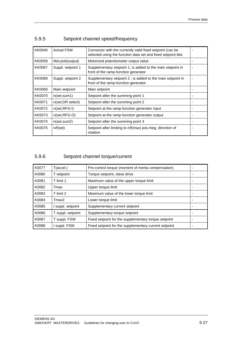| KK0040 | <b>Actual FSW</b>   | Connector with the currently valid fixed setpoint (can be<br>selected using the function data set and fixed setpoint bits |  |
|--------|---------------------|---------------------------------------------------------------------------------------------------------------------------|--|
| KK0058 | Mot.poti(output)    | Motorized potentiometer output value                                                                                      |  |
| KK0067 | Suppl. setpoint 1   | Supplementary setpoint 1; is added to the main setpoint in<br>front of the ramp-function generator                        |  |
| KK0068 | Suppl. setpoint 2   | Supplementary setpoint 2 ; is added to the main setpoint in<br>front of the ramp-function generator                       |  |
| KK0069 | Main setpoint       | Main setpoint                                                                                                             |  |
| KK0070 | $n$ (set, sum 1)    | Setpoint after the summing point 1                                                                                        |  |
| KK0071 | n(set, DR select)   | Setpoint after the summing point 2                                                                                        |  |
| KK0072 | $n(set, RFC-I)$     | Setpoint at the ramp-function generator input                                                                             |  |
| KK0073 | $n(set, RFC-O)$     | Setpoint at the ramp-function generator output                                                                            |  |
| KK0074 | $n$ (set, sum $2$ ) | Setpoint after the summing point 3                                                                                        |  |
| KK0075 | $n/f(\text{set})$   | Setpoint after limiting to n/f(max) pos./neg. direction of<br>rotation                                                    |  |

### 5.9.5 Setpoint channel speed/frequency

## 5.9.6 Setpoint channel torque/current

| K0077 | $T(\text{accel.})$ | Pre-control torque (moment of inertia compensation)   |  |
|-------|--------------------|-------------------------------------------------------|--|
| K0080 | T setpoint         | Torque setpoint, slave drive                          |  |
| K0081 | T limit 1          | Maximum value of the upper torque limit               |  |
| K0082 | Tmax               | Upper torque limit                                    |  |
| K0083 | T limit 2          | Maximum value of the lower torque limit               |  |
| K0084 | Tmax2              | Lower torque limit                                    |  |
| K0085 | suppl. setpoint    | Supplementary current setpoint                        |  |
| K0086 | T suppl. setpoint  | Supplementary torque setpoint                         |  |
| K0087 | T suppl. FSW       | Fixed setpoint for the supplementary torque setpoint  |  |
| K0088 | suppl. FSW         | Fixed setpoint for the supplementary current setpoint |  |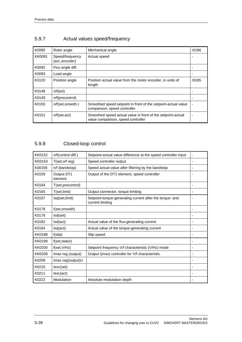| K0090  | Rotor angle                       | Mechanical angle                                                                                  | r0186 |
|--------|-----------------------------------|---------------------------------------------------------------------------------------------------|-------|
| KK0091 | Speed/frequency<br>(act.,encoder) | Actual speed                                                                                      |       |
| K0092  | Flux angle diff.                  |                                                                                                   |       |
| K0093  | Load angle                        |                                                                                                   |       |
| K0120  | Position angle                    | Position actual value from the motor encoder, in units of<br>length                               | r0185 |
| K0148  | n/f(act)                          |                                                                                                   |       |
| K0149  | n/f(precontrol)                   |                                                                                                   |       |
| K0150  | n/f(set, smooth.)                 | Smoothed speed setpoint in front of the setpoint-actual value<br>comparison, speed controller     |       |
| K0151  | $n/f(\text{set}, \text{act})$     | Smoothed speed actual value in front of the setpoint-actual<br>value comparison, speed controller |       |

## 5.9.7 Actual values speed/frequency

### 5.9.8 Closed-loop control

| <b>KK0152</b> | n/f(control diff.)    | Setpoint-actual value difference at the speed controller input               | ä, |
|---------------|-----------------------|------------------------------------------------------------------------------|----|
| KK0153        | T(set, n/f reg)       | Speed controller output                                                      |    |
| K00158        | n/f (bandstop)        | Speed actual value after filtering by the bandstop                           |    |
| K0159         | Output DT1<br>element | Output of the DT1 element, speed controller                                  |    |
| K0164         | T(set,precontrol)     |                                                                              |    |
| K0165         | T(set,limit)          | Output connector, torque limiting                                            |    |
| K0167         | Isq(set,limit)        | Setpoint-torque-generating current after the torque- and<br>current limiting |    |
| K0178         | I(set, smooth)        |                                                                              |    |
| K0179         | Isd(set)              |                                                                              | ۰  |
| K0182         | Isd(act)              | Actual value of the flux-generating current                                  |    |
| K0184         | Isq(act)              | Actual value of the torque-generating current                                |    |
| KK0188        | $f$ (slip)            | Slip speed                                                                   |    |
| KK0199        | f(set, stator)        |                                                                              |    |
| KK0200        | f(set, V/Hz)          | Setpoint frequency V/f characteristic (V/Hz) mode                            |    |
| KK0208        | Imax reg (output)     | Output i(max) controller for V/f characteristic                              | ٠  |
| K0209         | Imax reg(output)U     |                                                                              |    |
| K0210         | lexc(set)             |                                                                              |    |
| K0211         | lexc(act)             |                                                                              |    |
| K0222         | Modulation            | Absolute modulation depth                                                    |    |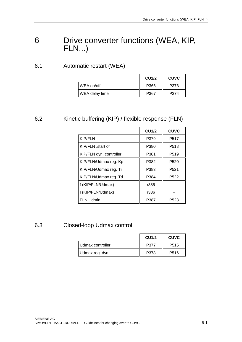# 6 Drive converter functions (WEA, KIP, FLN...)

#### 6.1 Automatic restart (WEA)

|                | <b>CU1/2</b> | <b>CUVC</b> |
|----------------|--------------|-------------|
| WEA on/off     | P366         | P373        |
| WEA delay time | P367         | P374        |

#### 6.2 Kinetic buffering (KIP) / flexible response (FLN)

|                         | <b>CU1/2</b> | <b>CUVC</b>       |
|-------------------------|--------------|-------------------|
| <b>KIP/FLN</b>          | P379         | P <sub>517</sub>  |
| KIP/FLN, start of       | P380         | P <sub>5</sub> 18 |
| KIP/FLN dyn. controller | P381         | P <sub>5</sub> 19 |
| KIP/FLN/Udmax reg. Kp   | P382         | P <sub>520</sub>  |
| KIP/FLN/Udmax reg. Ti   | P383         | P <sub>521</sub>  |
| KIP/FLN/Udmax reg. Td   | P384         | P <sub>522</sub>  |
| f (KIP/FLN/Udmax)       | r385         |                   |
| I (KIP/FLN/Udmax)       | r386         |                   |
| <b>FLN Udmin</b>        | P387         | P523              |

#### 6.3 Closed-loop Udmax control

|                    | <b>CU1/2</b> | <b>CUVC</b>       |
|--------------------|--------------|-------------------|
| I Udmax controller | P377         | P <sub>5</sub> 15 |
| Udmax reg. dyn.    | P378         | P <sub>516</sub>  |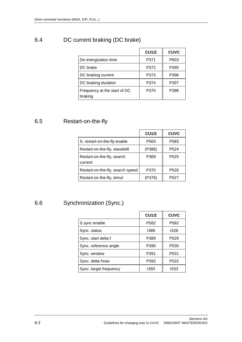### 6.4 DC current braking (DC brake)

|                                         | <b>CU1/2</b> | <b>CUVC</b> |
|-----------------------------------------|--------------|-------------|
| De-energization time                    | P371         | P603        |
| DC brake                                | P372         | P395        |
| DC braking current                      | P373         | P396        |
| DC braking duration                     | P374         | P397        |
| Frequency at the start of DC<br>braking | P375         | P398        |

#### 6.5 Restart-on-the-fly

|                                       | <b>CU1/2</b> | <b>CUVC</b>      |
|---------------------------------------|--------------|------------------|
| S. restart-on-the-fly enable          | P583         | P <sub>583</sub> |
| Restart-on-the-fly, standstill        | ( P386)      | P <sub>524</sub> |
| Restart-on-the-fly, search<br>current | P369         | P <sub>525</sub> |
| Restart-on-the-fly, search speed      | P370         | P <sub>526</sub> |
| Restart-on-the-fly, stmul             | (P376)       | P <sub>527</sub> |

### 6.6 Synchronization (Sync.)

|                        | <b>CU1/2</b>     | <b>CUVC</b>      |
|------------------------|------------------|------------------|
| S.sync enable          | P <sub>582</sub> | P582             |
| Sync. status           | r388             | r528             |
| Sync. start delta f    | P389             | P <sub>529</sub> |
| Sync. reference angle  | P390             | P530             |
| Sync. window           | P391             | P <sub>531</sub> |
| Sync. delta fmax       | P392             | P <sub>532</sub> |
| Sync. target frequency | r393             | r533             |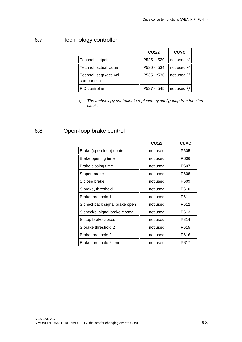### 6.7 Technology controller

|                                        | <b>CU1/2</b> | <b>CUVC</b>            |
|----------------------------------------|--------------|------------------------|
| Technol. setpoint                      | P525 - r529  | not used $\frac{1}{2}$ |
| Technol, actual value                  | P530 - r534  | not used $\frac{1}{2}$ |
| Technol. setp./act. val.<br>comparison | P535 - r536  | not used $\frac{1}{2}$ |
| PID controller                         | P537 - r545  | not used $\frac{1}{2}$ |

1) The technology controller is replaced by configuring free function blocks

#### 6.8 Open-loop brake control

|                               | <b>CU1/2</b> | <b>CUVC</b> |
|-------------------------------|--------------|-------------|
| Brake (open-loop) control     | not used     | P605        |
| Brake opening time            | not used     | P606        |
| Brake closing time            | not used     | P607        |
| S.open brake                  | not used     | P608        |
| S.close brake                 | not used     | P609        |
| S.brake, threshold 1          | not used     | P610        |
| Brake threshold 1             | not used     | P611        |
| S.checkback signal brake open | not used     | P612        |
| S.checkb. signal brake closed | not used     | P613        |
| S.stop brake closed           | not used     | P614        |
| S.brake threshold 2           | not used     | P615        |
| Brake threshold 2             | not used     | P616        |
| Brake threshold 2 time        | not used     | P617        |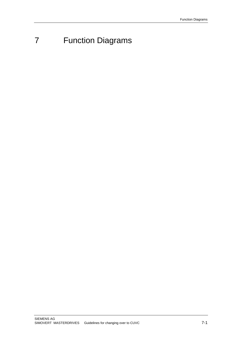# 7 Function Diagrams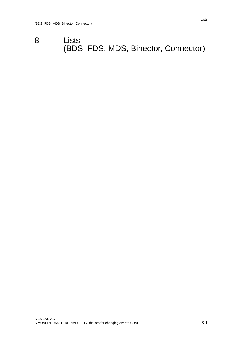# 8 Lists (BDS, FDS, MDS, Binector, Connector)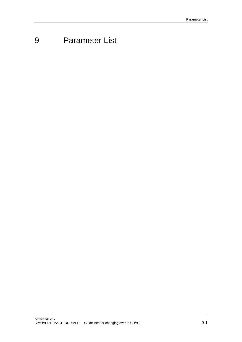# 9 Parameter List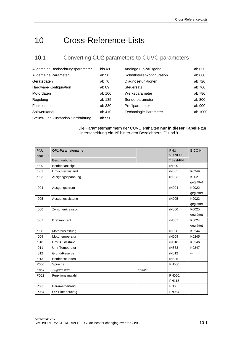# 10 Cross-Reference-Lists

### 10.1 Converting CU2 parameters to CUVC parameters

| Allgemeine Beobachtungsparameter   | bis 49 | Analoge Ein-/Ausgabe        | ab 650  |
|------------------------------------|--------|-----------------------------|---------|
| Allgemeine Parameter               | ab 50  | Schnittstellenkonfiguration | ab 680  |
| Gerätedaten                        | ab 70  | Diagnosefunktionen          | ab 720  |
| Hardware-Konfiguration             | ab 89  | Steuersatz                  | ab 760  |
| Motordaten                         | ab 100 | Werksparameter              | ab 780  |
| Regelung                           | ab 135 | Sonderparameter             | ab 800  |
| <b>Funktionen</b>                  | ab 330 | Profilparameter             | ab 900  |
| Sollwertkanal                      | ab 410 | Technologie Parameter       | ab 1000 |
| Steuer- und Zustandsbitverdrahtung | ab 550 |                             |         |

#### Die Parameternummern der CUVC enthalten **nur in dieser Tabelle** zur Unterscheidung ein 'N' hinter den Bezeichnern 'P' und 'r'

| <b>PNU</b> | OP1-Parametername |          | <b>PNU</b>    | <b>BICO Nr.</b> |
|------------|-------------------|----------|---------------|-----------------|
| *:Best-P   |                   |          | <b>VC NEU</b> |                 |
|            | Beschreibung      |          | *:Best-PN     |                 |
| r000       | Betriebsanzeige   |          | rN000         |                 |
| r001       | Umrichterzustand  |          | rN001         | K0249           |
| r003       | Ausgangsspannung  |          | rN003         | K0021           |
|            |                   |          |               | geglättet       |
| r004       | Ausgangsstrom     |          | rN004         | K0022           |
|            |                   |          |               | geglättet       |
| r005       | Ausgangsleistung  |          | rN005         | K0023           |
|            |                   |          |               | geglättet       |
| r006       | Zwischenkreisspg  |          | rN006         | K0025           |
|            |                   |          |               | geglättet       |
| r007       | Drehmoment        |          | rN007         | K0024           |
|            |                   |          |               | geglättet       |
| r008       | Motorauslastung   |          | rN008         | K0244           |
| r009       | Motortemperatur   |          | rN009         | K0245           |
| r010       | Umr.Auslastung    |          | rN010         | K0246           |
| r011       | Umr.Temperatur    |          | rN833         | K0247           |
| r012       | Grund/Reserve     |          | rN012         | $---$           |
| r013       | Betriebsstunden   |          | rN825         | ---             |
| P050       | Sprache           |          | <b>PN050</b>  |                 |
| P051       | Zugriffsstufe     | entfällt |               |                 |
| P052       | Funktionsanwahl   |          | PN060,        |                 |
|            |                   |          | <b>PN115</b>  |                 |
| P053       | Parametrierfreig  |          | PN053         |                 |
| P054       | OP-Hinterleuchtg  |          | <b>PN054</b>  |                 |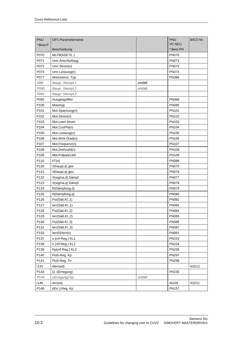| PNU                                              | OP1-Parametername                                                                                                                    |          | PNU                                   | <b>BICO Nr.</b> |
|--------------------------------------------------|--------------------------------------------------------------------------------------------------------------------------------------|----------|---------------------------------------|-----------------|
| *:Best-P                                         |                                                                                                                                      |          | <b>VC NEU</b>                         |                 |
|                                                  | Beschreibung                                                                                                                         |          | *:Best-PN                             |                 |
| P070                                             | MLFB(6SE70)                                                                                                                          |          | <b>PN070</b>                          |                 |
| P071                                             | Umr.Anschlußspg.                                                                                                                     |          | <b>PN071</b>                          |                 |
| P072                                             | Umr.Strom(n)                                                                                                                         |          | <b>PN072</b>                          |                 |
| P073                                             | Umr.Leistung(n)                                                                                                                      |          | <b>PN073</b>                          |                 |
| P077                                             | Werkseinst.-Typ                                                                                                                      |          | <b>PN366</b>                          |                 |
| r089                                             | Baugr. Steckpl.1                                                                                                                     | entfällt |                                       |                 |
| P090                                             | Baugr. Steckpl.2                                                                                                                     | entfällt |                                       |                 |
| P091                                             | Baugr. Steckpl.3                                                                                                                     |          |                                       |                 |
| P092                                             | Ausgangsfilter                                                                                                                       |          | <b>PN068</b>                          |                 |
| P100                                             | Motortyp                                                                                                                             |          | <b>PN095</b>                          |                 |
| P101                                             | Mot.Spannung(n)                                                                                                                      |          | PN101                                 |                 |
| P102                                             | Mot.Strom(n)                                                                                                                         |          | PN102                                 |                 |
| P103                                             | Mot.Leerl.Strom                                                                                                                      |          | PN103                                 |                 |
| P104                                             | Mot.CosPhi(n)                                                                                                                        |          | PN104                                 |                 |
| P105                                             | Mot.Leistung(n)                                                                                                                      |          | PN105                                 |                 |
| P106                                             | Mot.Wirk.Grad(n)                                                                                                                     |          | <b>PN106</b>                          |                 |
| P107                                             |                                                                                                                                      |          | PN107                                 |                 |
| P108                                             | Mot.Drehzahl(n)                                                                                                                      |          | <b>PN108</b>                          |                 |
| P109                                             | Mot.Polpaarzahl                                                                                                                      |          | PN109                                 |                 |
| P110                                             | kT(n)                                                                                                                                |          | <b>PN088</b>                          |                 |
| P120                                             | X(haupt,d) ges.                                                                                                                      |          | <b>PN075</b>                          |                 |
| P121                                             | X(haupt,q) ges.                                                                                                                      |          | <b>PN076</b>                          |                 |
| P122                                             | X(sigma,d) Dämpf                                                                                                                     |          | <b>PN077</b>                          |                 |
| P123                                             | X(sigma,q) Dämpf                                                                                                                     |          | <b>PN078</b>                          |                 |
| P124                                             | R(Dämpfung,d)                                                                                                                        |          | <b>PN079</b>                          |                 |
| P125                                             | R(Dämpfung,q)                                                                                                                        |          | <b>PN080</b>                          |                 |
| P126                                             | Psi(Sätt.Kl.,1)                                                                                                                      |          | <b>PN082</b>                          |                 |
| P127                                             | lerr(Sätt.Kl.,1)                                                                                                                     |          | <b>PN083</b>                          |                 |
| P128                                             | Psi(Sätt.Kl.,2)                                                                                                                      |          | <b>PN084</b>                          |                 |
| P129                                             | lerr(Sätt.Kl.,2)                                                                                                                     |          | <b>PN085</b>                          |                 |
| P130                                             | Psi(Sätt.Kl.,3)                                                                                                                      |          | <b>PN086</b>                          |                 |
| P131                                             | lerr(Sätt.Kl.,3)                                                                                                                     |          | <b>PN087</b>                          |                 |
| P133                                             | lerr(0)/lerr(n)                                                                                                                      |          | PN081                                 |                 |
| P137                                             | n (n/f-Reg.) KL1                                                                                                                     |          | <b>PN233</b>                          |                 |
| P138                                             |                                                                                                                                      |          | PN234                                 |                 |
| P139                                             | Kp(n/f-Reg.) KL2                                                                                                                     |          | PN236                                 |                 |
| P140                                             | Fluß-Reg. Kp                                                                                                                         |          | <b>PN297</b>                          |                 |
| P141                                             |                                                                                                                                      |          | <b>PN298</b>                          |                 |
|                                                  |                                                                                                                                      |          |                                       | K0212           |
|                                                  |                                                                                                                                      |          |                                       |                 |
|                                                  |                                                                                                                                      |          |                                       |                 |
|                                                  |                                                                                                                                      |          |                                       |                 |
|                                                  |                                                                                                                                      |          |                                       |                 |
| r142<br>P143<br>P <sub>144</sub><br>r145<br>P146 | Mot.Frequenz(n)<br>n (n/f-Reg.) KL2<br>Fluß-Reg. Tn<br>dlerr(sd)<br>Q. i(Erregung)<br>i(Erregung) Kp<br>lerr(ist)<br>i(Err.)-Reg. Kp | entfällt | <b>PN155</b><br>rN156<br><b>PN157</b> | K0211           |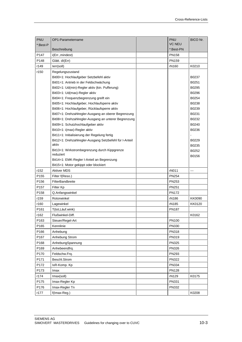| PNU              | OP1-Parametername                                                | <b>PNU</b>    | BICO Nr.       |
|------------------|------------------------------------------------------------------|---------------|----------------|
| *:Best-P         |                                                                  | <b>VC NEU</b> |                |
|                  | Beschreibung                                                     | *:Best-PN     |                |
| P <sub>147</sub> | i(Err., mindest)                                                 | <b>PN158</b>  |                |
| P148             | Glätt. dl(Err)                                                   | PN159         |                |
| r149             | lerr(soll)                                                       | rN160         | K0210          |
| r150             | Regelungszustand                                                 |               |                |
|                  | Bit00=1: Hochlaufgeber Setzbefehl aktiv                          |               | B0237          |
|                  | Bit01=1: Antrieb in der Feldschwächung                           |               | B0251          |
|                  | Bit02=1: Ud(min)-Regler aktiv (kin. Pufferung)                   |               | B0295          |
|                  | Bit03=1: Ud(max)-Regler aktiv                                    |               | B0296          |
|                  | Bit04=1: Frequenzbegrenzung greift ein                           |               | B0254          |
|                  | Bit05=1: Hochlaufgeber, Hochlaufsperre aktiv                     |               | B0238          |
|                  | Bit06=1: Hochlaufgeber, Rücklaufsperre aktiv                     |               | B0239          |
|                  | Bit07=1: Drehzahlregler-Ausgang an oberer Begrenzung             |               | B0231          |
|                  | Bit08=1: Drehzahlregler-Ausgang an unterer Begrenzung            |               | B0232          |
|                  | Bit09=1: Schutzhochlaufgeber aktiv                               |               | B0240          |
|                  | Bit10=1: i(max)-Regler aktiv                                     |               | B0236          |
|                  | Bit11=1: Initialisierung der Regelung fertig                     |               |                |
|                  | Bit12=1: Drehzahlregler-Ausgang Setzbefehl für I-Anteil<br>aktiv |               | B0229          |
|                  | Bit13=1: Wirkstrombegrenzung durch Kippgrenze                    |               | B0235          |
|                  | reduziert                                                        |               | B0252          |
|                  | Bit14=1: EMK-Regler I-Anteil an Begrenzung                       |               | B0156          |
|                  | Bit15=1: Motor gekippt oder blockiert                            |               |                |
| r152             | <b>Aktiver MDS</b>                                               | rN011         | $\overline{a}$ |
| P <sub>155</sub> | Filter f(Reso.)                                                  | <b>PN254</b>  |                |
| P156             | <b>FilterBandbreite</b>                                          | <b>PN253</b>  |                |
| P157             | Filter Kp                                                        | PN251         |                |
| P158             | Q.Anfangswinkel                                                  | <b>PN172</b>  |                |
| r159             | Rotorwinkel                                                      | rN186         | KK0090         |
| r160             | Lagewinkel                                                       | rN185         | KK0120         |
| P161             | T(tot, Läuf.wink)                                                | <b>PN187</b>  |                |
| r162             | Flußwinkel-Diff.                                                 |               | K0162          |
| P163             | Steuer/Regel-Art                                                 | PN100         |                |
| P165             | Kennlinie                                                        | PN330         |                |
| P166             | Anhebung                                                         | PN318         |                |
| P167             | Anhebung Strom                                                   | PN319         |                |
| P168             | AnhebungSpannung                                                 | <b>PN325</b>  |                |
| P169             | Anhebeendfrg.                                                    | <b>PN326</b>  |                |
| P170             | Feldschw.Frq.                                                    | PN293         |                |
| P171             | Beschl.Strom                                                     | <b>PN322</b>  |                |
| P172             | IxR-Komp. Kp                                                     | PN334         |                |
| P173             | lmax                                                             | <b>PN128</b>  |                |
| r174             | Imax(soll)                                                       | rN129         | K0175          |
| P175             | Imax-Regler Kp                                                   | PN331         |                |
| P176             | Imax-Regler Tn                                                   | PN332         |                |
|                  |                                                                  |               |                |
| r177             | f(Imax-Reg.)                                                     |               | K0208          |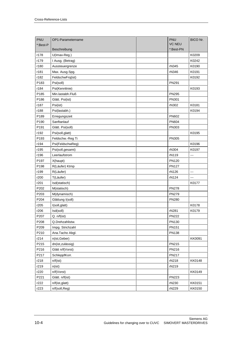| PNU      | OP1-Parametername | PNU           | <b>BICO Nr.</b> |
|----------|-------------------|---------------|-----------------|
| *:Best-P |                   | <b>VC NEU</b> |                 |
|          | Beschreibung      | *:Best-PN     |                 |
| r178     | U(Imax-Reg.)      |               | K0209           |
| r179     | I Ausg. (Betrag)  |               | K0242           |
| r180     | Aussteuergrenze   | rN345         | K0190           |
| r181     | Max. Ausg.Spg.    | rN346         | K0191           |
| r182     | FeldschwFrq(ist)  |               | K0192           |
| P183     | Psi(soll)         | PN291         |                 |
| r184     | Psi(Kennlinie)    |               | K0193           |
| P185     | Min.lastabh.Fluß  | <b>PN295</b>  |                 |
| P186     | Glätt. Psi(ist)   | PN301         |                 |
| r187     | Psi(ist)          | rN302         | K0181           |
| r188     | Psi(lastabh.)     |               | K0194           |
| P189     | Erregungszeit     | PN602         |                 |
| P190     | Sanftanlauf       | <b>PN604</b>  |                 |
| P191     | Glätt. Psi(soll)  | PN303         |                 |
| r192     | Psi(soll,glatt)   |               | K0195           |
| P193     | Feldschw.-Reg Ti  | PN305         |                 |
| r194     | Psi(FeldschwReg)  |               | K0196           |
| r195     | Psi(soll,gesamt)  | rN304         | K0197           |
| r196     | Leerlaufstrom     | rN119         |                 |
| P197     | X(haupt)          | <b>PN120</b>  |                 |
| P198     | R(Läufer) Ktmp    | <b>PN127</b>  |                 |
| r199     | R(Läufer)         | rN126         | ---             |
| r200     | T(Läufer)         | rN124         | ---             |
| r201     | Isd(statisch)     |               | K0177           |
| P202     | M(statisch)       | <b>PN278</b>  |                 |
| P203     | M(dynamisch)      | PN279         |                 |
| P204     | Glättung I(soll)  | <b>PN280</b>  |                 |
| r205     | I(soll,glatt)     |               | K0178           |
| r206     | Isd(soll)         | rN281         | K0179           |
| P207     | Q. n/f(ist)       | <b>PN222</b>  |                 |
| P208     | Q.Drehzahlistw.   | PN130         |                 |
| P209     | Impg. Strichzahl  | PN151         |                 |
| P210     | Ana.Tacho Abgl.   | <b>PN138</b>  |                 |
| r214     | n(ist,Geber)      |               | KK0091          |
| P215     | dn(ist,zulässig)  | PN215         |                 |
| P216     | Glätt n/f(Vorst)  | PN216         |                 |
| P217     | SchleppfKorr.     | PN217         |                 |
| r218     | n/f(ist)          | rN218         | KK0148          |
| r219     | n(ist)            | rN219         |                 |
| r220     | n/f(Vorst)        |               | KK0149          |
| P221     | Glätt. n/f(ist)   | PN223         |                 |
| r222     | n/f(ist,glatt)    | rN230         | KK0151          |
| r223     | n/f(soll, Reg)    | rN229         | KK0150          |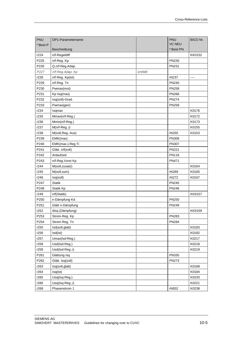| <b>PNU</b> | OP1-Parametername |          | PNU           | <b>BICO Nr.</b> |
|------------|-------------------|----------|---------------|-----------------|
| *:Best-P   |                   |          | <b>VC NEU</b> |                 |
|            | Beschreibung      |          | *:Best-PN     |                 |
| r224       | n/f-Regeldiff     |          |               | KK0152          |
| P225       | n/f-Reg. Kp       |          | <b>PN235</b>  |                 |
| P226       | Q.n/f-Reg.Adap.   |          | PN231         |                 |
| P227       | n/f-Reg.Adap. Kp  | entfällt |               |                 |
| r228       | n/f-Reg. Kp(ist)  |          | rN237         |                 |
| P229       | n/f-Reg. Tn       |          | PN240         |                 |
| P230       | Pwmax(mot)        |          | <b>PN258</b>  |                 |
| P231       | Kp Isq(max)       |          | <b>PN268</b>  |                 |
| P232       | Isq(soll)-Grad.   |          | <b>PN274</b>  |                 |
| P233       | Pwmax(gen)        |          | <b>PN259</b>  |                 |
| r234       | Isqmax            |          |               | K0176           |
| r235       | Mmax(n/f-Reg.)    |          |               | K0172           |
| r236       | Mmin(n/f-Reg.)    |          |               | K0173           |
| r237       | $M(n/f-Reg.,i)$   |          |               | K0155           |
| r238       | M(soll, Reg.-Aus) |          | rN255         | K0153           |
| P239       | EMK(max)          |          | <b>PN306</b>  |                 |
| P240       | EMK(max.)-Reg Ti  |          | <b>PN307</b>  |                 |
| P241       | Glätt. n/f(soll)  |          | <b>PN221</b>  |                 |
| P242       | Anlaufzeit        |          | PN116         |                 |
| P243       | n/f-Reg.Vorst Kp  |          | PN471         |                 |
| r244       | M(soll,zusatz)    |          |               | K0164           |
| r245       | M(soll,sum)       |          | rN269         | K0165           |
| r246       | Isq(soll)         |          | rN272         | K0167           |
| P247       | <b>Statik</b>     |          | <b>PN245</b>  |                 |
| P248       | Statik Kp         |          | <b>PN246</b>  |                 |
| r249       | n/f(Statik)       |          |               | KK0157          |
| P250       | n-Dämpfung Kd     |          | PN250         |                 |
| P251       | Glätt n-Dämpfung  |          | <b>PN249</b>  |                 |
| r252       | dlsq (Dämpfung)   |          |               | KK0159          |
| P253       | Strom-Reg. Kp     |          | <b>PN283</b>  |                 |
| P254       | Strom-Reg. Tn     |          | <b>PN284</b>  |                 |
| r255       | Isd(soll,glatt)   |          |               | K0183           |
| r256       | Isd(ist)          |          |               | K0182           |
| r257       | Umax(Isd-Reg.)    |          |               | K0217           |
| r258       | Usd(Isd-Reg.)     |          |               | K0218           |
| r259       | Usd(Isd-Reg.,i)   |          |               | K0219           |
| P261       | Glättung Isq      |          | <b>PN335</b>  |                 |
| P262       | Glätt. Isq(soll)  |          | PN273         |                 |
| r263       | Isq(soll,glatt)   |          |               | K0168           |
| r264       | Isq(ist)          |          |               | K0184           |
| r265       | Usq(Isq-Reg.)     |          |               | K0220           |
| r266       | Usq(Isq-Reg.,i)   |          |               | K0221           |
| r268       | Phasenstrom 1     |          | rN832         | K0238           |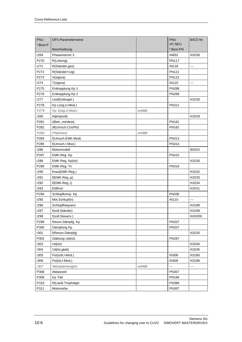| <b>VC NEU</b><br>*:Best-P<br>*:Best-PN<br>Beschreibung<br>r269<br>Phasenstrom 3<br>rN832<br>K0239<br>P270<br><b>PN117</b><br>R(Leitung)<br>r271<br>R(Ständer,ges)<br>rN118<br>$\sim$ $\sim$ $\sim$<br>P272<br>PN121<br>R(Ständer+Ltg)<br>P273<br><b>PN122</b><br>X(sigma)<br>r274<br>T(sigma)<br>rN125<br>---<br>P275<br>Entkopplung Kp 1<br><b>PN288</b><br>P276<br>Entkopplung Kp 2<br><b>PN289</b><br>r277<br>Usd(Entkoppl.)<br>K0228<br>P278<br>Kp L(sig, U-Mod.)<br>PN312<br>P279<br>Kp X(sig, U-Mod.)<br>entfällt<br>K0229<br>r280<br>Alpha(soll)<br>P281<br>PN161<br>i(Betr., mindest)<br>P282<br>df(Umsch,CosPhi)<br>PN162<br>P283<br>Phi(innen)<br>entfällt<br>P284<br>PN313<br>f(Umsch.EMK-Mod)<br>P285<br>f(Umsch.I-Mod.)<br>PN314<br>r286<br>Motormodell<br>B0253<br>P287<br>PN315<br>EMK-Reg. Kp<br>r288<br>EMK-Reg. Kp(ist)<br>K0230<br>P289<br>PN316<br>EMK-Reg. Tn<br>K0232<br>r290<br>fmax(EMK-Reg.)<br>r291<br>f(EMK-Reg.,p)<br>K0233<br>r292<br>K0234<br>f(EMK-Reg.,i)<br>r293<br><b>EMKsd</b><br>K0231<br>P294<br>Schlupfkomp. Kp<br><b>PN336</b><br>r295<br>Mot.Schlupf(n)<br>rN110<br>$\overline{\phantom{a}}$<br>r296<br>Schlupffrequenz<br>K0188<br>r297<br>f(soll, Ständer)<br>K0199<br>r298<br>f(soll, Steuers.)<br>KK0200<br>P299<br><b>PN337</b><br>Reson.Dämpfg. Kp<br>P300<br>Dämpfung Kp<br><b>PN337</b><br>r301<br>f(Reson.Dämpfg)<br>K0235<br>P302<br><b>PN287</b><br>Glättung Ud(ist)<br>r303<br>Ud(ist)<br>K0240<br>r304<br>K0236<br>Ud(ist, glatt)<br>r305<br>Psi(soll,I-Mod.)<br>rN308<br>K0180<br>r306<br>Psi(ist,I-Mod.)<br>rN309<br>K0198<br>r307<br>Netzspannung(n)<br>entfällt<br>$\overline{\phantom{a}}$<br>P308<br><b>PN357</b><br>Abtastzeit<br>P309<br>PN166<br>Kp Tdd<br>P310<br>R(Läuf)-TmpAdapt<br>PN386<br>P311<br>Motorreihe<br><b>PN387</b> | PNU | OP1-Parametername | PNU | BICO Nr. |
|--------------------------------------------------------------------------------------------------------------------------------------------------------------------------------------------------------------------------------------------------------------------------------------------------------------------------------------------------------------------------------------------------------------------------------------------------------------------------------------------------------------------------------------------------------------------------------------------------------------------------------------------------------------------------------------------------------------------------------------------------------------------------------------------------------------------------------------------------------------------------------------------------------------------------------------------------------------------------------------------------------------------------------------------------------------------------------------------------------------------------------------------------------------------------------------------------------------------------------------------------------------------------------------------------------------------------------------------------------------------------------------------------------------------------------------------------------------------------------------------------------------------------------------------------------------------------------------------------------------------------------------------------------------------------------------------------------------------------------------------------------------------------------------------------|-----|-------------------|-----|----------|
|                                                                                                                                                                                                                                                                                                                                                                                                                                                                                                                                                                                                                                                                                                                                                                                                                                                                                                                                                                                                                                                                                                                                                                                                                                                                                                                                                                                                                                                                                                                                                                                                                                                                                                                                                                                                  |     |                   |     |          |
|                                                                                                                                                                                                                                                                                                                                                                                                                                                                                                                                                                                                                                                                                                                                                                                                                                                                                                                                                                                                                                                                                                                                                                                                                                                                                                                                                                                                                                                                                                                                                                                                                                                                                                                                                                                                  |     |                   |     |          |
|                                                                                                                                                                                                                                                                                                                                                                                                                                                                                                                                                                                                                                                                                                                                                                                                                                                                                                                                                                                                                                                                                                                                                                                                                                                                                                                                                                                                                                                                                                                                                                                                                                                                                                                                                                                                  |     |                   |     |          |
|                                                                                                                                                                                                                                                                                                                                                                                                                                                                                                                                                                                                                                                                                                                                                                                                                                                                                                                                                                                                                                                                                                                                                                                                                                                                                                                                                                                                                                                                                                                                                                                                                                                                                                                                                                                                  |     |                   |     |          |
|                                                                                                                                                                                                                                                                                                                                                                                                                                                                                                                                                                                                                                                                                                                                                                                                                                                                                                                                                                                                                                                                                                                                                                                                                                                                                                                                                                                                                                                                                                                                                                                                                                                                                                                                                                                                  |     |                   |     |          |
|                                                                                                                                                                                                                                                                                                                                                                                                                                                                                                                                                                                                                                                                                                                                                                                                                                                                                                                                                                                                                                                                                                                                                                                                                                                                                                                                                                                                                                                                                                                                                                                                                                                                                                                                                                                                  |     |                   |     |          |
|                                                                                                                                                                                                                                                                                                                                                                                                                                                                                                                                                                                                                                                                                                                                                                                                                                                                                                                                                                                                                                                                                                                                                                                                                                                                                                                                                                                                                                                                                                                                                                                                                                                                                                                                                                                                  |     |                   |     |          |
|                                                                                                                                                                                                                                                                                                                                                                                                                                                                                                                                                                                                                                                                                                                                                                                                                                                                                                                                                                                                                                                                                                                                                                                                                                                                                                                                                                                                                                                                                                                                                                                                                                                                                                                                                                                                  |     |                   |     |          |
|                                                                                                                                                                                                                                                                                                                                                                                                                                                                                                                                                                                                                                                                                                                                                                                                                                                                                                                                                                                                                                                                                                                                                                                                                                                                                                                                                                                                                                                                                                                                                                                                                                                                                                                                                                                                  |     |                   |     |          |
|                                                                                                                                                                                                                                                                                                                                                                                                                                                                                                                                                                                                                                                                                                                                                                                                                                                                                                                                                                                                                                                                                                                                                                                                                                                                                                                                                                                                                                                                                                                                                                                                                                                                                                                                                                                                  |     |                   |     |          |
|                                                                                                                                                                                                                                                                                                                                                                                                                                                                                                                                                                                                                                                                                                                                                                                                                                                                                                                                                                                                                                                                                                                                                                                                                                                                                                                                                                                                                                                                                                                                                                                                                                                                                                                                                                                                  |     |                   |     |          |
|                                                                                                                                                                                                                                                                                                                                                                                                                                                                                                                                                                                                                                                                                                                                                                                                                                                                                                                                                                                                                                                                                                                                                                                                                                                                                                                                                                                                                                                                                                                                                                                                                                                                                                                                                                                                  |     |                   |     |          |
|                                                                                                                                                                                                                                                                                                                                                                                                                                                                                                                                                                                                                                                                                                                                                                                                                                                                                                                                                                                                                                                                                                                                                                                                                                                                                                                                                                                                                                                                                                                                                                                                                                                                                                                                                                                                  |     |                   |     |          |
|                                                                                                                                                                                                                                                                                                                                                                                                                                                                                                                                                                                                                                                                                                                                                                                                                                                                                                                                                                                                                                                                                                                                                                                                                                                                                                                                                                                                                                                                                                                                                                                                                                                                                                                                                                                                  |     |                   |     |          |
|                                                                                                                                                                                                                                                                                                                                                                                                                                                                                                                                                                                                                                                                                                                                                                                                                                                                                                                                                                                                                                                                                                                                                                                                                                                                                                                                                                                                                                                                                                                                                                                                                                                                                                                                                                                                  |     |                   |     |          |
|                                                                                                                                                                                                                                                                                                                                                                                                                                                                                                                                                                                                                                                                                                                                                                                                                                                                                                                                                                                                                                                                                                                                                                                                                                                                                                                                                                                                                                                                                                                                                                                                                                                                                                                                                                                                  |     |                   |     |          |
|                                                                                                                                                                                                                                                                                                                                                                                                                                                                                                                                                                                                                                                                                                                                                                                                                                                                                                                                                                                                                                                                                                                                                                                                                                                                                                                                                                                                                                                                                                                                                                                                                                                                                                                                                                                                  |     |                   |     |          |
|                                                                                                                                                                                                                                                                                                                                                                                                                                                                                                                                                                                                                                                                                                                                                                                                                                                                                                                                                                                                                                                                                                                                                                                                                                                                                                                                                                                                                                                                                                                                                                                                                                                                                                                                                                                                  |     |                   |     |          |
|                                                                                                                                                                                                                                                                                                                                                                                                                                                                                                                                                                                                                                                                                                                                                                                                                                                                                                                                                                                                                                                                                                                                                                                                                                                                                                                                                                                                                                                                                                                                                                                                                                                                                                                                                                                                  |     |                   |     |          |
|                                                                                                                                                                                                                                                                                                                                                                                                                                                                                                                                                                                                                                                                                                                                                                                                                                                                                                                                                                                                                                                                                                                                                                                                                                                                                                                                                                                                                                                                                                                                                                                                                                                                                                                                                                                                  |     |                   |     |          |
|                                                                                                                                                                                                                                                                                                                                                                                                                                                                                                                                                                                                                                                                                                                                                                                                                                                                                                                                                                                                                                                                                                                                                                                                                                                                                                                                                                                                                                                                                                                                                                                                                                                                                                                                                                                                  |     |                   |     |          |
|                                                                                                                                                                                                                                                                                                                                                                                                                                                                                                                                                                                                                                                                                                                                                                                                                                                                                                                                                                                                                                                                                                                                                                                                                                                                                                                                                                                                                                                                                                                                                                                                                                                                                                                                                                                                  |     |                   |     |          |
|                                                                                                                                                                                                                                                                                                                                                                                                                                                                                                                                                                                                                                                                                                                                                                                                                                                                                                                                                                                                                                                                                                                                                                                                                                                                                                                                                                                                                                                                                                                                                                                                                                                                                                                                                                                                  |     |                   |     |          |
|                                                                                                                                                                                                                                                                                                                                                                                                                                                                                                                                                                                                                                                                                                                                                                                                                                                                                                                                                                                                                                                                                                                                                                                                                                                                                                                                                                                                                                                                                                                                                                                                                                                                                                                                                                                                  |     |                   |     |          |
|                                                                                                                                                                                                                                                                                                                                                                                                                                                                                                                                                                                                                                                                                                                                                                                                                                                                                                                                                                                                                                                                                                                                                                                                                                                                                                                                                                                                                                                                                                                                                                                                                                                                                                                                                                                                  |     |                   |     |          |
|                                                                                                                                                                                                                                                                                                                                                                                                                                                                                                                                                                                                                                                                                                                                                                                                                                                                                                                                                                                                                                                                                                                                                                                                                                                                                                                                                                                                                                                                                                                                                                                                                                                                                                                                                                                                  |     |                   |     |          |
|                                                                                                                                                                                                                                                                                                                                                                                                                                                                                                                                                                                                                                                                                                                                                                                                                                                                                                                                                                                                                                                                                                                                                                                                                                                                                                                                                                                                                                                                                                                                                                                                                                                                                                                                                                                                  |     |                   |     |          |
|                                                                                                                                                                                                                                                                                                                                                                                                                                                                                                                                                                                                                                                                                                                                                                                                                                                                                                                                                                                                                                                                                                                                                                                                                                                                                                                                                                                                                                                                                                                                                                                                                                                                                                                                                                                                  |     |                   |     |          |
|                                                                                                                                                                                                                                                                                                                                                                                                                                                                                                                                                                                                                                                                                                                                                                                                                                                                                                                                                                                                                                                                                                                                                                                                                                                                                                                                                                                                                                                                                                                                                                                                                                                                                                                                                                                                  |     |                   |     |          |
|                                                                                                                                                                                                                                                                                                                                                                                                                                                                                                                                                                                                                                                                                                                                                                                                                                                                                                                                                                                                                                                                                                                                                                                                                                                                                                                                                                                                                                                                                                                                                                                                                                                                                                                                                                                                  |     |                   |     |          |
|                                                                                                                                                                                                                                                                                                                                                                                                                                                                                                                                                                                                                                                                                                                                                                                                                                                                                                                                                                                                                                                                                                                                                                                                                                                                                                                                                                                                                                                                                                                                                                                                                                                                                                                                                                                                  |     |                   |     |          |
|                                                                                                                                                                                                                                                                                                                                                                                                                                                                                                                                                                                                                                                                                                                                                                                                                                                                                                                                                                                                                                                                                                                                                                                                                                                                                                                                                                                                                                                                                                                                                                                                                                                                                                                                                                                                  |     |                   |     |          |
|                                                                                                                                                                                                                                                                                                                                                                                                                                                                                                                                                                                                                                                                                                                                                                                                                                                                                                                                                                                                                                                                                                                                                                                                                                                                                                                                                                                                                                                                                                                                                                                                                                                                                                                                                                                                  |     |                   |     |          |
|                                                                                                                                                                                                                                                                                                                                                                                                                                                                                                                                                                                                                                                                                                                                                                                                                                                                                                                                                                                                                                                                                                                                                                                                                                                                                                                                                                                                                                                                                                                                                                                                                                                                                                                                                                                                  |     |                   |     |          |
|                                                                                                                                                                                                                                                                                                                                                                                                                                                                                                                                                                                                                                                                                                                                                                                                                                                                                                                                                                                                                                                                                                                                                                                                                                                                                                                                                                                                                                                                                                                                                                                                                                                                                                                                                                                                  |     |                   |     |          |
|                                                                                                                                                                                                                                                                                                                                                                                                                                                                                                                                                                                                                                                                                                                                                                                                                                                                                                                                                                                                                                                                                                                                                                                                                                                                                                                                                                                                                                                                                                                                                                                                                                                                                                                                                                                                  |     |                   |     |          |
|                                                                                                                                                                                                                                                                                                                                                                                                                                                                                                                                                                                                                                                                                                                                                                                                                                                                                                                                                                                                                                                                                                                                                                                                                                                                                                                                                                                                                                                                                                                                                                                                                                                                                                                                                                                                  |     |                   |     |          |
|                                                                                                                                                                                                                                                                                                                                                                                                                                                                                                                                                                                                                                                                                                                                                                                                                                                                                                                                                                                                                                                                                                                                                                                                                                                                                                                                                                                                                                                                                                                                                                                                                                                                                                                                                                                                  |     |                   |     |          |
|                                                                                                                                                                                                                                                                                                                                                                                                                                                                                                                                                                                                                                                                                                                                                                                                                                                                                                                                                                                                                                                                                                                                                                                                                                                                                                                                                                                                                                                                                                                                                                                                                                                                                                                                                                                                  |     |                   |     |          |
|                                                                                                                                                                                                                                                                                                                                                                                                                                                                                                                                                                                                                                                                                                                                                                                                                                                                                                                                                                                                                                                                                                                                                                                                                                                                                                                                                                                                                                                                                                                                                                                                                                                                                                                                                                                                  |     |                   |     |          |
|                                                                                                                                                                                                                                                                                                                                                                                                                                                                                                                                                                                                                                                                                                                                                                                                                                                                                                                                                                                                                                                                                                                                                                                                                                                                                                                                                                                                                                                                                                                                                                                                                                                                                                                                                                                                  |     |                   |     |          |
|                                                                                                                                                                                                                                                                                                                                                                                                                                                                                                                                                                                                                                                                                                                                                                                                                                                                                                                                                                                                                                                                                                                                                                                                                                                                                                                                                                                                                                                                                                                                                                                                                                                                                                                                                                                                  |     |                   |     |          |
|                                                                                                                                                                                                                                                                                                                                                                                                                                                                                                                                                                                                                                                                                                                                                                                                                                                                                                                                                                                                                                                                                                                                                                                                                                                                                                                                                                                                                                                                                                                                                                                                                                                                                                                                                                                                  |     |                   |     |          |
|                                                                                                                                                                                                                                                                                                                                                                                                                                                                                                                                                                                                                                                                                                                                                                                                                                                                                                                                                                                                                                                                                                                                                                                                                                                                                                                                                                                                                                                                                                                                                                                                                                                                                                                                                                                                  |     |                   |     |          |
|                                                                                                                                                                                                                                                                                                                                                                                                                                                                                                                                                                                                                                                                                                                                                                                                                                                                                                                                                                                                                                                                                                                                                                                                                                                                                                                                                                                                                                                                                                                                                                                                                                                                                                                                                                                                  |     |                   |     |          |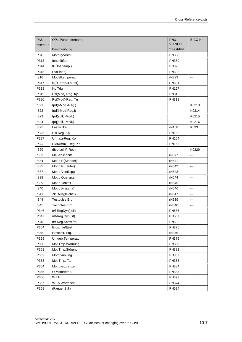| PNU      | OP1-Parametername    | PNU           | BICO Nr. |
|----------|----------------------|---------------|----------|
| *:Best-P |                      | <b>VC NEU</b> |          |
|          | Beschreibung         | *:Best-PN     |          |
| P312     | Motorgewicht         | <b>PN388</b>  |          |
| P313     | Innenlüfter          | PN389         |          |
| P314     | K(Übertemp.)         | PN390         |          |
| P315     | Pv(Eisen)            | PN392         |          |
| r316     | Modelltemperatur     | rN393         |          |
| P317     | K(ÜTemp., Läufer)    | PN391         |          |
| P318     | Kp Tdq               | PN167         |          |
| P319     | Psi(Mod)-Reg. Kp     | PN310         |          |
| P320     | Psi(Mod)-Reg. Tn     | PN311         |          |
| r321     | lµd(l-Mod.-Reg.)     |               | K0213    |
| r322     | lµd(l-Mod-Reg,i)     |               | K0214    |
| r323     | lµd(soll,I-Mod.)     |               | K0215    |
| r324     | lµq(soll,I-Mod.)     |               | K0216    |
| r325     | Lastwinkel           | rN168         | K093     |
| P326     | Psi-Reg. Kp          | PN163         |          |
| P327     | U(max)-Reg. Kp       | PN164         |          |
| P328     | EMK(max)-Reg. Kp     | PN165         |          |
| r329     | dlsd(soll,P-Reg)     |               | K0229    |
| r333     | Meßabschnitt         | rN377         | ---      |
| r334     | MotId R(Ständer)     | rN541         | ---      |
| r335     | MotId R(Läufer)      | rN542         | ---      |
| r337     | MotId Ventilspg.     | rN543         |          |
| r338     | MotId Querspg.       | rN544         | ---      |
| r339     | MotId Totzeit        | rN545         | ---      |
| r340     | MotId X(sigma)       | rN546         | $---$    |
| r341     | Zk. Ausgleichsfk     | rN547         | ---      |
| r344     | Testpulse Erg.       | rN539         | $--$     |
| r345     | Tachotest Erg.       | rN540         | ---      |
| P346     | n/f-RegDyn(soll)     | <b>PN536</b>  |          |
| P347     | n/f-Reg.Dyn(ist)     | <b>PN537</b>  |          |
| P348     | n/f-Reg.Schw.frq     | <b>PN538</b>  |          |
| P354     | Erdschlußtest        | <b>PN375</b>  |          |
| r358     | Erdschlt. Erg.       | rN376         | $---$    |
| P359     | Umgeb.Temperatur     | PN379         |          |
| P360     | Mot.Tmp.Warnung      | PN380         |          |
| P361     | Mot. Tmp. Störung    | PN381         |          |
| P362     | Motorkühlung         | PN382         |          |
| P363     | Mot.Tmp.T1           | PN383         |          |
| P364     | Mot.Lastgrenzen      | PN384         |          |
| P365     | Q.Motortemp.         | PN385         |          |
| P366     | WEA                  | <b>PN373</b>  |          |
| P367     | <b>WEA Wartezeit</b> | <b>PN374</b>  |          |
| P368     | (FangenStill)        | <b>PN524</b>  |          |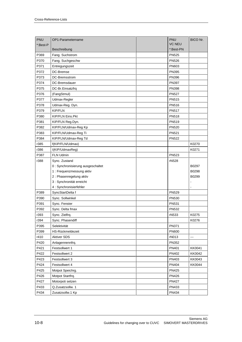| PNU      | OP1-Parametername                 | <b>PNU</b>    | <b>BICO Nr.</b> |
|----------|-----------------------------------|---------------|-----------------|
| *:Best-P |                                   | <b>VC NEU</b> |                 |
|          | Beschreibung                      | *:Best-PN     |                 |
| P369     | Fang. Suchstrom                   | <b>PN525</b>  |                 |
| P370     | Fang. Suchgeschw                  | <b>PN526</b>  |                 |
| P371     | Entregungszeit                    | PN603         |                 |
| P372     | DC-Bremse                         | <b>PN395</b>  |                 |
| P373     | DC-Bremsstrom                     | <b>PN396</b>  |                 |
| P374     | DC-Bremsdauer                     | <b>PN397</b>  |                 |
| P375     | DC-Br.Einsatzfrq                  | <b>PN398</b>  |                 |
| P376     | (FangStmul)                       | <b>PN527</b>  |                 |
| P377     | Udmax-Regler                      | <b>PN515</b>  |                 |
| P378     | Udmax-Reg. Dyn.                   | <b>PN516</b>  |                 |
| P379     | <b>KIP/FLN</b>                    | <b>PN517</b>  |                 |
| P380     | KIP/FLN Eins.Pkt                  | <b>PN518</b>  |                 |
| P381     | KIP/FLN Reg.Dyn.                  | PN519         |                 |
| P382     | KIP/FLN/Udmax-Reg Kp              | <b>PN520</b>  |                 |
| P383     | KIP/FLN/Udmax-Reg Ti              | <b>PN521</b>  |                 |
| P384     | KIP/FLN/Udmax-Reg Td              | <b>PN522</b>  |                 |
| r385     | f(KIP/FLN/Udmax)                  |               | K0270           |
| r386     | I(KIP/UdmaxReg)                   |               | K0271           |
| P387     | FLN Udmin                         | <b>PN523</b>  |                 |
| r388     | Sync. Zustand                     | rN528         |                 |
|          | 0: Synchronisierung ausgeschaltet |               | B0297           |
|          | 1 : Frequenzmessung aktiv         |               | B0298           |
|          | 2 : Phasenregelung aktiv          |               | B0299           |
|          | 3 : Synchronität erreicht         |               |                 |
|          | 4 : Synchronisierfehler           |               |                 |
| P389     | SyncStartDelta f                  | <b>PN529</b>  |                 |
| P390     | Sync. Sollwinkel                  | PN530         |                 |
| P391     | Sync. Fenster                     | PN531         |                 |
| P392     | Sync. Delta fmax                  | <b>PN532</b>  |                 |
| r393     | Sync. Zielfrq.                    | rN533         | K0275           |
| r394     | Sync. Phasendiff                  |               | K0276           |
| P395     | Selektivität                      | PN371         |                 |
| P399     | HS-Rückmeldezeit                  | <b>PN600</b>  |                 |
| r410     | <b>Aktiver SDS</b>                | rN013         | ---             |
| P420     | Anlagennennfrq.                   | PN352         |                 |
| P421     | Festsollwert 1                    | PN401         | KK0041          |
| P422     | Festsollwert 2                    | PN402         | KK0042          |
| P423     | Festsollwert 3                    | PN403         | KK0043          |
| P424     | Festsollwert 4                    | PN404         | KK0044          |
| P425     | Motpot Speichrg.                  | <b>PN425</b>  |                 |
| P426     | Motpot Startfrq.                  | PN426         |                 |
| P427     | Motorpoti setzen                  | <b>PN427</b>  |                 |
| P433     | Q.Zusatzsollw. 1                  | PN433         |                 |
| P434     | Zusatzsollw.1 Kp                  | PN434         |                 |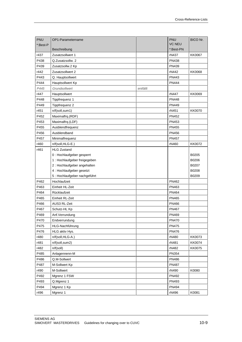| PNU      | OP1-Parametername             |          | PNU           | <b>BICO Nr.</b> |
|----------|-------------------------------|----------|---------------|-----------------|
| *:Best-P |                               |          | <b>VC NEU</b> |                 |
|          | Beschreibung                  |          | *:Best-PN     |                 |
| r437     | Zusatzsollwert 1              |          | rN437         | <b>KK0067</b>   |
| P438     | Q.Zusatzsollw. 2              |          | <b>PN438</b>  |                 |
| P439     | Zusatzsollw.2 Kp              |          | PN439         |                 |
| r442     | Zusatzsollwert 2              |          | rN442         | <b>KK0068</b>   |
| P443     | Q. Hauptsollwert              |          | PN443         |                 |
| P444     | Hauptsollwert Kp              |          | PN444         |                 |
| P445     | Grundsollwert                 | entfällt |               |                 |
| r447     | Hauptsollwert                 |          | rN447         | KK0069          |
| P448     | Tippfrequenz 1                |          | <b>PN448</b>  |                 |
| P449     | Tippfrequenz 2                |          | PN449         |                 |
| r451     | n/f(soll,sum1)                |          | rN451         | KK0070          |
| P452     | Maximalfrq.(RDF)              |          | PN452         |                 |
| P453     | Maximalfrq.(LDF)              |          | PN453         |                 |
| P455     | Ausblendfrequenz              |          | PN455         |                 |
| P456     | Ausblendband                  |          | <b>PN456</b>  |                 |
| P457     | Minimalfrequenz               |          | <b>PN457</b>  |                 |
| r460     | n/f(soll,HLG-E.)              |          | rN460         | KK0072          |
| r461     | <b>HLG Zustand</b>            |          |               |                 |
|          | 0 : Hochlaufgeber gesperrt    |          |               | B0205           |
|          | 1 : Hochlaufgeber freigegeben |          |               | B0206           |
|          | 2 : Hochlaufgeber angehalten  |          |               | B0207           |
|          | 4 : Hochlaufgeber gesetzt     |          |               | B0208           |
|          | 5 : Hochlaufgeber nachgeführt |          |               | B0209           |
| P462     | Hochlaufzeit                  |          | PN462         |                 |
| P463     | Einheit HL-Zeit               |          | PN463         |                 |
| P464     | Rücklaufzeit                  |          | PN464         |                 |
| P465     | Einheit RL-Zeit               |          | PN465         |                 |
| P466     | AUS3 RL-Zeit                  |          | <b>PN466</b>  |                 |
| P467     | Schutz-HL Kp                  |          | PN467         |                 |
| P469     | Anf.Verrundung                |          | PN469         |                 |
| P470     | Endverrundung                 |          | <b>PN470</b>  |                 |
| P475     | HLG-Nachführung               |          | <b>PN475</b>  |                 |
| P476     | HLG aktiv Hys.                |          | <b>PN476</b>  |                 |
| r480     | n/f(soll,HLG-A.)              |          | rN480         | KK0073          |
| r481     | n/f(soll,sum2)                |          | rN481         | KK0074          |
| r482     | n/f(soll)                     |          | rN482         | KK0075          |
| P485     | Anlagennenn-M                 |          | PN354         |                 |
| P486     | Q.M-Sollwert                  |          | PN486         |                 |
| P487     | M-Sollwert Kp                 |          | <b>PN487</b>  |                 |
| r490     | M-Sollwert                    |          | rN490         | K0080           |
| P492     | Mgrenz 1 FSW                  |          | PN492         |                 |
| P493     | Q.Mgrenz 1                    |          | PN493         |                 |
| P494     | Mgrenz 1 Kp                   |          | PN494         |                 |
| r496     | Mgrenz 1                      |          | rN496         | K0081           |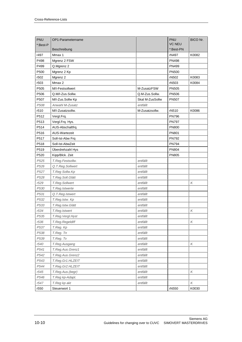| PNU      | OP1-Parametername    |                 | PNU           | BICO Nr.                  |
|----------|----------------------|-----------------|---------------|---------------------------|
| *:Best-P |                      |                 | <b>VC NEU</b> |                           |
|          | Beschreibung         |                 | *:Best-PN     |                           |
| r497     | Mmax 1               |                 | rN497         | K0082                     |
| P498     | Mgrenz 2 FSW         |                 | PN498         |                           |
| P499     | Q.Mgrenz 2           |                 | PN499         |                           |
| P500     | Mgrenz 2 Kp          |                 | <b>PN500</b>  |                           |
| r502     | Mgrenz 2             |                 | rN502         | K0083                     |
| r503     | Mmax 2               |                 | rN503         | K0084                     |
| P505     | M/I-Festsollwert     | M-ZusatzFSW     | <b>PN505</b>  |                           |
| P506     | Q.M/I-Zus.Sollw.     | Q.M-Zus.Sollw.  | <b>PN506</b>  |                           |
| P507     | M/I-Zus.Sollw Kp     | Skal M-ZusSollw | <b>PN507</b>  |                           |
| P508     | Anwahl M-Zusatz      | entfällt        |               |                           |
| r510     | M/I-Zusatzsollw.     | M-Zusatzsollw.  | rN510         | K0086                     |
| P512     | Vergl.Frq.           |                 | <b>PN796</b>  |                           |
| P513     | Vergl.Frq. Hys.      |                 | PN797         |                           |
| P514     | AUS-Abschaltfrq.     |                 | <b>PN800</b>  |                           |
| P516     | <b>AUS-Wartezeit</b> |                 | PN801         |                           |
| P517     | Soll-Ist-Abw Frq     |                 | <b>PN792</b>  |                           |
| P518     | Soll-Ist-AbwZeit     |                 | <b>PN794</b>  |                           |
| P519     | Überdrehzahl Hys     |                 | <b>PN804</b>  |                           |
| P520     | Kipp/Blck. Zeit      |                 | <b>PN805</b>  |                           |
| P525     | T.Reg.Festsollw.     | entfällt        |               |                           |
| P526     | Q.T.Reg.Sollwert     | entfällt        |               |                           |
| P527     | T.Reg Sollw.Kp       | entfällt        |               |                           |
| P528     | T.Reg.Soll.Glätt     | entfällt        |               |                           |
| r529     | T.Reg.Sollwert       | entfällt        |               | Κ                         |
| P530     | T.Reg.Istwerte       | entfällt        |               |                           |
| P531     | Q.T.Reg.Istwert      | entfällt        |               |                           |
| P532     | T.Reg.Istw. Kp       | entfällt        |               |                           |
| P533     | T.Reg.Istw.Glätt     | entfällt        |               |                           |
| r534     | T.Reg.Istwert        | entfällt        |               | К                         |
| P535     | T.Reg.Vergl.Hyst     | entfällt        |               |                           |
| r536     | T.Reg.Regeldiff      | entfällt        |               | Κ                         |
| P537     | T.Reg. Kp            | entfällt        |               |                           |
| P538     | T.Reg. Tn            | entfällt        |               |                           |
| P539     | T.Reg. Tv            | entfällt        |               |                           |
| r540     | T.Reg.Ausgang        | entfällt        |               | Κ                         |
| P541     | T.Reg.Aus.Grenz1     | entfällt        |               |                           |
| P542     | T.Reg.Aus.Grenz2     | entfällt        |               |                           |
| P543     | T.Reg.Gr1.HLZEIT     | entfällt        |               |                           |
| P544     | T.Reg.Gr2.HLZEIT     | entfällt        |               |                           |
| r545     | T.Reg.Aus.(begr)     | entfällt        |               | Κ                         |
| P546     | T.Reg kp-Adapt.      | entfällt        |               |                           |
| r547     | T.Reg kp akt         | entfällt        |               | $\boldsymbol{\mathsf{K}}$ |
| r550     | Steuerwort 1         |                 | rN550         | K0030                     |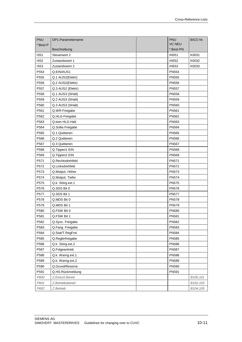| <b>PNU</b> | OP1-Parametername | PNU           | BICO Nr. |
|------------|-------------------|---------------|----------|
| *:Best-P   |                   | <b>VC NEU</b> |          |
|            | Beschreibung      | *:Best-PN     |          |
| r551       | Steuerwort 2      | rN551         | K0031    |
| r552       | Zustandswort 1    | rN552         | K0032    |
| r553       | Zustandswort 2    | rN553         | K0033    |
| P554       | Q.EIN/AUS1        | <b>PN554</b>  |          |
| P555       | Q.1 AUS2(Elektr)  | <b>PN555</b>  |          |
| P556       | Q.2 AUS2(Elektr)  | <b>PN556</b>  |          |
| P557       | Q.3 AUS2 (Elektr) | <b>PN557</b>  |          |
| P558       | Q.1 AUS3 (SHalt)  | <b>PN558</b>  |          |
| P559       | Q.2 AUS3 (SHalt)  | <b>PN559</b>  |          |
| P560       | Q.3 AUS3 (SHalt)  | <b>PN560</b>  |          |
| P561       | Q.WR-Freigabe     | PN561         |          |
| P562       | Q.HLG-Freigabe    | <b>PN562</b>  |          |
| P563       | Q.kein HLG-Halt   | PN563         |          |
| P564       | Q.Sollw.Freigabe  | <b>PN564</b>  |          |
| P565       | Q.1 Quittieren    | <b>PN565</b>  |          |
| P566       | Q.2 Quittieren    | <b>PN566</b>  |          |
| P567       | Q.3 Quittieren    | <b>PN567</b>  |          |
| P568       | Q.Tippen1 EIN     | <b>PN568</b>  |          |
| P569       | Q.Tippen2 EIN     | <b>PN569</b>  |          |
| P571       | Q.Rechtsdrehfeld  | <b>PN571</b>  |          |
| P572       | Q.Linksdrehfeld   | <b>PN572</b>  |          |
| P573       | Q.Motpot. Höher   | <b>PN573</b>  |          |
| P574       | Q.Motpot. Tiefer  | <b>PN574</b>  |          |
| P575       | Q.k. Störg.ext.1  | <b>PN575</b>  |          |
| P576       | Q.SDS Bit 0       | <b>PN576</b>  |          |
| P577       | Q.SDS Bit 1       | <b>PN577</b>  |          |
| P578       | Q.MDS Bit 0       | <b>PN578</b>  |          |
| P579       | Q.MDS Bit 1       | <b>PN579</b>  |          |
| P580       | Q.FSW Bit 0       | <b>PN580</b>  |          |
| P581       | Q.FSW Bit 1       | PN581         |          |
| P582       | Q.Sync. Freigabe  | <b>PN582</b>  |          |
| P583       | Q.Fang. Freigabe  | <b>PN583</b>  |          |
| P584       | Q.Stat/T.RegFrei  | <b>PN584</b>  |          |
| P585       | Q.Reglerfreigabe  | <b>PN585</b>  |          |
| P586       | Q.k. Störg.ext.2  | <b>PN586</b>  |          |
| P587       | Q.Folgeantrieb    | <b>PN587</b>  |          |
| P588       | Q.k. Warng.ext.1  | <b>PN588</b>  |          |
| P589       | Q.k. Warng.ext.2  | <b>PN589</b>  |          |
| P590       | Q.Grund/Reserve   | PN590         |          |
| P591       | Q.HS-Rückmeldung  | PN591         |          |
| P600       | Z.Einsch.Bereit   |               | B100,101 |
| P601       | Z.Betriebsbereit  |               | B102,103 |
| P602       | Z.Betrieb         |               | B104,105 |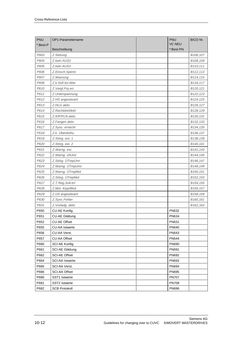| PNU      | OP1-Parametername      | PNU           | <b>BICO Nr.</b>        |
|----------|------------------------|---------------|------------------------|
| *:Best-P |                        | <b>VC NEU</b> |                        |
|          | Beschreibung           | *:Best-PN     |                        |
| P603     | Z.Störung              |               | B106,107               |
| P604     | Z.kein AUS2            |               | B108,109               |
| P605     | Z.kein AUS3            |               | B110,111               |
| P606     | Z.Einsch.Sperre        |               | B112,113               |
| P607     | Z. Warnung             |               | B114,115               |
| P608     | Z.k.Soll-Ist-Abw       |               | B116,117               |
| P610     | Z.Vergl.Frq err.       |               | B120,121               |
| P611     | Z.Unterspannung        |               | B122,123               |
| P612     | Z.HS angesteuert       |               | B124,125               |
| P613     | Z.HLG aktiv            |               | B126,127               |
| P614     | Z.Rechtdrehfeld        |               | B128,129               |
| P615     | Z.KIP/FLN aktiv        |               | B130,131               |
| P616     | Z.Fangen aktiv         |               | B132,133               |
| P617     | Z.Sync. erreicht       |               | B134,135               |
| P618     | Z.k. Überdrehz.        |               | B136,137               |
| P619     | Z.Störg. ext. 1        |               | B138,139               |
| P620     | Z.Störg. ext. 2        |               | B140,141               |
| P621     | Z.Warng. ext.          |               | B142,143               |
| P622     | Z. Warng. i2tUmr       |               | B144,145               |
| P623     | Z.Störg. ÜTmpUmr       |               | B146,147               |
| P624     | Z.Warng. ÜTmpUmr       |               | B148,149               |
| P625     | Z.Warng. ÜTmpMot       |               | B <sub>150</sub> , 151 |
| P626     | Z.Störg. ÜTmpMot       |               | B <sub>152</sub> , 153 |
| P627     | Z.T.Reg.Soll.err       |               | B154,155               |
| P628     | Z.Mot. Kipp/Blck       |               | B156,157               |
| P629     | Z.ÜS angesteuert       |               | B158,159               |
| P630     | Z.Sync.Fehler          |               | B160,161               |
| P631     | Z. Vorladg. aktiv      |               | B162,163               |
| P650     | CU-AE Konfig.          | PN632         |                        |
| P651     | CU-AE Glättung         | <b>PN634</b>  |                        |
| P652     | <b>CU-AE Offset</b>    | PN631         |                        |
| P655     | <b>CU-AA Istwerte</b>  | PN640         |                        |
| P656     | CU-AA Verst.           | PN643         |                        |
| P657     | <b>CU-AA Offset</b>    | <b>PN644</b>  |                        |
| P660     | SCI-AE Konfig.         | <b>PN690</b>  |                        |
| P661     | SCI-AE Glättung        | PN691         |                        |
| P662     | <b>SCI-AE Offset</b>   | PN692         |                        |
| P664     | <b>SCI-AA Istwerte</b> | PN693         |                        |
| P665     | SCI-AA Verst.          | <b>PN694</b>  |                        |
| P666     | SCI-AA Offset          | <b>PN695</b>  |                        |
| P680     | SST1 Istwerte          | <b>PN707</b>  |                        |
| P681     | SST2 Istwerte          | <b>PN708</b>  |                        |
| P682     | <b>SCB Protokoll</b>   | <b>PN696</b>  |                        |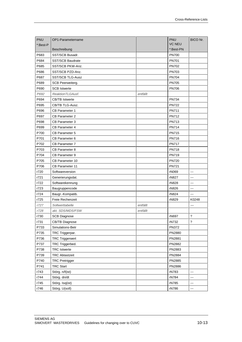| PNU      | OP1-Parametername       |          | <b>PNU</b>    | BICO Nr.                 |
|----------|-------------------------|----------|---------------|--------------------------|
| *:Best-P |                         |          | <b>VC NEU</b> |                          |
|          | Beschreibung            |          | *:Best-PN     |                          |
| P683     | SST/SCB Busadr.         |          | <b>PN700</b>  |                          |
| P684     | <b>SST/SCB Baudrate</b> |          | <b>PN701</b>  |                          |
| P685     | SST/SCB PKW-Anz.        |          | <b>PN702</b>  |                          |
| P686     | SST/SCB PZD-Anz.        |          | <b>PN703</b>  |                          |
| P687     | <b>SST/SCB TLG-Ausz</b> |          | <b>PN704</b>  |                          |
| P689     | SCB Peerweiterg.        |          | <b>PN705</b>  |                          |
| P690     | <b>SCB Istwerte</b>     |          | <b>PN706</b>  |                          |
| P692     | ReaktionTLGAusf.        | entfällt |               |                          |
| P694     | <b>CB/TB Istwerte</b>   |          | <b>PN734</b>  |                          |
| P695     | CB/TB TLG-Ausz.         |          | <b>PN722</b>  |                          |
| P696     | <b>CB Parameter 1</b>   |          | PN711         |                          |
| P697     | <b>CB Parameter 2</b>   |          | <b>PN712</b>  |                          |
| P698     | <b>CB Parameter 3</b>   |          | <b>PN713</b>  |                          |
| P699     | CB Parameter 4          |          | <b>PN714</b>  |                          |
| P700     | <b>CB Parameter 5</b>   |          | <b>PN715</b>  |                          |
| P701     | CB Parameter 6          |          | <b>PN716</b>  |                          |
| P702     | <b>CB Parameter 7</b>   |          | <b>PN717</b>  |                          |
| P703     | CB Parameter 8          |          | <b>PN718</b>  |                          |
| P704     | CB Parameter 9          |          | <b>PN719</b>  |                          |
| P705     | <b>CB Parameter 10</b>  |          | <b>PN720</b>  |                          |
| P706     | CB Parameter 11         |          | <b>PN721</b>  |                          |
| r720     | Softwareversion         |          | rN069         | $\overline{a}$           |
| r721     | Generierungsdat.        |          | rN827         | $---$                    |
| r722     | Softwarekennung         |          | rN828         | $\sim$                   |
| r723     | Baugruppencode          |          | rN826         | $\overline{a}$           |
| r724     | Baugr.-Kompatib.        |          | rN824         | ---                      |
| r725     | Freie Rechenzeit        |          | rN829         | K0248                    |
| r727     | Sollwerttabelle         | entfällt |               | ---                      |
| r728     | akt. SDS/MDS/FSW        | entfällt |               |                          |
| r730     | <b>SCB Diagnose</b>     |          | rN697         | $\overline{?}$           |
| r731     | <b>CB/TB Diagnose</b>   |          | rN732         | $\overline{\phantom{0}}$ |
| P733     | Simulations-Betr        |          | <b>PN372</b>  |                          |
| P735     | TRC Triggerpar.         |          | PN2880        |                          |
| P736     | <b>TRC Triggerwert</b>  |          | PN2881        |                          |
| P737     | TRC Triggerbed.         |          | PN2882        |                          |
| P738     | <b>TRC</b> Istwerte     |          | PN2883        |                          |
| P739     | <b>TRC Abtastzeit</b>   |          | PN2884        |                          |
| P740     | <b>TRC Pretrigger</b>   |          | PN2885        |                          |
| P741     | <b>TRC Start</b>        |          | PN2886        |                          |
| r743     | Störg. n/f(ist)         |          | rN783         | $\overline{\phantom{a}}$ |
| r744     | Störg. dn/dt            |          | rN784         | ---                      |
| r745     | Störg. Isq(ist)         |          | rN785         | ---                      |
| r746     | Störg. U(soll)          |          | rN786         |                          |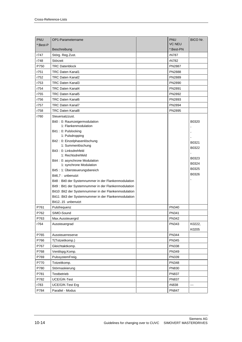| <b>PNU</b> | OP1-Parametername                                      | <b>PNU</b>    | <b>BICO Nr.</b> |
|------------|--------------------------------------------------------|---------------|-----------------|
| *:Best-P   |                                                        | <b>VC NEU</b> |                 |
|            | Beschreibung                                           | *:Best-PN     |                 |
| r747       | Störg. Reg.Zust.                                       | rN787         |                 |
| r748       | Störzeit                                               | rN782         |                 |
| P750       | <b>TRC Datenblock</b>                                  | <b>PN2887</b> |                 |
| r751       | <b>TRC Daten Kanal1</b>                                | <b>PN2888</b> |                 |
| r752       | <b>TRC Daten Kanal2</b>                                | PN2889        |                 |
| r753       | TRC Daten Kanal3                                       | PN2890        |                 |
| r754       | <b>TRC Daten Kanal4</b>                                | PN2891        |                 |
| r755       | <b>TRC Daten Kanal5</b>                                | PN2892        |                 |
| r756       | <b>TRC Daten Kanal6</b>                                | PN2893        |                 |
| r757       | <b>TRC Daten Kanal7</b>                                | <b>PN2894</b> |                 |
| r758       | <b>TRC Daten Kanal8</b>                                | PN2895        |                 |
| r760       | Steuersatzzust.                                        |               |                 |
|            | Bit0: 0: Raumzeigermodulation                          |               | B0320           |
|            | 1: Flankenmodulation                                   |               |                 |
|            | Bit1: 0: Pulslocking                                   |               |                 |
|            | 1: Pulsdropping                                        |               |                 |
|            | Bit2: 0: Einzelphasenlöschung<br>1: Summenlöschung     |               | B0321           |
|            | Bit3: 0: Linksdrehfeld                                 |               | B0322           |
|            | 1: Rechtsdrehfeld                                      |               | $\blacksquare$  |
|            | Bit4 : 0: asynchrone Modulation                        |               | B0323           |
|            | 1: synchrone Modulation                                |               | B0324           |
|            | Bit5: 1: Übersteuerungsbereich                         |               | B0325           |
|            | Bit6,7: unbenutzt                                      |               | B0326           |
|            | Bit8 : Bit0 der Systemnummer in der Flankenmodulation  |               |                 |
|            | Bit9 : Bit1 der Systemnummer in der Flankenmodulation  |               |                 |
|            | Bit10 : Bit2 der Systemnummer in der Flankenmodulation |               |                 |
|            | Bit11 : Bit3 der Systemnummer in der Flankenmodulation |               |                 |
|            | Bit1215 unbenutzt                                      |               |                 |
| P761       | Pulsfrequenz                                           | PN340         |                 |
| P762       | SIMO-Sound                                             | PN341         |                 |
| P763       | Max.Aussteuergrd                                       | PN342         |                 |
| r764       | Aussteuergrad                                          | PN343         | K0222,          |
|            |                                                        |               | K0205           |
| P765       | Aussteuerreserve                                       | <b>PN344</b>  |                 |
| P766       | T(Totzeitkomp.)                                        | PN345         |                 |
| P767       | Gleichtaktkomp.                                        | <b>PN338</b>  |                 |
| P768       | Ventilspg.Komp.                                        | PN349         |                 |
| P769       | PulssystemFreig.                                       | <b>PN339</b>  |                 |
| P770       | Totzeitkomp.                                           | <b>PN348</b>  |                 |
| P780       | Störmaskierung                                         | <b>PN830</b>  |                 |
| P781       | Testbetrieb                                            | <b>PN837</b>  |                 |
| P782       | UCE/Ü/K-Test                                           | <b>PN837</b>  |                 |
| r783       | UCE/Ü/K-Test Erg                                       | rN838         |                 |
| P784       | Parallel - Modus                                       | <b>PN847</b>  |                 |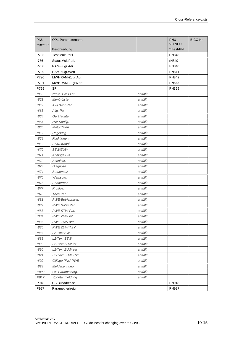| PNU      | OP1-Parametername    |          | PNU           | BICO Nr.       |
|----------|----------------------|----------|---------------|----------------|
| *:Best-P |                      |          | <b>VC NEU</b> |                |
|          | Beschreibung         |          | *:Best-PN     |                |
| P785     | Test MultiParll.     |          | <b>PN848</b>  |                |
| r786     | StatusMultiParl.     |          | rN849         | $\overline{a}$ |
| P788     | RAM-Zugr.Adr.        |          | <b>PN840</b>  |                |
| P789     | RAM-Zugr.Wert        |          | PN841         |                |
| P790     | MWHRAM-Zugr.Adr.     |          | <b>PN842</b>  |                |
| P791     | MWHRAM-ZugrWert      |          | <b>PN843</b>  |                |
| P799     | <b>SF</b>            |          | <b>PN399</b>  |                |
| r860     | zentrl. PNU-Lst.     | entfällt |               |                |
| r861     | Menü-Liste           | entfällt |               |                |
| r862     | Allg.BeobPar         | entfällt |               |                |
| r863     | Allg. Par.           | entfällt |               |                |
| r864     | Gerätedaten          | entfällt |               |                |
| r865     | HW-Konfig.           | entfällt |               |                |
| r866     | Motordaten           | entfällt |               |                |
| r867     | Regelung             | entfällt |               |                |
| r868     | Funktionen.          | entfällt |               |                |
| r869     | Sollw.Kanal          | entfällt |               |                |
| r870     | STW/ZUW              | entfällt |               |                |
| r871     | Analoge E/A          | entfällt |               |                |
| r872     | Schnittst.           | entfällt |               |                |
| r873     | Diagnose             | entfällt |               |                |
| r874     | Steuersatz           | entfällt |               |                |
| r875     | Werkspar.            | entfällt |               |                |
| r876     | Sonderpar.           | entfällt |               |                |
| r877     | Profilpar.           | entfällt |               |                |
| r878     | Tech.Par.            | entfällt |               |                |
| r881     | PWE-Betriebsanz.     | entfällt |               |                |
| r882     | PWE Sollw.Par.       | entfällt |               |                |
| r883     | PWE STW-Par.         | entfällt |               |                |
| r884     | PWE ZUW int          | entfällt |               |                |
| r885     | PWE ZUW ser          | entfällt |               |                |
| r886     | <b>PWE ZUW TSY</b>   | entfällt |               |                |
| r887     | L2-Text SW           | entfällt |               |                |
| r888     | L2-Text STW          | entfällt |               |                |
| r889     | L2-Text ZUW int      | entfällt |               |                |
| r890     | L2-Text ZUW ser      | entfällt |               |                |
| r891     | L2-Text ZUW TSY      | entfällt |               |                |
| r892     | Gültige PNU-PWE      | entfällt |               |                |
| r893     | Meldekennung         | entfällt |               |                |
| P899     | OP-Parametrierg.     | entfällt |               |                |
| P917     | Spontanmeldung       | entfällt |               |                |
| P918     | <b>CB Busadresse</b> |          | PN918         |                |
| P927     | Parametrierfreig     |          | <b>PN927</b>  |                |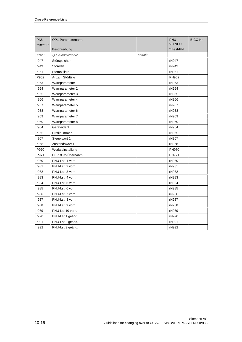| PNU      | OP1-Parametername |          | PNU           | BICO Nr. |
|----------|-------------------|----------|---------------|----------|
| *:Best-P |                   |          | <b>VC NEU</b> |          |
|          | Beschreibung      |          | *:Best-PN     |          |
| P928     | Q.Grund/Reserve   | entfällt |               |          |
| r947     | Störspeicher      |          | rN947         |          |
| r949     | Störwert          |          | rN949         |          |
| r951     | Störtextliste     |          | rN951         |          |
| P952     | Anzahl Störfälle  |          | <b>PN952</b>  |          |
| r953     | Warnparameter 1   |          | rN953         |          |
| r954     | Warnparameter 2   |          | rN954         |          |
| r955     | Warnparameter 3   |          | rN955         |          |
| r956     | Warnparameter 4   |          | rN956         |          |
| r957     | Warnparameter 5   |          | rN957         |          |
| r958     | Warnparameter 6   |          | rN958         |          |
| r959     | Warnparameter 7   |          | rN959         |          |
| r960     | Warnparameter 8   |          | rN960         |          |
| r964     | Geräteident.      |          | rN964         |          |
| r965     | Profilnummer      |          | rN965         |          |
| r967     | Steuerwort 1      |          | rN967         |          |
| r968     | Zustandswort 1    |          | rN968         |          |
| P970     | Werkseinstellung  |          | <b>PN970</b>  |          |
| P971     | EEPROM-Übernahm.  |          | PN971         |          |
| r980     | PNU-Lst. 1 vorh.  |          | rN980         |          |
| r981     | PNU-Lst. 2 vorh.  |          | rN981         |          |
| r982     | PNU-Lst. 3 vorh.  |          | rN982         |          |
| r983     | PNU-Lst. 4 vorh.  |          | rN983         |          |
| r984     | PNU-Lst. 5 vorh.  |          | rN984         |          |
| r985     | PNU-Lst. 6 vorh.  |          | rN985         |          |
| r986     | PNU-Lst. 7 vorh.  |          | rN986         |          |
| r987     | PNU-Lst. 8 vorh.  |          | rN987         |          |
| r988     | PNU-Lst. 9 vorh.  |          | rN988         |          |
| r989     | PNU-Lst.10 vorh.  |          | rN989         |          |
| r990     | PNU-Lst.1 geänd.  |          | rN990         |          |
| r991     | PNU-Lst.2 geänd.  |          | rN991         |          |
| r992     | PNU-Lst.3 geänd.  |          | rN992         |          |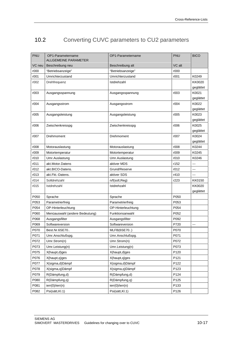## 10.2 Converting CUVC parameters to CU2 parameters

| <b>PNU</b> | OP1-Parametername              | OP1-Parametername  | <b>PNU</b> | <b>BICO</b>        |
|------------|--------------------------------|--------------------|------------|--------------------|
|            | <b>ALLGEMEINE PARAMETER</b>    |                    | VC alt     |                    |
| VC neu     | Beschreibung neu               | Beschreibung alt   |            |                    |
| r000       | "Betriebsanzeige"              | "Betriebsanzeige"  | r000       |                    |
| r001       | Umrichterzustand               | Umrichterzustand   | r001       | K0249              |
| r002       | Drehfrequenz                   | Istdrehzahl        |            | KK0020             |
|            |                                |                    |            | geglättet          |
| r003       | Ausgangsspannung               | Ausgangsspannung   | r003       | K0021<br>geglättet |
| r004       | Ausgangsstrom                  | Ausgangsstrom      | r004       | K0022              |
|            |                                |                    |            | geglättet          |
| r005       | Ausgangsleistung               | Ausgangsleistung   | r005       | K0023              |
|            |                                |                    |            | geglättet          |
| r006       | Zwischenkreisspg               | Zwischenkreisspg   | r006       | K0025              |
|            |                                |                    |            | geglättet          |
| r007       | Drehmoment                     | Drehmoment         | r007       | K0024              |
|            |                                |                    |            | geglättet          |
| r008       | Motorauslastung                | Motorauslastung    | r008       | K0244              |
| r009       | Motortemperatur                | Motortemperatur    | r009       | K0245              |
| r010       | Umr.Auslastung                 | Umr.Auslastung     | r010       | K0246              |
| r011       | akt.Motor.Datens               | aktiver MDS        | r152       |                    |
| r012       | akt.BICO-Datens.               | Grund/Reserve      | r012       | ---                |
| r013       | akt.Fkt.-Datens.               | aktiver SDS        | r410       | ---                |
| r014       | Solldrehzahl                   | n/f(soll,Reg)      | r223       | KK0150             |
| r015       | Istdrehzahl                    | Istdrehzahl        |            | <b>KK0020</b>      |
|            |                                |                    |            | geglättet          |
| P050       | Sprache                        | Sprache            | P050       |                    |
| P053       | Parametrierfreig               | Parametrierfreig   | P053       |                    |
| P054       | OP-Hinterleuchtung             | OP-Hinterleuchtung | P054       |                    |
| P060       | Menüauswahl (andere Bedeutung) | Funktionsanwahl    | P052       |                    |
| P068       | Ausgangsfilter                 | Ausgangsfilter     | P092       |                    |
| P069       | Softwareversion                | Softwareversion    | P720       |                    |
| P070       | Best.Nr.6SE70                  | MLFB(6SE70)        | P070       |                    |
| P071       | Umr.Anschlußspg.               | Umr.Anschlußspg.   | P071       |                    |
| P072       | Umr.Strom(n)                   | Umr.Strom(n)       | P072       |                    |
| P073       | Umr.Leistung(n)                | Umr.Leistung(n)    | P073       |                    |
| P075       | X(haupt,d)ges                  | X(haupt,d)ges      | P120       |                    |
| P076       | X(haupt,q)ges                  | X(haupt,q)ges      | P121       |                    |
| P077       | X(sigma,d)Dämpf                | X(sigma,d)Dämpf    | P122       |                    |
| P078       | X(sigma,q)Dämpf                | X(sigma,q)Dämpf    | P123       |                    |
| P079       | R(Dämpfung,d)                  | R(Dämpfung,d)      | P124       |                    |
| P080       | R(Dämpfung,q)                  | R(Dämpfung,q)      | P125       |                    |
| P081       | ierr(0)/ierr(n)                | ierr(0)/ierr(n)    | P133       |                    |
| P082       | Psi(sätt, Kl.1)                | Psi(sätt, Kl.1)    | P126       |                    |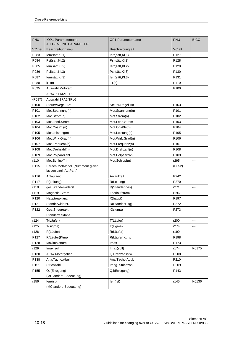| <b>PNU</b>       | OP1-Parametername                                       | OP1-Parametername | PNU              | <b>BICO</b> |
|------------------|---------------------------------------------------------|-------------------|------------------|-------------|
|                  | <b>ALLGEMEINE PARAMETER</b>                             |                   | VC alt           |             |
| VC neu<br>P083   | Beschreibung neu                                        | Beschreibung alt  | P127             |             |
| P084             | Ierr(sätt,KI.1)                                         | lerr(sätt,Kl.1)   | P128             |             |
|                  | Psi(sätt, Kl.2)                                         | Psi(sätt, Kl.2)   |                  |             |
| P085             | Ierr(sätt,KI.2)                                         | lerr(sätt, Kl.2)  | P129             |             |
| P086             | Psi(sätt, Kl.3)                                         | Psi(sätt, Kl.3)   | P130             |             |
| P087             | lerr(sätt, Kl.3)                                        | lerr(sätt, Kl.3)  | P <sub>131</sub> |             |
| P088             | kT(n)                                                   | kT(n)             | P110             |             |
| P095             | Auswahl Motorart                                        |                   | P <sub>100</sub> |             |
|                  | Ausw. 1FK6/1FT6                                         |                   |                  |             |
| (P097)           | Auswahl 1PA6/1PL6                                       |                   |                  |             |
| P <sub>100</sub> | Steuer/Regel-Art                                        | Steuer/Regel-Art  | P163             |             |
| P101             | Mot.Spannung(n)                                         | Mot.Spannung(n)   | P <sub>101</sub> |             |
| P <sub>102</sub> | Mot.Strom(n)                                            | Mot.Strom(n)      | P <sub>102</sub> |             |
| P103             | Mot.Leerl.Strom                                         | Mot.Leerl.Strom   | P103             |             |
| P104             | Mot.CosPhi(n)                                           | Mot.CosPhi(n)     | P <sub>104</sub> |             |
| P105             | Mot.Leistung(n)                                         | Mot.Leistung(n)   | P <sub>105</sub> |             |
| P106             | Mot.Wirk.Grad(n)                                        | Mot.Wirk.Grad(n)  | P <sub>106</sub> |             |
| P107             | Mot.Frequenz(n)                                         | Mot.Frequenz(n)   | P107             |             |
| P108             | Mot.Drehzahl(n)                                         | Mot.Drehzahl(n)   | P108             |             |
| P109             | Mot.Polpaarzahl                                         | Mot.Polpaarzahl   | P <sub>109</sub> |             |
| r110             | Mot.Schlupf(n)                                          | Mot.Schlupf(n)    | r295             | $---$       |
| P115             | Berech.MotModell (Nummern gleich<br>lassen bzgl. AutPa) |                   | (P052)           |             |
| P116             | Anlaufzeit                                              | Anlaufzeit        | P242             |             |
| P117             | R(Leitung)                                              | R(Leitung)        | P270             |             |
| r118             | ges.Ständerwiderst.                                     | R(Ständer,ges)    | r271             | ---         |
| r119             | Magnetis.Strom                                          | Leerlaufstrom     | r196             | ---         |
| P120             | Hauptreaktanz                                           | X(haupt)          | P197             |             |
| P <sub>121</sub> | Ständerwiderst.                                         | R(Ständer+Ltg)    | P272             |             |
| P122             | Ges.Streureakt.                                         | X(sigma)          | P273             |             |
|                  | Ständerreaktanz                                         |                   |                  |             |
| r124             | T(Läufer)                                               | T(Läufer)         | r200             |             |
| r125             | T(sigma)                                                | T(sigma)          | r274             | ---         |
| r126             | R(Läufer)                                               | R(Läufer)         | r199             | ---         |
| P127             | R(Läufer)Ktmp                                           | R(Läufer)Ktmp     | P198             |             |
| P128             | Maximalstrom                                            | lmax              | P173             |             |
| r129             | Imax(soll)                                              | Imax(soll)        | r174             | K0175       |
| P130             | Ausw.Motorgeber                                         | Q.Drehzahlistw.   | P208             |             |
| P138             | Ana.Tacho.Abgl.                                         | Ana.Tacho.Abgl.   | P210             |             |
| P151             | Strichzahl                                              | Impg. Strichzahl  | P209             |             |
| P155             | Q.i(Erregung)                                           | Q.i(Erregung)     | P143             |             |
|                  | (MC andere Bedeutung)                                   |                   |                  |             |
| r156             | lerr(ist)                                               | lerr(ist)         | r145             | K0136       |
|                  | (MC andere Bedeutung)                                   |                   |                  |             |
|                  |                                                         |                   |                  |             |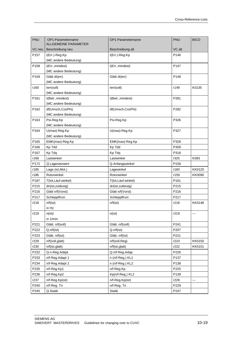| VC neu<br>Beschreibung alt<br>VC alt<br>Beschreibung neu<br>i(Err.)-Reg.Kp<br>P146<br>P <sub>157</sub><br>i(Err.)-Reg.Kp<br>(MC andere Bedeutung)<br>P <sub>158</sub><br>i(Err., mindest)<br><i>i</i> (Err., mindest)<br>P <sub>147</sub><br>(MC andere Bedeutung)<br>P159<br>Glätt dl(err)<br>Glätt dl(err)<br>P148<br>(MC andere Bedeutung)<br>r160<br>lerr(soll)<br>r149<br>K0135<br>lerr(soll)<br>(MC andere Bedeutung)<br>P161<br>I(Betr., mindest)<br>P281<br>I(Betr., mindest)<br>(MC andere Bedeutung)<br>P162<br>df(Umsch,CosPhi)<br>df(Umsch,CosPhi)<br>P282<br>(MC andere Bedeutung)<br>P <sub>163</sub><br>Psi-Reg.Kp<br>P326<br>Psi-Reg.Kp<br>(MC andere Bedeutung)<br>P164<br>P327<br>U(max)-Reg.Kp<br>U(max)-Reg.Kp<br>(MC andere Bedeutung)<br>P <sub>165</sub><br>EMK(max)-Reg.Kp<br>EMK(max)-Reg.Kp<br>P328<br>P309<br>P166<br>Kp Tdd<br>Kp Tdd<br>P318<br>P167<br>Kp Tdq<br>Kp Tdq<br>r168<br>K093<br>Lastwinkel<br>Lastwinkel<br>r325<br>P172<br>Q.Anfangswinkel<br>P158<br>Q.Lagesetzwert<br>r185<br>Lagewinkel<br>r160<br>KK0120<br>Lage (ist, Mot.)<br>Rotorwinkel<br>Rotorwinkel<br>r186<br>r159<br>KK0090<br>P187<br>T(tot, Läuf.winkel)<br>T(tot, Läuf.winkel)<br>P <sub>161</sub><br>P215<br>dn(ist,zulässig)<br>dn(ist,zulässig)<br>P215<br>P216<br>Glätt n/f(Vorst)<br>Glätt n/f(Vorst)<br>P216<br>P217<br>SchleppfKorr.<br>SchleppfKorr.<br>P217<br>r218<br>n/f(ist)<br>n/f(ist)<br><b>KK0148</b><br>r218<br>in Hz<br>r219<br>r219<br>n(ist)<br>n(ist)<br>---<br>in 1/min<br>P221<br>Glätt. n/f(soll)<br>Glätt. n/f(soll)<br>P241 |
|-----------------------------------------------------------------------------------------------------------------------------------------------------------------------------------------------------------------------------------------------------------------------------------------------------------------------------------------------------------------------------------------------------------------------------------------------------------------------------------------------------------------------------------------------------------------------------------------------------------------------------------------------------------------------------------------------------------------------------------------------------------------------------------------------------------------------------------------------------------------------------------------------------------------------------------------------------------------------------------------------------------------------------------------------------------------------------------------------------------------------------------------------------------------------------------------------------------------------------------------------------------------------------------------------------------------------------------------------------------------------------------------------------------------------------------------------------------------------------------------------------------------------------------------------------------------|
|                                                                                                                                                                                                                                                                                                                                                                                                                                                                                                                                                                                                                                                                                                                                                                                                                                                                                                                                                                                                                                                                                                                                                                                                                                                                                                                                                                                                                                                                                                                                                                 |
|                                                                                                                                                                                                                                                                                                                                                                                                                                                                                                                                                                                                                                                                                                                                                                                                                                                                                                                                                                                                                                                                                                                                                                                                                                                                                                                                                                                                                                                                                                                                                                 |
|                                                                                                                                                                                                                                                                                                                                                                                                                                                                                                                                                                                                                                                                                                                                                                                                                                                                                                                                                                                                                                                                                                                                                                                                                                                                                                                                                                                                                                                                                                                                                                 |
|                                                                                                                                                                                                                                                                                                                                                                                                                                                                                                                                                                                                                                                                                                                                                                                                                                                                                                                                                                                                                                                                                                                                                                                                                                                                                                                                                                                                                                                                                                                                                                 |
|                                                                                                                                                                                                                                                                                                                                                                                                                                                                                                                                                                                                                                                                                                                                                                                                                                                                                                                                                                                                                                                                                                                                                                                                                                                                                                                                                                                                                                                                                                                                                                 |
|                                                                                                                                                                                                                                                                                                                                                                                                                                                                                                                                                                                                                                                                                                                                                                                                                                                                                                                                                                                                                                                                                                                                                                                                                                                                                                                                                                                                                                                                                                                                                                 |
|                                                                                                                                                                                                                                                                                                                                                                                                                                                                                                                                                                                                                                                                                                                                                                                                                                                                                                                                                                                                                                                                                                                                                                                                                                                                                                                                                                                                                                                                                                                                                                 |
|                                                                                                                                                                                                                                                                                                                                                                                                                                                                                                                                                                                                                                                                                                                                                                                                                                                                                                                                                                                                                                                                                                                                                                                                                                                                                                                                                                                                                                                                                                                                                                 |
|                                                                                                                                                                                                                                                                                                                                                                                                                                                                                                                                                                                                                                                                                                                                                                                                                                                                                                                                                                                                                                                                                                                                                                                                                                                                                                                                                                                                                                                                                                                                                                 |
|                                                                                                                                                                                                                                                                                                                                                                                                                                                                                                                                                                                                                                                                                                                                                                                                                                                                                                                                                                                                                                                                                                                                                                                                                                                                                                                                                                                                                                                                                                                                                                 |
|                                                                                                                                                                                                                                                                                                                                                                                                                                                                                                                                                                                                                                                                                                                                                                                                                                                                                                                                                                                                                                                                                                                                                                                                                                                                                                                                                                                                                                                                                                                                                                 |
|                                                                                                                                                                                                                                                                                                                                                                                                                                                                                                                                                                                                                                                                                                                                                                                                                                                                                                                                                                                                                                                                                                                                                                                                                                                                                                                                                                                                                                                                                                                                                                 |
|                                                                                                                                                                                                                                                                                                                                                                                                                                                                                                                                                                                                                                                                                                                                                                                                                                                                                                                                                                                                                                                                                                                                                                                                                                                                                                                                                                                                                                                                                                                                                                 |
|                                                                                                                                                                                                                                                                                                                                                                                                                                                                                                                                                                                                                                                                                                                                                                                                                                                                                                                                                                                                                                                                                                                                                                                                                                                                                                                                                                                                                                                                                                                                                                 |
|                                                                                                                                                                                                                                                                                                                                                                                                                                                                                                                                                                                                                                                                                                                                                                                                                                                                                                                                                                                                                                                                                                                                                                                                                                                                                                                                                                                                                                                                                                                                                                 |
|                                                                                                                                                                                                                                                                                                                                                                                                                                                                                                                                                                                                                                                                                                                                                                                                                                                                                                                                                                                                                                                                                                                                                                                                                                                                                                                                                                                                                                                                                                                                                                 |
|                                                                                                                                                                                                                                                                                                                                                                                                                                                                                                                                                                                                                                                                                                                                                                                                                                                                                                                                                                                                                                                                                                                                                                                                                                                                                                                                                                                                                                                                                                                                                                 |
|                                                                                                                                                                                                                                                                                                                                                                                                                                                                                                                                                                                                                                                                                                                                                                                                                                                                                                                                                                                                                                                                                                                                                                                                                                                                                                                                                                                                                                                                                                                                                                 |
|                                                                                                                                                                                                                                                                                                                                                                                                                                                                                                                                                                                                                                                                                                                                                                                                                                                                                                                                                                                                                                                                                                                                                                                                                                                                                                                                                                                                                                                                                                                                                                 |
|                                                                                                                                                                                                                                                                                                                                                                                                                                                                                                                                                                                                                                                                                                                                                                                                                                                                                                                                                                                                                                                                                                                                                                                                                                                                                                                                                                                                                                                                                                                                                                 |
|                                                                                                                                                                                                                                                                                                                                                                                                                                                                                                                                                                                                                                                                                                                                                                                                                                                                                                                                                                                                                                                                                                                                                                                                                                                                                                                                                                                                                                                                                                                                                                 |
|                                                                                                                                                                                                                                                                                                                                                                                                                                                                                                                                                                                                                                                                                                                                                                                                                                                                                                                                                                                                                                                                                                                                                                                                                                                                                                                                                                                                                                                                                                                                                                 |
|                                                                                                                                                                                                                                                                                                                                                                                                                                                                                                                                                                                                                                                                                                                                                                                                                                                                                                                                                                                                                                                                                                                                                                                                                                                                                                                                                                                                                                                                                                                                                                 |
|                                                                                                                                                                                                                                                                                                                                                                                                                                                                                                                                                                                                                                                                                                                                                                                                                                                                                                                                                                                                                                                                                                                                                                                                                                                                                                                                                                                                                                                                                                                                                                 |
|                                                                                                                                                                                                                                                                                                                                                                                                                                                                                                                                                                                                                                                                                                                                                                                                                                                                                                                                                                                                                                                                                                                                                                                                                                                                                                                                                                                                                                                                                                                                                                 |
|                                                                                                                                                                                                                                                                                                                                                                                                                                                                                                                                                                                                                                                                                                                                                                                                                                                                                                                                                                                                                                                                                                                                                                                                                                                                                                                                                                                                                                                                                                                                                                 |
|                                                                                                                                                                                                                                                                                                                                                                                                                                                                                                                                                                                                                                                                                                                                                                                                                                                                                                                                                                                                                                                                                                                                                                                                                                                                                                                                                                                                                                                                                                                                                                 |
|                                                                                                                                                                                                                                                                                                                                                                                                                                                                                                                                                                                                                                                                                                                                                                                                                                                                                                                                                                                                                                                                                                                                                                                                                                                                                                                                                                                                                                                                                                                                                                 |
|                                                                                                                                                                                                                                                                                                                                                                                                                                                                                                                                                                                                                                                                                                                                                                                                                                                                                                                                                                                                                                                                                                                                                                                                                                                                                                                                                                                                                                                                                                                                                                 |
|                                                                                                                                                                                                                                                                                                                                                                                                                                                                                                                                                                                                                                                                                                                                                                                                                                                                                                                                                                                                                                                                                                                                                                                                                                                                                                                                                                                                                                                                                                                                                                 |
|                                                                                                                                                                                                                                                                                                                                                                                                                                                                                                                                                                                                                                                                                                                                                                                                                                                                                                                                                                                                                                                                                                                                                                                                                                                                                                                                                                                                                                                                                                                                                                 |
|                                                                                                                                                                                                                                                                                                                                                                                                                                                                                                                                                                                                                                                                                                                                                                                                                                                                                                                                                                                                                                                                                                                                                                                                                                                                                                                                                                                                                                                                                                                                                                 |
|                                                                                                                                                                                                                                                                                                                                                                                                                                                                                                                                                                                                                                                                                                                                                                                                                                                                                                                                                                                                                                                                                                                                                                                                                                                                                                                                                                                                                                                                                                                                                                 |
| P222<br>Q.n/f(ist)<br>Q.n/f(ist)<br>P207                                                                                                                                                                                                                                                                                                                                                                                                                                                                                                                                                                                                                                                                                                                                                                                                                                                                                                                                                                                                                                                                                                                                                                                                                                                                                                                                                                                                                                                                                                                        |
| P223<br>P221<br>Glätt. n/f(ist)<br>Glätt. n/f(ist)                                                                                                                                                                                                                                                                                                                                                                                                                                                                                                                                                                                                                                                                                                                                                                                                                                                                                                                                                                                                                                                                                                                                                                                                                                                                                                                                                                                                                                                                                                              |
| r229<br>n/f(soll,glatt)<br>n/f(soll,Reg)<br>r223<br>KK0150                                                                                                                                                                                                                                                                                                                                                                                                                                                                                                                                                                                                                                                                                                                                                                                                                                                                                                                                                                                                                                                                                                                                                                                                                                                                                                                                                                                                                                                                                                      |
| r230<br>n/f(ist,glatt)<br>n/f(ist,glatt)<br>r222<br>KK0151                                                                                                                                                                                                                                                                                                                                                                                                                                                                                                                                                                                                                                                                                                                                                                                                                                                                                                                                                                                                                                                                                                                                                                                                                                                                                                                                                                                                                                                                                                      |
| P232<br>Q.n-Reg.Adapt.<br>Q.n/f-Reg.Adap.<br>P226                                                                                                                                                                                                                                                                                                                                                                                                                                                                                                                                                                                                                                                                                                                                                                                                                                                                                                                                                                                                                                                                                                                                                                                                                                                                                                                                                                                                                                                                                                               |
| P233<br>n/f-Reg.Adapt 1<br>n (n/f-Reg.) KL1<br>P137                                                                                                                                                                                                                                                                                                                                                                                                                                                                                                                                                                                                                                                                                                                                                                                                                                                                                                                                                                                                                                                                                                                                                                                                                                                                                                                                                                                                                                                                                                             |
| P234<br>n/f-Reg.Adapt 2<br>n (n/f-Reg.) KL2<br>P138                                                                                                                                                                                                                                                                                                                                                                                                                                                                                                                                                                                                                                                                                                                                                                                                                                                                                                                                                                                                                                                                                                                                                                                                                                                                                                                                                                                                                                                                                                             |
| P235<br>n/f-Reg.Kp1<br>n/f-Reg.Kp<br>P <sub>225</sub>                                                                                                                                                                                                                                                                                                                                                                                                                                                                                                                                                                                                                                                                                                                                                                                                                                                                                                                                                                                                                                                                                                                                                                                                                                                                                                                                                                                                                                                                                                           |
| P236<br>n/f-Reg.Kp2<br>Kp(n/f-Reg.) KL2<br>P <sub>139</sub>                                                                                                                                                                                                                                                                                                                                                                                                                                                                                                                                                                                                                                                                                                                                                                                                                                                                                                                                                                                                                                                                                                                                                                                                                                                                                                                                                                                                                                                                                                     |
| r237<br>n/f-Reg.Kp(ist)<br>r228<br>n/f-Reg.Kp(ist)<br>---                                                                                                                                                                                                                                                                                                                                                                                                                                                                                                                                                                                                                                                                                                                                                                                                                                                                                                                                                                                                                                                                                                                                                                                                                                                                                                                                                                                                                                                                                                       |
| P240<br>n/f-Reg. Tn<br>P229<br>n/f-Reg. Tn                                                                                                                                                                                                                                                                                                                                                                                                                                                                                                                                                                                                                                                                                                                                                                                                                                                                                                                                                                                                                                                                                                                                                                                                                                                                                                                                                                                                                                                                                                                      |
| P245<br>Q.Statik<br><b>Statik</b><br>P247                                                                                                                                                                                                                                                                                                                                                                                                                                                                                                                                                                                                                                                                                                                                                                                                                                                                                                                                                                                                                                                                                                                                                                                                                                                                                                                                                                                                                                                                                                                       |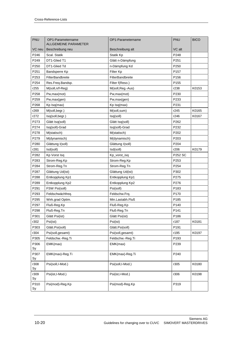| PNU              | OP1-Parametername<br>ALLGEMEINE PARAMETER | OP1-Parametername | <b>PNU</b>       | <b>BICO</b> |
|------------------|-------------------------------------------|-------------------|------------------|-------------|
| VC neu           | Beschreibung neu                          | Beschreibung alt  | VC alt           |             |
| P246             | Scal. Statik                              | Statik Kp         | P248             |             |
| P249             | DT1-Glied T1                              | Glätt n-Dämpfung  | P251             |             |
| P250             | DT1-Glied Td                              | n-Dämpfung Kd     | P250             |             |
| P251             | Bandsperre Kp                             | Filter Kp         | P <sub>157</sub> |             |
| P253             | FilterBandbreite                          | FilterBandbreite  | P <sub>156</sub> |             |
| P254             | Res.Freq.Bandsp.                          | Filter f(Reso.)   | P155             |             |
| r255             | M(soll, n/f-Reg)                          | M(soll, Reg.-Aus) | r238             | K0153       |
| P258             | Pw,max(mot)                               | Pw,max(mot)       | P230             |             |
| P259             | Pw,max(gen)                               | Pw,max(gen)       | P233             |             |
| P268             | $Kp$ Isq(max)                             | Kp Isq(max)       | P231             |             |
| r269             | M(soll,begr.)                             | M(soll,sum)       | r245             | K0165       |
| r272             | Isq(soll,begr.)                           | Isq(soll)         | r246             | K0167       |
| P273             | Glätt Isq(soll)                           | Glätt Isq(soll)   | P262             |             |
| P274             | Isq(soll)-Grad                            | Isq(soll)-Grad    | P232             |             |
| P278             | M(statisch)                               | M(statisch)       | P202             |             |
| P279             | M(dynamisch)                              | M(dynamisch)      | P203             |             |
| P280             | Glättung I(soll)                          | Glättung I(soll)  | P204             |             |
| r281             | Isd(soll)                                 | Isd(soll)         | r206             | K0179       |
| P282             | Kp Vorst Isq                              | Kp_vorst_isq      | <b>P252 SC</b>   |             |
| P283             | Strom-Reg.Kp                              | Strom-Reg.Kp      | P253             |             |
| P284             | Strom-Reg.Tn                              | Strom-Reg.Tn      | P <sub>254</sub> |             |
| P287             | Glättung Ud(ist)                          | Glättung Ud(ist)  | P302             |             |
| P288             | Entkopplung Kp1                           | Entkopplung Kp1   | P275             |             |
| P289             | Entkopplung Kp2                           | Entkopplung Kp2   | P276             |             |
| P291             | FSW Psi(soll)                             | Psi(soll)         | P183             |             |
| P293             | Feldschwächfreg.                          | Feldschw.Frq.     | P170             |             |
| P <sub>295</sub> | Wirk.grad Optim.                          | Min.Lastabh.Fluß  | P185             |             |
| P297             | Fluß-Reg.Kp                               | Fluß-Reg.Kp       | P140             |             |
| P298             | Fluß-Reg.Tn                               | Fluß-Reg.Tn       | P141             |             |
| P301             | Glätt Psi(ist)                            | Glätt Psi(ist)    | P186             |             |
| r302             | Psi(ist)                                  | Psi(ist)          | r187             | K0181       |
| P303             | Glätt.Psi(soll)                           | Glätt.Psi(soll)   | P191             |             |
| r304             | Psi(soll,gesamt)                          | Psi(soll,gesamt)  | r195             | K0197       |
| P305             | Feldschw.-Reg.Ti                          | Feldschw.-Reg.Ti  | P193             |             |
| P306             | EMK(max)                                  | EMK(max)          | P239             |             |
| Sy               |                                           |                   |                  |             |
| P307<br>Sy       | EMK(max)-Reg.Ti                           | EMK(max)-Reg.Ti   | P240             |             |
| r308<br>Sy       | Psi(soll,I-Mod.)                          | Psi(soll,I-Mod.)  | r305             | K0180       |
| r309<br>Sy       | Psi(ist,I-Mod.)                           | Psi(ist,I-Mod.)   | r306             | K0198       |
| P310<br>Sy       | Psi(mod)-Reg.Kp                           | Psi(mod)-Reg.Kp   | P319             |             |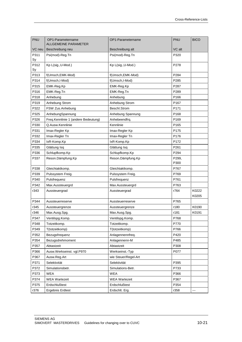| PNU        | OP1-Parametername<br><b>ALLGEMEINE PARAMETER</b> | OP1-Parametername    | <b>PNU</b>       | <b>BICO</b>    |
|------------|--------------------------------------------------|----------------------|------------------|----------------|
| VC neu     | Beschreibung neu                                 | Beschreibung alt     | VC alt           |                |
| P311<br>Sy | Psi(mod)-Reg.Tn                                  | Psi(mod)-Reg.Tn      | P320             |                |
| P312<br>Sy | Kp L(sig., U-Mod.)                               | Kp L(sig., U-Mod.)   | P278             |                |
| P313       | f(Umsch, EMK-Mod)                                | f(Umsch, EMK-Mod)    | P284             |                |
| P314       | f(Umsch, I-Mod)                                  | f(Umsch, I-Mod)      | P285             |                |
| P315       | EMK-Reg.Kp                                       | EMK-Reg.Kp           | P287             |                |
| P316       | EMK-Reg.Tn                                       | EMK-Reg.Tn           | P289             |                |
| P318       | Anhebung                                         | Anhebung             | P166             |                |
| P319       | Anhebung Strom                                   | Anhebung Strom       | P <sub>167</sub> |                |
| P322       | FSW Zus.Anhebung                                 | Beschl.Strom         | P171             |                |
| P325       | AnhebungSpannung                                 | Anhebung Spannung    | P168             |                |
| P326       | Freq.Kennlinie 1 (andere Bedeutung)              | Anhebeendfrg.        | P <sub>169</sub> |                |
| P330       | Q.Ausw.Kennlinie                                 | Kennlinie            | P <sub>165</sub> |                |
| P331       | Imax-Regler Kp                                   | Imax-Regler Kp       | P175             |                |
| P332       | Imax-Regler Tn                                   | Imax-Regler Tn       | P176             |                |
| P334       | IxR-Komp.Kp                                      | IxR-Komp.Kp          | P172             |                |
| P335       | Glättung Isq                                     | Glättung Isq         | P261             |                |
| P336       | Schlupfkomp.Kp                                   | Schlupfkomp.Kp       | P294             |                |
| P337       | Reson.Dämpfung.Kp                                | Reson.Dämpfung.Kp    | P299,<br>P300    |                |
| P338       | Gleichtaktkomp.                                  | Gleichtaktkomp.      | P767             |                |
| P339       | Pulssystem Freig.                                | Pulssystem Freig.    | P769             |                |
| P340       | Pulsfrequenz                                     | Pulsfrequenz         | P761             |                |
| P342       | Max.Aussteuergrd                                 | Max.Aussteuergrd     | P763             |                |
| r343       | Aussteuergrad                                    | Aussteuergrad        | r764             | K0222<br>K0205 |
| P344       | Aussteuerreserve                                 | Aussteuerreserve     | P765             |                |
| r345       | Aussteuergrenze                                  | Aussteuergrenze      | r180             | K0190          |
| r346       | Max.Ausg.Spg.                                    | Max.Ausg.Spg.        | r181             | K0191          |
| P347       | Ventilspg.Komp.                                  | Ventilspg.Komp.      | P768             |                |
| P348       | Totzeitkomp.                                     | Totzeitkomp.         | P770             |                |
| P349       | T(totzeitkomp)                                   | T(totzeitkomp)       | P766             |                |
| P352       | Bezugsfrequenz                                   | Anlagennennfreq.     | P420             |                |
| P354       | Bezugsdrehmoment                                 | Anlagennenn-M        | P485             |                |
| P357       | Abtastzeit                                       | Abtastzeit           | P308             |                |
| P366       | Ausw.Werkseinst. vgl.P970                        | Werkseinst. Typ      | P077             |                |
| P367       | Ausw.Reg.Art                                     | wie Steuer/Regel-Art |                  |                |
| P371       | Selektivität                                     | Selektivität         | P395             |                |
| P372       | Simulationsbetr.                                 | Simulations-Betr.    | P733             |                |
| P373       | <b>WEA</b>                                       | <b>WEA</b>           | P366             |                |
| P374       | <b>WEA Wartezeit</b>                             | <b>WEA Wartezeit</b> | P367             |                |
| P375       | Erdschlußtest                                    | Erdschlußtest        | P354             |                |
| r376       | <b>Ergebnis Erdtest</b>                          | Erdschlt. Erg.       | r358             | ---            |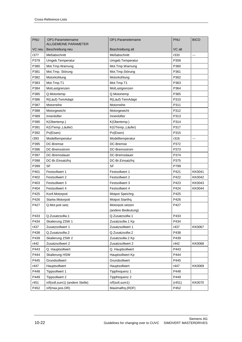| <b>PNU</b> | OP1-Parametername<br>ALLGEMEINE PARAMETER | OP1-Parametername  | PNU    | <b>BICO</b>   |
|------------|-------------------------------------------|--------------------|--------|---------------|
| VC neu     | Beschreibung neu                          | Beschreibung alt   | VC alt |               |
| r377       | Meßabschnitt                              | Meßabschnitt       | r333   |               |
| P379       | Umgeb.Temperatur                          | Umgeb.Temperatur   | P359   |               |
| P380       | Mot.Tmp.Warnung                           | Mot.Tmp.Warnung    | P360   |               |
| P381       | Mot.Tmp. Störung                          | Mot.Tmp.Störung    | P361   |               |
| P382       | Motorkühlung                              | Motorkühlung       | P362   |               |
| P383       | Mot.Tmp.T1                                | Mot.Tmp.T1         | P363   |               |
| P384       | MotLastgrenzen                            | MotLastgrenzen     | P364   |               |
| P385       | Q.Motortemp                               | Q.Motortemp        | P365   |               |
| P386       | R(Läuf)-TemAdapt                          | R(Läuf)-TemAdapt   | P310   |               |
| P387       | Motorreihe                                | Motorreihe         | P311   |               |
| P388       | Motorgewicht                              | Motorgewicht       | P312   |               |
| P389       | Innenlüfter                               | Innenlüfter        | P313   |               |
| P390       | K(Übertemp.)                              | K(Übertemp.)       | P314   |               |
| P391       | K(ÜTemp., Läufer)                         | K(ÜTemp., Läufer)  | P317   |               |
| P392       | Pv(Eisen)                                 | Pv(Eisen)          | P315   |               |
| r393       | Modelltemperatur                          | ModelItemperatur   | r316   |               |
| P395       | DC-Bremse                                 | DC-Bremse          | P372   |               |
| P396       | DC-Bremsstrom                             | DC-Bremsstrom      | P373   |               |
| P397       | DC-Bremsdauer                             | DC-Bremsdauer      | P374   |               |
| P398       | DC-Br.Einsatzfrq                          | DC-Br.Einsatzfrq   | P375   |               |
| P399       | <b>SF</b>                                 | <b>SF</b>          | P799   |               |
| P401       | Festsollwert 1                            | Festsollwert 1     | P421   | KK0041        |
| P402       | Festsollwert 2                            | Festsollwert 2     | P422   | KK0042        |
| P403       | Festsollwert 3                            | Festsollwert 3     | P423   | KK0043        |
| P404       | Festsollwert 4                            | Festsollwert 4     | P424   | KK0044        |
| P425       | Konf.Motorpoti                            | Motpot Speichrg.   | P425   |               |
| P426       | Startw.Motorpoti                          | Motpot Startfrq.   | P426   |               |
| P427       | Q.Mot.poti setz.                          | Motorpoti setzen   | P427   |               |
|            |                                           | (andere Bedeutung) |        |               |
| P433       | Q.Zusatzsollw.1                           | Q.Zusatzsollw.1    | P433   |               |
| P434       | Skalierung ZSW 1                          | Zusatzsollw.1 Kp   | P434   |               |
| r437       | Zusatzsollwert 1                          | Zusatzsollwert 1   | r437   | <b>KK0067</b> |
| P438       | Q.Zusatzsollw.2                           | Q.Zusatzsollw.2    | P438   |               |
| P439       | Skalierung ZSW 2                          | Zusatzsollw.2 Kp   | P439   |               |
| r442       | Zusatzsollwert 2                          | Zusatzsollwert 2   | r442   | <b>KK0068</b> |
| P443       | Q. Hauptsollwert                          | Q. Hauptsollwert   | P443   |               |
| P444       | Skalierung HSW                            | Hauptsollwert Kp   | P444   |               |
| P445       | Grundsollwert                             | Grundsollwert      | P445   |               |
| r447       | Hauptsollwert                             | Hauptsollwert      | r447   | KK0069        |
| P448       | Tippsollwert 1                            | Tippfrequenz 1     | P448   |               |
| P449       | Tippsollwert 2                            | Tippfrequenz 2     | P449   |               |
| r451       | n/f(soll,sum1) (andere Stelle)            | n/f(soll, sum1)    | (r451) | <b>KK0070</b> |
| P452       | n/f(max,pos.DR)                           | Maximalfrq.(RDF)   | P452   |               |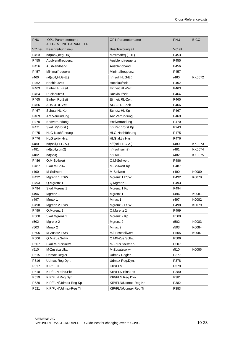| PNU    | OP1-Parametername<br><b>ALLGEMEINE PARAMETER</b> | OP1-Parametername    | PNU              | <b>BICO</b>   |
|--------|--------------------------------------------------|----------------------|------------------|---------------|
| VC neu | Beschreibung neu                                 | Beschreibung alt     | VC alt           |               |
| P453   | n/f(max, neg.DR)                                 | Maximalfrq.(LDF)     | P453             |               |
| P455   | Ausblendfrequenz                                 | Ausblendfrequenz     | P455             |               |
| P456   | Ausblendband                                     | Ausblendband         | P456             |               |
| P457   | Minimalfrequenz                                  | Minimalfrequenz      | P457             |               |
| r460   | n/f(soll,HLG-E.)                                 | n/f(soll,HLG-E.)     | r460             | KK0072        |
| P462   | Hochlaufzeit                                     | Hochlaufzeit         | P462             |               |
| P463   | Einheit HL-Zeit                                  | Einheit HL-Zeit      | P463             |               |
| P464   | Rücklaufzeit                                     | Rücklaufzeit         | P464             |               |
| P465   | Einheit RL-Zeit                                  | Einheit RL-Zeit      | P465             |               |
| P466   | AUS 3 RL-Zeit                                    | AUS 3 RL-Zeit        | P466             |               |
| P467   | Schutz-HL Kp                                     | Schutz-HL Kp         | P467             |               |
| P469   | Anf. Verrundung                                  | Anf.Verrundung       | P469             |               |
| P470   | Endverrundung                                    | Endverrundung        | P470             |               |
| P471   | Skal. M(Vorst.)                                  | n/f-Reg.Vorst Kp     | P243             |               |
| P475   | HLG-Nachführung                                  | HLG-Nachführung      | P475             |               |
| P476   | HLG aktiv Hys.                                   | HLG aktiv Hys.       | P476             |               |
| r480   | n/f(soll,HLG-A.)                                 | n/f(soll,HLG-A.)     | r480             | KK0073        |
| r481   | n/f(soll,sum2)                                   | n/f(soll,sum2)       | r481             | <b>KK0074</b> |
| r482   | n/f(soll)                                        | n/f(soll)            | r482             | KK0075        |
| P486   | Q.M-Sollwert                                     | Q.M-Sollwert         | P486             |               |
| P487   | Skal.M-Sollw.                                    | M-Sollwert Kp        | P487             |               |
| r490   | M-Sollwert                                       | M-Sollwert           | r490             | K0080         |
| P492   | Mgrenz 1 FSW                                     | Mgrenz 1 FSW         | P492             | K0078         |
| P493   | Q.Mgrenz 1                                       | Q.Mgrenz 1           | P493             |               |
| P494   | Skal.Mgrenz 1                                    | Mgrenz 1 Kp          | P494             |               |
| r496   | Mgrenz 1                                         | Mgrenz 1             | r496             | K0081         |
| r497   | Mmax 1                                           | Mmax 1               | r497             | K0082         |
| P498   | Mgrenz 2 FSW                                     | Mgrenz 2 FSW         | P498             | K0079         |
| P499   | Q.Mgrenz 2                                       | Q.Mgrenz 2           | P499             |               |
| P500   | Skal.Mgrenz 2                                    | Mgrenz 2 Kp          | P <sub>500</sub> |               |
| r502   | Mgrenz 2                                         | Mgrenz 2             | r502             | K0083         |
| r503   | Mmax 2                                           | Mmax 2               | r503             | K0084         |
| P505   | M-Zusatz FSW                                     | M/I-Festsollwert     | P505             | K0087         |
| P506   | Q.M-Zus.Sollw.                                   | Q.M/I-Zus.Sollw.     | P506             |               |
| P507   | Skal M-ZusSollw                                  | M/I-Zus.Sollw Kp     | P507             |               |
| r510   | M-Zusatzsollw.                                   | M-Zusatzsollw        | r510             | K0086         |
| P515   | Udmax-Regler                                     | Udmax-Regler         | P377             |               |
| P516   | Udmax-Reg.Dyn.                                   | Udmax-Reg.Dyn.       | P378             |               |
| P517   | KIP/FLN                                          | KIP/FLN              | P379             |               |
| P518   | KIP/FLN Eins.Pkt                                 | KIP/FLN Eins.Pkt     | P380             |               |
| P519   | KIP/FLN Reg.Dyn.                                 | KIP/FLN Reg.Dyn.     | P381             |               |
| P520   | KIP/FLN/Udmax-Reg Kp                             | KIP/FLN/Udmax-Reg Kp | P382             |               |
| P521   | KIP/FLN/Udmax-Reg Ti                             | KIP/FLN/Udmax-Reg Ti | P383             |               |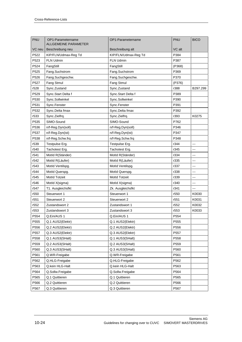| <b>PNU</b>       | OP1-Parametername           | OP1-Parametername    | <b>PNU</b> | <b>BICO</b> |
|------------------|-----------------------------|----------------------|------------|-------------|
|                  | <b>ALLGEMEINE PARAMETER</b> | Beschreibung alt     | VC alt     |             |
| VC neu<br>P522   | Beschreibung neu            |                      | P384       |             |
|                  | KIP/FLN/Udmax-Reg Td        | KIP/FLN/Udmax-Reg Td |            |             |
| P523             | <b>FLN Udmin</b>            | <b>FLN Udmin</b>     | P387       |             |
| P524             | FangStill                   | FangStill            | (P368)     |             |
| P525             | Fang.Suchstrom              | Fang.Suchstrom       | P369       |             |
| P526             | Fang.Suchgeschw.            | Fang.Suchgeschw.     | P370       |             |
| P527             | Fang Stmul                  | Fang Stmul           | (P376)     |             |
| r528             | Sync.Zustand                | Sync.Zustand         | r388       | B297.299    |
| P529             | Sync.Start Delta f          | Sync.Start Delta f   | P389       |             |
| P530             | Sync.Sollwinkel             | Sync.Sollwinkel      | P390       |             |
| P531             | Sync.Fenster                | Sync.Fenster         | P391       |             |
| P532             | Sync.Delta fmax             | Sync.Delta fmax      | P392       |             |
| r533             | Sync.Zielfrq.               | Sync.Zielfrq.        | r393       | K0275       |
| P535             | SIMO-Sound                  | SIMO-Sound           | P762       |             |
| P536             | n/f-Reg.Dyn(soll)           | n/f-Reg.Dyn(soll)    | P346       |             |
| P537             | n/f-Reg.Dyn(ist)            | n/f-Reg.Dyn(ist)     | P347       |             |
| P538             | n/f-Reg.Schw.frq            | n/f-Reg.Schw.frq     | P348       |             |
| r539             | Testpulse Erg.              | Testpulse Erg.       | r344       | ---         |
| r540             | Tachotest Erg.              | Tachotest Erg.       | r345       |             |
| r541             | Motld R(Ständer)            | MotId R(Ständer)     | r334       |             |
| r542             | MotId R(Läufer)             | MotId R(Läufer)      | r335       | ---         |
| r543             | MotId Ventilspg.            | MotId Ventilspg.     | r337       | ---         |
| r544             | MotId Querspg.              | MotId Querspg.       | r338       | ---         |
| r545             | <b>MotId Totzeit</b>        | <b>MotId Totzeit</b> | r339       | ---         |
| r546             | Motld X(sigma)              | MotId X(sigma)       | r340       | ---         |
| r547             | T1. Ausgleichsfkt           | Zk. Ausgleichsfkt    | r341       | ---         |
| r550             | Steuerwort 1                | Steuerwort 1         | r550       | K0030       |
| r551             | Steuerwort 2                | Steuerwort 2         | r551       | K0031       |
| r552             | Zustandswort 2              | Zustandswort 1       | r552       | K0032       |
| r553             | Zustandswort 3              | Zustandswort 3       | r553       | K0033       |
| P <sub>554</sub> | Q.Ein/AUS 1                 | Q.Ein/AUS 1          | P554       |             |
| P555             | Q.1 AUS2(Elektr)            | Q.1 AUS2(Elektr)     | P555       |             |
| P556             | Q.2 AUS2(Elektr)            | Q.2 AUS2(Elektr)     | P556       |             |
| P557             | Q.3 AUS2(Elektr)            | Q.3 AUS2(Elektr)     | P557       |             |
| P558             | Q.1 AUS3(SHalt)             | Q.1 AUS3(SHalt)      | P558       |             |
| P559             | Q.2 AUS3(SHalt)             | Q.2 AUS3(SHalt)      | P559       |             |
| P560             | Q.3 AUS3(SHalt)             | Q.3 AUS3(SHalt)      | P560       |             |
| P561             | Q.WR-Freigabe               | Q.WR-Freigabe        | P561       |             |
| P562             | Q.HLG-Freigabe              | Q.HLG-Freigabe       | P562       |             |
| P563             | Q.kein HLG-Halt             | Q.kein HLG-Halt      | P563       |             |
| P564             | Q.Sollw.Freigabe            | Q.Sollw.Freigabe     | P564       |             |
| P565             | Q.1 Quittieren              | Q.1 Quittieren       | P565       |             |
| P566             | Q.2 Quittieren              | Q.2 Quittieren       | P566       |             |
| P567             | Q.3 Quittieren              | Q.3 Quittieren       | P567       |             |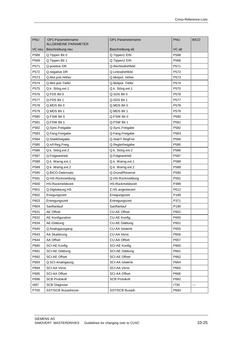| PNU    | OP1-Parametername<br><b>ALLGEMEINE PARAMETER</b> | OP1-Parametername      | <b>PNU</b>       | <b>BICO</b> |
|--------|--------------------------------------------------|------------------------|------------------|-------------|
| VC neu | Beschreibung neu                                 | Beschreibung alt       | VC alt           |             |
| P568   | Q. Tippen Bit 0                                  | Q.Tippen1 EIN          | P568             |             |
| P569   | Q. Tippen Bit 1                                  | Q.Tippen2 EIN          | P569             |             |
| P571   | Q.positive DR                                    | Q.Rechtsdrehfeld       | P571             |             |
| P572   | Q.negative DR                                    | Q.Linksdrehfeld        | P572             |             |
| P573   | Q.Mot.poti Höher                                 | Q.Motpot. Höher        | P573             |             |
| P574   | Q.Mot.poti Tiefer                                | Q.Motpot. Tiefer       | P574             |             |
| P575   | Q.k. Störg.ext.1                                 | Q.k. Störg.ext.1       | P575             |             |
| P576   | Q.FDS Bit 0                                      | Q.SDS Bit 0            | P576             |             |
| P577   | Q.FDS Bit 1                                      | Q.SDS Bit 1            | P577             |             |
| P578   | Q.MDS Bit 0                                      | Q.MDS Bit 0            | P578             |             |
| P579   | Q.MDS Bit 1                                      | Q.MDS Bit 1            | P579             |             |
| P580   | Q.FSW Bit 0                                      | Q.FSW Bit 0            | P580             |             |
| P581   | Q.FSW Bit 1                                      | Q.FSW Bit 1            | P581             |             |
| P582   | Q.Sync.Freigabe                                  | Q.Sync.Freigabe        | P582             |             |
| P583   | Q.Fang.Freigabe                                  | Q.Fang.Freigabe        | P583             |             |
| P584   | Q.Statikfreigabe                                 | Q.Stat/T.RegFrei       | P584             |             |
| P585   | Q.n/f-Reg.Freig.                                 | Q.Reglerfreigabe       | P585             |             |
| P586   | Q.k. Störg.ext.2                                 | Q.k. Störg.ext.2       | P586             |             |
| P587   | Q.Folgeantrieb                                   | Q.Folgeantrieb         | P587             |             |
| P588   | Q.k. Warng.ext.1                                 | Q.k. Warng.ext.1       | P588             |             |
| P589   | Q.k. Warng.ext.2                                 | Q.k. Warng.ext.2       | P589             |             |
| P590   | Q.BICO-Datensatz                                 | Q.Grund/Reserve        | P590             |             |
| P591   | Q.HS-Rückmeldung                                 | Q.HS-Rückmeldung       | P591             |             |
| P600   | HS-Rückmeldezeit                                 | HS-Rückmeldezeit       | P399             |             |
| P601   | Q.Digitalausg.HS                                 | Z.HS angesteuert       | P612             |             |
| P602   | Erregungszeit                                    | Erregungszeit          | P <sub>189</sub> |             |
| P603   | Entregungszeit                                   | Entregungszeit         | P371             |             |
| P604   | Sanftanlauf                                      | Sanftanlauf            | P190             |             |
| P631   | <b>AE Offset</b>                                 | CU-AE Offset           | P652             |             |
| P632   | <b>AE Konfiguration</b>                          | CU-AE Konfig.          | P650             |             |
| P634   | AE-Glättung                                      | <b>CU-AE Glättung</b>  | P651             |             |
| P640   | Q.Analogausgang                                  | <b>CU-AA Istwerte</b>  | P655             |             |
| P643   | AA Skalierung                                    | CU-AA Verst.           | P656             |             |
| P644   | AA Offset                                        | CU-AA Offset           | P657             |             |
| P690   | SCI-AE Konfig.                                   | SCI-AE Konfig.         | P660             |             |
| P691   | <b>SCI-AE Glättung</b>                           | <b>SCI-AE Glättung</b> | P661             |             |
| P692   | <b>SCI-AE Offset</b>                             | <b>SCI-AE Offset</b>   | P662             |             |
| P693   | Q.SCI-Analogausg.                                | <b>SCI-AA Istwerte</b> | P664             |             |
| P694   | SCI-AA Verst.                                    | SCI-AA Verst.          | P665             |             |
| P695   | SCI-AA Offset                                    | <b>SCI-AA Offset</b>   | P666             |             |
| P696   | <b>SCB Protokoll</b>                             | <b>SCB Protokoll</b>   | P682             |             |
| r697   | <b>SCB Diagnose</b>                              |                        | r730             | ---         |
| P700   | <b>SST/SCB Busadresse</b>                        | SST/SCB Busadr.        | P683             |             |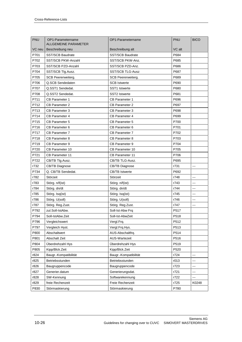| <b>PNU</b> |                                                  |                           |            |                          |
|------------|--------------------------------------------------|---------------------------|------------|--------------------------|
|            | OP1-Parametername<br><b>ALLGEMEINE PARAMETER</b> | OP1-Parametername         | <b>PNU</b> | <b>BICO</b>              |
| VC neu     | Beschreibung neu                                 | Beschreibung alt          | VC alt     |                          |
| P701       | <b>SST/SCB Baudrate</b>                          | <b>SST/SCB Baudrate</b>   | P684       |                          |
| P702       | SST/SCB PKW-Anzahl                               | SST/SCB PKW-Anz.          | P685       |                          |
| P703       | SST/SCB PZD-Anzahl                               | SST/SCB PZD-Anz.          | P686       |                          |
| P704       | SST/SCB Tlg.Ausz.                                | <b>SST/SCB TLG-Ausz</b>   | P687       |                          |
| P705       | SCB Peererweiterg.                               | <b>SCB Peererweiterg.</b> | P689       |                          |
| P706       | Q.SCB Sendedaten                                 | <b>SCB Istwerte</b>       | P690       |                          |
| P707       | Q.SST1 Sendedat.                                 | SST1 Istwerte             | P680       |                          |
| P708       | Q.SST2 Sendedat.                                 | <b>SST2 Istwerte</b>      | P681       |                          |
| P711       | <b>CB Parameter 1</b>                            | <b>CB Parameter 1</b>     | P696       |                          |
| P712       | <b>CB Parameter 2</b>                            | <b>CB Parameter 2</b>     | P697       |                          |
| P713       | <b>CB Parameter 3</b>                            | <b>CB Parameter 3</b>     | P698       |                          |
| P714       | <b>CB Parameter 4</b>                            | <b>CB Parameter 4</b>     | P699       |                          |
| P715       | <b>CB Parameter 5</b>                            | <b>CB Parameter 5</b>     | P700       |                          |
| P716       | CB Parameter 6                                   | CB Parameter 6            | P701       |                          |
| P717       | <b>CB Parameter 7</b>                            | <b>CB Parameter 7</b>     | P702       |                          |
| P718       | <b>CB Parameter 8</b>                            | <b>CB Parameter 8</b>     | P703       |                          |
| P719       | <b>CB Parameter 9</b>                            | CB Parameter 9            | P704       |                          |
| P720       | CB Parameter 10                                  | <b>CB Parameter 10</b>    | P705       |                          |
| P721       | <b>CB Parameter 11</b>                           | <b>CB Parameter 11</b>    | P706       |                          |
| P722       | CB/TB Tlg.Ausz.                                  | CB/TB TLG-Ausz.           | P695       |                          |
| r732       | <b>CB/TB Diagnose</b>                            | <b>CB/TB Diagnose</b>     | r731       | $---$                    |
| P734       | Q. CB/TB Sendedat.                               | <b>CB/TB Istwerte</b>     | P692       |                          |
| r782       | Störzeit                                         | Störzeit                  | r748       | $\sim$ $\sim$            |
| r783       | Störg. n/f(ist)                                  | Störg. n/f(ist)           | r743       | $\overline{\phantom{a}}$ |
| r784       | Störg. dn/dt                                     | Störg. dn/dt              | r744       | ---                      |
| r785       | Störg. Isq(ist)                                  | Störg. Isq(ist)           | r745       | ---                      |
| r786       | Störg. U(soll)                                   | Störg. U(soll)            | r746       | ---                      |
| r787       | Störg. Reg.Zust.                                 | Störg. Reg.Zust.          | r747       |                          |
| P792       | zul.Soll-IstAbw.                                 | Soll-Ist-Abw Frq          | P517       |                          |
| P794       | Soll-IstAbw.Zeit                                 | Soll-Ist-AbwZeit          | P518       |                          |
| P796       | Vergleichswert                                   | Vergl.Frq.                | P512       |                          |
| P797       | Vergleich Hyst.                                  | Vergl.Frq.Hys.            | P513       |                          |
| P800       | Abschaltwert                                     | AUS-Abschaltfrq.          | P514       |                          |
| P801       | Abschalt Zeit                                    | AUS-Wartezeit             | P516       |                          |
| P804       | Überdrehzahl Hys                                 | Überdrehzahl Hys          | P519       |                          |
| P805       | Kipp/Blck.Zeit                                   | Kipp/Blck.Zeit            | P520       |                          |
| r824       | Baugr.-Kompatibilität                            | Baugr.-Kompatibilität     | r724       | ---                      |
| r825       | Betriebsstunden                                  | Betriebsstunden           | r013       | ---                      |
| r826       | Baugruppencode                                   | Baugruppencode            | r723       | ---                      |
| r827       | Generier.datum                                   | Generierungsdat.          | r721       | ---                      |
| r828       | SW-Kennung                                       | Softwarekennung           | r722       | ---                      |
| r829       | freie Rechenzeit                                 | Freie Rechenzeit          | r725       | K0248                    |
| P830       | Störmaskierung                                   | Störmaskierung            | P780       |                          |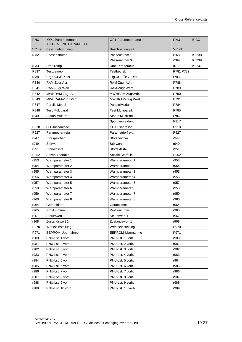| PNU    | OP1-Parametername<br>ALLGEMEINE PARAMETER | OP1-Parametername    | PNU       | <b>BICO</b> |
|--------|-------------------------------------------|----------------------|-----------|-------------|
| VC neu | Beschreibung neu                          | Beschreibung alt     | VC alt    |             |
| r832   | Phasenströme                              | Phasenstrom 1        | r268      | K0238       |
|        |                                           | Phasenstrom 3        | r269      | K0239       |
| r833   | Umr.Temp.                                 | Umr.Temperatur       | r011      | K0247       |
| P837   | Testbetrieb                               | Testbetrieb          | P781 P782 |             |
| r838   | Erg.UCE/Ü/Kest                            | Erg.UCE/Ü/K Test     | r783      | ---         |
| P840   | RAM-Zugr.Adr.                             | RAM-Zugr.Adr.        | P788      |             |
| P841   | RAM-Zugr.Wert                             | RAM-Zugr.Wert        | P789      |             |
| P842   | MWHRAM-Zugr.Adr.                          | MWHRAM-Zugr.Adr.     | P790      |             |
| P843   | MWHRAM-ZugrWert                           | MWHRAM-ZugrWert      | P791      |             |
| P847   | ParallelModul                             | ParallelModul        | P784      |             |
| P848   | Test Multiparall.                         | Test Multiparall.    | P785      |             |
| r849   | Status MultiParl.                         | Status MultiParl.    | r786      | ---         |
|        |                                           | Spontanmeldung       | P917      |             |
| P918   | <b>CB Busadresse</b>                      | <b>CB Busadresse</b> | P918      |             |
| P927   | Parametrierfreig.                         | Parametrierfreig.    | P927      |             |
| r947   | Störspeicher                              | Störspeicher         | r947      |             |
| r949   | Störwert                                  | Störwert             | r949      |             |
| r951   | Störtextliste                             | Störtextliste        | r951      |             |
| P952   | Anzahl Störfälle                          | Anzahl Störfälle     | P952      |             |
| r953   | Warnparameter 1                           | Warnparameter 1      | r953      |             |
| r954   | Warnparameter 2                           | Warnparameter 2      | r954      |             |
| r955   | Warnparameter 3                           | Warnparameter 3      | r955      |             |
| r956   | Warnparameter 4                           | Warnparameter 4      | r956      |             |
| r957   | Warnparameter 5                           | Warnparameter 5      | r957      |             |
| r958   | Warnparameter 6                           | Warnparameter 6      | r958      |             |
| r959   | Warnparameter 7                           | Warnparameter 7      | r959      |             |
| r960   | Warnparameter 8                           | Warnparameter 8      | r960      |             |
| r964   | Geräteident.                              | Geräteident.         | r964      |             |
| r965   | Profilnummer                              | Profilnummer         | r965      |             |
| r967   | Steuerwort 1                              | Steuerwort 1         | r967      |             |
| r968   | Zustandswort 1                            | Zustandswort 1       | r968      |             |
| P970   | Werkseinstellung                          | Werkseinstellung     | P970      |             |
| P971   | EEPROM-Übernahme                          | EEPROM-Übernahme     | P971      |             |
| r980   | PNU-Lst. 1 vorh.                          | PNU-Lst. 1 vorh.     | r980      |             |
| r981   | PNU-Lst. 2 vorh.                          | PNU-Lst. 2 vorh.     | r981      |             |
| r982   | PNU-Lst. 3 vorh.                          | PNU-Lst. 3 vorh.     | r982      |             |
| r983   | PNU-Lst. 4 vorh.                          | PNU-Lst. 4 vorh.     | r983      |             |
| r984   | PNU-Lst. 5 vorh.                          | PNU-Lst. 5 vorh.     | r984      |             |
| r985   | PNU-Lst. 6 vorh.                          | PNU-Lst. 6 vorh.     | r985      |             |
| r986   | PNU-Lst. 7 vorh.                          | PNU-Lst. 7 vorh.     | r986      |             |
| r987   | PNU-Lst. 8 vorh.                          | PNU-Lst. 8 vorh.     | r987      |             |
| r988   | PNU-Lst. 9 vorh.                          | PNU-Lst. 9 vorh.     | r988      |             |
| r989   | PNU-Lst. 10 vorh.                         | PNU-Lst. 10 vorh.    | r989      |             |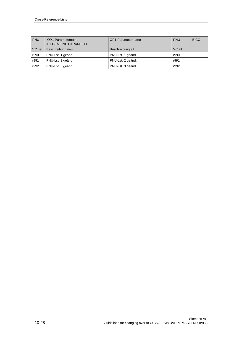| <b>PNU</b> | OP1-Parametername<br>ALLGEMEINE PARAMETER | OP1-Parametername | <b>PNU</b> | <b>BICO</b> |
|------------|-------------------------------------------|-------------------|------------|-------------|
| VC neu     | Beschreibung neu                          | Beschreibung alt  | VC alt     |             |
| r990       | PNU-Lst. 1 geänd.                         | PNU-Lst. 1 geänd. | r990       |             |
| r991       | PNU-Lst. 2 geänd.                         | PNU-Lst. 2 geänd. | r991       |             |
| r992       | PNU-Lst. 3 geänd.                         | PNU-Lst. 3 geänd. | r992       |             |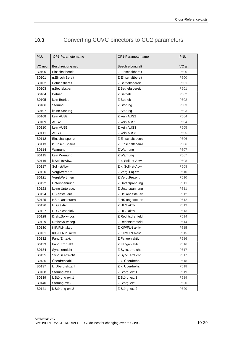# 10.3 Converting CUVC binectors to CU2 parameters

| <b>PNU</b> | OP1-Parametername      | OP1-Parametername  | <b>PNU</b> |
|------------|------------------------|--------------------|------------|
| VC neu     | Beschreibung neu       | Beschreibung alt   | VC alt     |
| B0100      | Einschaltbereit        | Z.Einschaltbereit  | P600       |
| B0101      | n.Einsch.Bereit        | Z.Einschaltbereit  | P600       |
| B0102      | <b>Betriebsbereit</b>  | Z.Betriebsbereit   | P601       |
| B0103      | n.Betriebsber.         | Z.Betriebsbereit   | P601       |
| B0104      | <b>Betrieb</b>         | Z.Betrieb          | P602       |
| B0105      | kein Betrieb           | Z.Betrieb          | P602       |
| B0106      | Störung                | Z.Störung          | P603       |
| B0107      | keine Störung          | Z.Störung          | P603       |
| B0108      | kein AUS2              | Z.kein AUS2        | P604       |
| B0109      | AUS <sub>2</sub>       | Z.kein AUS2        | P604       |
| B0110      | kein AUS3              | Z.kein AUS3        | P605       |
| B0111      | AUS3                   | Z.kein AUS3        | P605       |
| B0112      | Einschaltsperre        | Z.Einschaltsperre  | P606       |
| B0113      | k.Einsch.Sperre        | Z.Einschaltsperre  | P606       |
| B0114      | Warnung                | Z.Warnung          | P607       |
| B0115      | kein Warnung           | Z.Warnung          | P607       |
| B0116      | k.Soll-IstAbw.         | Z.k. Soll-Ist-Abw. | P608       |
| B0117      | Soll-IstAbw.           | Z.k. Soll-Ist-Abw. | P608       |
| B0120      | VerglWert err.         | Z.Vergl.Frq.err.   | P610       |
| B0121      | VerglWert n.err.       | Z.Vergl.Frg.err.   | P610       |
| B0122      | Unterspannung          | Z.Unterspannung    | P611       |
| B0123      | keine Unterspg.        | Z.Unterspannung    | P611       |
| B0124      | HS ansteuern           | Z.HS angesteuert   | P612       |
| B0125      | HS n. ansteuern        | Z.HS angesteuert   | P612       |
| B0126      | <b>HLG</b> aktiv       | Z.HLG aktiv        | P613       |
| B0127      | <b>HLG</b> nicht aktiv | Z.HLG aktiv        | P613       |
| B0128      | DrehzSollw.pos.        | Z.Rechtsdrehfeld   | P614       |
| B0129      | DrehzSollw.neg.        | Z.Rechtsdrehfeld   | P614       |
| B0130      | KIP/FLN aktiv          | Z.KIP/FLN aktiv    | P615       |
| B0131      | KIP/FLN n. aktiv       | Z.KIP/FLN aktiv    | P615       |
| B0132      | Fang/Err.akt.          | Z.Fangen aktiv     | P616       |
| B0133      | Fang/Err.n.akt.        | Z.Fangen aktiv     | P616       |
| B0134      | Sync. erreicht         | Z.Sync. erreicht   | P617       |
| B0135      | Sync. n.erreicht       | Z.Sync. erreicht   | P617       |
| B0136      | Überdrehzahl           | Z.k. Überdrehz.    | P618       |
| B0137      | k. Überdrehzahl        | Z.k. Überdrehz.    | P618       |
| B0138      | Störung ext.1          | Z.Störg. ext 1     | P619       |
| B0139      | k.Störung ext.1        | Z.Störg. ext 1     | P619       |
| B0140      | Störung ext.2          | Z.Störg. ext 2     | P620       |
| B0141      | k.Störung ext.2        | Z.Störg. ext 2     | P620       |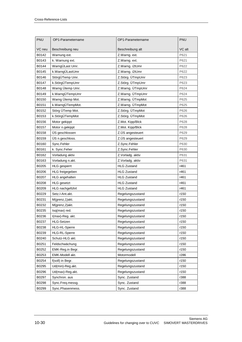| PNU    | OP1-Parametername    | OP1-Parametername  | <b>PNU</b> |
|--------|----------------------|--------------------|------------|
| VC neu | Beschreibung neu     | Beschreibung alt   | VC alt     |
| B0142  | Warnung ext.         | Z.Warng. ext.      | P621       |
| B0143  | k. Warnung ext.      | Z.Warng. ext.      | P621       |
| B0144  | WarngÜLast Umr.      | Z.Warng. i2tUmr    | P622       |
| B0145  | k.WarngÜLastUmr      | Z.Warng. i2tUmr    | P622       |
| B0146  | StörgÜTemp Umr.      | Z.Störg. ÜTmpUmr   | P623       |
| B0147  | k.StörgÜTempUmr      | Z.Störg. ÜTmpUmr   | P623       |
| B0148  | Warng Ütemp Umr.     | Z.Warng. ÜTmpUmr   | P624       |
| B0149  | k.WarngÜTempUmr      | Z.Warng. ÜTmpUmr   | P624       |
| B0150  | Warng Ütemp Mot.     | Z.Warng. ÜTmpMot   | P625       |
| B0151  | k.WarngÜTempMot.     | Z.Warng. ÜTmpMot   | P625       |
| B0152  | Störg ÜTemp Mot.     | Z.Störg. ÜTmpMot   | P626       |
| B0153  | k.StörgÜTempMot      | Z.Störg. ÜTmpMot   | P626       |
| B0156  | Motor gekippt        | Z.Mot. Kipp/Blck   | P628       |
| B0157  | Motor n.gekippt      | Z.Mot. Kipp/Blck   | P628       |
| B0158  | ÜS geschlossen       | Z.ÜS angesteuert   | P629       |
| B0159  | ÜS n.geschloss.      | Z.ÜS angesteuert   | P629       |
| B0160  | Sync.Fehler          | Z.Sync.Fehler      | P630       |
| B0161  | k. Sync.Feher        | Z.Sync.Fehler      | P630       |
| B0162  | Vorladung aktiv      | Z.Vorladg. aktiv   | P631       |
| B0163  | Vorladung n.akt.     | Z.Vorladg. aktiv   | P631       |
| B0205  | <b>HLG</b> gesperrt  | <b>HLG Zustand</b> | r461       |
| B0206  | HLG freigegeben      | <b>HLG Zustand</b> | r461       |
| B0207  | HLG angehalten       | <b>HLG Zustand</b> | r461       |
| B0208  | <b>HLG</b> gesetzt   | <b>HLG Zustand</b> | r461       |
| B0209  | HLG nachgeführt      | <b>HLG Zustand</b> | r461       |
| B0229  | Setz.I-Ant.akt.      | Regelungszustand   | r150       |
| B0231  | M(grenz, 1) akt.     | Regelungszustand   | r150       |
| B0232  | M(grenz,2)akt.       | Regelungszustand   | r150       |
| B0235  | Isq(max) red.        | Regelungszustand   | r150       |
| B0236  | I(max)-Reg. akt.     | Regelungszustand   | r150       |
| B0237  | <b>HLG-Setzen</b>    | Regelungszustand   | r150       |
| B0238  | <b>HLG-HL-Sperre</b> | Regelungszustand   | r150       |
| B0239  | <b>HLG-RL-Sperre</b> | Regelungszustand   | r150       |
| B0240  | Schutz-HLG akt.      | Regelungszustand   | r150       |
| B0251  | Feldschwächung       | Regelungszustand   | r150       |
| B0252  | EMK-Reg.in Begr.     | Regelungszustand   | r150       |
| B0253  | EMK-Modell akt.      | Motormodell        | r286       |
| B0254  | f(soll) in Begr.     | Regelungszustand   | r150       |
| B0295  | Ud(min)-Reg.akt.     | Regelungszustand   | r150       |
| B0296  | Ud(max)-Reg.akt.     | Regelungszustand   | r150       |
| B0297  | Synchron. aus        | Sync. Zustand      | r388       |
| B0298  | Sync.Freq.messg.     | Sync. Zustand      | r388       |
| B0299  | Sync.Phasenmess.     | Sync. Zustand      | r388       |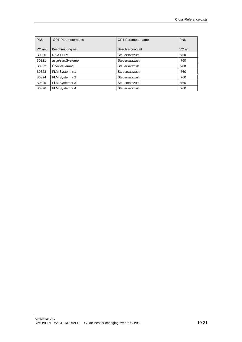| <b>PNU</b> | OP1-Parametername | OP1-Parametername | <b>PNU</b> |
|------------|-------------------|-------------------|------------|
| VC neu     | Beschreibung neu  | Beschreibung alt  | VC alt     |
| B0320      | RZM / FLM         | Steuersatzzust.   | r760       |
| B0321      | asyn/syn.Systeme  | Steuersatzzust.   | r760       |
| B0322      | Übersteuerung     | Steuersatzzust.   | r760       |
| B0323      | FLM Systemnr.1    | Steuersatzzust.   | r760       |
| B0324      | FLM Systemnr.2    | Steuersatzzust.   | r760       |
| B0325      | FLM Systemnr.3    | Steuersatzzust.   | r760       |
| B0326      | FLM Systemnr.4    | Steuersatzzust.   | r760       |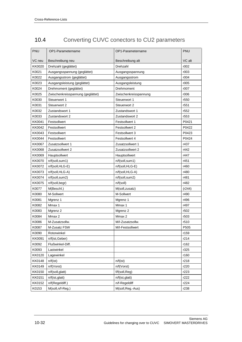| 10.4 | Converting CUVC conectors to CU2 parameters |  |
|------|---------------------------------------------|--|
|      |                                             |  |

| PNU           | OP1-Parametername                 | OP1-Parametername     | <b>PNU</b>       |
|---------------|-----------------------------------|-----------------------|------------------|
| VC neu        | Beschreibung neu                  | Beschreibung alt      | VC alt           |
| KK0020        | Drehzahl (geglättet)              | Drehzahl              | r002             |
| K0021         | Ausgangsspannung (geglättet)      | Ausgangsspannung      | r003             |
| K0022         | Ausgangsstrom (geglättet)         | Ausgangsstrom         | r004             |
| K0023         | Ausgangsleistung (geglättet)      | Ausgangsleistung      | r005             |
| K0024         | Drehmoment (geglättet)            | Drehmoment            | r007             |
| K0025         | Zwischenkreisspannung (geglättet) | Zwischenkreisspannung | r006             |
| K0030         | Steuerwort 1                      | Steuerwort 1          | r550             |
| K0031         | Steuerwort 2                      | Steuerwort 2          | r551             |
| K0032         | Zustandswort 1                    | Zustandswort 1        | r552             |
| K0033         | Zustandswort 2                    | Zustandswort 2        | r <sub>553</sub> |
| KK0041        | Festsollwert                      | Festsollwert 1        | P0421            |
| KK0042        | Festsollwert                      | Festsollwert 2        | P0422            |
| KK0043        | Festsollwert                      | Festsollwert 3        | P0423            |
| KK0044        | Festsollwert                      | Festsollwert 4        | P0424            |
| KK0067        | Zusatzsollwert 1                  | Zusatzsollwert 1      | r437             |
| KK0068        | Zusatzsollwert 2                  | Zusatzsollwert 2      | r442             |
| KK0069        | Hauptsollwert                     | Hauptsollwert         | r447             |
| KK0070        | n/f(soll, sum1)                   | n/f(soll,sum1)        | r451             |
| KK0072        | $n/f(soll, HLG-E)$                | n/f(soll,HLG-E)       | r460             |
| KK0073        | n/f(soll,HLG-A)                   | n/f(soll,HLG-A)       | r480             |
| KK0074        | n/f(soll,sum2)                    | n/f(soll,sum2)        | r481             |
| KK0075        | n/f(soll,begin)                   | n/f(soll)             | r482             |
| K0077         | M(Beschl.)                        | M(soll,zusatz)        | (r244)           |
| K0080         | M-Sollwert                        | M-Sollwert            | r490             |
| K0081         | Mgrenz 1                          | Mgrenz 1              | r496             |
| K0082         | Mmax 1                            | Mmax 1                | r497             |
| K0083         | Mgrenz 2                          | Mgrenz 2              | r502             |
| K0084         | Mmax 2                            | Mmax 2                | r503             |
| K0086         | M-Zusatzsollw.                    | M/I-Zusatzsollw.      | r510             |
| K0087         | M-Zusatz FSW                      | M/I-Festsollwert      | P505             |
| K0090         | Rotorwinkel                       |                       | r159             |
| KK0091        | n/f(ist, Geber)                   |                       | r214             |
| K0092         | Flußwinkel-Diff.                  |                       | r162             |
| K0093         | Lastwinkel                        |                       | r325             |
| KK0120        | Lagewinkel                        |                       | r160             |
| <b>KK0148</b> | n/f(ist)                          | n/f(ist)              | r218             |
| KK0149        | n/f(Vorst)                        | n/f(Vorst)            | r220             |
| KK0150        | n/f(soll,glatt)                   | f/f(soll,Reg)         | r223             |
| KK0151        | n/f(ist,glatt)                    | n/f(ist,glatt)        | r222             |
| KK0152        | n/f(Regeldiff.)                   | n/f-Regeldiff         | r224             |
| K0153         | M(soll, n/f-Reg.)                 | M(soll, Reg.-Aus)     | r238             |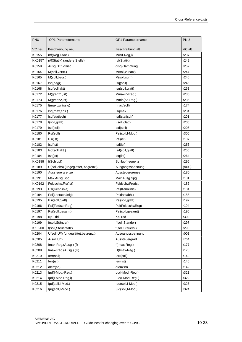| PNU           | OP1-Parametername                    | OP1-Parametername | PNU    |
|---------------|--------------------------------------|-------------------|--------|
| VC neu        | Beschreibung neu                     | Beschreibung alt  | VC alt |
| K0155         | n/f(Reg,I-Ant.)                      | $M(n/f-Reg, i)$   | r237   |
| <b>KK0157</b> | n/f(Statik) (andere Stelle)          | n/f(Statik)       | r249   |
| K0159         | Ausg.DT1-Glied                       | disq-Dämpfung     | r252   |
| K0164         | M(soll, vorst.)                      | M(soll, zusatz)   | r244   |
| K0165         | M(soll,begr.)                        | M(soll,sum)       | r245   |
| K0167         | Isq(begr)                            | Isq(soll)         | r246   |
| K0168         | Isq(soll,akt)                        | Isq(soll,glatt)   | r263   |
| K0172         | M(grenz1, ist)                       | Mmax(n-Reg.)      | r235   |
| K0173         | M(grenz2, ist)                       | Mmin(n/f-Reg.)    | r236   |
| K0175         | I(max,zulässig)                      | Imax(soll)        | r174   |
| K0176         | Isq(max,abs.)                        | Isqmax            | r234   |
| K0177         | Isd(statisch)                        | Isd(statisch)     | r201   |
| K0178         | I(soll, glatt)                       | I(soll, glatt)    | r205   |
| K0179         | Isd(soll)                            | Isd(soll)         | r206   |
| K0180         | Psi(soll)                            | Psi(soll,I-Mod.)  | r305   |
| K0181         | Psi(ist)                             | Psi(ist)          | r187   |
| K0182         | Isd(ist)                             | Isd(ist)          | r256   |
| K0183         | Isd(soll, akt.)                      | Isd(soll, glatt)  | r255   |
| K0184         | Isq(ist)                             | Isq(ist)          | r264   |
| <b>KK0188</b> | f(Schlupf)                           | Schlupffrequenz   | r296   |
| K0189         | U(soll,abs) (ungeglättet, begrenzt)  | Ausgangsspannung  | (003)  |
| K0190         | Aussteuergrenze                      | Aussteuergrenze   | r180   |
| K0191         | Max.Ausg.Spg.                        | Max.Ausg.Spg.     | r181   |
| KK0192        | Feldschw.Frq(ist)                    | FeldschwFrq(ist   | r182   |
| K0193         | Psi(Kennlinie)                       | Psi(Kennlinie)    | r184   |
| K0194         | Psi(Lastabhänig)                     | Psi(lastabh.)     | r188   |
| K0195         | Psi(soll,glatt)                      | Psi(soll, glatt)  | r192   |
| K0196         | Psi(FeldschReg)                      | Psi(FeldschwReg)  | r194   |
| K0197         | Psi(soll,gesamt)                     | Psi(soll,gesamt)  | r195   |
| K0198         | Kp Tdd                               | Kp Tdd            | r309   |
| K0199         | f(soll, Ständer)                     | f(soll, Ständer)  | r297   |
| <b>KK0200</b> | f(soll, Steuersatz)                  | f(soll, Steuers.) | r298   |
| K0204         | U(soll, U/f) (ungeglättet, begrenzt) | Ausgangsspannung  | r003   |
| K0205         | A(soll, U/f)                         | Aussteuergrad     | r764   |
| K0208         | Imax-Reg.(Ausg.) (f)                 | f(Imax-Reg.)      | r177   |
| K0209         | Imax-Reg.(Ausg.) (U)                 | U(Imax-Reg.)      | r178   |
| K0210         | lerr(soll)                           | lerr(soll)        | r149   |
| K0211         | lerr(ist)                            | lerr(ist)         | r145   |
| K0212         | dlerr(sd)                            | dlerr(sd)         | r142   |
| K0213         | lµd(I-Mod.-Reg.)                     | µd(I-Mod.-Reg.)   | r321   |
| K0214         | lµd(l-Mod-Reg,i)                     | lµd(I-Mod-Reg,i)  | r322   |
| K0215         | lµd(soll,I-Mod.)                     | lµd(soll,I-Mod.)  | r323   |
| K0216         | lµq(soll,I-Mod.)                     | lµq(soll,I-Mod.)  | r324   |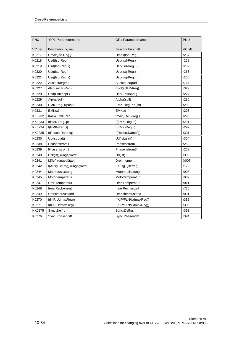| PNU    | OP1-Parametername            | OP1-Parametername    | PNU    |
|--------|------------------------------|----------------------|--------|
| VC neu | Beschreibung neu             | Beschreibung alt     | VC alt |
| K0217  | Umax(Isd-Reg.)               | Umax(Isd-Reg.)       | r257   |
| K0218  | Usd(Isd-Reg.)                | Usd(Isd-Reg.)        | r258   |
| K0219  | Usd(Isd-Reg.,i)              | Usd(Isd-Reg.,i)      | r259   |
| K0220  | Usq(Isq-Reg.)                | Usq(Isq-Reg.)        | r265   |
| K0221  | Usq(Isq-Reg.,i)              | Usq(Isq-Reg.,i)      | r266   |
| K0222  | Aussteuergrad                | Aussteuergrad        | r764   |
| K0227  | dlsd(soll,P-Reg)             | dlsd(soll,P-Reg)     | r329   |
| K0228  | Usd(Entkoppl.)               | Usd(Entkoppl.)       | r277   |
| K0229  | Alpha(soll)                  | Alpha(soll)          | r280   |
| K0230  | EMK-Reg. Kp(ist)             | EMK-Reg. Kp(ist)     | r288   |
| K0231  | <b>EMKsd</b>                 | <b>EMKsd</b>         | r293   |
| KK0232 | fmax(EMK-Reg.)               | fmax(EMK-Reg.)       | r290   |
| KK0233 | $f$ (EMK-Reg.,p)             | $f(EMK-Reg., p)$     | r291   |
| KK0234 | f(EMK-Reg.,i)                | $f$ (EMK-Reg.,i)     | r292   |
| KK0235 | f(Reson.Dämpfg)              | f(Reson.Dämpfg)      | r301   |
| K0236  | Ud(ist, glatt)               | Ud(ist, glatt)       | r304   |
| K0238  | Phasenstrom1                 | Phasenstrom1         | r268   |
| K0239  | Phasenstrom3                 | Phasenstrom3         | r269   |
| K0240  | Uzk(ist) (ungeglättet)       | Ud(ist)              | r303   |
| K0241  | M(ist) (ungeglättet)         | Drehmoment           | (007)  |
| K0242  | I(Ausg.Betrag) (ungeglättet) | I Ausg. (Betrag)     | r179   |
| K0244  | Motorauslastung              | Motorauslastung      | r008   |
| K0245  | Motortemperatur              | Motortemperatur      | r009   |
| K0247  | Umr.Temperatur               | Umr.Temperatur       | r011   |
| K0248  | freie Rechenzeit             | freie Rechenzeit     | r725   |
| K0249  | Umrichterzustand             | Umrichterzustand     | r001   |
| K0270  | f(KIP/UdmaxReg))             | f(KIP/FLN/UdmaxReg)) | r385   |
| K0271  | I(KIP/UdmaxReg)              | I(KIP/FLN/UdmaxReg)) | r386   |
| KK0275 | Sync.Zielfrq.                | Sync.Zielfrq.        | r393   |
| K0276  | Sync.Phasendiff              | Sync.Phasendiff      | r394   |
|        |                              |                      |        |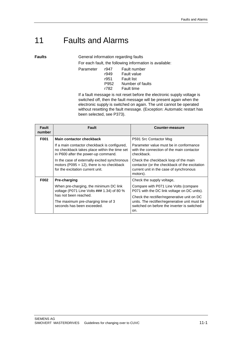# 11 Faults and Alarms

**Faults**

General information regarding faults

For each fault, the following information is available:

| Parameter | r947 | Fault number       |
|-----------|------|--------------------|
|           | r949 | <b>Fault value</b> |
|           | r951 | <b>Fault list</b>  |
|           | P952 | Number of faults   |
|           | r782 | <b>Fault time</b>  |
|           |      |                    |

If a fault message is not reset before the electronic supply voltage is switched off, then the fault message will be present again when the electronic supply is switched on again. The unit cannot be operated without resetting the fault message. (Exception: Automatic restart has been selected, see P373).

| <b>Fault</b><br>number | <b>Fault</b>                                                                                                                        | Counter-measure                                                                                                                                     |
|------------------------|-------------------------------------------------------------------------------------------------------------------------------------|-----------------------------------------------------------------------------------------------------------------------------------------------------|
| F001                   | Main contactor checkback                                                                                                            | P591 Src Contactor Msg                                                                                                                              |
|                        | If a main contactor checkback is configured,<br>no checkback takes place within the time set<br>in P600 after the power-up command. | Parameter value must be in conformance<br>with the connection of the main contactor<br>checkback.                                                   |
|                        | In the case of externally excited synchronous<br>motors (P095 = $12$ ), there is no checkback<br>for the excitation current unit.   | Check the checkback loop of the main<br>contactor (or the checkback of the excitation<br>current unit in the case of synchronous<br>motors).        |
| F002                   | Pre-charging                                                                                                                        | Check the supply voltage,                                                                                                                           |
|                        | When pre-charging, the minimum DC link<br>voltage (P071 Line Volts ### 1.34) of 80 %                                                | Compare with P071 Line Volts (compare<br>P071 with the DC link voltage on DC units).                                                                |
|                        | has not been reached.<br>The maximum pre-charging time of 3<br>seconds has been exceeded.                                           | Check the rectifier/regenerative unit on DC<br>units. The rectifier/regenerative unit must be<br>switched on before the inverter is switched<br>on. |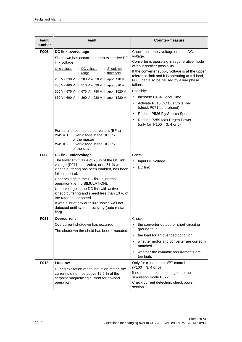| <b>Fault</b><br>number     | Fault                                                                                                                                                                                                                                                                                                                                                                                                                                                                                                                                                                                                                                                                                                                                                                                                                                                 | Counter-measure                                                                                                                                                                                                                                                                                                                                                                                                                                                                                                                                                                                                     |
|----------------------------|-------------------------------------------------------------------------------------------------------------------------------------------------------------------------------------------------------------------------------------------------------------------------------------------------------------------------------------------------------------------------------------------------------------------------------------------------------------------------------------------------------------------------------------------------------------------------------------------------------------------------------------------------------------------------------------------------------------------------------------------------------------------------------------------------------------------------------------------------------|---------------------------------------------------------------------------------------------------------------------------------------------------------------------------------------------------------------------------------------------------------------------------------------------------------------------------------------------------------------------------------------------------------------------------------------------------------------------------------------------------------------------------------------------------------------------------------------------------------------------|
| <b>F006</b><br><b>F008</b> | <b>DC link overvoltage</b><br>Shutdown has occurred due to excessive DC<br>link voltage.<br>Line voltage<br>I Shutdown<br>I DC voltage<br>I threshold<br>I range<br>208 V - 230 V 1 280 V - 310 V 1 appr. 410 V<br>380 V - 460 V 1 510 V - 620 V 1 appr. 820 V<br>500 V - 575 V 1 675 V - 780 V 1 appr. 1020 V<br>660 V - 690 V 1 890 V - 930 V 1 appr. 1220 V<br>For parallel-connected converters (BF L)<br>$r949 = 1$ : Overvoltage in the DC link<br>of the master<br>$r949 = 2$ : Overvoltage in the DC link<br>of the slave.<br>DC link undervoltage<br>The lower limit value of 76 % of the DC link<br>voltage (P071 Line Volts), or of 61 % when<br>kinetic buffering has been enabled, has been<br>fallen short of.<br>Undervoltage in the DC link in 'normal'<br>operation (i.e. no SIMULATION).<br>Undervoltage in the DC link with active | Check the supply voltage or input DC<br>voltage.<br>Converter is operating in regenerative mode<br>without rectifier possibility.<br>If the converter supply voltage is at the upper<br>tolerance limit and it is operating at full load,<br>F006 can also be caused by a line phase<br>failure.<br>Possibly:<br>Increase P464 Decel Time,<br>$\bullet$<br>Activate P515 DC Bus Volts Reg<br>$\bullet$<br>(check P071 beforehand)<br>Reduce P526 Fly Search Speed.<br>$\bullet$<br>Reduce P259 Max Regen Power<br>$\bullet$<br>(only for $P100 = 3$ , 4 or 5)<br>Check:<br>Input DC voltage<br>DC link<br>$\bullet$ |
|                            | kinetic buffering and speed less than 10 % of<br>the rated motor speed.<br>It was a 'brief power failure' which was not<br>detected until system recovery (auto restart<br>flag).                                                                                                                                                                                                                                                                                                                                                                                                                                                                                                                                                                                                                                                                     |                                                                                                                                                                                                                                                                                                                                                                                                                                                                                                                                                                                                                     |
| F011                       | Overcurrent<br>Overcurrent shutdown has occurred.<br>The shutdown threshold has been exceeded.                                                                                                                                                                                                                                                                                                                                                                                                                                                                                                                                                                                                                                                                                                                                                        | Check<br>$\bullet$<br>the converter output for short-circuit or<br>ground fault<br>the load for an overload condition<br>$\bullet$<br>whether motor and converter are correctly<br>$\bullet$<br>matched<br>whether the dynamic requirements are<br>$\bullet$<br>too high.                                                                                                                                                                                                                                                                                                                                           |
| F012                       | I too low<br>During excitation of the induction motor, the<br>current did not rise above 12.5 % of the<br>setpoint magnetizing current for no-load<br>operation.                                                                                                                                                                                                                                                                                                                                                                                                                                                                                                                                                                                                                                                                                      | Only for closed loop n/f/T control<br>$($ P100 = 3, 4 or 5)<br>If no motor is connected, go into the<br>simulation mode P372.<br>Check current detection, check power<br>section.                                                                                                                                                                                                                                                                                                                                                                                                                                   |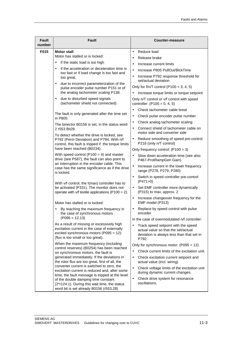| <b>Fault</b><br>number | Fault                                                                                                                                                                      | <b>Counter-measure</b>                                                                                                                        |
|------------------------|----------------------------------------------------------------------------------------------------------------------------------------------------------------------------|-----------------------------------------------------------------------------------------------------------------------------------------------|
| F015                   | <b>Motor stall</b><br>Motor has stalled or is locked:                                                                                                                      | Reduce load<br>$\bullet$                                                                                                                      |
|                        |                                                                                                                                                                            | Release brake<br>$\bullet$                                                                                                                    |
|                        | if the static load is too high<br>$\bullet$                                                                                                                                | Increase current limits<br>$\bullet$                                                                                                          |
|                        | if the acceleration or deceleration time is<br>$\bullet$<br>too fast or if load change is too fast and                                                                     | Increase P805 PullOut/BlckTime<br>$\bullet$                                                                                                   |
|                        | too great,                                                                                                                                                                 | Increase P792 response threshold for<br>$\bullet$<br>set/actual deviation                                                                     |
|                        | due to incorrect parameterization of the<br>$\bullet$<br>pulse encoder pulse number P151 or of                                                                             | Only for $f/n/T$ control (P100 = 3, 4, 5)                                                                                                     |
|                        | the analog tachometer scaling P138.                                                                                                                                        | Increase torque limits or torque setpoint<br>$\bullet$                                                                                        |
|                        | due to disturbed speed signals<br>$\bullet$<br>(tachometer shield not connected)                                                                                           | Only n/T control or v/f control with speed<br>controller: $(P100 = 0, 4, 5)$                                                                  |
|                        |                                                                                                                                                                            | Check tachometer cable breal<br>$\bullet$                                                                                                     |
|                        | The fault is only generated after the time set<br>in P805.                                                                                                                 | Check pulse encoder pulse number<br>$\bullet$                                                                                                 |
|                        | The binector B0156 is set, in the status word                                                                                                                              | Check analog tachometer scaling<br>$\bullet$                                                                                                  |
|                        | 2 r553 Bit28.<br>To detect whether the drive is locked, see                                                                                                                | Connect shield of tachometer cable on<br>$\bullet$<br>motor side and converter side                                                           |
|                        | P792 (Perm Deviation) and P794. With n/f<br>control, this fault is tripped if the torque limits                                                                            | Reduce smoothing of speed pre-control<br>$\bullet$<br>P216 (only n/T control)                                                                 |
|                        | have been reached (B0234).                                                                                                                                                 | Only frequency control: $(P100 = 3)$                                                                                                          |
|                        | With speed control ( $P100 = 4$ ) and master<br>drive (see P587), the fault can also point to                                                                              | Slow down acceleration time (see also<br>P467-ProtRampGen Gain)                                                                               |
|                        | an interruption in the encoder cable. This<br>case has the same significance as if the drive                                                                               | Increase current in the lower frequency<br>$\bullet$<br>range (P278, P279, P280)                                                              |
|                        | is locked.                                                                                                                                                                 | Switch in speed controller pre-control<br>$\bullet$<br>(P471>0)                                                                               |
|                        | With v/f control, the I(max) controller has to<br>be activated (P331). The monitor does not<br>operate with $v/f$ textile applications (P100 = 2).                         | Set EMF controller more dynamically<br>$\bullet$<br>(P315) to max. approx. 2                                                                  |
|                        | Motor has stalled or is locked:                                                                                                                                            | Increase changeover frequency for the<br>$\bullet$<br>EMF model (P313)                                                                        |
|                        | By reaching the maximum frequency in<br>the case of synchronous motors                                                                                                     | Replace by speed control with pulse<br>$\bullet$<br>encoder                                                                                   |
|                        | $($ P095 = 12,13 $)$                                                                                                                                                       | In the case of overmodulated n/f controller:                                                                                                  |
|                        | As a result of missing or excessively high<br>excitation current in the case of externally<br>excited synchronous motors (P095 = 12):<br>(flux is too small or too great). | Track speed setpoint with the speed<br>$\bullet$<br>actual value so that the set/actual<br>deviation is always less than that set in<br>P792. |
|                        | When the maximum frequency (including<br>control reserves) (B0254) has been reached                                                                                        | Only for synchronous motor: (P095 = 12)                                                                                                       |
|                        | on synchronous motors, the fault is                                                                                                                                        | Check current limits of the excitation unit.<br>$\bullet$                                                                                     |
|                        | generated immediately. If the deviations in<br>the rotor flux are too great, first of all, the                                                                             | Check excitation current setpoint and<br>$\bullet$<br>actual value (incl. wiring)                                                             |
|                        | converter current is switched to zero, the<br>excitation current is reduced and, after some<br>time, the fault message is tripped at the level                             | Check voltage limits of the excitation unit<br>$\bullet$<br>during dynamic current changes.                                                   |
|                        | of the double damping time constant<br>(2*r124.1). During this wait time, the status<br>word bit is set already B0156 (r553.28)                                            | Check drive system for resonance<br>$\bullet$<br>oscillations.                                                                                |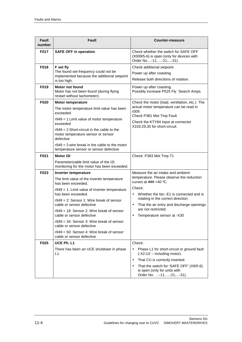| <b>Fault</b><br>number | Fault                                                                                                                                                                                                                                                                                                                                                                                                                                                                                  | <b>Counter-measure</b>                                                                                                                                                                                                                                                                                                                               |
|------------------------|----------------------------------------------------------------------------------------------------------------------------------------------------------------------------------------------------------------------------------------------------------------------------------------------------------------------------------------------------------------------------------------------------------------------------------------------------------------------------------------|------------------------------------------------------------------------------------------------------------------------------------------------------------------------------------------------------------------------------------------------------------------------------------------------------------------------------------------------------|
| <b>F017</b>            | <b>SAFE OFF in operation</b>                                                                                                                                                                                                                                                                                                                                                                                                                                                           | Check whether the switch for SAFE OFF<br>(X009/5-6) is open (only for devices with<br>Order No-11, -21, -31).                                                                                                                                                                                                                                        |
| F018<br>F019           | F set fly<br>The found set-frequency could not be<br>implemented because the additional setpoint<br>is too high.<br><b>Motor not found</b><br>Motor has not been found (during flying<br>restart without tachometer).                                                                                                                                                                                                                                                                  | Check additional setpoint.<br>Power up after coasting.<br>Release both directions of rotation.<br>Power up after coasting.<br>Possibly increase P525 Fly Search Amps.                                                                                                                                                                                |
| F020                   | <b>Motor temperature</b><br>The motor temperature limit value has been<br>exceeded.<br>$r949 = 1$ Limit value of motor temperature<br>exceeded<br>$r949 = 2$ Short-circuit in the cable to the<br>motor temperature sensor or sensor<br>defective<br>$r949 = 3$ wire break in the cable to the motor<br>temperature sensor or sensor defective                                                                                                                                         | Check the motor (load, ventilation, etc.). The<br>actual motor temperature can be read in<br>r009.<br>Check P381 Mot Tmp Fault<br>Check the KTY84 input at connector<br>X103:29,30 for short-circuit.                                                                                                                                                |
| F021                   | Motor 12t<br>Parameterizable limit value of the I2t<br>monitoring for the motor has been exceeded.                                                                                                                                                                                                                                                                                                                                                                                     | Check: P383 Mot Tmp T1                                                                                                                                                                                                                                                                                                                               |
| F023                   | Inverter temperature<br>The limit value of the inverter temperature<br>has been exceeded.<br>$r949 = 1$ : Limit value of inverter temperature<br>has been exceeded.<br>$r949 = 2$ : Sensor 1: Wire break of sensor<br>cable or sensor defective<br>$r949 = 18$ : Sensor 2: Wire break of sensor<br>cable or sensor defective<br>$r949 = 34$ : Sensor 3: Wire break of sensor<br>cable or sensor defective<br>$r949 = 50$ : Sensor 4: Wire break of sensor<br>cable or sensor defective | Measure the air intake and ambient<br>temperature. Please observe the reduction<br>curves at $\# \# \neq 40$ °C.<br>Check:<br>Whether the fan -E1 is connected and is<br>$\bullet$<br>rotating in the correct direction.<br>That the air entry and discharge openings<br>$\bullet$<br>are not restricted.<br>Temperature sensor at -X30<br>$\bullet$ |
| F <sub>025</sub>       | UCE Ph. L1<br>There has been an UCE shutdown in phase<br>L1.                                                                                                                                                                                                                                                                                                                                                                                                                           | Check:<br>Phase L1 for short-circuit or ground fault<br>(-X2:U2 - including motor).<br>That CU is correctly inserted.<br>$\bullet$<br>That the switch for 'SAFE OFF' (X9/5-6)<br>$\bullet$<br>is open (only for units with<br>Order No. -11, -21, -31).                                                                                              |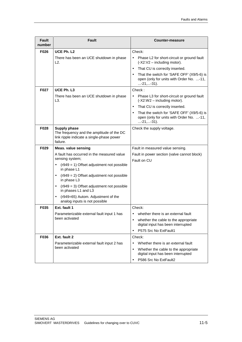| <b>Fault</b><br>number | <b>Fault</b>                                                                                                              | Counter-measure                                                                                                         |
|------------------------|---------------------------------------------------------------------------------------------------------------------------|-------------------------------------------------------------------------------------------------------------------------|
| F026                   | UCE Ph. L2                                                                                                                | Check:                                                                                                                  |
|                        | There has been an UCE shutdown in phase<br>L2.                                                                            | Phase L2 for short-circuit or ground fault<br>$\bullet$<br>(-X2:V2 - including motor).                                  |
|                        |                                                                                                                           | That CU is correctly inserted.<br>$\bullet$                                                                             |
|                        |                                                                                                                           | That the switch for 'SAFE OFF' (X9/5-6) is<br>$\bullet$<br>open (only for units with Order No. -11,<br>$$ -21, $$ -31). |
| F027                   | UCE Ph. L3                                                                                                                | Check:                                                                                                                  |
|                        | There has been an UCE shutdown in phase<br>L3.                                                                            | Phase L3 for short-circuit or ground fault<br>$\bullet$<br>(-X2:W2 - including motor).                                  |
|                        |                                                                                                                           | That CU is correctly inserted.<br>$\bullet$                                                                             |
|                        |                                                                                                                           | That the switch for 'SAFE OFF' (X9/5-6) is<br>$\bullet$<br>open (only for units with Order No. -11,<br>-21,-31).        |
| F028                   | <b>Supply phase</b><br>The frequency and the amplitude of the DC<br>link ripple indicate a single-phase power<br>failure. | Check the supply voltage.                                                                                               |
| F029                   | <b>Meas. value sensing</b>                                                                                                | Fault in measured value sensing.                                                                                        |
|                        | A fault has occurred in the measured value<br>sensing system;                                                             | Fault in power section (valve cannot block)<br>Fault on CU                                                              |
|                        | $(1949 = 1)$ Offset adjustment not possible<br>$\bullet$<br>in phase L1                                                   |                                                                                                                         |
|                        | $(1949 = 2)$ Offset adjustment not possible<br>in phase L3                                                                |                                                                                                                         |
|                        | $(1949 = 3)$ Offset adjustment not possible<br>$\bullet$<br>in phases L1 and L3                                           |                                                                                                                         |
|                        | (r949=65) Autom. Adjustment of the<br>analog inputs is not possible                                                       |                                                                                                                         |
| F035                   | Ext. fault 1                                                                                                              | Check:                                                                                                                  |
|                        | Parameterizable external fault input 1 has                                                                                | whether there is an external fault<br>$\bullet$                                                                         |
|                        | been activated                                                                                                            | whether the cable to the appropriate<br>٠<br>digital input has been interrupted                                         |
|                        |                                                                                                                           | P575 Src No ExtFault1<br>$\bullet$                                                                                      |
| F036                   | Ext. fault 2                                                                                                              | Check:                                                                                                                  |
|                        | Parameterizable external fault input 2 has                                                                                | Whether there is an external fault<br>$\bullet$                                                                         |
|                        | been activated                                                                                                            | Whether the cable to the appropriate<br>$\bullet$<br>digital input has been interrupted                                 |
|                        |                                                                                                                           | P586 Src No ExtFault2<br>$\bullet$                                                                                      |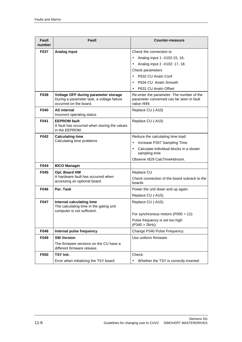| <b>Fault</b><br>number | Fault                                                                                                        | Counter-measure                                                                                      |
|------------------------|--------------------------------------------------------------------------------------------------------------|------------------------------------------------------------------------------------------------------|
| <b>F037</b>            | Analog input                                                                                                 | Check the connection to                                                                              |
|                        |                                                                                                              | Analog input 1 - X102:15, 16.<br>$\bullet$                                                           |
|                        |                                                                                                              | Analog input 2 - X102: 17, 18.<br>$\bullet$                                                          |
|                        |                                                                                                              | Check parameters                                                                                     |
|                        |                                                                                                              | P632 CU Analn Conf<br>$\bullet$                                                                      |
|                        |                                                                                                              | P634 CU Analn Smooth<br>$\bullet$                                                                    |
|                        |                                                                                                              | P631 CU Analn Offset<br>$\bullet$                                                                    |
| F038                   | Voltage OFF during parameter storage<br>During a parameter task, a voltage failure<br>occurred on the board. | Re-enter the parameter. The number of the<br>parameter concerned can be seen in fault<br>value r949. |
| F040                   | <b>AS internal</b><br>Incorrect operating status                                                             | Replace CU (-A10)                                                                                    |
| F041                   | <b>EEPROM</b> fault<br>A fault has occurred when storing the values<br>in the EEPROM.                        | Replace CU (-A10)                                                                                    |
| F042                   | <b>Calculating time</b>                                                                                      | Reduce the calculating time load:                                                                    |
|                        | Calculating time problems                                                                                    | Increase P357 Sampling Time<br>$\bullet$                                                             |
|                        |                                                                                                              | Calculate individual blocks in a slower<br>$\bullet$<br>sampling time                                |
|                        |                                                                                                              | Observe r829 CalcTimeHdroom.                                                                         |
| F044                   | <b>BICO Manager</b>                                                                                          |                                                                                                      |
| F045                   | Opt. Board HW                                                                                                | Replace CU                                                                                           |
|                        | A hardware fault has occurred when<br>accessing an optional board.                                           | Check connection of the board subrack to the<br>boards                                               |
| F046                   | Par. Task                                                                                                    | Power the unit down and up again.                                                                    |
|                        |                                                                                                              | Replace CU (-A10).                                                                                   |
| F047                   | Internal calculating time<br>The calculating time in the gating unit<br>computer is not sufficient.          | Replace CU (-A10).                                                                                   |
|                        |                                                                                                              | For synchronous motors (P095 = $12$ ):                                                               |
|                        |                                                                                                              | Pulse frequency is set too high<br>$($ P340 > 2kHz).                                                 |
| F048                   | Internal pulse frequency                                                                                     | Change P340 Pulse Frequency.                                                                         |
| F049                   | <b>SW Version</b>                                                                                            | Use uniform firmware                                                                                 |
|                        | The firmware versions on the CU have a<br>different firmware release.                                        |                                                                                                      |
| F050                   | <b>TSY Init.</b>                                                                                             | Check:                                                                                               |
|                        | Error when initializing the TSY board                                                                        | Whether the TSY is correctly inserted<br>$\bullet$                                                   |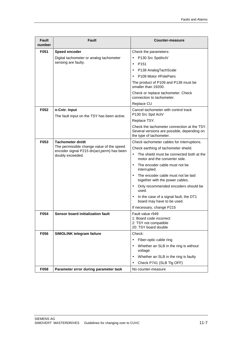| <b>Fault</b><br>number | Fault                                                                                                                           | Counter-measure                                                                                                                                                                                                                                                                                                                                                                                                                                                                       |
|------------------------|---------------------------------------------------------------------------------------------------------------------------------|---------------------------------------------------------------------------------------------------------------------------------------------------------------------------------------------------------------------------------------------------------------------------------------------------------------------------------------------------------------------------------------------------------------------------------------------------------------------------------------|
| F051                   | Speed encoder<br>Digital tachometer or analog tachometer<br>sensing are faulty.                                                 | Check the parameters:<br>P130 Src SpdActV<br>P <sub>151</sub><br>$\bullet$<br>P138 AnalogTachScale<br>$\bullet$<br>P109 Motor #PolePairs<br>The product of P109 and P138 must be<br>smaller than 19200.<br>Check or replace tachometer. Check<br>connection to tachometer.                                                                                                                                                                                                            |
| F052                   | n-Cntr. Input<br>The fault input on the TSY has been active.                                                                    | Replace CU<br>Cancel tachometer with control track<br>P130 Src Spd ActV<br>Replace TSY.<br>Check the tachometer connection at the TSY.<br>Several versions are possible, depending on<br>the type of tachometer.                                                                                                                                                                                                                                                                      |
| F053                   | Tachometer dn/dt<br>The permissible change value of the speed<br>encoder signal P215 dn(act, perm) has been<br>doubly exceeded. | Check tachometer cables for interruptions.<br>Check earthing of tachometer shield.<br>The shield must be connected both at the<br>$\bullet$<br>motor and the converter side.<br>The encoder cable must not be<br>interrupted.<br>The encoder cable must not be laid<br>$\bullet$<br>together with the power cables.<br>Only recommended encoders should be<br>$\bullet$<br>used.<br>In the case of a signal fault, the DT1<br>board may have to be used.<br>If necessary, change P215 |
| F054                   | Sensor board initialization fault                                                                                               | Fault value r949<br>1: Board code incorrect<br>2: TSY not compatible<br>20: TSY board double                                                                                                                                                                                                                                                                                                                                                                                          |
| F056<br>F058           | <b>SIMOLINK telegram failure</b><br>Parameter error during parameter task                                                       | Check:<br>Fiber-optic cable ring<br>$\bullet$<br>Whether an SLB in the ring is without<br>$\bullet$<br>voltage<br>Whether an SLB in the ring is faulty<br>$\bullet$<br>Check P741 (SLB Tlg OFF)<br>No counter-measure                                                                                                                                                                                                                                                                 |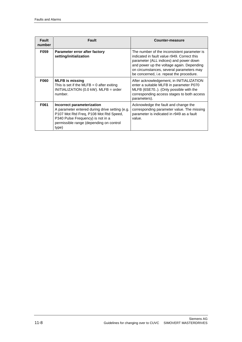| <b>Fault</b><br>number | Fault                                                                                                                                                                                                           | Counter-measure                                                                                                                                                                                                                                                           |
|------------------------|-----------------------------------------------------------------------------------------------------------------------------------------------------------------------------------------------------------------|---------------------------------------------------------------------------------------------------------------------------------------------------------------------------------------------------------------------------------------------------------------------------|
| F059                   | Parameter error after factory<br>setting/initialization                                                                                                                                                         | The number of the inconsistent parameter is<br>indicated in fault value r949. Correct this<br>parameter (ALL indices) and power down<br>and power up the voltage again. Depending<br>on circumstances, several parameters may<br>be concerned, i.e. repeat the procedure. |
| <b>F060</b>            | <b>MLFB</b> is missing<br>This is set if the MLFB = 0 after exiting<br>$INITIALIZATION (0.0 kW)$ . MLFB = order<br>number.                                                                                      | After acknowledgement, in INITIALIZATION<br>enter a suitable MLFB in parameter P070<br>MLFB (6SE70). (Only possible with the<br>corresponding access stages to both access<br>parameters).                                                                                |
| F061                   | Incorrect parameterization<br>A parameter entered during drive setting (e.g.<br>P107 Mot Rtd Freq, P108 Mot Rtd Speed,<br>P340 Pulse Frequency) is not in a<br>permissible range (depending on control<br>type) | Acknowledge the fault and change the<br>corresponding parameter value. The missing<br>parameter is indicated in r949 as a fault<br>value.                                                                                                                                 |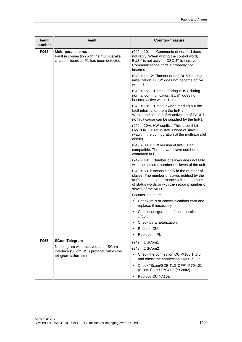| <b>Fault</b><br>number | Fault                                                                                                             | <b>Counter-measure</b>                                                                                                                                                                                                  |
|------------------------|-------------------------------------------------------------------------------------------------------------------|-------------------------------------------------------------------------------------------------------------------------------------------------------------------------------------------------------------------------|
| F062                   | Multi-parallel circuit<br>Fault in connection with the multi-parallel<br>circuit or board ImP1 has been detected. | $r949 = 10$ :<br>Communications card does<br>not reply. When writing the control word,<br>BUSY is not active if CSOUT is inactive.<br>Communications card is probably not<br>inserted.                                  |
|                        |                                                                                                                   | r949 = 11,12: Timeout during BUSY during<br>initialization. BUSY does not become active<br>within 1 sec.                                                                                                                |
|                        |                                                                                                                   | r949 = 15: Timeout during BUSY during<br>normal communication. BUSY does not<br>become active within 1 sec.                                                                                                             |
|                        |                                                                                                                   | $r949 = 18$ : Timeout when reading out the<br>fault information from the ImPIs.<br>Within one second after activation of FAULT<br>no fault cause can be supplied by the ImP1.                                           |
|                        |                                                                                                                   | $r949 = 20 + i$ : HW conflict. This is set if bit<br>HWCONF is set in status word of slave i.<br>(Fault in the configuration of the multi-parallel<br>circuit)                                                          |
|                        |                                                                                                                   | $r949 = 30 + i$ : HW version of ImPI is not<br>compatible. The relevant slave number is<br>contained in i.                                                                                                              |
|                        |                                                                                                                   | r949 = 40:<br>Number of slaves does not tally<br>with the setpoint number of slaves of the unit.                                                                                                                        |
|                        |                                                                                                                   | $r949 = 50 + i$ : Inconsistency in the number of<br>slaves. The number of slaves notified by the<br>ImPI is not in conformance with the number<br>of status words or with the setpoint number of<br>slaves of the MLFB. |
|                        |                                                                                                                   | Counter-measure:                                                                                                                                                                                                        |
|                        |                                                                                                                   | Check ImPI or communications card and<br>$\bullet$<br>replace, if necessary.                                                                                                                                            |
|                        |                                                                                                                   | Check configuration of multi-parallel<br>$\bullet$<br>circuit.                                                                                                                                                          |
|                        |                                                                                                                   | Check parameterization.<br>$\bullet$                                                                                                                                                                                    |
|                        |                                                                                                                   | Replace CU.<br>$\bullet$                                                                                                                                                                                                |
|                        |                                                                                                                   | Replace ImPI.<br>$\bullet$                                                                                                                                                                                              |
| F065                   | <b>SCom Telegram</b>                                                                                              | $r949 = 1$ SCom1                                                                                                                                                                                                        |
|                        | No telegram was received at an SCom<br>interface (SCom/USS protocol) within the<br>telegram failure time.         | $r949 = 2$ SCom2                                                                                                                                                                                                        |
|                        |                                                                                                                   | Check the connection CU - X100:1 to 5<br>$\bullet$<br>and check the connection PMU -X300.                                                                                                                               |
|                        |                                                                                                                   | Check "Scom/SCB TLG OFF" P704.01<br>$\bullet$<br>(SCom1) and P704.02 (SCom2)                                                                                                                                            |
|                        |                                                                                                                   | Replace CU (-A10).                                                                                                                                                                                                      |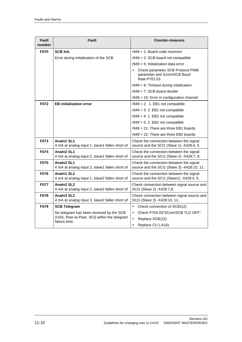| <b>Fault</b><br>number | Fault                                                                                | Counter-measure                                                                               |
|------------------------|--------------------------------------------------------------------------------------|-----------------------------------------------------------------------------------------------|
| <b>F070</b>            | <b>SCB Init.</b>                                                                     | $r949 = 1$ : Board code incorrect                                                             |
|                        | Error during initialization of the SCB                                               | $r949 = 2$ : SCB board not compatible                                                         |
|                        |                                                                                      | $r949 = 5$ : Initialization data error                                                        |
|                        |                                                                                      | Check parameter SCB Protocol P696<br>$\bullet$<br>parameter and Scom/SCB Baud<br>Rate P701.03 |
|                        |                                                                                      | $r949 = 6$ : Timeout during initalization                                                     |
|                        |                                                                                      | $r949 = 7$ : SCB board double                                                                 |
|                        |                                                                                      | $r949 = 10$ : Error in configuration channel                                                  |
| F072                   | <b>EB initialization error</b>                                                       | $r949 = 2$ : 1. EB1 not compatible                                                            |
|                        |                                                                                      | $r949 = 3: 2$ . EB1 not compatible                                                            |
|                        |                                                                                      | $r949 = 4: 1$ . EB2 not compatible                                                            |
|                        |                                                                                      | $r949 = 5: 2$ . EB2 not compatible                                                            |
|                        |                                                                                      | $r949 = 21$ : There are three EB1 boards                                                      |
|                        |                                                                                      | $r949 = 22$ : There are three EB2 boards                                                      |
| F073                   | Analn1 SL1<br>4 mA at analog input 1, slave1 fallen short of                         | Check the connection between the signal<br>source and the SCI1 (Slave 1) -X428:4, 5.          |
| F074                   | Analn <sub>2</sub> SL <sub>1</sub><br>4 mA at analog input 2, slave1 fallen short of | Check the connection between the signal<br>source and the SCI1 (Slave 2) -X428:7, 8.          |
| F075                   | Analn <sub>3</sub> SL <sub>1</sub><br>4 mA at analog input 3, slave1 fallen short of | Check the connection between the signal<br>source and the SCI1 (Slave 3) -X428:10, 11.        |
| F076                   | Analn1 SL2<br>4 mA at analog input 1, slave2 fallen short of                         | Check the connection between the signal<br>source and the SCI1 (Slave1) -X428:4, 5.           |
| F077                   | Analn <sub>2</sub> SL <sub>2</sub><br>4 mA at analog input 2, slave2 fallen short of | Check connection between signal source and<br>SCI1 (Slave 2) -X428:7,8.                       |
| F078                   | Analn3 SL2<br>4 mA at analog input 3, slave2 fallen short of                         | Check connection between signal source and<br>SCI1 (Slave 3) -X428:10, 11.                    |
| F079                   | <b>SCB Telegram</b>                                                                  | $\bullet$<br>Check connection of SCB1(2).                                                     |
|                        | No telegram has been received by the SCB                                             | Check P704.03"SCom/SCB TLG OFF".<br>$\bullet$                                                 |
|                        | (USS, Peer-to-Peer, SCI) within the telegram<br>failure time.                        | Replace SCB1(2).<br>$\bullet$                                                                 |
|                        |                                                                                      | Replace CU (-A10).<br>$\bullet$                                                               |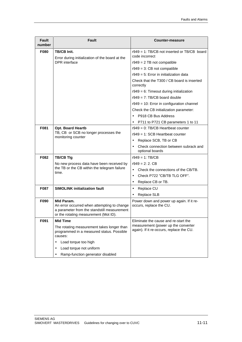| <b>Fault</b><br>number | Fault                                                                                                                                             | <b>Counter-measure</b>                                                          |
|------------------------|---------------------------------------------------------------------------------------------------------------------------------------------------|---------------------------------------------------------------------------------|
| F080                   | <b>TB/CB Init.</b><br>Error during initialization of the board at the                                                                             | $r949 = 1$ : TB/CB not inserted or TB/CB board<br>code incorrect                |
|                        | <b>DPR</b> interface                                                                                                                              | $r949 = 2$ TB not compatible                                                    |
|                        |                                                                                                                                                   | $r949 = 3$ : CB not compatible                                                  |
|                        |                                                                                                                                                   | $r949 = 5$ : Error in initialization data                                       |
|                        |                                                                                                                                                   | Check that the T300 / CB board is inserted<br>correctly                         |
|                        |                                                                                                                                                   | $r949 = 6$ : Timeout during initialization                                      |
|                        |                                                                                                                                                   | $r949 = 7$ : TB/CB board double                                                 |
|                        |                                                                                                                                                   | $r949 = 10$ : Error in configuration channel                                    |
|                        |                                                                                                                                                   | Check the CB initialization parameter:                                          |
|                        |                                                                                                                                                   | P918 CB Bus Address                                                             |
|                        |                                                                                                                                                   | P711 to P721 CB parameters 1 to 11                                              |
| F081                   | <b>Opt. Board Heartb</b>                                                                                                                          | r949 = 0: TB/CB Heartbeat counter                                               |
|                        | TB, CB or SCB no longer processes the<br>monitoring counter                                                                                       | $r949 = 1$ : SCB Heartbeat counter                                              |
|                        |                                                                                                                                                   | Replace SCB, TB or CB<br>$\bullet$                                              |
|                        |                                                                                                                                                   | Check connection between subrack and<br>$\bullet$<br>optional boards            |
| F082                   | <b>TB/CB Tlg</b>                                                                                                                                  | $r949 = 1$ : TB/CB                                                              |
|                        | No new process data have been received by<br>the TB or the CB within the telegram failure<br>time.                                                | $r949 = 2: 2. CB$                                                               |
|                        |                                                                                                                                                   | Check the connections of the CB/TB.<br>$\bullet$                                |
|                        |                                                                                                                                                   | Check P722 "CB/TB TLG OFF".<br>$\bullet$                                        |
|                        |                                                                                                                                                   | Replace CB or TB.<br>$\bullet$                                                  |
| F087                   | <b>SIMOLINK initialization fault</b>                                                                                                              | Replace CU<br>$\bullet$                                                         |
|                        |                                                                                                                                                   | Replace SLB<br>$\bullet$                                                        |
| F090                   | Mid Param.<br>An error occurred when attempting to change<br>a parameter from the standstill measurement<br>or the rotating measurement (Mot ID). | Power down and power up again. If it re-<br>occurs, replace the CU.             |
| F091                   | <b>MId Time</b>                                                                                                                                   | Eliminate the cause and re-start the                                            |
|                        | The rotating measurement takes longer than<br>programmed in a measured status. Possible<br>causes:                                                | measurement (power up the converter<br>again). If it re-occurs, replace the CU. |
|                        | Load torque too high<br>$\bullet$                                                                                                                 |                                                                                 |
|                        | Load torque not uniform                                                                                                                           |                                                                                 |
|                        | Ramp-function generator disabled<br>$\bullet$                                                                                                     |                                                                                 |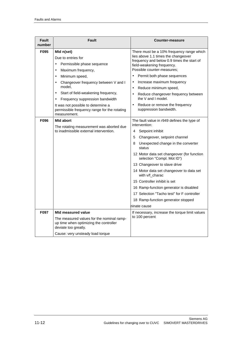| Fault<br>number | <b>Fault</b>                                                                                                                                                                                                                                                                                                                                                                                           | <b>Counter-measure</b>                                                                                                                                                                                                                                                                                                                                                                                                                                        |
|-----------------|--------------------------------------------------------------------------------------------------------------------------------------------------------------------------------------------------------------------------------------------------------------------------------------------------------------------------------------------------------------------------------------------------------|---------------------------------------------------------------------------------------------------------------------------------------------------------------------------------------------------------------------------------------------------------------------------------------------------------------------------------------------------------------------------------------------------------------------------------------------------------------|
| F095            | Mid n(set)<br>Due to entries for<br>Permissible phase sequence<br>$\bullet$<br>Maximum frequency,<br>$\bullet$<br>Minimum speed,<br>$\bullet$<br>Changeover frequency between V and I<br>$\bullet$<br>model,<br>Start of field-weakening frequency,<br>$\bullet$<br>Frequency suppression bandwidth<br>$\bullet$<br>It was not possible to determine a<br>permissible frequency range for the rotating | There must be a 10% frequency range which<br>lies above 1.1 times the changeover<br>frequency and below 0.9 times the start of<br>field-weakening frequency.<br>Possible counter-measures;<br>Permit both phase sequences<br>Increase maximum frequency<br>$\bullet$<br>Reduce minimum speed,<br>$\bullet$<br>Reduce changeover frequency between<br>$\bullet$<br>the V and I model.<br>Reduce or remove the frequency<br>$\bullet$<br>suppression bandwidth. |
| F096            | measurement.<br><b>Mid abort</b><br>The rotating measurement was aborted due<br>to inadmissible external intervention.                                                                                                                                                                                                                                                                                 | The fault value in r949 defines the type of<br>intervention:<br>4<br>Setpoint inhibit<br>5<br>Changeover, setpoint channel<br>Unexpected change in the converter<br>8<br>status<br>12 Motor data set changeover (for function<br>selection "Compl. Mot ID")<br>13 Changeover to slave drive                                                                                                                                                                   |
|                 |                                                                                                                                                                                                                                                                                                                                                                                                        | 14 Motor data set changeover to data set<br>with v/f_charac<br>15 Controller inhibit is set<br>16 Ramp-function generator is disabled<br>17 Selection "Tacho test" for F controller<br>18 Ramp-function generator stopped<br>ninate cause                                                                                                                                                                                                                     |
| F097            | <b>MId measured value</b><br>The measured values for the nominal ramp-<br>up time when optimizing the controller<br>deviate too greatly.<br>Cause: very unsteady load torque                                                                                                                                                                                                                           | If necessary, increase the torque limit values<br>to 100 percent                                                                                                                                                                                                                                                                                                                                                                                              |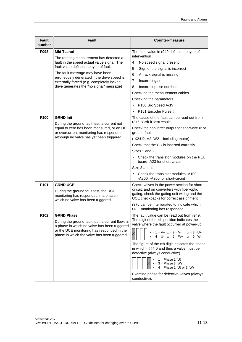| <b>Fault</b><br>number | <b>Fault</b>                                                                                                                                                                                   | <b>Counter-measure</b>                                                                      |
|------------------------|------------------------------------------------------------------------------------------------------------------------------------------------------------------------------------------------|---------------------------------------------------------------------------------------------|
| F098                   | <b>MId Tachof</b>                                                                                                                                                                              | The fault value in r949 defines the type of                                                 |
|                        | The rotating measurement has detected a                                                                                                                                                        | intervention                                                                                |
|                        | fault in the speed actual value signal. The<br>fault value defines the type of fault.                                                                                                          | 4<br>No speed signal present                                                                |
|                        | The fault message may have been                                                                                                                                                                | Sign of the signal is incorrect<br>5                                                        |
|                        | erroneously generated if the drive speed is                                                                                                                                                    | 6<br>A track signal is missing<br>7<br>Incorrect gain                                       |
|                        | externally forced (e.g. completely locked<br>drive generates the "no signal" message)                                                                                                          | 8<br>Incorrect pulse number                                                                 |
|                        |                                                                                                                                                                                                | Checking the measurement cables.                                                            |
|                        |                                                                                                                                                                                                | Checking the parameters                                                                     |
|                        |                                                                                                                                                                                                | P130 Src Speed ActV<br>$\bullet$                                                            |
|                        |                                                                                                                                                                                                | P151 Encoder Pulse #                                                                        |
| F100                   | <b>GRND Init</b><br>During the ground fault test, a current not                                                                                                                                | The cause of the fault can be read out from<br>r376 "GrdFltTestResult".                     |
|                        | equal to zero has been measured, or an UCE<br>or overcurrent monitoring has responded,                                                                                                         | Check the converter output for short-circuit or<br>ground fault                             |
|                        | although no valve has yet been triggered.                                                                                                                                                      | (-X2:U2, V2, W2 - including motor).                                                         |
|                        |                                                                                                                                                                                                | Check that the CU is inserted correctly.                                                    |
|                        |                                                                                                                                                                                                | Sizes 1 and 2:                                                                              |
|                        |                                                                                                                                                                                                | Check the transistor modules on the PEU<br>board -A23 for short-circuit.                    |
|                        |                                                                                                                                                                                                | Size 3 and 4:                                                                               |
|                        |                                                                                                                                                                                                | Check the transistor modules -A100,<br>-A200, -A300 for short-circuit                       |
| F101                   | <b>GRND UCE</b>                                                                                                                                                                                | Check valves in the power section for short-                                                |
|                        | During the ground fault test, the UCE<br>monitoring has responded in a phase in<br>which no valve has been triggered.                                                                          | circuit, and on converters with fiber-optic<br>gating, check the gating unit wiring and the |
|                        |                                                                                                                                                                                                | UCE checkbacks for correct assignment.                                                      |
|                        |                                                                                                                                                                                                | r376 can be interrogated to indicate which                                                  |
|                        |                                                                                                                                                                                                | UCE monitoring has responded.                                                               |
| F102                   | <b>GRND Phase</b>                                                                                                                                                                              | The fault value can be read out from r949.<br>The digit of the xth position indicates the   |
|                        | During the ground fault test, a current flows in<br>a phase in which no valve has been triggered<br>or the UCE monitoring has responded in the<br>phase in which the valve has been triggered. | valve where the fault occurred at power-up                                                  |
|                        |                                                                                                                                                                                                | $x = 1 = V + x = 2 = V -$<br>$x = 3 = U +$<br>$x = 4 = U - x = 5 = W + x = 6 = W -$         |
|                        |                                                                                                                                                                                                | The figure of the xth digit indicates the phase                                             |
|                        |                                                                                                                                                                                                | in which I ### 0 and thus a valve must be                                                   |
|                        |                                                                                                                                                                                                | defective (always conductive).                                                              |
|                        |                                                                                                                                                                                                | $x = 1$ = Phase 1 (U)<br>$x = 3 =$ Phase 3 (W)<br>$x = 4 =$ Phase 1 (U) or 3 (W)            |
|                        |                                                                                                                                                                                                | Examine phase for defective valves (always<br>conductive).                                  |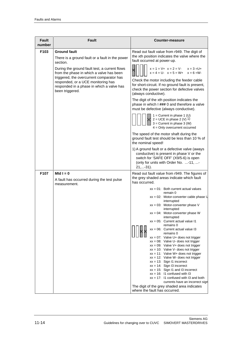| <b>Fault</b><br>number | Fault                                                                                                                                                                                                                                                                                                                              | Counter-measure                                                                                                                                                                                                                                                                                                                                                                                                                                                                                                                                                                                                                                                                                                                                                                                                                                                                                       |
|------------------------|------------------------------------------------------------------------------------------------------------------------------------------------------------------------------------------------------------------------------------------------------------------------------------------------------------------------------------|-------------------------------------------------------------------------------------------------------------------------------------------------------------------------------------------------------------------------------------------------------------------------------------------------------------------------------------------------------------------------------------------------------------------------------------------------------------------------------------------------------------------------------------------------------------------------------------------------------------------------------------------------------------------------------------------------------------------------------------------------------------------------------------------------------------------------------------------------------------------------------------------------------|
| F103                   | <b>Ground fault</b><br>There is a ground fault or a fault in the power<br>section.<br>During the ground fault test, a current flows<br>from the phase in which a valve has been<br>triggered, the overcurrent comparator has<br>responded, or a UCE monitoring has<br>responded in a phase in which a valve has<br>been triggered. | Read out fault value from r949. The digit of<br>the xth position indicates the valve where the<br>fault occurred at power-up.<br>$x = 1 = V + x = 2 = V -$<br>$x = 3 = U +$<br>$x = 4 = U - x = 5 = W + x = 6 = W -$<br>Check the motor including the feeder cable<br>for short-circuit. If no ground fault is present,<br>check the power section for defective valves<br>(always conductive).<br>The digit of the xth position indicates the<br>phase in which I ### 0 and therefore a valve<br>must be defective (always conductive).<br>$1 =$ Current in phase 1 (U)<br>$2 = UCE$ in phase 2 (V) 1)<br>$3 =$ Current in phase $3 (W)$<br>$4 =$ Only overcurrent occurred<br>The speed of the motor shaft during the<br>ground fault test should be less than 10 % of<br>the nominal speed!<br>1) A ground fault or a defective valve (aways<br>conductive) is present in phase V or the           |
|                        |                                                                                                                                                                                                                                                                                                                                    | switch for 'SAFE OFF' (X9/5-6) is open<br>(only for units with Order No. -11, -<br>$21,-31$ ).                                                                                                                                                                                                                                                                                                                                                                                                                                                                                                                                                                                                                                                                                                                                                                                                        |
| F107                   | Mid $I = 0$<br>A fault has occurred during the test pulse<br>measurement.                                                                                                                                                                                                                                                          | Read out fault value from r949. The figures of<br>the grey shaded areas indicate which fault<br>has occurred.                                                                                                                                                                                                                                                                                                                                                                                                                                                                                                                                                                                                                                                                                                                                                                                         |
|                        |                                                                                                                                                                                                                                                                                                                                    | $xx = 01$ : Both current actual values<br>remain 0<br>$xx = 02$ : Motor-converter cable phase U<br>interrupted<br>$xx = 03$ : Motor-converter phase V<br>interrupted<br>$xx = 04$ : Motor-converter phase W<br>interrupted<br>$xx = 05$ : Current actual value 11<br>remains 0<br>$xx = 06$ : Current actual value I3<br>remains 0<br>$xx = 07$ : Valve U+ does not trigger<br>$xx = 08$ : Valve U- does not trigger<br>$xx = 09$ : Valve V + does not trigger<br>$xx = 10$ : Valve V- does not trigger<br>$xx = 11$ : Valve W+ does not trigger<br>$xx = 12$ : Valve W- does not trigger<br>$xx = 13$ : Sign I1 incorrect<br>$xx = 14$ : Sign I3 incorrect<br>$xx = 15$ : Sign I1 and I3 incorrect<br>$xx = 16$ : 11 confused with 13<br>$xx = 17$ : 11 confused with 13 and both<br>currents have an incorrect sign<br>The digit of the grey shaded area indicates<br>where the fault has occurred. |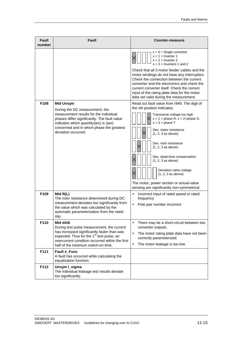| <b>Fault</b><br>number | Fault                                                                                                                                                                                                                                                     | Counter-measure                                                                                                                                                                                                                                                                                                                                                                                                                                                                                                              |
|------------------------|-----------------------------------------------------------------------------------------------------------------------------------------------------------------------------------------------------------------------------------------------------------|------------------------------------------------------------------------------------------------------------------------------------------------------------------------------------------------------------------------------------------------------------------------------------------------------------------------------------------------------------------------------------------------------------------------------------------------------------------------------------------------------------------------------|
| F108                   | <b>Mid Unsym</b><br>During the DC measurement, the                                                                                                                                                                                                        | $x = 0$ = Single converter<br>$x = 1$ = Inverter 1<br>$x = 2 =$ Inverter 2<br>$x = 3$ = Inverters 1 and 2<br>Check that all 3 motor feeder cables and the<br>motor windings do not have any interruption.<br>Check the connection between the current<br>converter and the electronics and check the<br>current converter itself. Check the correct<br>input of the rating plate data for the motor<br>data set valid during the measurement.<br>Read out fault value from r949. The digit of<br>the xth position indicates; |
|                        | measurement results for the individual<br>phases differ significantly. The fault value<br>indicates which quantity(ies) is (are)<br>concerned and in which phase the greatest<br>deviation occurred.                                                      | Transverse voltage too high<br>$x = 1$ = phase R; $x = 2$ =phase S;<br>$x = 3$ = phase T<br>Dev. stator resistance<br>$(1, 2, 3$ as above)<br>Dev. rotor resistance<br>$(1, 2, 3$ as above)<br>Dev. dead-time compensation<br>$(1, 2, 3$ as above)<br>Deviation valve voltage<br>$(1, 2, 3$ as above)<br>The motor, power section or actual-value<br>sensing are significantly non-symmetrical.                                                                                                                              |
| F109                   | MId $R(L)$<br>The rotor resistance determined during DC<br>measurement deviates too significantly from<br>the value which was calculated by the<br>automatic parameterization from the rated<br>slip.                                                     | Incorrect input of rated speed or rated<br>$\bullet$<br>frequency<br>Pole pair number incorrect<br>$\bullet$                                                                                                                                                                                                                                                                                                                                                                                                                 |
| F110                   | Mid di/dt<br>During test pulse measurement, the current<br>has increased significantly faster than was<br>expected. Thus for the 1 <sup>st</sup> test pulse, an<br>overcurrent condition occurred within the first<br>half of the minimum switch-on time. | There may be a short-circuit between two<br>$\bullet$<br>converter outputs.<br>$\bullet$<br>The motor rating plate data have not been<br>correctly parameterized.<br>The motor leakage is too low.<br>$\bullet$                                                                                                                                                                                                                                                                                                              |
| F111                   | Fault e_Func<br>A fault has occurred while calculating the<br>equalization function.                                                                                                                                                                      |                                                                                                                                                                                                                                                                                                                                                                                                                                                                                                                              |
| F112                   | Unsym I_sigma<br>The individual leakage test results deviate<br>too significantly.                                                                                                                                                                        |                                                                                                                                                                                                                                                                                                                                                                                                                                                                                                                              |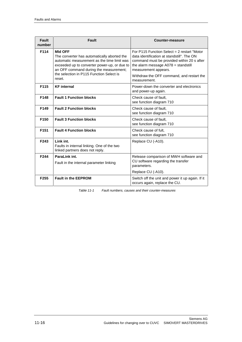| Fault<br>number  | Fault                                                                                                                                                                                                                                              | <b>Counter-measure</b>                                                                                                                                                                                                                                |
|------------------|----------------------------------------------------------------------------------------------------------------------------------------------------------------------------------------------------------------------------------------------------|-------------------------------------------------------------------------------------------------------------------------------------------------------------------------------------------------------------------------------------------------------|
| F114             | <b>MId OFF</b><br>The converter has automatically aborted the<br>automatic measurement as the time limit was<br>exceeded up to converter power-up, or due to<br>an OFF command during the measurement;<br>the selection in P115 Function Select is | For P115 Function Select = 2 restart "Motor<br>data identification at standstill". The ON<br>command must be provided within 20 s after<br>the alarm message $A078$ = standstill<br>measurement appears.<br>Withdraw the OFF command, and restart the |
|                  | reset.                                                                                                                                                                                                                                             | measurement.                                                                                                                                                                                                                                          |
| F115             | <b>KF</b> internal                                                                                                                                                                                                                                 | Power-down the converter and electronics<br>and power-up again.                                                                                                                                                                                       |
| F148             | <b>Fault 1 Function blocks</b>                                                                                                                                                                                                                     | Check cause of fault,<br>see function diagram 710                                                                                                                                                                                                     |
| F149             | <b>Fault 2 Function blocks</b>                                                                                                                                                                                                                     | Check cause of fault.<br>see function diagram 710                                                                                                                                                                                                     |
| F <sub>150</sub> | <b>Fault 3 Function blocks</b>                                                                                                                                                                                                                     | Check cause of fault.<br>see function diagram 710                                                                                                                                                                                                     |
| F <sub>151</sub> | <b>Fault 4 Function blocks</b>                                                                                                                                                                                                                     | Check cause of fult,<br>see function diagram 710                                                                                                                                                                                                      |
| F243             | Link int.<br>Faults in internal linking. One of the two<br>linked partners does not reply.                                                                                                                                                         | Replace CU (-A10).                                                                                                                                                                                                                                    |
| F244             | ParaLink int.<br>Fault in the internal parameter linking                                                                                                                                                                                           | Release comparison of MWH software and<br>CU software regarding the transfer<br>parameters.                                                                                                                                                           |
|                  |                                                                                                                                                                                                                                                    | Replace CU (-A10).                                                                                                                                                                                                                                    |
| F <sub>255</sub> | <b>Fault in the EEPROM</b>                                                                                                                                                                                                                         | Switch off the unit and power it up again. If it<br>occurs again, replace the CU.                                                                                                                                                                     |

Table 11-1 Fault numbers, causes and their counter-measures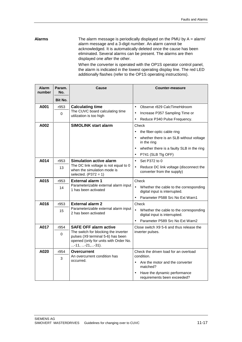The alarm message is periodically displayed on the PMU by A = alarm/ alarm message and a 3-digit number. An alarm cannot be acknowledged. It is automatically deleted once the cause has been eliminated. Several alarms can be present. The alarms are then displayed one after the other. **Alarms**

When the converter is operated with the OP1S operator control panel, the alarm is indicated in the lowest operating display line. The red LED additionally flashes (refer to the OP1S operating instructions).

| <b>Alarm</b><br>number | Param.<br>No. | Cause                                                                                                                                 | Counter-measure                                                                      |
|------------------------|---------------|---------------------------------------------------------------------------------------------------------------------------------------|--------------------------------------------------------------------------------------|
|                        | Bit No.       |                                                                                                                                       |                                                                                      |
| A001                   | r953          | <b>Calculating time</b>                                                                                                               | Observe r829 CalcTimeHdroom<br>$\bullet$                                             |
|                        | 0             | The CUVC board calculating time<br>utilization is too high                                                                            | Increase P357 Sampling Time or<br>$\bullet$                                          |
|                        |               |                                                                                                                                       | Reduce P340 Pulse Frequency.<br>$\bullet$                                            |
| A002                   |               | <b>SIMOLINK start alarm</b>                                                                                                           | Check                                                                                |
|                        |               |                                                                                                                                       | the fiber-optic cable ring<br>$\bullet$                                              |
|                        |               |                                                                                                                                       | whether there is an SLB without voltage<br>$\bullet$<br>in the ring                  |
|                        |               |                                                                                                                                       | whether there is a faulty SLB in the ring<br>$\bullet$                               |
|                        |               |                                                                                                                                       | P741 (SLB Tlg OFF)<br>$\bullet$                                                      |
| A014                   | r953          | <b>Simulation active alarm</b>                                                                                                        | Set P372 to 0<br>$\bullet$                                                           |
|                        | 13            | The DC link voltage is not equal to 0<br>when the simulation mode is<br>selected. $(P372 = 1)$                                        | Reduce DC link voltage (disconnect the<br>$\bullet$<br>converter from the supply)    |
| A015                   | r953          | <b>External alarm 1</b>                                                                                                               | Check                                                                                |
|                        | 14            | Parameterizable external alarm input<br>1 has been activated                                                                          | $\bullet$<br>Whether the cable to the corresponding<br>digital input is interrupted. |
|                        |               |                                                                                                                                       | Parameter P588 Src No Ext Warn1<br>$\bullet$                                         |
| A016                   | r953          | <b>External alarm 2</b>                                                                                                               | Check                                                                                |
|                        | 15            | Parameterizable external alarm input<br>2 has been activated                                                                          | Whether the cable to the corresponding<br>digital input is interrupted.              |
|                        |               |                                                                                                                                       | Parameter P589 Src No Ext Warn2<br>$\bullet$                                         |
| A017                   | r954          | <b>SAFE OFF alarm active</b>                                                                                                          | Close switch X9 5-6 and thus release the                                             |
|                        | 0             | The switch for blocking the inverter<br>pulses (X9 terminal 5-6) has been<br>opened (only for units with Order No.<br>-11, -21, -31). | inverter pulses.                                                                     |
| A020                   | r954          | Overcurrent                                                                                                                           | Check the driven load for an overload                                                |
|                        | 3             | An overcurrent condition has<br>occurred.                                                                                             | condition.                                                                           |
|                        |               |                                                                                                                                       | Are the motor and the converter<br>$\bullet$<br>matched?                             |
|                        |               |                                                                                                                                       | Have the dynamic performance<br>$\bullet$<br>requirements been exceeded?             |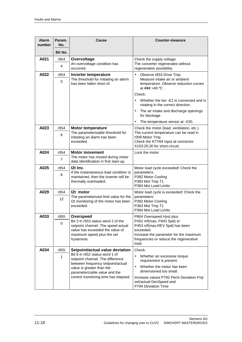| <b>Alarm</b><br>number | Param.<br>No.             | Cause                                                                                                                | Counter-measure                                                                                                                                                                |
|------------------------|---------------------------|----------------------------------------------------------------------------------------------------------------------|--------------------------------------------------------------------------------------------------------------------------------------------------------------------------------|
|                        | Bit No.                   |                                                                                                                      |                                                                                                                                                                                |
| A021                   | r954<br>4                 | Overvoltage<br>An overvoltage condition has<br>occurred.                                                             | Check the supply voltage.<br>The converter regenerates without<br>regeneration possibility.                                                                                    |
| A022                   | r954<br>5                 | Inverter temperature<br>The threshold for initiating an alarm<br>has been fallen short of.                           | $\bullet$<br>Observe r833 Drive Tmp.<br>Measure intake air or ambient<br>temperature. Observe reduction curves<br>at $\# \# \# > 40$ °C.                                       |
|                        |                           |                                                                                                                      | Check:<br>Whether the fan -E1 is connected and is<br>$\bullet$<br>rotating in the correct direction.                                                                           |
|                        |                           |                                                                                                                      | The air intake and discharge openings<br>$\bullet$<br>for blockage.                                                                                                            |
|                        |                           |                                                                                                                      | The temperature sensor at -X30.<br>$\bullet$                                                                                                                                   |
| A023                   | r954<br>6                 | <b>Motor temperature</b><br>The parameterizable threshold for<br>initiating an alarm has been<br>exceeded.           | Check the motor (load, ventilation, etc.).<br>The current temperature can be read in<br>r009 Motor Tmp.<br>Check the KTY84 input at connector<br>X103:29,30 for short-circuit. |
| A024                   | r954                      | <b>Motor movement</b>                                                                                                | Lock the motor                                                                                                                                                                 |
|                        | $\overline{7}$            | The motor has moved during motor<br>data identification in first start-up.                                           |                                                                                                                                                                                |
| A025                   | r954                      | 12t Inv.                                                                                                             | Motor load cycle exceeded! Check the                                                                                                                                           |
|                        | 8                         | If the instantaneous load condition is<br>maintained, then the inverter will be<br>thermally overloaded.             | parameters:<br>P382 Motor Cooling<br>P383 Mot Tmp T1<br>P384 Mot Load Limits                                                                                                   |
| A029                   | r954                      | 12t motor                                                                                                            | Motor load cycle is exceeded! Check the                                                                                                                                        |
|                        | 12                        | The parameterized limit value for the<br>I2t monitoring of the motor has been<br>exceeded.                           | parameters:<br>P382 Motor Cooling<br>P383 Mot Tmp T1<br>P384 Mot Load Limits                                                                                                   |
| A033                   | r955                      | Overspeed                                                                                                            | P804 Overspeed Hyst plus                                                                                                                                                       |
|                        | 0                         | Bit 3 in r553 status word 2 of the<br>setpoint channel. The speed actual                                             | P452 n/f(max, FWD Spd) or<br>P453 n/f(max, REV Spd) has been                                                                                                                   |
|                        |                           | value has exceeded the value of<br>maximum speed plus the set<br>hysteresis.                                         | exceeded.<br>Increase the parameter for the maximum                                                                                                                            |
|                        |                           |                                                                                                                      | frequencies or reduce the regenerative<br>load.                                                                                                                                |
| A034                   | r955                      | Setpoint/actual value deviation                                                                                      | Check:                                                                                                                                                                         |
|                        | $\mathbf{1}$              | Bit 8 in r552 status word 1 of<br>$\bullet$<br>setpoint channel. The difference<br>between frequency setpoint/actual | Whether an excessive torque<br>requirement is present.                                                                                                                         |
|                        | value is greater than the | parameterizable value and the                                                                                        | Whether the motor has been<br>dimensioned too small.                                                                                                                           |
|                        |                           | control monitoring time has elapsed.                                                                                 | Increase values P792 Perm Deviation Frq/<br>set/actual DevSpeed and<br>P794 Deviation Time                                                                                     |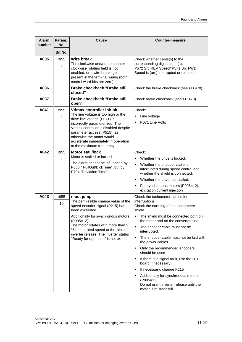| <b>Alarm</b><br>number | Param.<br>No. | Cause                                                                                                                                                                                                                                                                                                                     | Counter-measure                                                                                                                                                                                                                                                                                                                                                                                                                                                                                                                                                                                                                                                                |
|------------------------|---------------|---------------------------------------------------------------------------------------------------------------------------------------------------------------------------------------------------------------------------------------------------------------------------------------------------------------------------|--------------------------------------------------------------------------------------------------------------------------------------------------------------------------------------------------------------------------------------------------------------------------------------------------------------------------------------------------------------------------------------------------------------------------------------------------------------------------------------------------------------------------------------------------------------------------------------------------------------------------------------------------------------------------------|
|                        | Bit No.       |                                                                                                                                                                                                                                                                                                                           |                                                                                                                                                                                                                                                                                                                                                                                                                                                                                                                                                                                                                                                                                |
| A035                   | r955<br>2     | Wire break<br>The clockwise and/or the counter-<br>clockwise rotating field is not<br>enabled, or a wire breakage is<br>present in the terminal wiring (both<br>control word bits are zero)                                                                                                                               | Check whether cable(s) to the<br>corresponding digital input(s),<br>P572 Src REV Speed/ P571 Src FWD<br>Speed is (are) interrupted or released.                                                                                                                                                                                                                                                                                                                                                                                                                                                                                                                                |
| A036                   |               | <b>Brake checkback "Brake still</b><br>closed"                                                                                                                                                                                                                                                                            | Check the brake checkback (see FD 470)                                                                                                                                                                                                                                                                                                                                                                                                                                                                                                                                                                                                                                         |
| A037                   |               | <b>Brake checkback "Brake still</b><br>open"                                                                                                                                                                                                                                                                              | Check brake checkback (see FP 470)                                                                                                                                                                                                                                                                                                                                                                                                                                                                                                                                                                                                                                             |
| A041                   | r955<br>8     | <b>Vdmax controller inhibit</b><br>The line voltage is too high or the<br>drive line voltage (P071) is<br>incorrectly parameterized. The<br>Vdmax controller is disabled despite<br>parameter access (P515), as<br>otherwise the motor would<br>accelerate immediately in operation<br>to the maximum frequency.          | Check:<br>Line voltage<br>P071 Line Volts<br>$\bullet$                                                                                                                                                                                                                                                                                                                                                                                                                                                                                                                                                                                                                         |
| A042                   | r955<br>9     | <b>Motor stall/lock</b><br>Motor is stalled or locked.<br>The alarm cannot be influenced by<br>P805 " PullOut/BlckTime", but by<br>P794 "Deviation Time".                                                                                                                                                                 | Check:<br>Whether the drive is locked.<br>$\bullet$<br>Whether the encoder cable is<br>$\bullet$<br>interrupted during speed control and<br>whether the shield is connected.<br>Whether the drive has stalled.<br>$\bullet$<br>For synchronous motors (P095=12):<br>$\bullet$<br>excitation current injection                                                                                                                                                                                                                                                                                                                                                                  |
| A043                   | r955<br>10    | n-act jump<br>The permissible change value of the<br>speed encoder signal (P215) has<br>been exceeded.<br>Additionally for synchronous motors<br>(P095=12):<br>The motor rotates with more than 2<br>% of the rated speed at the time of<br>inverter release. The inverter status<br>"Ready for operation" is not exited. | Check the tachometer cables for<br>interruptions.<br>Check the earthing of the tachometer<br>shield.<br>The shield must be connected both on<br>$\bullet$<br>the motor and on the converter side.<br>$\bullet$<br>The encoder cable must not be<br>interrupted.<br>The encoder cable must not be laid with<br>$\bullet$<br>the power cables.<br>Only the recommended encoders<br>$\bullet$<br>should be used.<br>If there is a signal fault, use the DTI<br>$\bullet$<br>board if necessary.<br>If necessary, change P215<br>$\bullet$<br>Additionally for synchronous motors<br>$\bullet$<br>(P095=12):<br>Do not grant inverter release until the<br>motor is at standstill. |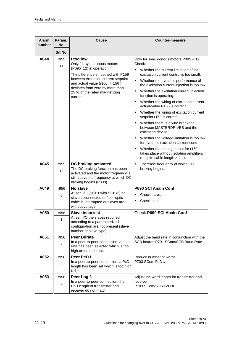| <b>Alarm</b><br>number | Param.<br>No.     | Cause                                                                                                                                                                                                                                                             | Counter-measure                                                                                                                                                                                                                                                                                                                                                                                                                                                                                                                                                                                                                                                                                                                                                                                                                                                    |
|------------------------|-------------------|-------------------------------------------------------------------------------------------------------------------------------------------------------------------------------------------------------------------------------------------------------------------|--------------------------------------------------------------------------------------------------------------------------------------------------------------------------------------------------------------------------------------------------------------------------------------------------------------------------------------------------------------------------------------------------------------------------------------------------------------------------------------------------------------------------------------------------------------------------------------------------------------------------------------------------------------------------------------------------------------------------------------------------------------------------------------------------------------------------------------------------------------------|
|                        | Bit No.           |                                                                                                                                                                                                                                                                   |                                                                                                                                                                                                                                                                                                                                                                                                                                                                                                                                                                                                                                                                                                                                                                                                                                                                    |
| A044                   | r955<br>11        | I too low<br>Only for synchronous motors<br>(P095=12) in operation:<br>The difference smoothed with P159<br>between excitation current setpoint<br>and actual value (r160 - r156)<br>deviates from zero by more than<br>25 % of the rated magnetizing<br>current. | Only for synchronous motors P095 = 12<br>Check:<br>Whether the current limitation of the<br>$\bullet$<br>excitation current control is too small.<br>Whether the dynamic performance of<br>$\bullet$<br>the excitation current injection is too low.<br>Whether the excitation current injection<br>$\bullet$<br>function is operating,<br>Whether the wiring of excitation current<br>$\bullet$<br>actual-value P155 is correct,<br>Whether the wiring of excitation current<br>$\bullet$<br>setpoint r160 is correct,<br>Whether there is a wire breakage<br>$\bullet$<br>between MASTERDRIVES and the<br>excitation device.<br>Whether the voltage limitation is too low<br>$\bullet$<br>for dynamic excitation current control.<br>Whether the analog output for r160<br>$\bullet$<br>takes place without isolating amplifiers<br>(despite cable length > 4m). |
| A045                   | r955<br>12        | DC braking activated<br>The DC braking function has been<br>activated and the motor frequency is<br>still above the frequency at which DC<br>braking begins (P398).                                                                                               | $\bullet$<br>Increase frequency at which DC<br>braking begins.                                                                                                                                                                                                                                                                                                                                                                                                                                                                                                                                                                                                                                                                                                                                                                                                     |
| A049<br>A050           | r956<br>0<br>r956 | No slave<br>At ser. I/O (SCB1 with SCI1/2) no<br>slave is connected or fiber-optic<br>cable is interrupted or slaves are<br>without voltage.<br><b>Slave incorrect</b><br>At ser. I/O the slaves required                                                         | <b>P690 SCI Analn Conf</b><br>Check slave.<br>$\bullet$<br>Check cable.<br>$\bullet$<br>Check P690 SCI Analn Conf                                                                                                                                                                                                                                                                                                                                                                                                                                                                                                                                                                                                                                                                                                                                                  |
|                        | 1                 | according to a parameterized<br>configuration are not present (slave<br>number or slave type).                                                                                                                                                                    |                                                                                                                                                                                                                                                                                                                                                                                                                                                                                                                                                                                                                                                                                                                                                                                                                                                                    |
| A051                   | r956<br>2         | <b>Peer Bdrate</b><br>In a peer-to-peer connection, a baud<br>rate has been selected which is too<br>high or too different.                                                                                                                                       | Adjust the baud rate in conjunction with the<br>SCB boards P701 SCom/SCB Baud Rate                                                                                                                                                                                                                                                                                                                                                                                                                                                                                                                                                                                                                                                                                                                                                                                 |
| A052                   | r956<br>3         | Peer PcD L<br>In a peer-to-peer connection, a PcD<br>length has been set which is too high<br>(55).                                                                                                                                                               | Reduce number of words<br>P703 SCom PcD #.                                                                                                                                                                                                                                                                                                                                                                                                                                                                                                                                                                                                                                                                                                                                                                                                                         |
| A053                   | r956<br>4         | Peer Lng f.<br>In a peer-to-peer connection, the<br>PcD length of transmitter and<br>receiver do not match.                                                                                                                                                       | Adjust the word length for transmitter and<br>receiver<br>P703 SCom/SCB PcD #                                                                                                                                                                                                                                                                                                                                                                                                                                                                                                                                                                                                                                                                                                                                                                                      |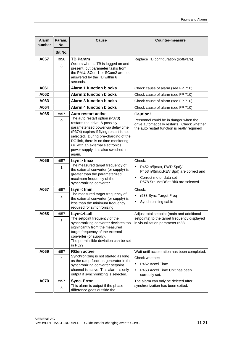| <b>Alarm</b><br>number | Param.<br>No.  | Cause                                                                                                                                                                                                                                                                                                                                          | Counter-measure                                                                                                                                           |
|------------------------|----------------|------------------------------------------------------------------------------------------------------------------------------------------------------------------------------------------------------------------------------------------------------------------------------------------------------------------------------------------------|-----------------------------------------------------------------------------------------------------------------------------------------------------------|
|                        | Bit No.        |                                                                                                                                                                                                                                                                                                                                                |                                                                                                                                                           |
| A057                   | r956<br>8      | <b>TB Param</b><br>Occurs when a TB is logged on and<br>present, but parameter tasks from<br>the PMU, SCom1 or SCom2 are not<br>answered by the TB within 6<br>seconds.                                                                                                                                                                        | Replace TB configuration (software).                                                                                                                      |
| A061                   |                | <b>Alarm 1 function blocks</b>                                                                                                                                                                                                                                                                                                                 | Check cause of alarm (see FP 710)                                                                                                                         |
| A062                   |                | <b>Alarm 2 function blocks</b>                                                                                                                                                                                                                                                                                                                 | Check cause of alarm (see FP 710)                                                                                                                         |
| A063                   |                | <b>Alarm 3 function blocks</b>                                                                                                                                                                                                                                                                                                                 | Check cause of alarm (see FP 710)                                                                                                                         |
| A064                   |                | <b>Alarm 4 function blocks</b>                                                                                                                                                                                                                                                                                                                 | Check cause of alarm (see FP 710)                                                                                                                         |
| A065                   | r957<br>0      | Auto restart active<br>The auto restart option (P373)<br>restarts the drive. A possibly<br>parameterized power-up delay time<br>(P374) expires if flying restart is not<br>selected. During pre-charging of the<br>DC link, there is no time monitoring<br>i.e. with an external electronics<br>power supply, it is also switched-in<br>again. | <b>Caution!</b><br>Personnel could be in danger when the<br>drive automatically restarts. Check whether<br>the auto restart function is really required!  |
| A066                   | r957<br>1      | fsyn > fmax<br>The measured target frequency of<br>the external converter (or supply) is<br>greater than the parameterized<br>maximum frequency of the<br>synchronizing converter.                                                                                                                                                             | Check:<br>P452 n/f(max, FWD Spd)/<br>P453 n/f(max, REV Spd) are correct and<br>Correct motor data set<br>$\bullet$<br>P578 Src MotDSet Bit0 are selected. |
| A067                   | r957           | fsyn < fmin                                                                                                                                                                                                                                                                                                                                    | Check:                                                                                                                                                    |
|                        | $\overline{2}$ | The measured target frequency of<br>the external converter (or supply) is<br>less than the minimum frequency<br>required for synchronizing.                                                                                                                                                                                                    | r533 Sync Target Freq<br>$\bullet$<br>Synchronising cable<br>$\bullet$                                                                                    |
| A068                   | r957           | fsyn<>fsoll                                                                                                                                                                                                                                                                                                                                    | Adjust total setpoint (main and additional                                                                                                                |
|                        | 3              | The setpoint frequency of the<br>synchronizing converter deviates too<br>significantly from the measured<br>target frequency of the external<br>converter (or supply).<br>The permissible deviation can be set<br>in P529.                                                                                                                     | setpoints) to the target frequency displayed<br>in visualization parameter r533.                                                                          |
| A069                   | r957           | <b>RGen active</b>                                                                                                                                                                                                                                                                                                                             | Wait until acceleration has been completed.                                                                                                               |
|                        | 4              | Synchronizing is not started as long<br>as the ramp-function generator in the<br>synchronizing converter setpoint<br>channel is active. This alarm is only<br>output if synchronizing is selected.                                                                                                                                             | Check whether:<br>P462 Accel Time<br>$\bullet$<br>P463 Accel Time Unit has been<br>correctly set.                                                         |
| A070                   | r957           | <b>Sync. Error</b>                                                                                                                                                                                                                                                                                                                             | The alarm can only be deleted after                                                                                                                       |
|                        | 5              | This alarm is output if the phase<br>difference goes outside the                                                                                                                                                                                                                                                                               | synchronization has been exited.                                                                                                                          |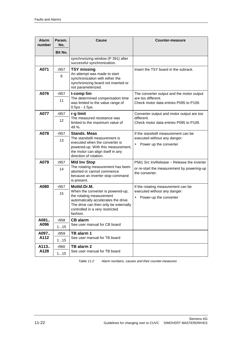| <b>Alarm</b><br>number       | Param.<br>No.       | Cause                                                                                                                                                                                                        | Counter-measure                                                                                             |
|------------------------------|---------------------|--------------------------------------------------------------------------------------------------------------------------------------------------------------------------------------------------------------|-------------------------------------------------------------------------------------------------------------|
|                              | Bit No.             |                                                                                                                                                                                                              |                                                                                                             |
|                              |                     | synchronizing window (P 391) after<br>successful synchronization.                                                                                                                                            |                                                                                                             |
| A071                         | r957<br>6           | <b>TSY missing</b><br>An attempt was made to start<br>synchronization with either the<br>synchronizing board not inserted or<br>not parameterized.                                                           | Insert the TSY board in the subrack.                                                                        |
| A076                         | r957<br>11          | t-comp lim<br>The determined compensation time<br>was limited to the value range of                                                                                                                          | The converter output and the motor output<br>are too different.<br>Check motor data entries P095 to P109.   |
| A077                         | r957<br>12          | $0.5\mu s - 1.5\mu s$ .<br>r-g limit<br>The measured resistance was<br>limited to the maximum value of<br>49 %.                                                                                              | Converter output and motor output are too<br>different.<br>Check motor data entries P095 to P109.           |
| A078                         | r957<br>13          | <b>Stands. Meas</b><br>The standstill measurement is<br>executed when the converter is<br>powered-up. With this measurement,<br>the motor can align itself in any<br>direction of rotation.                  | If the standstill measurement can be<br>executed without any danger:<br>Power up the converter<br>$\bullet$ |
| A079                         | r957<br>14          | <b>Mid Inv Stop</b><br>The rotating measurement has been<br>aborted or cannot commence<br>because an inverter stop command<br>is present.                                                                    | P561 Src InvRelease - Release the inverter<br>or re-start the measurement by powering-up<br>the converter.  |
| A080                         | r957<br>15          | MotId:Dr.M.<br>When the converter is powered-up,<br>the rotating measurement<br>automatically accelerates the drive.<br>The drive can then only be externally<br>controlled in a very restricted<br>fashion. | If the rotating measurement can be<br>executed without any danger:<br>Power-up the converter<br>$\bullet$   |
| A081<br>A096<br>A097<br>A112 | r958<br>115<br>r959 | <b>CB</b> alarm<br>See user manual for CB board<br>TB alarm 1<br>See user manual for TB board                                                                                                                |                                                                                                             |
| A113<br>A128                 | 115<br>r960<br>115  | TB alarm 2<br>See user manual for TB board                                                                                                                                                                   |                                                                                                             |

Table 11-2 Alarm numbers, causes and their counter-measures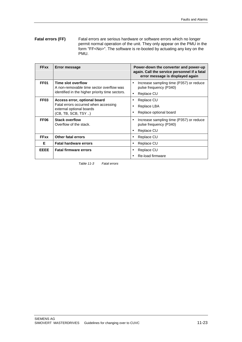#### Fatal errors are serious hardware or software errors which no longer permit normal operation of the unit. They only appear on the PMU in the form "FF<No>". The software is re-booted by actuating any key on the PMU. **Fatal errors (FF)**

| <b>FFxx</b>      | Error message                                                                                                     | Power-down the converter and power-up<br>again. Call the service personnel if a fatal<br>error message is displayed again |
|------------------|-------------------------------------------------------------------------------------------------------------------|---------------------------------------------------------------------------------------------------------------------------|
| FF <sub>01</sub> | Time slot overflow<br>A non-removable time sector overflow was<br>identified in the higher priority time sectors. | Increase sampling time (P357) or reduce<br>$\bullet$<br>pulse frequency (P340)                                            |
| FF <sub>03</sub> | Access error, optional board                                                                                      | Replace CU<br>٠<br>Replace CU                                                                                             |
|                  | Fatal errors occurred when accessing<br>external optional boards<br>(CB, TB, SCB, TSY)                            | Replace LBA                                                                                                               |
|                  |                                                                                                                   | Replace optional board                                                                                                    |
| FF <sub>06</sub> | <b>Stack overflow</b><br>Overflow of the stack.                                                                   | Increase sampling time (P357) or reduce<br>$\bullet$<br>pulse frequency (P340)                                            |
|                  |                                                                                                                   | Replace CU                                                                                                                |
| <b>FFxx</b>      | <b>Other fatal errors</b>                                                                                         | Replace CU<br>٠                                                                                                           |
| F                | <b>Fatal hardware errors</b>                                                                                      | Replace CU                                                                                                                |
| <b>EEEE</b>      | <b>Fatal firmware errors</b>                                                                                      | Replace CU                                                                                                                |
|                  |                                                                                                                   | Re-load firmware                                                                                                          |

Table 11-3 Fatal errors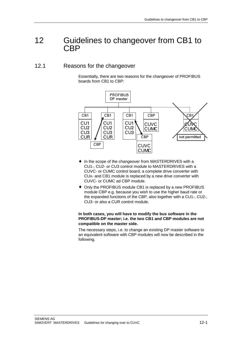# 12 Guidelines to changeover from CB1 to **CBP**

### 12.1 Reasons for the changeover

Essentially, there are two reasons for the changeover of PROFIBUS boards from CB1 to CBP:



- ♦ In the scope of the changeover from MASTERDRIVES with a CU1-, CU2- or CU3 control module to MASTERDRIVES with a CUVC- or CUMC control board, a complete drive converter with CUx- and CB1 module is replaced by a new drive converter with CUVC- or CUMC ad CBP module.
- ♦ Only the PROFIBUS module CB1 is replaced by a new PROFIBUS module CBP e.g. because you wish to use the higher baud rate or the expanded functions of the CBP, also together with a CU1-, CU2-, CU3- or also a CUR control module.

#### **In both cases, you will have to modify the bus software in the PROFIBUS-DP master; i.e. the two CB1 and CBP modules are not compatible on the master side.**

The necessary steps, i.e. to change an existing DP master software to an equivalent software with CBP modules will now be described in the following.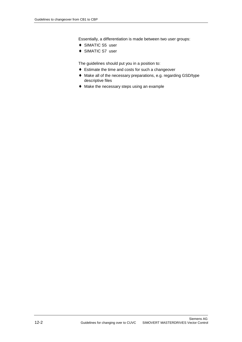Essentially, a differentiation is made between two user groups:

- ◆ SIMATIC S5 user
- ◆ SIMATIC S7 user

The guidelines should put you in a position to:

- ♦ Estimate the time and costs for such a changeover
- ♦ Make all of the necessary preparations, e.g. regarding GSD/type descriptive files
- ♦ Make the necessary steps using an example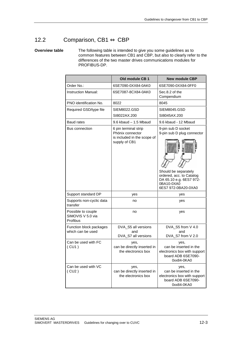## 12.2 Comparison, CB1 ⇔ CBP

### **Overview table**

The following table is intended to give you some guidelines as to common features between CB1 and CBP, but also to clearly refer to the differences of the two master drives communications modules for PROFIBUS-DP.

|                                                     | Old module CB 1                                                                          | <b>New module CBP</b>                                                                                                                                                |
|-----------------------------------------------------|------------------------------------------------------------------------------------------|----------------------------------------------------------------------------------------------------------------------------------------------------------------------|
| Order No.:                                          | 6SE7090-0XX84-0AK0                                                                       | 6SE7090-0XX84-0FF0                                                                                                                                                   |
| <b>Instruction Manual:</b>                          | 6SE7087-8CX84-0AK0                                                                       | Sec.8.2 of the<br>Compendium                                                                                                                                         |
| PNO identification No.                              | 8022                                                                                     | 8045                                                                                                                                                                 |
| Required GSD/type file                              | SIEM8022.GSD                                                                             | SIEM8045.GSD                                                                                                                                                         |
|                                                     | SI8022AX.200                                                                             | SI8045AX.200                                                                                                                                                         |
| <b>Baud rates</b>                                   | $9.6$ kbaud $-1.5$ Mbaud                                                                 | 9.6 kbaud - 12 Mbaud                                                                                                                                                 |
| <b>Bus connection</b>                               | 6 pin terminal strip<br>Phönix connector<br>is included in the scope of<br>supply of CB1 | 9-pin sub D socket<br>9-pin sub D plug connector<br>Should be separately<br>ordered, acc. to Catalog<br>DA 65.10 e.g. 6ES7 972-<br>0BA10-0XA0<br>6ES7 972-0BA20-0XA0 |
| Support standard DP                                 | yes                                                                                      | yes                                                                                                                                                                  |
| Supports non-cyclic data<br>transfer                | no                                                                                       | yes                                                                                                                                                                  |
| Possible to couple<br>SIMOVIS V 5.0 via<br>Profibus | no                                                                                       | yes                                                                                                                                                                  |
| Function block packages<br>which can be used        | DVA_S5 all versions<br>and<br>DVA_S7 all versions                                        | DVA_S5 from V 4.0<br>and<br>DVA_S7 from V 2.0                                                                                                                        |
| Can be used with FC<br>(CU1)                        | yes,<br>can be directly inserted in<br>the electronics box                               | yes,<br>can be inserted in the<br>electronics box with support<br>board ADB 6SE7090-<br>0xx84-0KA0                                                                   |
| Can be used with VC<br>(CU2)                        | yes,<br>can be directly inserted in<br>the electronics box                               | yes,<br>can be inserted in the<br>electronics box with support<br>board ADB 6SE7090-<br>0xx84-0KA0                                                                   |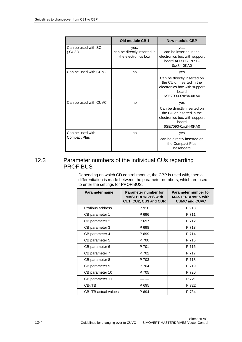|                              | Old module CB 1                                            | <b>New module CBP</b>                                                                                                   |
|------------------------------|------------------------------------------------------------|-------------------------------------------------------------------------------------------------------------------------|
| Can be used with SC<br>(CU3) | yes,<br>can be directly inserted in<br>the electronics box | yes,<br>can be inserted in the<br>electronics box with support<br>board ADB 6SE7090-<br>0xx84-0KA0                      |
| Can be used with CUMC        | no                                                         | yes                                                                                                                     |
|                              |                                                            | Can be directly inserted on<br>the CU or inserted in the<br>electronics box with support<br>board<br>6SE7090-0xx84-0KA0 |
| Can be used with CUVC        | no                                                         | yes                                                                                                                     |
|                              |                                                            | Can be directly inserted on<br>the CU or inserted in the<br>electronics box with support<br>board<br>6SE7090-0xx84-0KA0 |
| Can be used with             | no                                                         | yes                                                                                                                     |
| Compact Plus                 |                                                            | can be directly inserted on<br>the Compact Plus<br>baseboard                                                            |

### 12.3 Parameter numbers of the individual CUs regarding **PROFIBUS**

Depending on which CD control module, the CBP is used with, then a differentiation is made between the parameter numbers, which are used to enter the settings for PROFIBUS.

| Parameter name       | Parameter number for<br><b>MASTERDRIVES with</b><br>CU1, CU2, CU3 and CUR | Parameter number for<br><b>MASTERDRIVES with</b><br><b>CUMC and CUVC</b> |
|----------------------|---------------------------------------------------------------------------|--------------------------------------------------------------------------|
| Profibus address     | P 918                                                                     | P 918                                                                    |
| CB parameter 1       | P 696                                                                     | P 711                                                                    |
| CB parameter 2       | P 697                                                                     | P 712                                                                    |
| CB parameter 3       | P 698                                                                     | P 713                                                                    |
| CB parameter 4       | P 699                                                                     | P 714                                                                    |
| CB parameter 5       | P 700                                                                     | P 715                                                                    |
| CB parameter 6       | P 701                                                                     | P 716                                                                    |
| CB parameter 7       | P 702                                                                     | P 717                                                                    |
| CB parameter 8       | P 703                                                                     | P 718                                                                    |
| CB parameter 9       | P 704                                                                     | P 719                                                                    |
| CB parameter 10      | P 705                                                                     | P 720                                                                    |
| CB parameter 11      |                                                                           | P 721                                                                    |
| $CB-TE$              | P 695                                                                     | P 722                                                                    |
| CB-/TB actual values | P 694                                                                     | P 734                                                                    |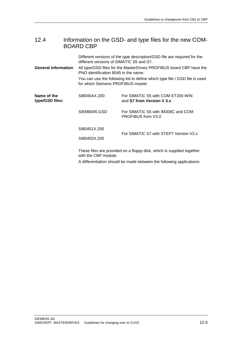### 12.4 Information on the GSD- and type files for the new COM-BOARD CBP

Different versions of the type description/GSD file are required for the different versions of SIMATIC S5 and S7.

All type/GSD files for the MasterDrives PROFIBUS board CBP have the PNO identification 8045 in the name. **General information**

> You can use the following list to define which type file / GSD file is used for which Siemens PROFIBUS master.

| Name of the<br>type/GSD files: | SI8045AX.200                 | For SIMATIC S5 with COM ET200 WIN<br>and S7 from Version V 3.x        |
|--------------------------------|------------------------------|-----------------------------------------------------------------------|
|                                | SIEM8045.GSD                 | For SIMATIC S5 with IM308C and COM<br>PROFIBUS from V3.0              |
|                                | SI80451X.200<br>SI80455X.200 | For SIMATIC S7 with STEP7 Version V2.x                                |
|                                |                              | These files are provided on a floppy disk, which is supplied together |

with the CBP module.

A differentiation should be made between the following applications: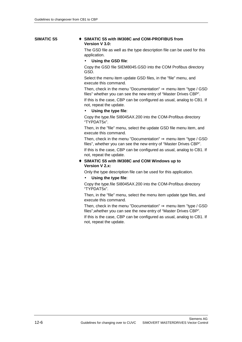### **SIMATIC S5**

### ♦ **SIMATIC S5 with IM308C and COM-PROFIBUS from Version V 3.0:**

The GSD file as well as the type description file can be used for this application.

### • **Using the GSD file**:

Copy the GSD file SIEM8045.GSD into the COM Profibus directory GSD.

Select the menu item update GSD files, in the "file" menu, and execute this command.

Then, check in the menu "Documentation"  $\Rightarrow$  menu item "type / GSD files" whether you can see the new entry of "Master Drives CBP".

If this is the case, CBP can be configured as usual, analog to CB1. If not, repeat the update.

#### • **Using the type file**:

Copy the type.file SI8045AX.200 into the COM-Profibus directory "TYPDAT5x".

Then, in the "file" menu, select the update GSD file menu item, and execute this command.

Then, check in the menu "Documentation"  $\Rightarrow$  menu item "type / GSD files", whether you can see the new entry of "Master Drives CBP".

If this is the case, CBP can be configured as usual, analog to CB1. If not, repeat the update.

### ♦ **SIMATIC S5 with IM308C and COM Windows up to Version V 2.x:**

Only the type description file can be used for this application.

### • **Using the type file**:

Copy the type.file SI8045AX.200 into the COM-Profibus directory "TYPDAT5x".

Then, in the "file" menu, select the menu item update type files, and execute this command.

Then, check in the menu "Documentation"  $\Rightarrow$  menu item "type / GSD files",whether you can see the new entry of "Master Drives CBP".

If this is the case, CBP can be configured as usual, analog to CB1. If not, repeat the update.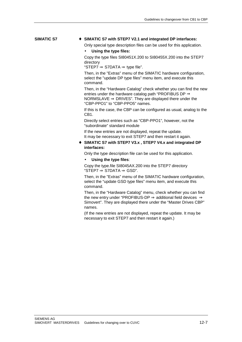#### ♦ **SIMATIC S7 with STEP7 V2.1 and integrated DP interfaces: SIMATIC S7**

Only special type description files can be used for this application.

#### • **Using the type files:**

Copy the type files SI80451X.200 to SI80455X.200 into the STEP7 directory

"STEP7  $\Rightarrow$  S7DATA  $\Rightarrow$  type file".

Then, in the "Extras" menu of the SIMATIC hardware configuration, select the "update DP type files" menu item, and execute this command.

Then, in the "Hardware Catalog" check whether you can find the new entries under the hardware catalog path "PROFIBUS DP ⇒ NORMSLAVE  $\Rightarrow$  DRIVES". They are displayed there under the "CBP-PPO1" to "CBP-PPO5" names.

If this is the case, the CBP can be configured as usual, analog to the CB1.

Directly select entries such as "CBP-PPO1", however, not the "subordinate" standard module

If the new entries are not displayed, repeat the update. It may be necessary to exit STEP7 and then restart it again.

#### ♦ **SIMATIC S7 with STEP7 V3.x , STEP7 V4.x and integrated DP interfaces:**

Only the type description file can be used for this application.

#### • **Using the type files**:

Copy the type.file SI8045AX.200 into the STEP7 directory  $"STEP7 \Rightarrow S7DATA \Rightarrow GSD".$ 

Then, in the "Extras" menu of the SIMATIC hardware configuration, select the "update GSD type files" menu item, and execute this command.

Then, in the "Hardware Catalog" menu, check whether you can find the new entry under "PROFIBUS-DP  $\Rightarrow$  additional field devices  $\Rightarrow$ Simovert". They are displayed there under the "Master Drives CBP" names.

(If the new entries are not displayed, repeat the update. It may be necessary to exit STEP7 and then restart it again.)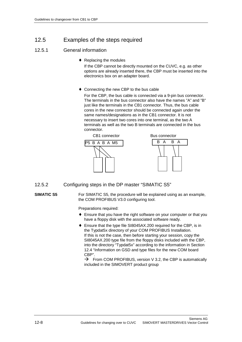# 12.5 Examples of the steps required

# 12.5.1 General information

♦ Replacing the modules

 If the CBP cannot be directly mounted on the CUVC, e.g. as other options are already inserted there, the CBP must be inserted into the electronics box on an adapter board.

♦ Connecting the new CBP to the bus cable

For the CBP, the bus cable is connected via a 9-pin bus connector. The terminals in the bus connector also have the names "A" and "B" just like the terminals in the CB1 connector. Thus, the bus cable cores in the new connector should be connected again under the same names/designations as in the CB1 connector. It is not necessary to insert two cores into one terminal, as the two A terminals as well as the two B terminals are connected in the bus connector.



12.5.2 Configuring steps in the DP master "SIMATIC S5"

## **SIMATIC S5**

For SIMATIC S5, the procedure will be explained using as an example, the COM PROFIBUS V3.0 configuring tool.

Preparations required:

- ♦ Ensure that you have the right software on your computer or that you have a floppy disk with the associated software ready.
- ♦ Ensure that the type file SI8045AX.200 required for the CBP, is in the Typdat5x directory of your COM PROFIBUS Installation. If this is not the case, then before starting your session, copy the SI8045AX.200 type file from the floppy disks included with the CBP, into the directory "Typdat5x" according to the information in Section 12.4 "Information on GSD and type files for the new COM board CBP".

 $\rightarrow$  From COM PROFIBUS, version V 3.2, the CBP is automatically included in the SIMOVERT product group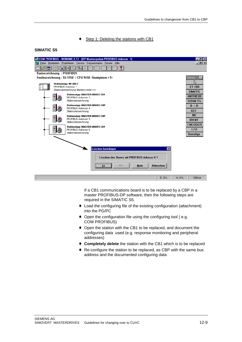#### Step 1: Deleting the stations with CB1

#### **SIMATIC S5**

|                                                                         |   | M COM PROFIBUS - NONAME.ET2 - [DP-Mastersystem PROFIBUS-Adresse 1] | $  B  \times$   |
|-------------------------------------------------------------------------|---|--------------------------------------------------------------------|-----------------|
| Datei Bearbeiten Projektieren Service Dokumentation Fenster Hilfe<br>îы |   |                                                                    |                 |
| Ħ                                                                       |   | ?<br>吊<br>E                                                        |                 |
| <b>Busbezeichnung : PROFIBUS</b><br><b>Slaves</b>                       |   |                                                                    |                 |
| Hostbezeichnung: S5-115U / CPU 941A Hostsystem <1>                      |   |                                                                    |                 |
|                                                                         |   | Stationstyp: IM 308-C                                              | ℅               |
|                                                                         |   | PROFIBUS-Adresse: 1<br>Stationsbezeichnung: Mastersystem <1>       | <b>ET 200</b>   |
|                                                                         |   | <b>Stationstyp: MASTER DRIVES CB1</b>                              | <b>SIMATIC</b>  |
|                                                                         |   | PROFIBUS-Adresse: 3                                                | <b>ANTRIEBE</b> |
|                                                                         |   | Stationsbezeichnung:                                               | <b>SCHALTG.</b> |
|                                                                         |   | <b>Stationstyp: MASTER DRIVES CBP</b>                              | $B + B$         |
|                                                                         |   | PROFIBUS-Adresse: 4<br>Stationsbezeichnung:                        | $AS-I$          |
|                                                                         |   | <b>Stationstyp: MASTER DRIVES CBP</b>                              | <b>NC</b>       |
|                                                                         |   | PROFIBUS-Adresse: 5                                                | <b>IDENT</b>    |
|                                                                         |   | Stationsbezeichnung:                                               | <b>ENCODER</b>  |
|                                                                         | Ē | <b>Stationstyp: MASTER DRIVES CB1</b><br>PROFIBUS-Adresse: 6       | 1/0             |
|                                                                         |   | Stationsbezeichnung:                                               | Sonstige        |
|                                                                         |   |                                                                    |                 |
|                                                                         |   |                                                                    |                 |
|                                                                         |   |                                                                    |                 |
|                                                                         |   | Löschen bestätigen<br>$\overline{\mathbf{x}}$                      |                 |
|                                                                         |   | Löschen des Slaves mit PROFIBUS-Adresse 6 ?                        |                 |
|                                                                         |   |                                                                    |                 |
|                                                                         |   | <b>Nein</b><br>Abbrechen<br>Ja<br>Alle                             |                 |
|                                                                         |   |                                                                    |                 |
|                                                                         |   |                                                                    |                 |
|                                                                         |   | $E: 0\%$<br>$A:0\%$                                                | Offline         |

If a CB1 communications board is to be replaced by a CBP in a master PROFIBUS-DP software, then the following steps are required in the SIMATIC S5.

- ♦ Load the configuring file of the existing configuration (attachment) into the PG/PC
- ♦ Open the configuration file using the configuring tool ( e.g. COM PROFIBUS)
- ♦ Open the station with the CB1 to be replaced, and document the configuring data used (e.g. response monitoring and peripheral addresses)
- ♦ **Completely delete** the station with the CB1 which is to be replaced
- ♦ Re-configure the station to be replaced, as CBP with the same bus address and the documented configuring data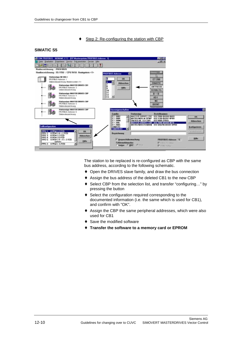#### Step 2: Re-configuring the station with CBP

#### **SIMATIC S5**



The station to be replaced is re-configured as CBP with the same bus address, according to the following schematic.

- ♦ Open the DRIVES slave family, and draw the bus connection
- ♦ Assign the bus address of the deleted CB1 to the new CBP
- ♦ Select CBP from the selection list, and transfer "configuring…" by pressing the button
- ♦ Select the configuration required corresponding to the documented information (i.e. the same which is used for CB1), and confirm with "OK".
- ♦ Assign the CBP the same peripheral addresses, which were also used for CB1
- ♦ Save the modified software
- ♦ **Transfer the software to a memory card or EPROM**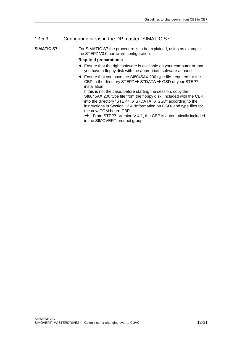# 12.5.3 Configuring steps in the DP master "SIMATIC S7"

For SIMATIC S7 the procedure is to be explained, using as example, the STEP7 V3.0 hardware configuration. **SIMATIC S7**

#### **Required preparations:**

- ♦ Ensure that the right software is available on your computer or that you have a floppy disk with the appropriate software at hand.
- ♦ Ensure that you have the SI8045AX.200 type file, required for the CBP in the directory STEP7  $\rightarrow$  S7DATA  $\rightarrow$  GSD of your STEP7 installation.

If this is not the case, before starting the session, copy the SI8045AX.200 type file from the floppy disk, included with the CBP, into the directory "STEP7  $\rightarrow$  S7DATA  $\rightarrow$  GSD" according to the instructions in Section 12.4 "Information on GSD- and type files for the new COM board CBP".

 $\rightarrow$  From STEP7, Version V 4.1, the CBP is automatically included in the SIMOVERT product group.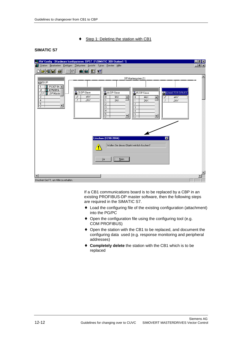### Step 1: Deleting the station with CB1

### **SIMATIC S7**



If a CB1 communications board is to be replaced by a CBP in an existing PROFIBUS-DP master software, then the following steps are required in the SIMATIC S7.

- ♦ Load the configuring file of the existing configuration (attachment) into the PG/PC
- ♦ Open the configuration file using the configuring tool (e.g. COM PROFIBUS)
- ♦ Open the station with the CB1 to be replaced, and document the configuring data used (e.g. response monitoring and peripheral addresses)
- ♦ **Completely delete** the station with the CB1 which is to be replaced